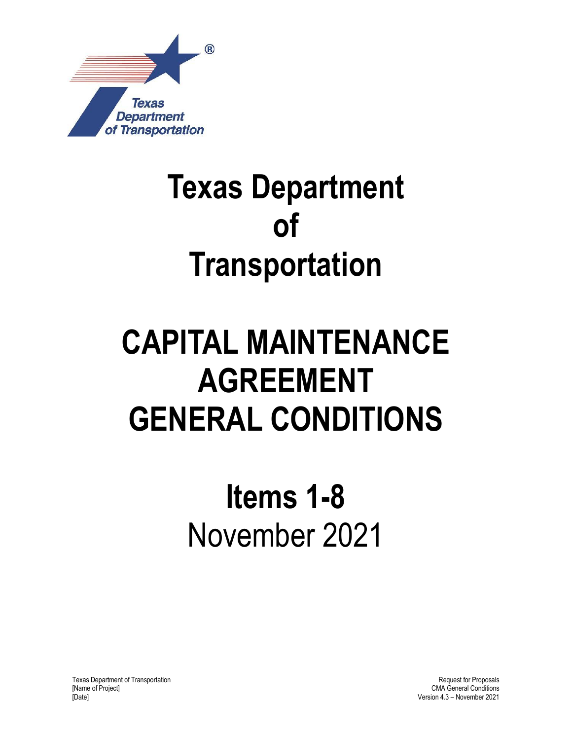

# **Texas Department of Transportation**

# **CAPITAL MAINTENANCE AGREEMENT GENERAL CONDITIONS**

# **Items 1-8** November 2021

Texas Department of Transportation [Name of Project] [Date]

Request for Proposals CMA General Conditions Version 4.3 – November 2021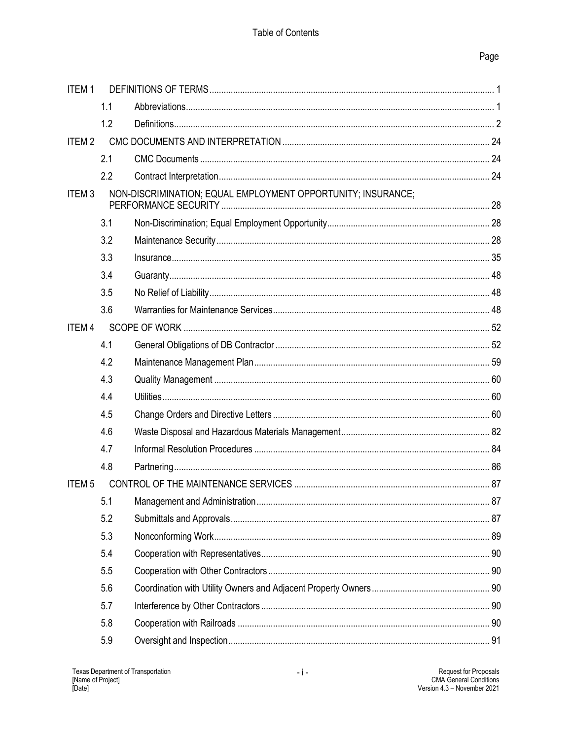## Page

| <b>ITEM1</b>            |     |                                                              |  |
|-------------------------|-----|--------------------------------------------------------------|--|
|                         | 1.1 |                                                              |  |
|                         | 1.2 |                                                              |  |
| <b>ITEM2</b>            |     |                                                              |  |
|                         | 2.1 |                                                              |  |
|                         | 2.2 |                                                              |  |
| ITEM <sub>3</sub>       |     | NON-DISCRIMINATION; EQUAL EMPLOYMENT OPPORTUNITY; INSURANCE; |  |
|                         | 3.1 |                                                              |  |
|                         | 3.2 |                                                              |  |
|                         | 3.3 |                                                              |  |
|                         | 3.4 |                                                              |  |
|                         | 3.5 |                                                              |  |
|                         | 3.6 |                                                              |  |
| <b>ITEM4</b>            |     |                                                              |  |
|                         | 4.1 |                                                              |  |
|                         | 4.2 |                                                              |  |
|                         | 4.3 |                                                              |  |
|                         | 4.4 |                                                              |  |
|                         | 4.5 |                                                              |  |
|                         | 4.6 |                                                              |  |
|                         | 4.7 |                                                              |  |
|                         | 4.8 |                                                              |  |
| <b>ITEM<sub>5</sub></b> |     |                                                              |  |
|                         |     |                                                              |  |
|                         | 5.2 |                                                              |  |
|                         | 5.3 |                                                              |  |
|                         | 5.4 |                                                              |  |
|                         | 5.5 |                                                              |  |
|                         | 5.6 |                                                              |  |
|                         | 5.7 |                                                              |  |
|                         | 5.8 |                                                              |  |
|                         | 5.9 |                                                              |  |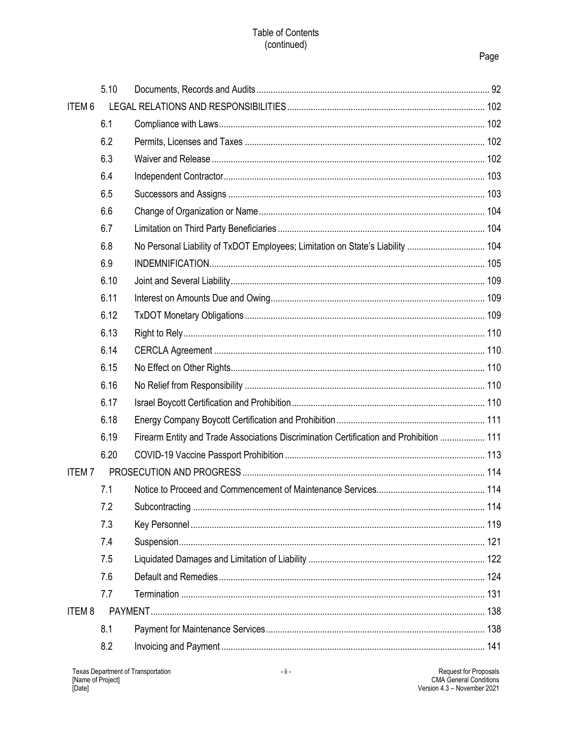### Table of Contents (continued)

## Page

|              | 5.10 |                                                                                         |  |
|--------------|------|-----------------------------------------------------------------------------------------|--|
| <b>ITEM6</b> |      |                                                                                         |  |
|              | 6.1  |                                                                                         |  |
|              | 6.2  |                                                                                         |  |
|              | 6.3  |                                                                                         |  |
|              | 6.4  |                                                                                         |  |
|              | 6.5  |                                                                                         |  |
|              | 6.6  |                                                                                         |  |
|              | 6.7  |                                                                                         |  |
|              | 6.8  | No Personal Liability of TxDOT Employees; Limitation on State's Liability  104          |  |
|              | 6.9  |                                                                                         |  |
|              | 6.10 |                                                                                         |  |
|              | 6.11 |                                                                                         |  |
|              | 6.12 |                                                                                         |  |
|              | 6.13 |                                                                                         |  |
|              | 6.14 |                                                                                         |  |
|              | 6.15 |                                                                                         |  |
|              | 6.16 |                                                                                         |  |
|              | 6.17 |                                                                                         |  |
|              | 6.18 |                                                                                         |  |
|              | 6.19 | Firearm Entity and Trade Associations Discrimination Certification and Prohibition  111 |  |
|              | 6.20 |                                                                                         |  |
| <b>ITEM7</b> |      |                                                                                         |  |
|              | 7.1  |                                                                                         |  |
|              | 7.2  |                                                                                         |  |
|              | 7.3  |                                                                                         |  |
|              | 7.4  |                                                                                         |  |
|              | 7.5  |                                                                                         |  |
|              | 7.6  |                                                                                         |  |
|              | 7.7  |                                                                                         |  |
| <b>ITEM8</b> |      |                                                                                         |  |
|              | 8.1  |                                                                                         |  |
|              | 8.2  |                                                                                         |  |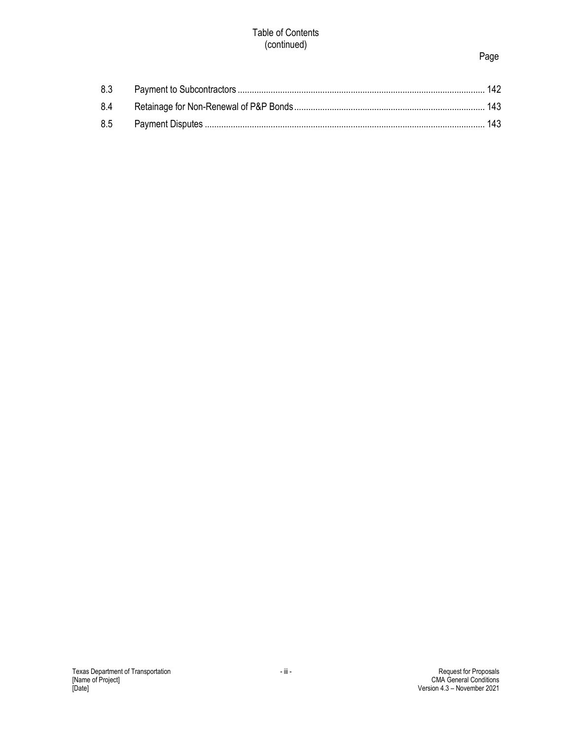#### Table of Contents (continued)

## Page

| 8.4 |  |
|-----|--|
|     |  |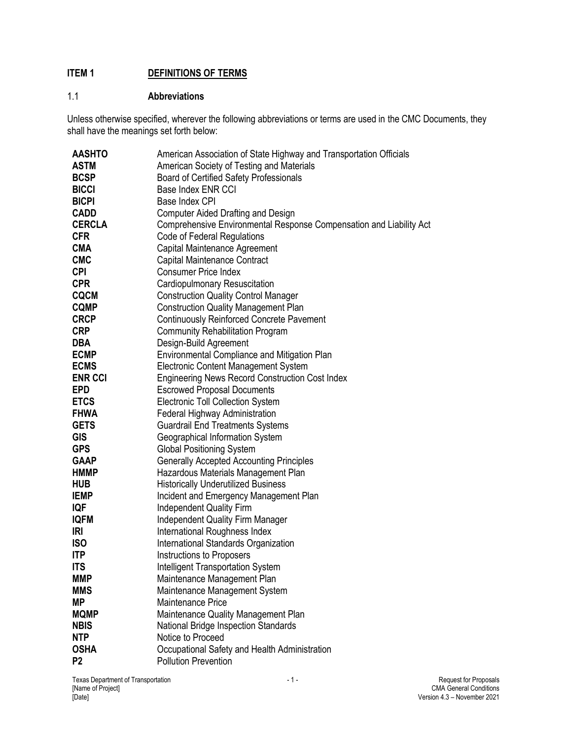## <span id="page-4-0"></span>**ITEM 1 DEFINITIONS OF TERMS**

## <span id="page-4-1"></span>1.1 **Abbreviations**

Unless otherwise specified, wherever the following abbreviations or terms are used in the CMC Documents, they shall have the meanings set forth below:

| <b>AASHTO</b>  | American Association of State Highway and Transportation Officials  |
|----------------|---------------------------------------------------------------------|
| <b>ASTM</b>    | American Society of Testing and Materials                           |
| <b>BCSP</b>    | <b>Board of Certified Safety Professionals</b>                      |
| <b>BICCI</b>   | Base Index ENR CCI                                                  |
| <b>BICPI</b>   | Base Index CPI                                                      |
| <b>CADD</b>    | <b>Computer Aided Drafting and Design</b>                           |
| <b>CERCLA</b>  | Comprehensive Environmental Response Compensation and Liability Act |
| <b>CFR</b>     | Code of Federal Regulations                                         |
| <b>CMA</b>     | Capital Maintenance Agreement                                       |
| <b>CMC</b>     | Capital Maintenance Contract                                        |
| <b>CPI</b>     | <b>Consumer Price Index</b>                                         |
| <b>CPR</b>     | Cardiopulmonary Resuscitation                                       |
| <b>CQCM</b>    | <b>Construction Quality Control Manager</b>                         |
| <b>CQMP</b>    | <b>Construction Quality Management Plan</b>                         |
| <b>CRCP</b>    | <b>Continuously Reinforced Concrete Pavement</b>                    |
| <b>CRP</b>     | <b>Community Rehabilitation Program</b>                             |
| <b>DBA</b>     | Design-Build Agreement                                              |
| <b>ECMP</b>    | Environmental Compliance and Mitigation Plan                        |
| <b>ECMS</b>    | Electronic Content Management System                                |
| <b>ENR CCI</b> | <b>Engineering News Record Construction Cost Index</b>              |
| <b>EPD</b>     | <b>Escrowed Proposal Documents</b>                                  |
| <b>ETCS</b>    | <b>Electronic Toll Collection System</b>                            |
| <b>FHWA</b>    | Federal Highway Administration                                      |
| <b>GETS</b>    | <b>Guardrail End Treatments Systems</b>                             |
| <b>GIS</b>     | Geographical Information System                                     |
| <b>GPS</b>     | <b>Global Positioning System</b>                                    |
| <b>GAAP</b>    | <b>Generally Accepted Accounting Principles</b>                     |
| <b>HMMP</b>    | Hazardous Materials Management Plan                                 |
| <b>HUB</b>     | <b>Historically Underutilized Business</b>                          |
| <b>IEMP</b>    | Incident and Emergency Management Plan                              |
| IQF            | <b>Independent Quality Firm</b>                                     |
| <b>IQFM</b>    | <b>Independent Quality Firm Manager</b>                             |
| <b>IRI</b>     | International Roughness Index                                       |
| <b>ISO</b>     | International Standards Organization                                |
| <b>ITP</b>     | Instructions to Proposers                                           |
| <b>ITS</b>     | <b>Intelligent Transportation System</b>                            |
| <b>MMP</b>     | Maintenance Management Plan                                         |
| <b>MMS</b>     | Maintenance Management System                                       |
| <b>MP</b>      | Maintenance Price                                                   |
| <b>MQMP</b>    | Maintenance Quality Management Plan                                 |
| <b>NBIS</b>    | <b>National Bridge Inspection Standards</b>                         |
| <b>NTP</b>     | Notice to Proceed                                                   |
| <b>OSHA</b>    | Occupational Safety and Health Administration                       |
| P <sub>2</sub> | <b>Pollution Prevention</b>                                         |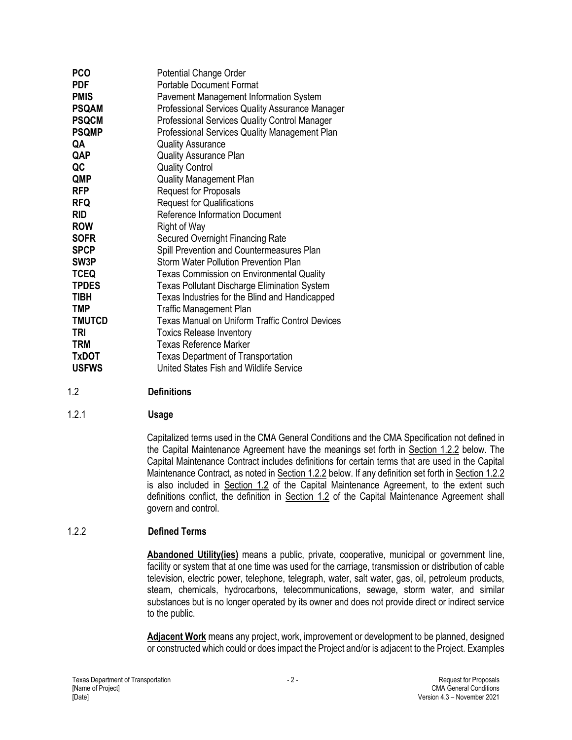| <b>PCO</b>        | <b>Potential Change Order</b>                          |
|-------------------|--------------------------------------------------------|
| <b>PDF</b>        | <b>Portable Document Format</b>                        |
| <b>PMIS</b>       | Pavement Management Information System                 |
| <b>PSQAM</b>      | Professional Services Quality Assurance Manager        |
| <b>PSQCM</b>      | Professional Services Quality Control Manager          |
| <b>PSQMP</b>      | Professional Services Quality Management Plan          |
| QA                | <b>Quality Assurance</b>                               |
| QAP               | <b>Quality Assurance Plan</b>                          |
| QC                | <b>Quality Control</b>                                 |
| QMP               | <b>Quality Management Plan</b>                         |
| <b>RFP</b>        | <b>Request for Proposals</b>                           |
| <b>RFQ</b>        | <b>Request for Qualifications</b>                      |
| <b>RID</b>        | <b>Reference Information Document</b>                  |
| <b>ROW</b>        | Right of Way                                           |
| <b>SOFR</b>       | <b>Secured Overnight Financing Rate</b>                |
| <b>SPCP</b>       | Spill Prevention and Countermeasures Plan              |
| SW <sub>3</sub> P | Storm Water Pollution Prevention Plan                  |
| <b>TCEQ</b>       | <b>Texas Commission on Environmental Quality</b>       |
| <b>TPDES</b>      | <b>Texas Pollutant Discharge Elimination System</b>    |
| <b>TIBH</b>       | Texas Industries for the Blind and Handicapped         |
| <b>TMP</b>        | <b>Traffic Management Plan</b>                         |
| <b>TMUTCD</b>     | <b>Texas Manual on Uniform Traffic Control Devices</b> |
| TRI               | <b>Toxics Release Inventory</b>                        |
| <b>TRM</b>        | <b>Texas Reference Marker</b>                          |
| <b>TxDOT</b>      | <b>Texas Department of Transportation</b>              |
| <b>USFWS</b>      | United States Fish and Wildlife Service                |

## <span id="page-5-0"></span>1.2 **Definitions**

#### 1.2.1 **Usage**

Capitalized terms used in the CMA General Conditions and the CMA Specification not defined in the Capital Maintenance Agreement have the meanings set forth in Section 1.2.2 below. The Capital Maintenance Contract includes definitions for certain terms that are used in the Capital Maintenance Contract, as noted in Section 1.2.2 below. If any definition set forth in Section 1.2.2 is also included in Section 1.2 of the Capital Maintenance Agreement, to the extent such definitions conflict, the definition in Section 1.2 of the Capital Maintenance Agreement shall govern and control.

#### 1.2.2 **Defined Terms**

**Abandoned Utility(ies)** means a public, private, cooperative, municipal or government line, facility or system that at one time was used for the carriage, transmission or distribution of cable television, electric power, telephone, telegraph, water, salt water, gas, oil, petroleum products, steam, chemicals, hydrocarbons, telecommunications, sewage, storm water, and similar substances but is no longer operated by its owner and does not provide direct or indirect service to the public.

**Adjacent Work** means any project, work, improvement or development to be planned, designed or constructed which could or does impact the Project and/or is adjacent to the Project. Examples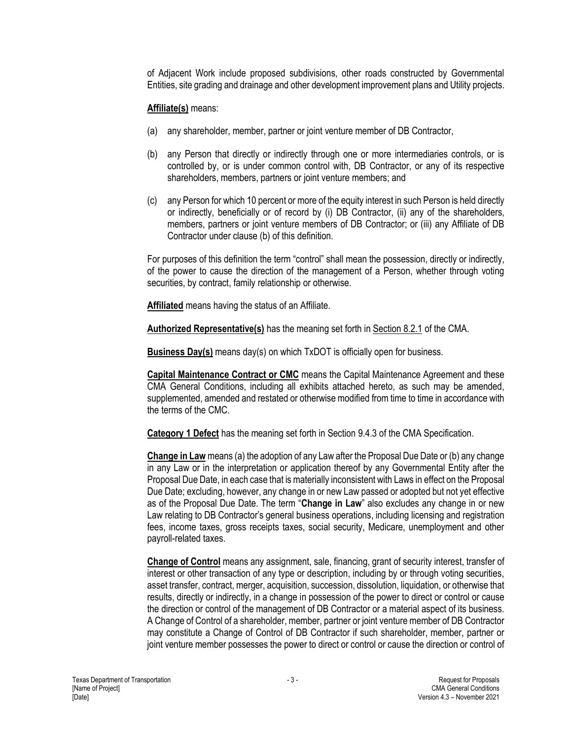of Adjacent Work include proposed subdivisions, other roads constructed by Governmental Entities, site grading and drainage and other development improvement plans and Utility projects.

#### **Affiliate(s)** means:

- (a) any shareholder, member, partner or joint venture member of DB Contractor,
- (b) any Person that directly or indirectly through one or more intermediaries controls, or is controlled by, or is under common control with, DB Contractor, or any of its respective shareholders, members, partners or joint venture members; and
- (c) any Person for which 10 percent or more of the equity interest in such Person is held directly or indirectly, beneficially or of record by (i) DB Contractor, (ii) any of the shareholders, members, partners or joint venture members of DB Contractor; or (iii) any Affiliate of DB Contractor under clause (b) of this definition.

For purposes of this definition the term "control" shall mean the possession, directly or indirectly, of the power to cause the direction of the management of a Person, whether through voting securities, by contract, family relationship or otherwise.

**Affiliated** means having the status of an Affiliate.

**Authorized Representative(s)** has the meaning set forth in Section 8.2.1 of the CMA.

**Business Day(s)** means day(s) on which TxDOT is officially open for business.

**Capital Maintenance Contract or CMC** means the Capital Maintenance Agreement and these CMA General Conditions, including all exhibits attached hereto, as such may be amended, supplemented, amended and restated or otherwise modified from time to time in accordance with the terms of the CMC.

**Category 1 Defect** has the meaning set forth in Section 9.4.3 of the CMA Specification.

**Change in Law** means (a) the adoption of any Law after the Proposal Due Date or (b) any change in any Law or in the interpretation or application thereof by any Governmental Entity after the Proposal Due Date, in each case that is materially inconsistent with Laws in effect on the Proposal Due Date; excluding, however, any change in or new Law passed or adopted but not yet effective as of the Proposal Due Date. The term "**Change in Law**" also excludes any change in or new Law relating to DB Contractor's general business operations, including licensing and registration fees, income taxes, gross receipts taxes, social security, Medicare, unemployment and other payroll-related taxes.

**Change of Control** means any assignment, sale, financing, grant of security interest, transfer of interest or other transaction of any type or description, including by or through voting securities, asset transfer, contract, merger, acquisition, succession, dissolution, liquidation, or otherwise that results, directly or indirectly, in a change in possession of the power to direct or control or cause the direction or control of the management of DB Contractor or a material aspect of its business. A Change of Control of a shareholder, member, partner or joint venture member of DB Contractor may constitute a Change of Control of DB Contractor if such shareholder, member, partner or joint venture member possesses the power to direct or control or cause the direction or control of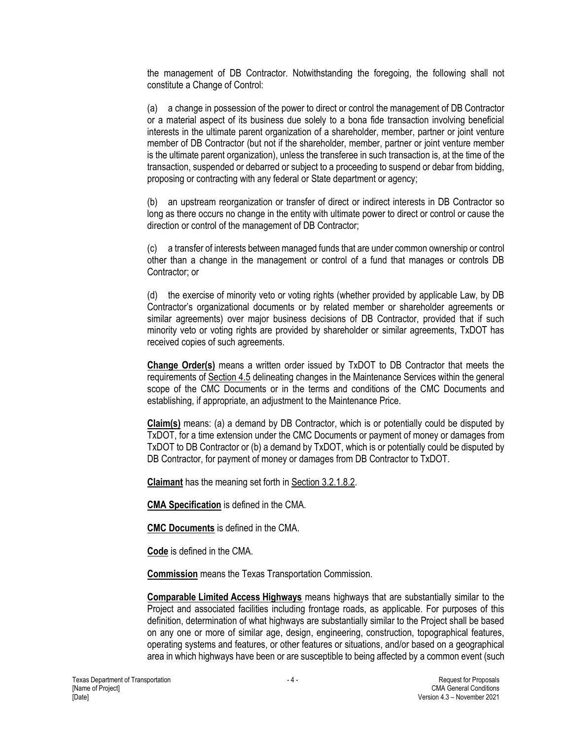the management of DB Contractor. Notwithstanding the foregoing, the following shall not constitute a Change of Control:

(a) a change in possession of the power to direct or control the management of DB Contractor or a material aspect of its business due solely to a bona fide transaction involving beneficial interests in the ultimate parent organization of a shareholder, member, partner or joint venture member of DB Contractor (but not if the shareholder, member, partner or joint venture member is the ultimate parent organization), unless the transferee in such transaction is, at the time of the transaction, suspended or debarred or subject to a proceeding to suspend or debar from bidding, proposing or contracting with any federal or State department or agency;

(b) an upstream reorganization or transfer of direct or indirect interests in DB Contractor so long as there occurs no change in the entity with ultimate power to direct or control or cause the direction or control of the management of DB Contractor;

(c) a transfer of interests between managed funds that are under common ownership or control other than a change in the management or control of a fund that manages or controls DB Contractor; or

(d) the exercise of minority veto or voting rights (whether provided by applicable Law, by DB Contractor's organizational documents or by related member or shareholder agreements or similar agreements) over major business decisions of DB Contractor, provided that if such minority veto or voting rights are provided by shareholder or similar agreements, TxDOT has received copies of such agreements.

**Change Order(s)** means a written order issued by TxDOT to DB Contractor that meets the requirements of Section 4.5 delineating changes in the Maintenance Services within the general scope of the CMC Documents or in the terms and conditions of the CMC Documents and establishing, if appropriate, an adjustment to the Maintenance Price.

**Claim(s)** means: (a) a demand by DB Contractor, which is or potentially could be disputed by TxDOT, for a time extension under the CMC Documents or payment of money or damages from TxDOT to DB Contractor or (b) a demand by TxDOT, which is or potentially could be disputed by DB Contractor, for payment of money or damages from DB Contractor to TxDOT.

**Claimant** has the meaning set forth in Section 3.2.1.8.2.

**CMA Specification** is defined in the CMA.

**CMC Documents** is defined in the CMA.

**Code** is defined in the CMA.

**Commission** means the Texas Transportation Commission.

**Comparable Limited Access Highways** means highways that are substantially similar to the Project and associated facilities including frontage roads, as applicable. For purposes of this definition, determination of what highways are substantially similar to the Project shall be based on any one or more of similar age, design, engineering, construction, topographical features, operating systems and features, or other features or situations, and/or based on a geographical area in which highways have been or are susceptible to being affected by a common event (such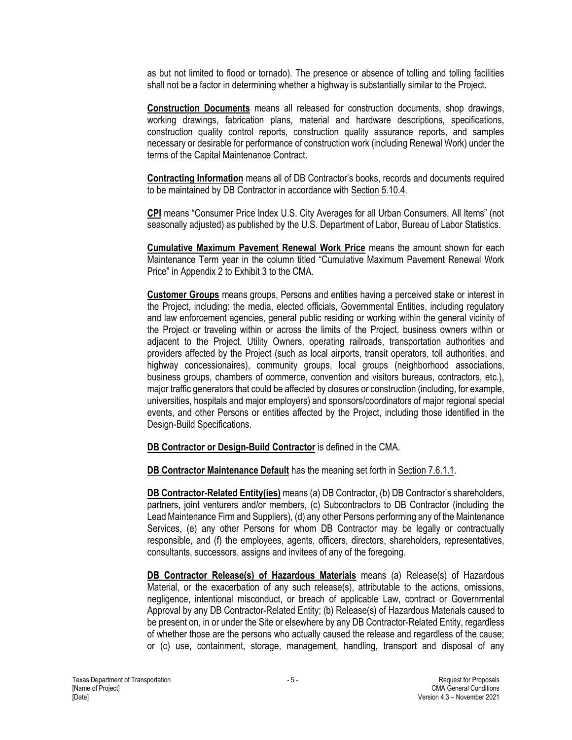as but not limited to flood or tornado). The presence or absence of tolling and tolling facilities shall not be a factor in determining whether a highway is substantially similar to the Project.

**Construction Documents** means all released for construction documents, shop drawings, working drawings, fabrication plans, material and hardware descriptions, specifications, construction quality control reports, construction quality assurance reports, and samples necessary or desirable for performance of construction work (including Renewal Work) under the terms of the Capital Maintenance Contract.

**Contracting Information** means all of DB Contractor's books, records and documents required to be maintained by DB Contractor in accordance with Section 5.10.4.

**CPI** means "Consumer Price Index U.S. City Averages for all Urban Consumers, All Items" (not seasonally adjusted) as published by the U.S. Department of Labor, Bureau of Labor Statistics.

**Cumulative Maximum Pavement Renewal Work Price** means the amount shown for each Maintenance Term year in the column titled "Cumulative Maximum Pavement Renewal Work Price" in Appendix 2 to Exhibit 3 to the CMA.

**Customer Groups** means groups, Persons and entities having a perceived stake or interest in the Project, including: the media, elected officials, Governmental Entities, including regulatory and law enforcement agencies, general public residing or working within the general vicinity of the Project or traveling within or across the limits of the Project, business owners within or adjacent to the Project, Utility Owners, operating railroads, transportation authorities and providers affected by the Project (such as local airports, transit operators, toll authorities, and highway concessionaires), community groups, local groups (neighborhood associations, business groups, chambers of commerce, convention and visitors bureaus, contractors, etc.), major traffic generators that could be affected by closures or construction (including, for example, universities, hospitals and major employers) and sponsors/coordinators of major regional special events, and other Persons or entities affected by the Project, including those identified in the Design-Build Specifications.

**DB Contractor or Design-Build Contractor** is defined in the CMA.

**DB Contractor Maintenance Default** has the meaning set forth in Section 7.6.1.1.

**DB Contractor-Related Entity(ies)** means (a) DB Contractor, (b) DB Contractor's shareholders, partners, joint venturers and/or members, (c) Subcontractors to DB Contractor (including the Lead Maintenance Firm and Suppliers), (d) any other Persons performing any of the Maintenance Services, (e) any other Persons for whom DB Contractor may be legally or contractually responsible, and (f) the employees, agents, officers, directors, shareholders, representatives, consultants, successors, assigns and invitees of any of the foregoing.

**DB Contractor Release(s) of Hazardous Materials** means (a) Release(s) of Hazardous Material, or the exacerbation of any such release(s), attributable to the actions, omissions, negligence, intentional misconduct, or breach of applicable Law, contract or Governmental Approval by any DB Contractor-Related Entity; (b) Release(s) of Hazardous Materials caused to be present on, in or under the Site or elsewhere by any DB Contractor-Related Entity, regardless of whether those are the persons who actually caused the release and regardless of the cause; or (c) use, containment, storage, management, handling, transport and disposal of any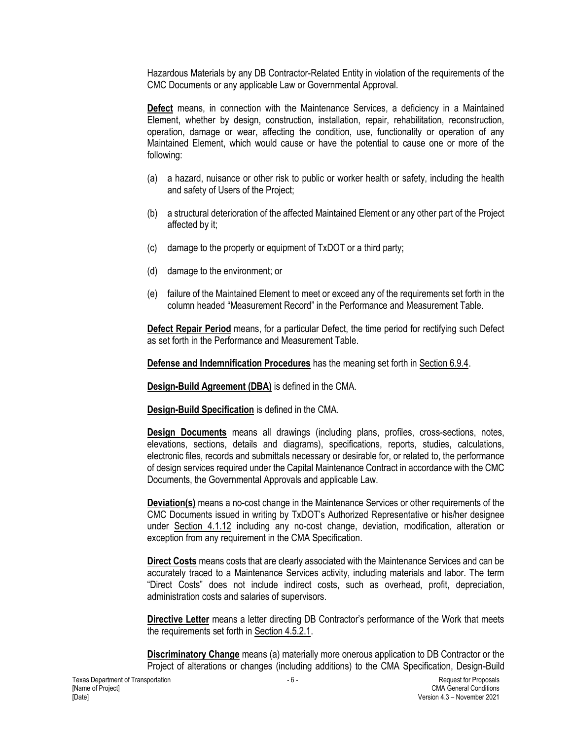Hazardous Materials by any DB Contractor-Related Entity in violation of the requirements of the CMC Documents or any applicable Law or Governmental Approval.

**Defect** means, in connection with the Maintenance Services, a deficiency in a Maintained Element, whether by design, construction, installation, repair, rehabilitation, reconstruction, operation, damage or wear, affecting the condition, use, functionality or operation of any Maintained Element, which would cause or have the potential to cause one or more of the following:

- (a) a hazard, nuisance or other risk to public or worker health or safety, including the health and safety of Users of the Project;
- (b) a structural deterioration of the affected Maintained Element or any other part of the Project affected by it;
- (c) damage to the property or equipment of TxDOT or a third party;
- (d) damage to the environment; or
- (e) failure of the Maintained Element to meet or exceed any of the requirements set forth in the column headed "Measurement Record" in the Performance and Measurement Table.

**Defect Repair Period** means, for a particular Defect, the time period for rectifying such Defect as set forth in the Performance and Measurement Table.

**Defense and Indemnification Procedures** has the meaning set forth in Section 6.9.4.

**Design-Build Agreement (DBA)** is defined in the CMA.

**Design-Build Specification** is defined in the CMA.

**Design Documents** means all drawings (including plans, profiles, cross-sections, notes, elevations, sections, details and diagrams), specifications, reports, studies, calculations, electronic files, records and submittals necessary or desirable for, or related to, the performance of design services required under the Capital Maintenance Contract in accordance with the CMC Documents, the Governmental Approvals and applicable Law.

**Deviation(s)** means a no-cost change in the Maintenance Services or other requirements of the CMC Documents issued in writing by TxDOT's Authorized Representative or his/her designee under Section 4.1.12 including any no-cost change, deviation, modification, alteration or exception from any requirement in the CMA Specification.

**Direct Costs** means costs that are clearly associated with the Maintenance Services and can be accurately traced to a Maintenance Services activity, including materials and labor. The term "Direct Costs" does not include indirect costs, such as overhead, profit, depreciation, administration costs and salaries of supervisors.

**Directive Letter** means a letter directing DB Contractor's performance of the Work that meets the requirements set forth in Section 4.5.2.1.

**Discriminatory Change** means (a) materially more onerous application to DB Contractor or the Project of alterations or changes (including additions) to the CMA Specification, Design-Build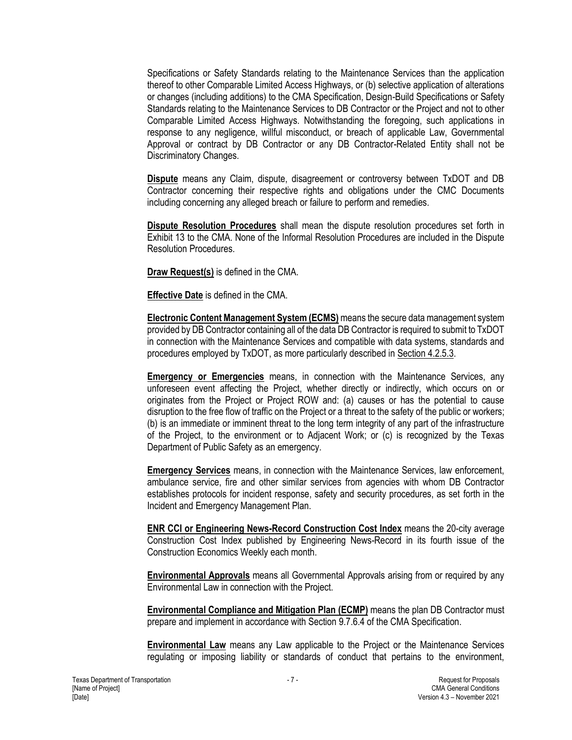Specifications or Safety Standards relating to the Maintenance Services than the application thereof to other Comparable Limited Access Highways, or (b) selective application of alterations or changes (including additions) to the CMA Specification, Design-Build Specifications or Safety Standards relating to the Maintenance Services to DB Contractor or the Project and not to other Comparable Limited Access Highways. Notwithstanding the foregoing, such applications in response to any negligence, willful misconduct, or breach of applicable Law, Governmental Approval or contract by DB Contractor or any DB Contractor-Related Entity shall not be Discriminatory Changes.

**Dispute** means any Claim, dispute, disagreement or controversy between TxDOT and DB Contractor concerning their respective rights and obligations under the CMC Documents including concerning any alleged breach or failure to perform and remedies.

**Dispute Resolution Procedures** shall mean the dispute resolution procedures set forth in Exhibit 13 to the CMA. None of the Informal Resolution Procedures are included in the Dispute Resolution Procedures.

**Draw Request(s)** is defined in the CMA.

**Effective Date** is defined in the CMA.

**Electronic Content Management System (ECMS)** means the secure data management system provided by DB Contractor containing all of the data DB Contractor is required to submit to TxDOT in connection with the Maintenance Services and compatible with data systems, standards and procedures employed by TxDOT, as more particularly described in Section 4.2.5.3.

**Emergency or Emergencies** means, in connection with the Maintenance Services, any unforeseen event affecting the Project, whether directly or indirectly, which occurs on or originates from the Project or Project ROW and: (a) causes or has the potential to cause disruption to the free flow of traffic on the Project or a threat to the safety of the public or workers; (b) is an immediate or imminent threat to the long term integrity of any part of the infrastructure of the Project, to the environment or to Adjacent Work; or (c) is recognized by the Texas Department of Public Safety as an emergency.

**Emergency Services** means, in connection with the Maintenance Services, law enforcement, ambulance service, fire and other similar services from agencies with whom DB Contractor establishes protocols for incident response, safety and security procedures, as set forth in the Incident and Emergency Management Plan.

**ENR CCI or Engineering News-Record Construction Cost Index** means the 20-city average Construction Cost Index published by Engineering News-Record in its fourth issue of the Construction Economics Weekly each month.

**Environmental Approvals** means all Governmental Approvals arising from or required by any Environmental Law in connection with the Project.

**Environmental Compliance and Mitigation Plan (ECMP)** means the plan DB Contractor must prepare and implement in accordance with Section 9.7.6.4 of the CMA Specification.

**Environmental Law** means any Law applicable to the Project or the Maintenance Services regulating or imposing liability or standards of conduct that pertains to the environment,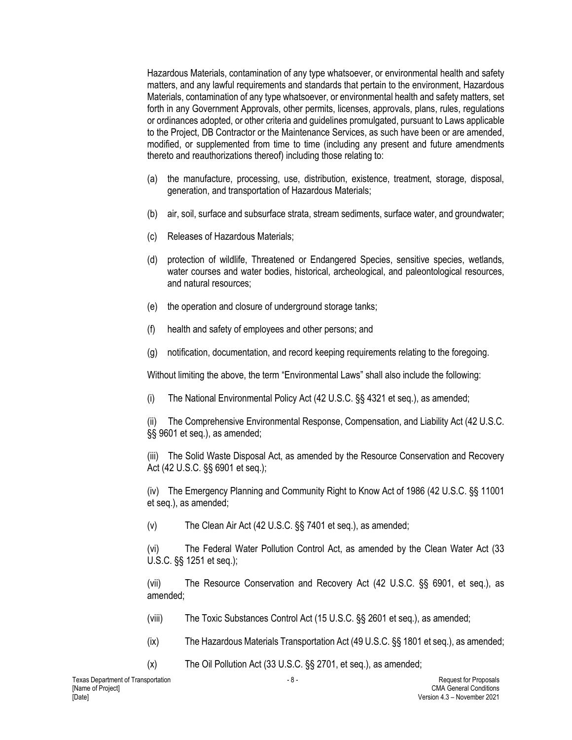Hazardous Materials, contamination of any type whatsoever, or environmental health and safety matters, and any lawful requirements and standards that pertain to the environment, Hazardous Materials, contamination of any type whatsoever, or environmental health and safety matters, set forth in any Government Approvals, other permits, licenses, approvals, plans, rules, regulations or ordinances adopted, or other criteria and guidelines promulgated, pursuant to Laws applicable to the Project, DB Contractor or the Maintenance Services, as such have been or are amended, modified, or supplemented from time to time (including any present and future amendments thereto and reauthorizations thereof) including those relating to:

- (a) the manufacture, processing, use, distribution, existence, treatment, storage, disposal, generation, and transportation of Hazardous Materials;
- (b) air, soil, surface and subsurface strata, stream sediments, surface water, and groundwater;
- (c) Releases of Hazardous Materials;
- (d) protection of wildlife, Threatened or Endangered Species, sensitive species, wetlands, water courses and water bodies, historical, archeological, and paleontological resources, and natural resources;
- (e) the operation and closure of underground storage tanks;
- (f) health and safety of employees and other persons; and
- (g) notification, documentation, and record keeping requirements relating to the foregoing.

Without limiting the above, the term "Environmental Laws" shall also include the following:

(i) The National Environmental Policy Act (42 U.S.C. §§ 4321 et seq.), as amended;

(ii) The Comprehensive Environmental Response, Compensation, and Liability Act (42 U.S.C. §§ 9601 et seq.), as amended;

(iii) The Solid Waste Disposal Act, as amended by the Resource Conservation and Recovery Act (42 U.S.C. §§ 6901 et seq.);

(iv) The Emergency Planning and Community Right to Know Act of 1986 (42 U.S.C. §§ 11001 et seq.), as amended;

(v) The Clean Air Act (42 U.S.C. §§ 7401 et seq.), as amended;

(vi) The Federal Water Pollution Control Act, as amended by the Clean Water Act (33 U.S.C. §§ 1251 et seq.);

(vii) The Resource Conservation and Recovery Act (42 U.S.C. §§ 6901, et seq.), as amended;

(viii) The Toxic Substances Control Act (15 U.S.C. §§ 2601 et seq.), as amended;

- (ix) The Hazardous Materials Transportation Act (49 U.S.C. §§ 1801 et seq.), as amended;
- (x) The Oil Pollution Act (33 U.S.C. §§ 2701, et seq.), as amended;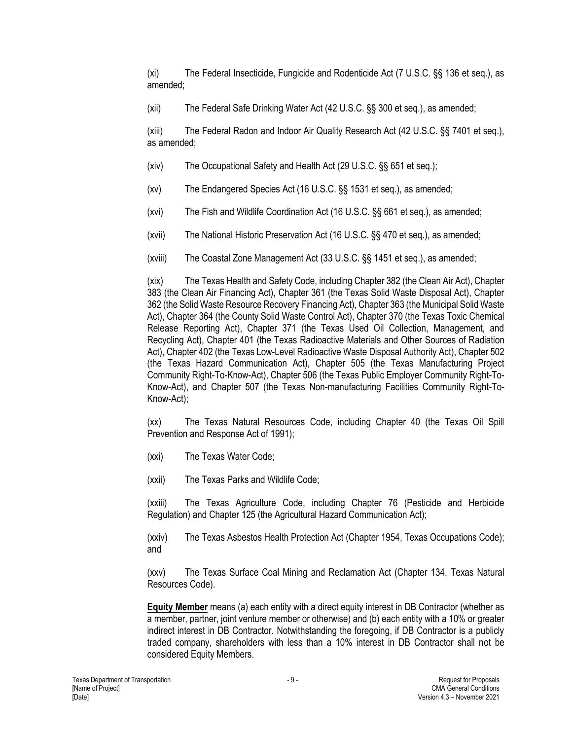(xi) The Federal Insecticide, Fungicide and Rodenticide Act (7 U.S.C. §§ 136 et seq.), as amended;

(xii) The Federal Safe Drinking Water Act (42 U.S.C. §§ 300 et seq.), as amended;

(xiii) The Federal Radon and Indoor Air Quality Research Act (42 U.S.C. §§ 7401 et seq.), as amended;

- (xiv) The Occupational Safety and Health Act (29 U.S.C. §§ 651 et seq.);
- (xv) The Endangered Species Act (16 U.S.C. §§ 1531 et seq.), as amended;
- (xvi) The Fish and Wildlife Coordination Act (16 U.S.C. §§ 661 et seq.), as amended;
- (xvii) The National Historic Preservation Act (16 U.S.C. §§ 470 et seq.), as amended;
- (xviii) The Coastal Zone Management Act (33 U.S.C. §§ 1451 et seq.), as amended;

(xix) The Texas Health and Safety Code, including Chapter 382 (the Clean Air Act), Chapter 383 (the Clean Air Financing Act), Chapter 361 (the Texas Solid Waste Disposal Act), Chapter 362 (the Solid Waste Resource Recovery Financing Act), Chapter 363 (the Municipal Solid Waste Act), Chapter 364 (the County Solid Waste Control Act), Chapter 370 (the Texas Toxic Chemical Release Reporting Act), Chapter 371 (the Texas Used Oil Collection, Management, and Recycling Act), Chapter 401 (the Texas Radioactive Materials and Other Sources of Radiation Act), Chapter 402 (the Texas Low-Level Radioactive Waste Disposal Authority Act), Chapter 502 (the Texas Hazard Communication Act), Chapter 505 (the Texas Manufacturing Project Community Right-To-Know-Act), Chapter 506 (the Texas Public Employer Community Right-To-Know-Act), and Chapter 507 (the Texas Non-manufacturing Facilities Community Right-To-Know-Act);

(xx) The Texas Natural Resources Code, including Chapter 40 (the Texas Oil Spill Prevention and Response Act of 1991);

- (xxi) The Texas Water Code;
- (xxii) The Texas Parks and Wildlife Code;

(xxiii) The Texas Agriculture Code, including Chapter 76 (Pesticide and Herbicide Regulation) and Chapter 125 (the Agricultural Hazard Communication Act);

(xxiv) The Texas Asbestos Health Protection Act (Chapter 1954, Texas Occupations Code); and

(xxv) The Texas Surface Coal Mining and Reclamation Act (Chapter 134, Texas Natural Resources Code).

**Equity Member** means (a) each entity with a direct equity interest in DB Contractor (whether as a member, partner, joint venture member or otherwise) and (b) each entity with a 10% or greater indirect interest in DB Contractor. Notwithstanding the foregoing, if DB Contractor is a publicly traded company, shareholders with less than a 10% interest in DB Contractor shall not be considered Equity Members.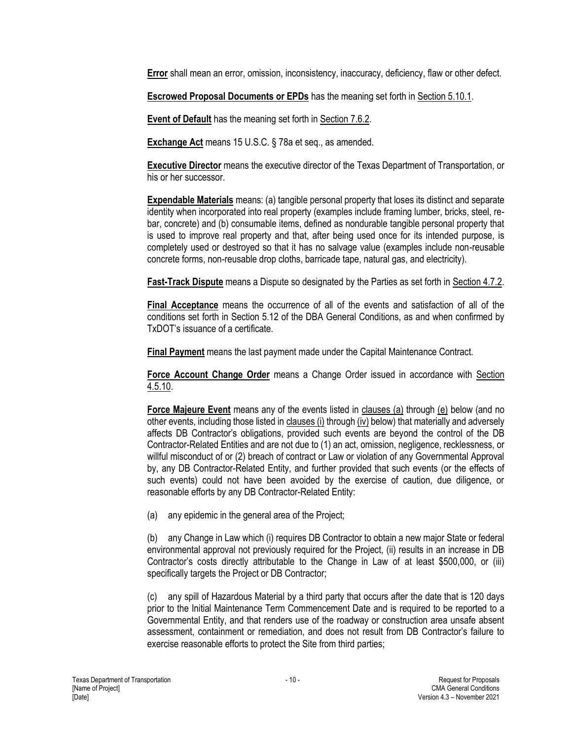**Error** shall mean an error, omission, inconsistency, inaccuracy, deficiency, flaw or other defect.

**Escrowed Proposal Documents or EPDs** has the meaning set forth in Section 5.10.1.

**Event of Default** has the meaning set forth in Section 7.6.2.

**Exchange Act** means 15 U.S.C. § 78a et seq., as amended.

**Executive Director** means the executive director of the Texas Department of Transportation, or his or her successor.

**Expendable Materials** means: (a) tangible personal property that loses its distinct and separate identity when incorporated into real property (examples include framing lumber, bricks, steel, rebar, concrete) and (b) consumable items, defined as nondurable tangible personal property that is used to improve real property and that, after being used once for its intended purpose, is completely used or destroyed so that it has no salvage value (examples include non-reusable concrete forms, non-reusable drop cloths, barricade tape, natural gas, and electricity).

**Fast-Track Dispute** means a Dispute so designated by the Parties as set forth in Section 4.7.2.

**Final Acceptance** means the occurrence of all of the events and satisfaction of all of the conditions set forth in Section 5.12 of the DBA General Conditions, as and when confirmed by TxDOT's issuance of a certificate.

**Final Payment** means the last payment made under the Capital Maintenance Contract.

**Force Account Change Order** means a Change Order issued in accordance with Section 4.5.10.

**Force Majeure Event** means any of the events listed in clauses (a) through (e) below (and no other events, including those listed in clauses (i) through (iv) below) that materially and adversely affects DB Contractor's obligations, provided such events are beyond the control of the DB Contractor-Related Entities and are not due to (1) an act, omission, negligence, recklessness, or willful misconduct of or (2) breach of contract or Law or violation of any Governmental Approval by, any DB Contractor-Related Entity, and further provided that such events (or the effects of such events) could not have been avoided by the exercise of caution, due diligence, or reasonable efforts by any DB Contractor-Related Entity:

(a) any epidemic in the general area of the Project;

(b) any Change in Law which (i) requires DB Contractor to obtain a new major State or federal environmental approval not previously required for the Project, (ii) results in an increase in DB Contractor's costs directly attributable to the Change in Law of at least \$500,000, or (iii) specifically targets the Project or DB Contractor;

(c) any spill of Hazardous Material by a third party that occurs after the date that is 120 days prior to the Initial Maintenance Term Commencement Date and is required to be reported to a Governmental Entity, and that renders use of the roadway or construction area unsafe absent assessment, containment or remediation, and does not result from DB Contractor's failure to exercise reasonable efforts to protect the Site from third parties;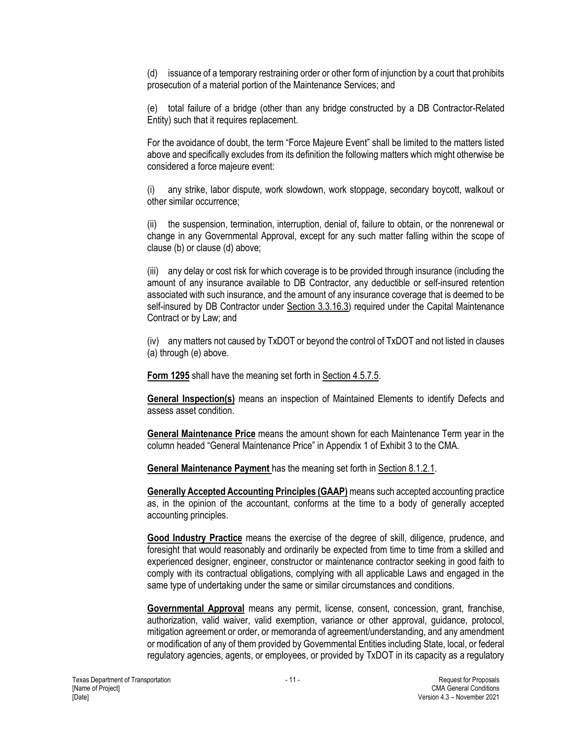(d) issuance of a temporary restraining order or other form of injunction by a court that prohibits prosecution of a material portion of the Maintenance Services; and

(e) total failure of a bridge (other than any bridge constructed by a DB Contractor-Related Entity) such that it requires replacement.

For the avoidance of doubt, the term "Force Majeure Event" shall be limited to the matters listed above and specifically excludes from its definition the following matters which might otherwise be considered a force majeure event:

any strike, labor dispute, work slowdown, work stoppage, secondary boycott, walkout or other similar occurrence;

(ii) the suspension, termination, interruption, denial of, failure to obtain, or the nonrenewal or change in any Governmental Approval, except for any such matter falling within the scope of clause (b) or clause (d) above;

(iii) any delay or cost risk for which coverage is to be provided through insurance (including the amount of any insurance available to DB Contractor, any deductible or self-insured retention associated with such insurance, and the amount of any insurance coverage that is deemed to be self-insured by DB Contractor under Section 3.3.16.3) required under the Capital Maintenance Contract or by Law; and

(iv) any matters not caused by TxDOT or beyond the control of TxDOT and not listed in clauses (a) through (e) above.

**Form 1295** shall have the meaning set forth in Section 4.5.7.5.

**General Inspection(s)** means an inspection of Maintained Elements to identify Defects and assess asset condition.

**General Maintenance Price** means the amount shown for each Maintenance Term year in the column headed "General Maintenance Price" in Appendix 1 of Exhibit 3 to the CMA.

**General Maintenance Payment** has the meaning set forth in Section 8.1.2.1.

**Generally Accepted Accounting Principles (GAAP)** means such accepted accounting practice as, in the opinion of the accountant, conforms at the time to a body of generally accepted accounting principles.

**Good Industry Practice** means the exercise of the degree of skill, diligence, prudence, and foresight that would reasonably and ordinarily be expected from time to time from a skilled and experienced designer, engineer, constructor or maintenance contractor seeking in good faith to comply with its contractual obligations, complying with all applicable Laws and engaged in the same type of undertaking under the same or similar circumstances and conditions.

**Governmental Approval** means any permit, license, consent, concession, grant, franchise, authorization, valid waiver, valid exemption, variance or other approval, guidance, protocol, mitigation agreement or order, or memoranda of agreement/understanding, and any amendment or modification of any of them provided by Governmental Entities including State, local, or federal regulatory agencies, agents, or employees, or provided by TxDOT in its capacity as a regulatory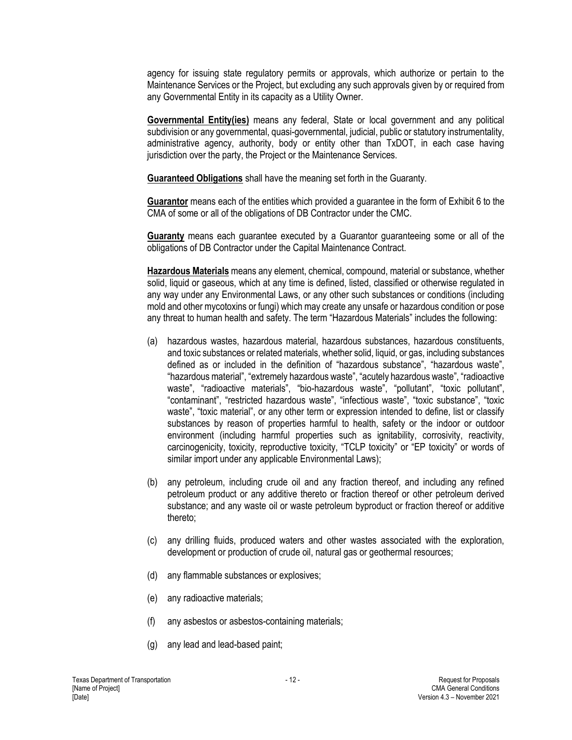agency for issuing state regulatory permits or approvals, which authorize or pertain to the Maintenance Services or the Project, but excluding any such approvals given by or required from any Governmental Entity in its capacity as a Utility Owner.

**Governmental Entity(ies)** means any federal, State or local government and any political subdivision or any governmental, quasi-governmental, judicial, public or statutory instrumentality, administrative agency, authority, body or entity other than TxDOT, in each case having jurisdiction over the party, the Project or the Maintenance Services.

**Guaranteed Obligations** shall have the meaning set forth in the Guaranty.

**Guarantor** means each of the entities which provided a guarantee in the form of Exhibit 6 to the CMA of some or all of the obligations of DB Contractor under the CMC.

**Guaranty** means each guarantee executed by a Guarantor guaranteeing some or all of the obligations of DB Contractor under the Capital Maintenance Contract.

**Hazardous Materials** means any element, chemical, compound, material or substance, whether solid, liquid or gaseous, which at any time is defined, listed, classified or otherwise regulated in any way under any Environmental Laws, or any other such substances or conditions (including mold and other mycotoxins or fungi) which may create any unsafe or hazardous condition or pose any threat to human health and safety. The term "Hazardous Materials" includes the following:

- (a) hazardous wastes, hazardous material, hazardous substances, hazardous constituents, and toxic substances or related materials, whether solid, liquid, or gas, including substances defined as or included in the definition of "hazardous substance", "hazardous waste", "hazardous material", "extremely hazardous waste", "acutely hazardous waste", "radioactive waste", "radioactive materials", "bio-hazardous waste", "pollutant", "toxic pollutant", "contaminant", "restricted hazardous waste", "infectious waste", "toxic substance", "toxic waste", "toxic material", or any other term or expression intended to define, list or classify substances by reason of properties harmful to health, safety or the indoor or outdoor environment (including harmful properties such as ignitability, corrosivity, reactivity, carcinogenicity, toxicity, reproductive toxicity, "TCLP toxicity" or "EP toxicity" or words of similar import under any applicable Environmental Laws);
- (b) any petroleum, including crude oil and any fraction thereof, and including any refined petroleum product or any additive thereto or fraction thereof or other petroleum derived substance; and any waste oil or waste petroleum byproduct or fraction thereof or additive thereto;
- (c) any drilling fluids, produced waters and other wastes associated with the exploration, development or production of crude oil, natural gas or geothermal resources;
- (d) any flammable substances or explosives;
- (e) any radioactive materials;
- (f) any asbestos or asbestos-containing materials;
- (g) any lead and lead-based paint;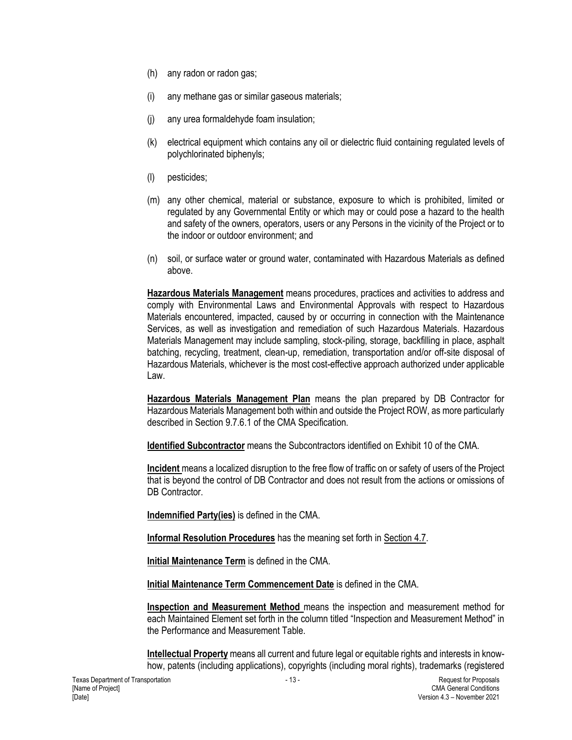- (h) any radon or radon gas;
- (i) any methane gas or similar gaseous materials;
- (j) any urea formaldehyde foam insulation;
- (k) electrical equipment which contains any oil or dielectric fluid containing regulated levels of polychlorinated biphenyls;
- (l) pesticides;
- (m) any other chemical, material or substance, exposure to which is prohibited, limited or regulated by any Governmental Entity or which may or could pose a hazard to the health and safety of the owners, operators, users or any Persons in the vicinity of the Project or to the indoor or outdoor environment; and
- (n) soil, or surface water or ground water, contaminated with Hazardous Materials as defined above.

**Hazardous Materials Management** means procedures, practices and activities to address and comply with Environmental Laws and Environmental Approvals with respect to Hazardous Materials encountered, impacted, caused by or occurring in connection with the Maintenance Services, as well as investigation and remediation of such Hazardous Materials. Hazardous Materials Management may include sampling, stock-piling, storage, backfilling in place, asphalt batching, recycling, treatment, clean-up, remediation, transportation and/or off-site disposal of Hazardous Materials, whichever is the most cost-effective approach authorized under applicable Law.

**Hazardous Materials Management Plan** means the plan prepared by DB Contractor for Hazardous Materials Management both within and outside the Project ROW, as more particularly described in Section 9.7.6.1 of the CMA Specification.

**Identified Subcontractor** means the Subcontractors identified on Exhibit 10 of the CMA.

**Incident** means a localized disruption to the free flow of traffic on or safety of users of the Project that is beyond the control of DB Contractor and does not result from the actions or omissions of DB Contractor

**Indemnified Party(ies)** is defined in the CMA.

**Informal Resolution Procedures** has the meaning set forth in Section 4.7.

**Initial Maintenance Term** is defined in the CMA.

**Initial Maintenance Term Commencement Date** is defined in the CMA.

**Inspection and Measurement Method** means the inspection and measurement method for each Maintained Element set forth in the column titled "Inspection and Measurement Method" in the Performance and Measurement Table.

**Intellectual Property** means all current and future legal or equitable rights and interests in knowhow, patents (including applications), copyrights (including moral rights), trademarks (registered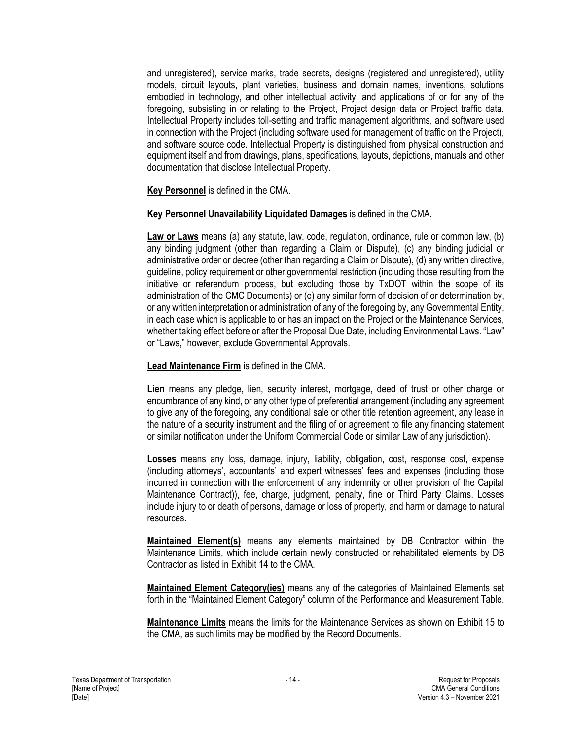and unregistered), service marks, trade secrets, designs (registered and unregistered), utility models, circuit layouts, plant varieties, business and domain names, inventions, solutions embodied in technology, and other intellectual activity, and applications of or for any of the foregoing, subsisting in or relating to the Project, Project design data or Project traffic data. Intellectual Property includes toll-setting and traffic management algorithms, and software used in connection with the Project (including software used for management of traffic on the Project), and software source code. Intellectual Property is distinguished from physical construction and equipment itself and from drawings, plans, specifications, layouts, depictions, manuals and other documentation that disclose Intellectual Property.

**Key Personnel** is defined in the CMA.

#### **Key Personnel Unavailability Liquidated Damages** is defined in the CMA.

**Law or Laws** means (a) any statute, law, code, regulation, ordinance, rule or common law, (b) any binding judgment (other than regarding a Claim or Dispute), (c) any binding judicial or administrative order or decree (other than regarding a Claim or Dispute), (d) any written directive, guideline, policy requirement or other governmental restriction (including those resulting from the initiative or referendum process, but excluding those by TxDOT within the scope of its administration of the CMC Documents) or (e) any similar form of decision of or determination by, or any written interpretation or administration of any of the foregoing by, any Governmental Entity, in each case which is applicable to or has an impact on the Project or the Maintenance Services, whether taking effect before or after the Proposal Due Date, including Environmental Laws. "Law" or "Laws," however, exclude Governmental Approvals.

#### **Lead Maintenance Firm** is defined in the CMA.

**Lien** means any pledge, lien, security interest, mortgage, deed of trust or other charge or encumbrance of any kind, or any other type of preferential arrangement (including any agreement to give any of the foregoing, any conditional sale or other title retention agreement, any lease in the nature of a security instrument and the filing of or agreement to file any financing statement or similar notification under the Uniform Commercial Code or similar Law of any jurisdiction).

**Losses** means any loss, damage, injury, liability, obligation, cost, response cost, expense (including attorneys', accountants' and expert witnesses' fees and expenses (including those incurred in connection with the enforcement of any indemnity or other provision of the Capital Maintenance Contract)), fee, charge, judgment, penalty, fine or Third Party Claims. Losses include injury to or death of persons, damage or loss of property, and harm or damage to natural resources.

**Maintained Element(s)** means any elements maintained by DB Contractor within the Maintenance Limits, which include certain newly constructed or rehabilitated elements by DB Contractor as listed in Exhibit 14 to the CMA.

**Maintained Element Category(ies)** means any of the categories of Maintained Elements set forth in the "Maintained Element Category" column of the Performance and Measurement Table.

**Maintenance Limits** means the limits for the Maintenance Services as shown on Exhibit 15 to the CMA, as such limits may be modified by the Record Documents.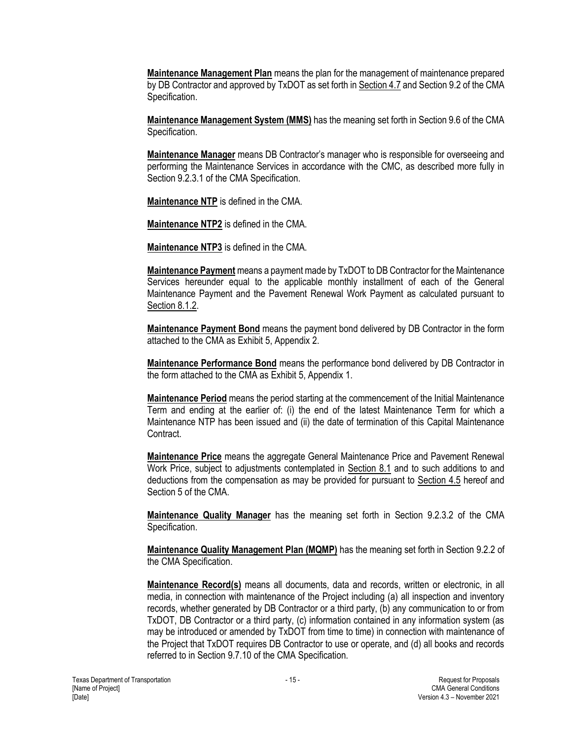**Maintenance Management Plan** means the plan for the management of maintenance prepared by DB Contractor and approved by TxDOT as set forth in Section 4.7 and Section 9.2 of the CMA Specification.

**Maintenance Management System (MMS)** has the meaning set forth in Section 9.6 of the CMA Specification.

**Maintenance Manager** means DB Contractor's manager who is responsible for overseeing and performing the Maintenance Services in accordance with the CMC, as described more fully in Section 9.2.3.1 of the CMA Specification.

**Maintenance NTP** is defined in the CMA.

**Maintenance NTP2** is defined in the CMA.

**Maintenance NTP3** is defined in the CMA.

**Maintenance Payment** means a payment made by TxDOT to DB Contractor for the Maintenance Services hereunder equal to the applicable monthly installment of each of the General Maintenance Payment and the Pavement Renewal Work Payment as calculated pursuant to Section 8.1.2.

**Maintenance Payment Bond** means the payment bond delivered by DB Contractor in the form attached to the CMA as Exhibit 5, Appendix 2.

**Maintenance Performance Bond** means the performance bond delivered by DB Contractor in the form attached to the CMA as Exhibit 5, Appendix 1.

**Maintenance Period** means the period starting at the commencement of the Initial Maintenance Term and ending at the earlier of: (i) the end of the latest Maintenance Term for which a Maintenance NTP has been issued and (ii) the date of termination of this Capital Maintenance Contract.

**Maintenance Price** means the aggregate General Maintenance Price and Pavement Renewal Work Price, subject to adjustments contemplated in Section 8.1 and to such additions to and deductions from the compensation as may be provided for pursuant to Section 4.5 hereof and Section 5 of the CMA.

**Maintenance Quality Manager** has the meaning set forth in Section 9.2.3.2 of the CMA Specification.

**Maintenance Quality Management Plan (MQMP)** has the meaning set forth in Section 9.2.2 of the CMA Specification.

**Maintenance Record(s)** means all documents, data and records, written or electronic, in all media, in connection with maintenance of the Project including (a) all inspection and inventory records, whether generated by DB Contractor or a third party, (b) any communication to or from TxDOT, DB Contractor or a third party, (c) information contained in any information system (as may be introduced or amended by TxDOT from time to time) in connection with maintenance of the Project that TxDOT requires DB Contractor to use or operate, and (d) all books and records referred to in Section 9.7.10 of the CMA Specification.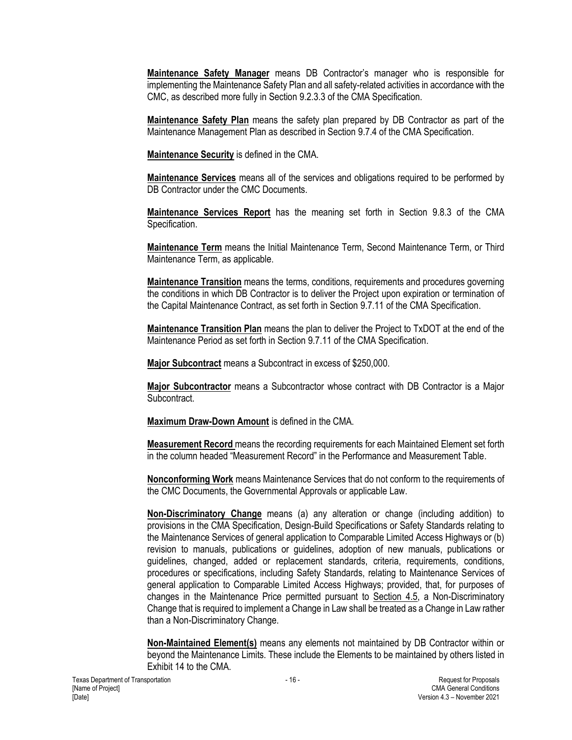**Maintenance Safety Manager** means DB Contractor's manager who is responsible for implementing the Maintenance Safety Plan and all safety-related activities in accordance with the CMC, as described more fully in Section 9.2.3.3 of the CMA Specification.

**Maintenance Safety Plan** means the safety plan prepared by DB Contractor as part of the Maintenance Management Plan as described in Section 9.7.4 of the CMA Specification.

**Maintenance Security** is defined in the CMA.

**Maintenance Services** means all of the services and obligations required to be performed by DB Contractor under the CMC Documents.

**Maintenance Services Report** has the meaning set forth in Section 9.8.3 of the CMA Specification.

**Maintenance Term** means the Initial Maintenance Term, Second Maintenance Term, or Third Maintenance Term, as applicable.

**Maintenance Transition** means the terms, conditions, requirements and procedures governing the conditions in which DB Contractor is to deliver the Project upon expiration or termination of the Capital Maintenance Contract, as set forth in Section 9.7.11 of the CMA Specification.

**Maintenance Transition Plan** means the plan to deliver the Project to TxDOT at the end of the Maintenance Period as set forth in Section 9.7.11 of the CMA Specification.

**Major Subcontract** means a Subcontract in excess of \$250,000.

**Major Subcontractor** means a Subcontractor whose contract with DB Contractor is a Major **Subcontract.** 

**Maximum Draw-Down Amount** is defined in the CMA.

**Measurement Record** means the recording requirements for each Maintained Element set forth in the column headed "Measurement Record" in the Performance and Measurement Table.

**Nonconforming Work** means Maintenance Services that do not conform to the requirements of the CMC Documents, the Governmental Approvals or applicable Law.

**Non-Discriminatory Change** means (a) any alteration or change (including addition) to provisions in the CMA Specification, Design-Build Specifications or Safety Standards relating to the Maintenance Services of general application to Comparable Limited Access Highways or (b) revision to manuals, publications or guidelines, adoption of new manuals, publications or guidelines, changed, added or replacement standards, criteria, requirements, conditions, procedures or specifications, including Safety Standards, relating to Maintenance Services of general application to Comparable Limited Access Highways; provided, that, for purposes of changes in the Maintenance Price permitted pursuant to Section 4.5, a Non-Discriminatory Change that is required to implement a Change in Law shall be treated as a Change in Law rather than a Non-Discriminatory Change.

**Non-Maintained Element(s)** means any elements not maintained by DB Contractor within or beyond the Maintenance Limits. These include the Elements to be maintained by others listed in Exhibit 14 to the CMA.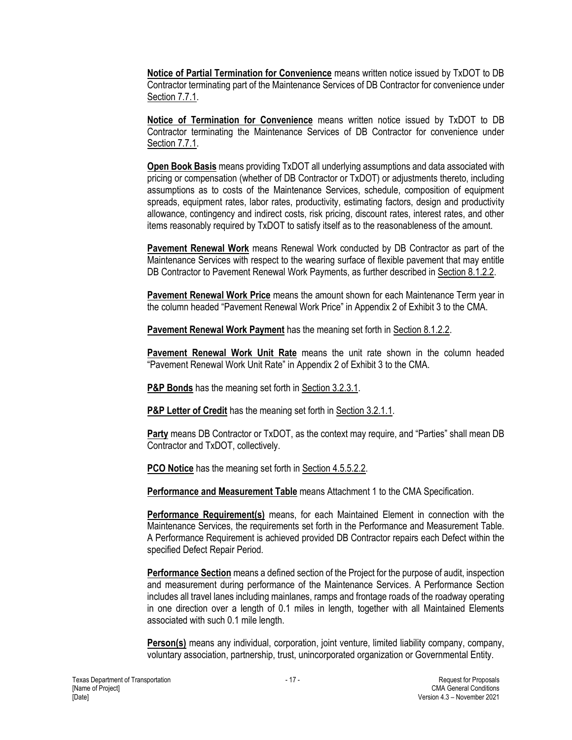**Notice of Partial Termination for Convenience** means written notice issued by TxDOT to DB Contractor terminating part of the Maintenance Services of DB Contractor for convenience under Section 7.7.1.

**Notice of Termination for Convenience** means written notice issued by TxDOT to DB Contractor terminating the Maintenance Services of DB Contractor for convenience under Section 7.7.1.

**Open Book Basis** means providing TxDOT all underlying assumptions and data associated with pricing or compensation (whether of DB Contractor or TxDOT) or adjustments thereto, including assumptions as to costs of the Maintenance Services, schedule, composition of equipment spreads, equipment rates, labor rates, productivity, estimating factors, design and productivity allowance, contingency and indirect costs, risk pricing, discount rates, interest rates, and other items reasonably required by TxDOT to satisfy itself as to the reasonableness of the amount.

**Pavement Renewal Work** means Renewal Work conducted by DB Contractor as part of the Maintenance Services with respect to the wearing surface of flexible pavement that may entitle DB Contractor to Pavement Renewal Work Payments, as further described in Section 8.1.2.2.

**Pavement Renewal Work Price** means the amount shown for each Maintenance Term year in the column headed "Pavement Renewal Work Price" in Appendix 2 of Exhibit 3 to the CMA.

**Pavement Renewal Work Payment** has the meaning set forth in Section 8.1.2.2.

**Pavement Renewal Work Unit Rate** means the unit rate shown in the column headed "Pavement Renewal Work Unit Rate" in Appendix 2 of Exhibit 3 to the CMA.

**P&P Bonds** has the meaning set forth in Section 3.2.3.1.

**P&P Letter of Credit** has the meaning set forth in Section 3.2.1.1.

**Party** means DB Contractor or TxDOT, as the context may require, and "Parties" shall mean DB Contractor and TxDOT, collectively.

**PCO Notice** has the meaning set forth in Section 4.5.5.2.2.

**Performance and Measurement Table** means Attachment 1 to the CMA Specification.

**Performance Requirement(s)** means, for each Maintained Element in connection with the Maintenance Services, the requirements set forth in the Performance and Measurement Table. A Performance Requirement is achieved provided DB Contractor repairs each Defect within the specified Defect Repair Period.

**Performance Section** means a defined section of the Project for the purpose of audit, inspection and measurement during performance of the Maintenance Services. A Performance Section includes all travel lanes including mainlanes, ramps and frontage roads of the roadway operating in one direction over a length of 0.1 miles in length, together with all Maintained Elements associated with such 0.1 mile length.

**Person(s)** means any individual, corporation, joint venture, limited liability company, company, voluntary association, partnership, trust, unincorporated organization or Governmental Entity.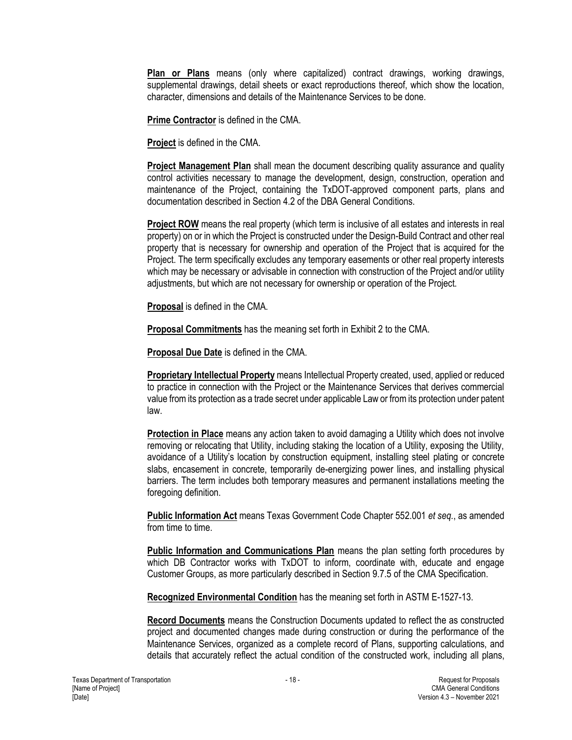**Plan or Plans** means (only where capitalized) contract drawings, working drawings, supplemental drawings, detail sheets or exact reproductions thereof, which show the location, character, dimensions and details of the Maintenance Services to be done.

**Prime Contractor** is defined in the CMA.

**Project** is defined in the CMA.

**Project Management Plan** shall mean the document describing quality assurance and quality control activities necessary to manage the development, design, construction, operation and maintenance of the Project, containing the TxDOT-approved component parts, plans and documentation described in Section 4.2 of the DBA General Conditions.

**Project ROW** means the real property (which term is inclusive of all estates and interests in real property) on or in which the Project is constructed under the Design-Build Contract and other real property that is necessary for ownership and operation of the Project that is acquired for the Project. The term specifically excludes any temporary easements or other real property interests which may be necessary or advisable in connection with construction of the Project and/or utility adjustments, but which are not necessary for ownership or operation of the Project.

**Proposal** is defined in the CMA.

**Proposal Commitments** has the meaning set forth in Exhibit 2 to the CMA.

**Proposal Due Date** is defined in the CMA.

**Proprietary Intellectual Property** means Intellectual Property created, used, applied or reduced to practice in connection with the Project or the Maintenance Services that derives commercial value from its protection as a trade secret under applicable Law or from its protection under patent law.

**Protection in Place** means any action taken to avoid damaging a Utility which does not involve removing or relocating that Utility, including staking the location of a Utility, exposing the Utility, avoidance of a Utility's location by construction equipment, installing steel plating or concrete slabs, encasement in concrete, temporarily de-energizing power lines, and installing physical barriers. The term includes both temporary measures and permanent installations meeting the foregoing definition.

**Public Information Act** means Texas Government Code Chapter 552.001 *et seq.*, as amended from time to time.

**Public Information and Communications Plan** means the plan setting forth procedures by which DB Contractor works with TxDOT to inform, coordinate with, educate and engage Customer Groups, as more particularly described in Section 9.7.5 of the CMA Specification.

**Recognized Environmental Condition** has the meaning set forth in ASTM E-1527-13.

**Record Documents** means the Construction Documents updated to reflect the as constructed project and documented changes made during construction or during the performance of the Maintenance Services, organized as a complete record of Plans, supporting calculations, and details that accurately reflect the actual condition of the constructed work, including all plans,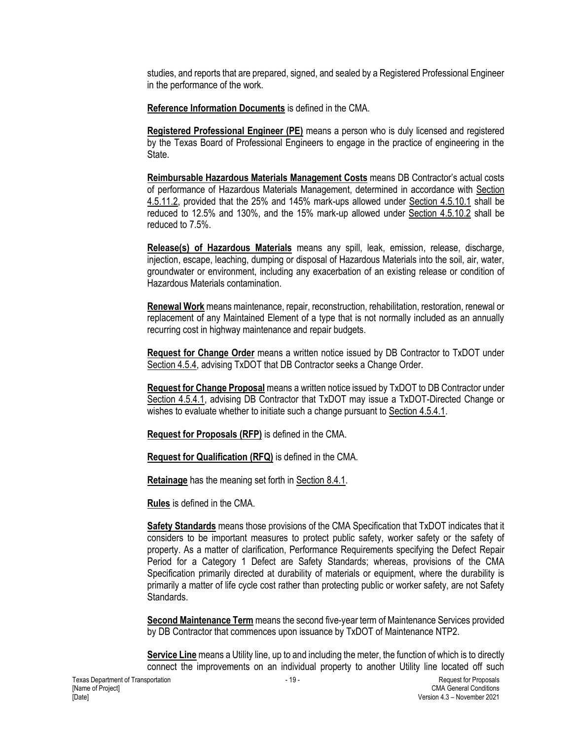studies, and reports that are prepared, signed, and sealed by a Registered Professional Engineer in the performance of the work.

**Reference Information Documents** is defined in the CMA.

**Registered Professional Engineer (PE)** means a person who is duly licensed and registered by the Texas Board of Professional Engineers to engage in the practice of engineering in the State.

**Reimbursable Hazardous Materials Management Costs** means DB Contractor's actual costs of performance of Hazardous Materials Management, determined in accordance with Section 4.5.11.2, provided that the 25% and 145% mark-ups allowed under Section 4.5.10.1 shall be reduced to 12.5% and 130%, and the 15% mark-up allowed under Section 4.5.10.2 shall be reduced to 7.5%.

**Release(s) of Hazardous Materials** means any spill, leak, emission, release, discharge, injection, escape, leaching, dumping or disposal of Hazardous Materials into the soil, air, water, groundwater or environment, including any exacerbation of an existing release or condition of Hazardous Materials contamination.

**Renewal Work** means maintenance, repair, reconstruction, rehabilitation, restoration, renewal or replacement of any Maintained Element of a type that is not normally included as an annually recurring cost in highway maintenance and repair budgets.

**Request for Change Order** means a written notice issued by DB Contractor to TxDOT under Section 4.5.4, advising TxDOT that DB Contractor seeks a Change Order.

**Request for Change Proposal** means a written notice issued by TxDOT to DB Contractor under Section 4.5.4.1, advising DB Contractor that TxDOT may issue a TxDOT-Directed Change or wishes to evaluate whether to initiate such a change pursuant to Section 4.5.4.1.

**Request for Proposals (RFP)** is defined in the CMA.

**Request for Qualification (RFQ)** is defined in the CMA.

**Retainage** has the meaning set forth in Section 8.4.1.

**Rules** is defined in the CMA.

**Safety Standards** means those provisions of the CMA Specification that TxDOT indicates that it considers to be important measures to protect public safety, worker safety or the safety of property. As a matter of clarification, Performance Requirements specifying the Defect Repair Period for a Category 1 Defect are Safety Standards; whereas, provisions of the CMA Specification primarily directed at durability of materials or equipment, where the durability is primarily a matter of life cycle cost rather than protecting public or worker safety, are not Safety Standards.

**Second Maintenance Term** means the second five-year term of Maintenance Services provided by DB Contractor that commences upon issuance by TxDOT of Maintenance NTP2.

**Service Line** means a Utility line, up to and including the meter, the function of which is to directly connect the improvements on an individual property to another Utility line located off such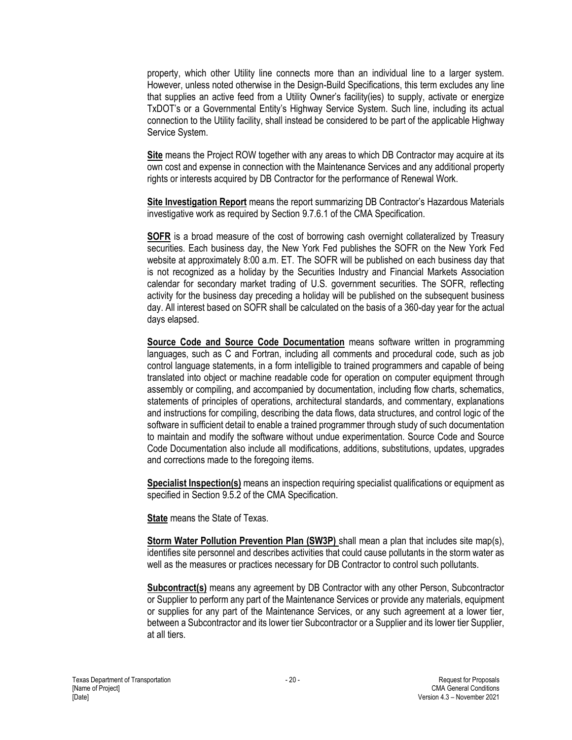property, which other Utility line connects more than an individual line to a larger system. However, unless noted otherwise in the Design-Build Specifications, this term excludes any line that supplies an active feed from a Utility Owner's facility(ies) to supply, activate or energize TxDOT's or a Governmental Entity's Highway Service System. Such line, including its actual connection to the Utility facility, shall instead be considered to be part of the applicable Highway Service System.

**Site** means the Project ROW together with any areas to which DB Contractor may acquire at its own cost and expense in connection with the Maintenance Services and any additional property rights or interests acquired by DB Contractor for the performance of Renewal Work.

**Site Investigation Report** means the report summarizing DB Contractor's Hazardous Materials investigative work as required by Section 9.7.6.1 of the CMA Specification.

**SOFR** is a broad measure of the cost of borrowing cash overnight collateralized by Treasury securities. Each business day, the New York Fed publishes the SOFR on the New York Fed website at approximately 8:00 a.m. ET. The SOFR will be published on each business day that is not recognized as a holiday by the Securities Industry and Financial Markets Association calendar for secondary market trading of U.S. government securities. The SOFR, reflecting activity for the business day preceding a holiday will be published on the subsequent business day. All interest based on SOFR shall be calculated on the basis of a 360-day year for the actual days elapsed.

**Source Code and Source Code Documentation** means software written in programming languages, such as C and Fortran, including all comments and procedural code, such as job control language statements, in a form intelligible to trained programmers and capable of being translated into object or machine readable code for operation on computer equipment through assembly or compiling, and accompanied by documentation, including flow charts, schematics, statements of principles of operations, architectural standards, and commentary, explanations and instructions for compiling, describing the data flows, data structures, and control logic of the software in sufficient detail to enable a trained programmer through study of such documentation to maintain and modify the software without undue experimentation. Source Code and Source Code Documentation also include all modifications, additions, substitutions, updates, upgrades and corrections made to the foregoing items.

**Specialist Inspection(s)** means an inspection requiring specialist qualifications or equipment as specified in Section 9.5.2 of the CMA Specification.

**State** means the State of Texas.

**Storm Water Pollution Prevention Plan (SW3P)** shall mean a plan that includes site map(s), identifies site personnel and describes activities that could cause pollutants in the storm water as well as the measures or practices necessary for DB Contractor to control such pollutants.

**Subcontract(s)** means any agreement by DB Contractor with any other Person, Subcontractor or Supplier to perform any part of the Maintenance Services or provide any materials, equipment or supplies for any part of the Maintenance Services, or any such agreement at a lower tier, between a Subcontractor and its lower tier Subcontractor or a Supplier and its lower tier Supplier, at all tiers.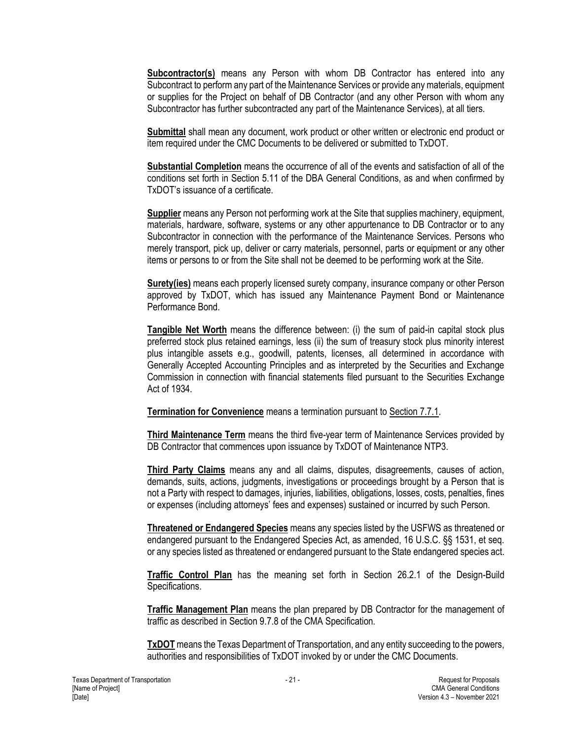**Subcontractor(s)** means any Person with whom DB Contractor has entered into any Subcontract to perform any part of the Maintenance Services or provide any materials, equipment or supplies for the Project on behalf of DB Contractor (and any other Person with whom any Subcontractor has further subcontracted any part of the Maintenance Services), at all tiers.

**Submittal** shall mean any document, work product or other written or electronic end product or item required under the CMC Documents to be delivered or submitted to TxDOT.

**Substantial Completion** means the occurrence of all of the events and satisfaction of all of the conditions set forth in Section 5.11 of the DBA General Conditions, as and when confirmed by TxDOT's issuance of a certificate.

**Supplier** means any Person not performing work at the Site that supplies machinery, equipment, materials, hardware, software, systems or any other appurtenance to DB Contractor or to any Subcontractor in connection with the performance of the Maintenance Services. Persons who merely transport, pick up, deliver or carry materials, personnel, parts or equipment or any other items or persons to or from the Site shall not be deemed to be performing work at the Site.

**Surety(ies)** means each properly licensed surety company, insurance company or other Person approved by TxDOT, which has issued any Maintenance Payment Bond or Maintenance Performance Bond.

**Tangible Net Worth** means the difference between: (i) the sum of paid-in capital stock plus preferred stock plus retained earnings, less (ii) the sum of treasury stock plus minority interest plus intangible assets e.g., goodwill, patents, licenses, all determined in accordance with Generally Accepted Accounting Principles and as interpreted by the Securities and Exchange Commission in connection with financial statements filed pursuant to the Securities Exchange Act of 1934.

**Termination for Convenience** means a termination pursuant to Section 7.7.1.

**Third Maintenance Term** means the third five-year term of Maintenance Services provided by DB Contractor that commences upon issuance by TxDOT of Maintenance NTP3.

**Third Party Claims** means any and all claims, disputes, disagreements, causes of action, demands, suits, actions, judgments, investigations or proceedings brought by a Person that is not a Party with respect to damages, injuries, liabilities, obligations, losses, costs, penalties, fines or expenses (including attorneys' fees and expenses) sustained or incurred by such Person.

**Threatened or Endangered Species** means any species listed by the USFWS as threatened or endangered pursuant to the Endangered Species Act, as amended, 16 U.S.C. §§ 1531, et seq. or any species listed as threatened or endangered pursuant to the State endangered species act.

**Traffic Control Plan** has the meaning set forth in Section 26.2.1 of the Design-Build Specifications.

**Traffic Management Plan** means the plan prepared by DB Contractor for the management of traffic as described in Section 9.7.8 of the CMA Specification.

**TxDOT** means the Texas Department of Transportation, and any entity succeeding to the powers, authorities and responsibilities of TxDOT invoked by or under the CMC Documents.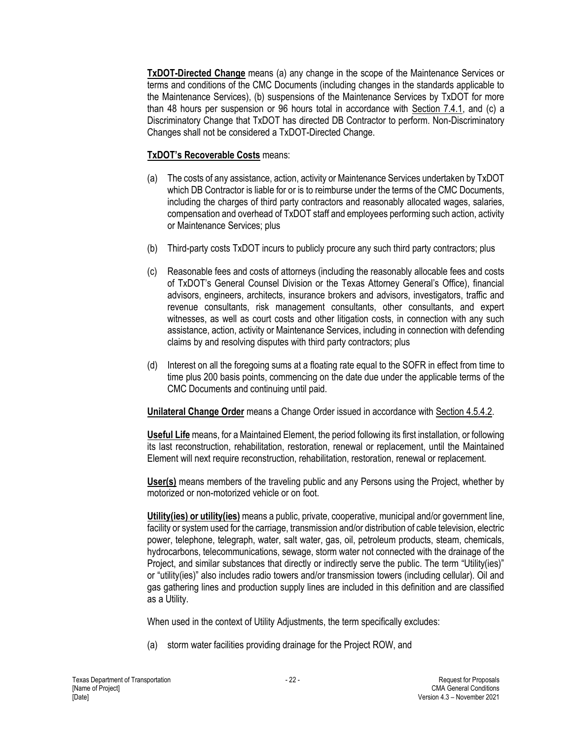**TxDOT-Directed Change** means (a) any change in the scope of the Maintenance Services or terms and conditions of the CMC Documents (including changes in the standards applicable to the Maintenance Services), (b) suspensions of the Maintenance Services by TxDOT for more than 48 hours per suspension or 96 hours total in accordance with Section 7.4.1, and (c) a Discriminatory Change that TxDOT has directed DB Contractor to perform. Non-Discriminatory Changes shall not be considered a TxDOT-Directed Change.

## **TxDOT's Recoverable Costs** means:

- (a) The costs of any assistance, action, activity or Maintenance Services undertaken by TxDOT which DB Contractor is liable for or is to reimburse under the terms of the CMC Documents, including the charges of third party contractors and reasonably allocated wages, salaries, compensation and overhead of TxDOT staff and employees performing such action, activity or Maintenance Services; plus
- (b) Third-party costs TxDOT incurs to publicly procure any such third party contractors; plus
- (c) Reasonable fees and costs of attorneys (including the reasonably allocable fees and costs of TxDOT's General Counsel Division or the Texas Attorney General's Office), financial advisors, engineers, architects, insurance brokers and advisors, investigators, traffic and revenue consultants, risk management consultants, other consultants, and expert witnesses, as well as court costs and other litigation costs, in connection with any such assistance, action, activity or Maintenance Services, including in connection with defending claims by and resolving disputes with third party contractors; plus
- (d) Interest on all the foregoing sums at a floating rate equal to the SOFR in effect from time to time plus 200 basis points, commencing on the date due under the applicable terms of the CMC Documents and continuing until paid.

**Unilateral Change Order** means a Change Order issued in accordance with Section 4.5.4.2.

**Useful Life** means, for a Maintained Element, the period following its first installation, or following its last reconstruction, rehabilitation, restoration, renewal or replacement, until the Maintained Element will next require reconstruction, rehabilitation, restoration, renewal or replacement.

**User(s)** means members of the traveling public and any Persons using the Project, whether by motorized or non-motorized vehicle or on foot.

**Utility(ies) or utility(ies)** means a public, private, cooperative, municipal and/or government line, facility or system used for the carriage, transmission and/or distribution of cable television, electric power, telephone, telegraph, water, salt water, gas, oil, petroleum products, steam, chemicals, hydrocarbons, telecommunications, sewage, storm water not connected with the drainage of the Project, and similar substances that directly or indirectly serve the public. The term "Utility(ies)" or "utility(ies)" also includes radio towers and/or transmission towers (including cellular). Oil and gas gathering lines and production supply lines are included in this definition and are classified as a Utility.

When used in the context of Utility Adjustments, the term specifically excludes:

(a) storm water facilities providing drainage for the Project ROW, and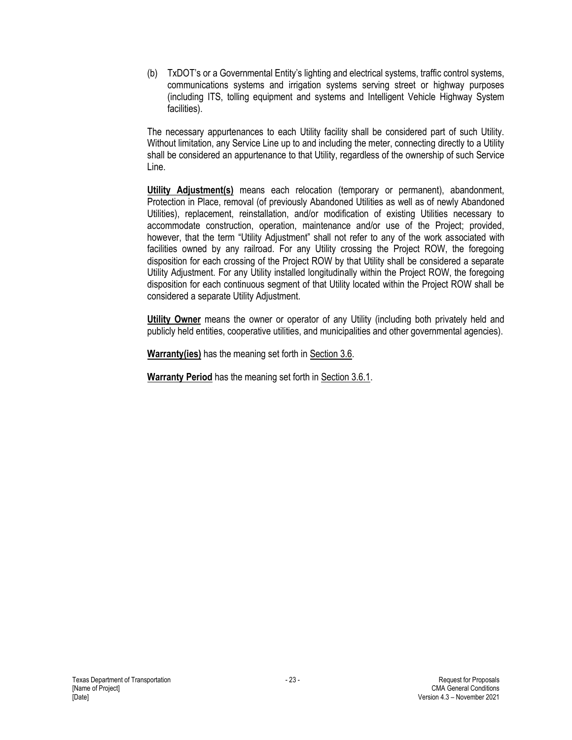(b) TxDOT's or a Governmental Entity's lighting and electrical systems, traffic control systems, communications systems and irrigation systems serving street or highway purposes (including ITS, tolling equipment and systems and Intelligent Vehicle Highway System facilities).

The necessary appurtenances to each Utility facility shall be considered part of such Utility. Without limitation, any Service Line up to and including the meter, connecting directly to a Utility shall be considered an appurtenance to that Utility, regardless of the ownership of such Service Line.

**Utility Adjustment(s)** means each relocation (temporary or permanent), abandonment, Protection in Place, removal (of previously Abandoned Utilities as well as of newly Abandoned Utilities), replacement, reinstallation, and/or modification of existing Utilities necessary to accommodate construction, operation, maintenance and/or use of the Project; provided, however, that the term "Utility Adjustment" shall not refer to any of the work associated with facilities owned by any railroad. For any Utility crossing the Project ROW, the foregoing disposition for each crossing of the Project ROW by that Utility shall be considered a separate Utility Adjustment. For any Utility installed longitudinally within the Project ROW, the foregoing disposition for each continuous segment of that Utility located within the Project ROW shall be considered a separate Utility Adjustment.

**Utility Owner** means the owner or operator of any Utility (including both privately held and publicly held entities, cooperative utilities, and municipalities and other governmental agencies).

**Warranty(ies)** has the meaning set forth in Section 3.6.

**Warranty Period** has the meaning set forth in Section 3.6.1.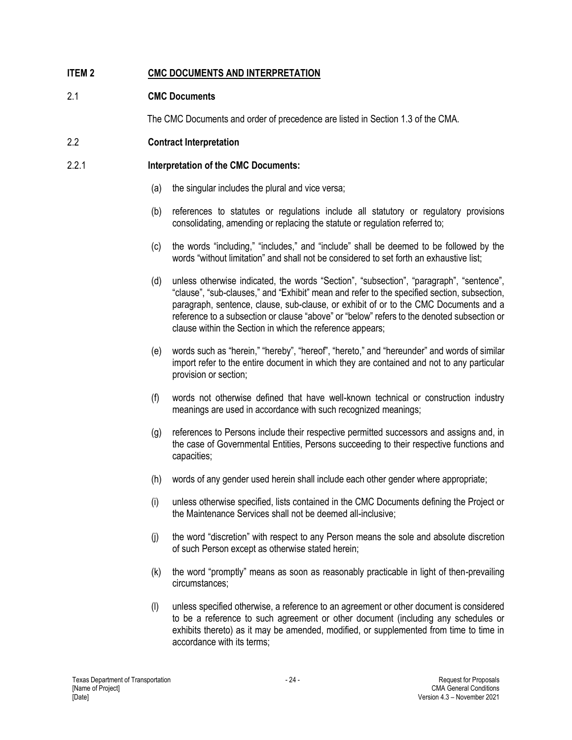## <span id="page-27-0"></span>**ITEM 2 CMC DOCUMENTS AND INTERPRETATION**

## <span id="page-27-1"></span>2.1 **CMC Documents**

The CMC Documents and order of precedence are listed in Section 1.3 of the CMA.

## <span id="page-27-2"></span>2.2 **Contract Interpretation**

## 2.2.1 **Interpretation of the CMC Documents:**

- (a) the singular includes the plural and vice versa;
- (b) references to statutes or regulations include all statutory or regulatory provisions consolidating, amending or replacing the statute or regulation referred to;
- (c) the words "including," "includes," and "include" shall be deemed to be followed by the words "without limitation" and shall not be considered to set forth an exhaustive list;
- (d) unless otherwise indicated, the words "Section", "subsection", "paragraph", "sentence", "clause", "sub-clauses," and "Exhibit" mean and refer to the specified section, subsection, paragraph, sentence, clause, sub-clause, or exhibit of or to the CMC Documents and a reference to a subsection or clause "above" or "below" refers to the denoted subsection or clause within the Section in which the reference appears;
- (e) words such as "herein," "hereby", "hereof", "hereto," and "hereunder" and words of similar import refer to the entire document in which they are contained and not to any particular provision or section;
- (f) words not otherwise defined that have well-known technical or construction industry meanings are used in accordance with such recognized meanings;
- (g) references to Persons include their respective permitted successors and assigns and, in the case of Governmental Entities, Persons succeeding to their respective functions and capacities;
- (h) words of any gender used herein shall include each other gender where appropriate;
- (i) unless otherwise specified, lists contained in the CMC Documents defining the Project or the Maintenance Services shall not be deemed all-inclusive;
- (j) the word "discretion" with respect to any Person means the sole and absolute discretion of such Person except as otherwise stated herein;
- (k) the word "promptly" means as soon as reasonably practicable in light of then-prevailing circumstances;
- (l) unless specified otherwise, a reference to an agreement or other document is considered to be a reference to such agreement or other document (including any schedules or exhibits thereto) as it may be amended, modified, or supplemented from time to time in accordance with its terms;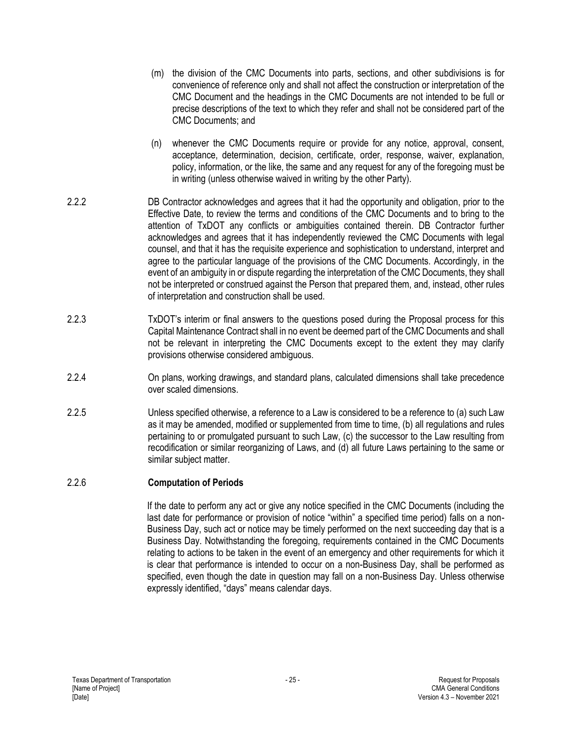- (m) the division of the CMC Documents into parts, sections, and other subdivisions is for convenience of reference only and shall not affect the construction or interpretation of the CMC Document and the headings in the CMC Documents are not intended to be full or precise descriptions of the text to which they refer and shall not be considered part of the CMC Documents; and (n) whenever the CMC Documents require or provide for any notice, approval, consent, acceptance, determination, decision, certificate, order, response, waiver, explanation, policy, information, or the like, the same and any request for any of the foregoing must be in writing (unless otherwise waived in writing by the other Party). 2.2.2 DB Contractor acknowledges and agrees that it had the opportunity and obligation, prior to the Effective Date, to review the terms and conditions of the CMC Documents and to bring to the attention of TxDOT any conflicts or ambiguities contained therein. DB Contractor further acknowledges and agrees that it has independently reviewed the CMC Documents with legal counsel, and that it has the requisite experience and sophistication to understand, interpret and agree to the particular language of the provisions of the CMC Documents. Accordingly, in the event of an ambiguity in or dispute regarding the interpretation of the CMC Documents, they shall not be interpreted or construed against the Person that prepared them, and, instead, other rules of interpretation and construction shall be used. 2.2.3 TxDOT's interim or final answers to the questions posed during the Proposal process for this Capital Maintenance Contract shall in no event be deemed part of the CMC Documents and shall not be relevant in interpreting the CMC Documents except to the extent they may clarify provisions otherwise considered ambiguous. 2.2.4 On plans, working drawings, and standard plans, calculated dimensions shall take precedence over scaled dimensions.
- 2.2.5 Unless specified otherwise, a reference to a Law is considered to be a reference to (a) such Law as it may be amended, modified or supplemented from time to time, (b) all regulations and rules pertaining to or promulgated pursuant to such Law, (c) the successor to the Law resulting from recodification or similar reorganizing of Laws, and (d) all future Laws pertaining to the same or similar subject matter.

#### 2.2.6 **Computation of Periods**

If the date to perform any act or give any notice specified in the CMC Documents (including the last date for performance or provision of notice "within" a specified time period) falls on a non-Business Day, such act or notice may be timely performed on the next succeeding day that is a Business Day. Notwithstanding the foregoing, requirements contained in the CMC Documents relating to actions to be taken in the event of an emergency and other requirements for which it is clear that performance is intended to occur on a non-Business Day, shall be performed as specified, even though the date in question may fall on a non-Business Day. Unless otherwise expressly identified, "days" means calendar days.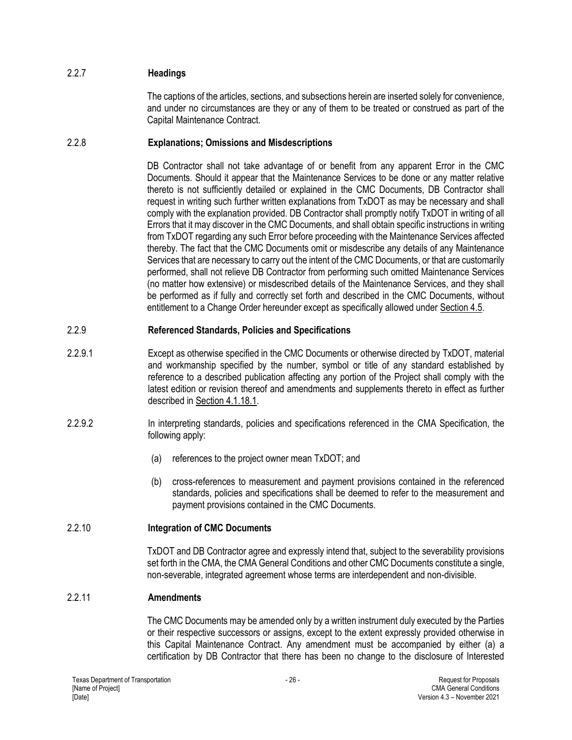## 2.2.7 **Headings**

The captions of the articles, sections, and subsections herein are inserted solely for convenience, and under no circumstances are they or any of them to be treated or construed as part of the Capital Maintenance Contract.

## 2.2.8 **Explanations; Omissions and Misdescriptions**

DB Contractor shall not take advantage of or benefit from any apparent Error in the CMC Documents. Should it appear that the Maintenance Services to be done or any matter relative thereto is not sufficiently detailed or explained in the CMC Documents, DB Contractor shall request in writing such further written explanations from TxDOT as may be necessary and shall comply with the explanation provided. DB Contractor shall promptly notify TxDOT in writing of all Errors that it may discover in the CMC Documents, and shall obtain specific instructions in writing from TxDOT regarding any such Error before proceeding with the Maintenance Services affected thereby. The fact that the CMC Documents omit or misdescribe any details of any Maintenance Services that are necessary to carry out the intent of the CMC Documents, or that are customarily performed, shall not relieve DB Contractor from performing such omitted Maintenance Services (no matter how extensive) or misdescribed details of the Maintenance Services, and they shall be performed as if fully and correctly set forth and described in the CMC Documents, without entitlement to a Change Order hereunder except as specifically allowed under Section 4.5.

## 2.2.9 **Referenced Standards, Policies and Specifications**

- 2.2.9.1 Except as otherwise specified in the CMC Documents or otherwise directed by TxDOT, material and workmanship specified by the number, symbol or title of any standard established by reference to a described publication affecting any portion of the Project shall comply with the latest edition or revision thereof and amendments and supplements thereto in effect as further described in Section 4.1.18.1.
- 2.2.9.2 In interpreting standards, policies and specifications referenced in the CMA Specification, the following apply:
	- (a) references to the project owner mean TxDOT; and
	- (b) cross-references to measurement and payment provisions contained in the referenced standards, policies and specifications shall be deemed to refer to the measurement and payment provisions contained in the CMC Documents.

#### 2.2.10 **Integration of CMC Documents**

TxDOT and DB Contractor agree and expressly intend that, subject to the severability provisions set forth in the CMA, the CMA General Conditions and other CMC Documents constitute a single, non-severable, integrated agreement whose terms are interdependent and non-divisible.

#### 2.2.11 **Amendments**

The CMC Documents may be amended only by a written instrument duly executed by the Parties or their respective successors or assigns, except to the extent expressly provided otherwise in this Capital Maintenance Contract. Any amendment must be accompanied by either (a) a certification by DB Contractor that there has been no change to the disclosure of Interested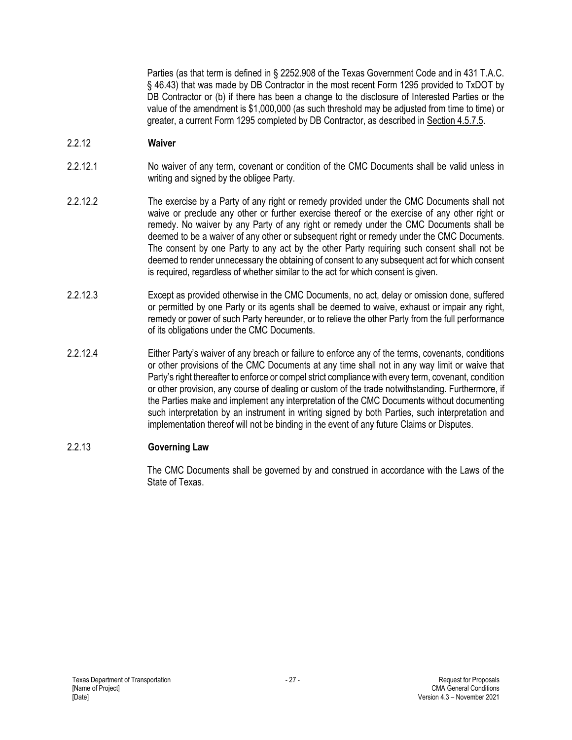Parties (as that term is defined in § 2252.908 of the Texas Government Code and in 431 T.A.C. § 46.43) that was made by DB Contractor in the most recent Form 1295 provided to TxDOT by DB Contractor or (b) if there has been a change to the disclosure of Interested Parties or the value of the amendment is \$1,000,000 (as such threshold may be adjusted from time to time) or greater, a current Form 1295 completed by DB Contractor, as described in Section 4.5.7.5.

#### 2.2.12 **Waiver**

- 2.2.12.1 No waiver of any term, covenant or condition of the CMC Documents shall be valid unless in writing and signed by the obligee Party.
- 2.2.12.2 The exercise by a Party of any right or remedy provided under the CMC Documents shall not waive or preclude any other or further exercise thereof or the exercise of any other right or remedy. No waiver by any Party of any right or remedy under the CMC Documents shall be deemed to be a waiver of any other or subsequent right or remedy under the CMC Documents. The consent by one Party to any act by the other Party requiring such consent shall not be deemed to render unnecessary the obtaining of consent to any subsequent act for which consent is required, regardless of whether similar to the act for which consent is given.
- 2.2.12.3 Except as provided otherwise in the CMC Documents, no act, delay or omission done, suffered or permitted by one Party or its agents shall be deemed to waive, exhaust or impair any right, remedy or power of such Party hereunder, or to relieve the other Party from the full performance of its obligations under the CMC Documents.
- 2.2.12.4 Either Party's waiver of any breach or failure to enforce any of the terms, covenants, conditions or other provisions of the CMC Documents at any time shall not in any way limit or waive that Party's right thereafter to enforce or compel strict compliance with every term, covenant, condition or other provision, any course of dealing or custom of the trade notwithstanding. Furthermore, if the Parties make and implement any interpretation of the CMC Documents without documenting such interpretation by an instrument in writing signed by both Parties, such interpretation and implementation thereof will not be binding in the event of any future Claims or Disputes.

#### 2.2.13 **Governing Law**

The CMC Documents shall be governed by and construed in accordance with the Laws of the State of Texas.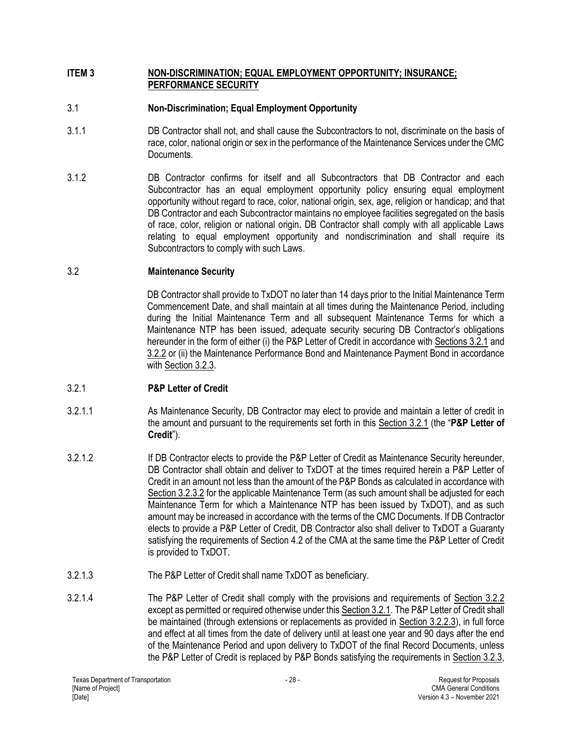#### <span id="page-31-0"></span>**ITEM 3 NON-DISCRIMINATION; EQUAL EMPLOYMENT OPPORTUNITY; INSURANCE; PERFORMANCE SECURITY**

## <span id="page-31-1"></span>3.1 **Non-Discrimination; Equal Employment Opportunity**

- 3.1.1 DB Contractor shall not, and shall cause the Subcontractors to not, discriminate on the basis of race, color, national origin or sex in the performance of the Maintenance Services under the CMC Documents.
- 3.1.2 DB Contractor confirms for itself and all Subcontractors that DB Contractor and each Subcontractor has an equal employment opportunity policy ensuring equal employment opportunity without regard to race, color, national origin, sex, age, religion or handicap; and that DB Contractor and each Subcontractor maintains no employee facilities segregated on the basis of race, color, religion or national origin. DB Contractor shall comply with all applicable Laws relating to equal employment opportunity and nondiscrimination and shall require its Subcontractors to comply with such Laws.

## <span id="page-31-2"></span>3.2 **Maintenance Security**

DB Contractor shall provide to TxDOT no later than 14 days prior to the Initial Maintenance Term Commencement Date, and shall maintain at all times during the Maintenance Period, including during the Initial Maintenance Term and all subsequent Maintenance Terms for which a Maintenance NTP has been issued, adequate security securing DB Contractor's obligations hereunder in the form of either (i) the P&P Letter of Credit in accordance with Sections 3.2.1 and 3.2.2 or (ii) the Maintenance Performance Bond and Maintenance Payment Bond in accordance with Section 3.2.3.

## 3.2.1 **P&P Letter of Credit**

- 3.2.1.1 As Maintenance Security, DB Contractor may elect to provide and maintain a letter of credit in the amount and pursuant to the requirements set forth in this Section 3.2.1 (the "**P&P Letter of Credit**").
- 3.2.1.2 If DB Contractor elects to provide the P&P Letter of Credit as Maintenance Security hereunder, DB Contractor shall obtain and deliver to TxDOT at the times required herein a P&P Letter of Credit in an amount not less than the amount of the P&P Bonds as calculated in accordance with Section 3.2.3.2 for the applicable Maintenance Term (as such amount shall be adjusted for each Maintenance Term for which a Maintenance NTP has been issued by TxDOT), and as such amount may be increased in accordance with the terms of the CMC Documents. If DB Contractor elects to provide a P&P Letter of Credit, DB Contractor also shall deliver to TxDOT a Guaranty satisfying the requirements of Section 4.2 of the CMA at the same time the P&P Letter of Credit is provided to TxDOT.
- 3.2.1.3 The P&P Letter of Credit shall name TxDOT as beneficiary.
- 3.2.1.4 The P&P Letter of Credit shall comply with the provisions and requirements of Section 3.2.2 except as permitted or required otherwise under this Section 3.2.1. The P&P Letter of Credit shall be maintained (through extensions or replacements as provided in Section 3.2.2.3), in full force and effect at all times from the date of delivery until at least one year and 90 days after the end of the Maintenance Period and upon delivery to TxDOT of the final Record Documents, unless the P&P Letter of Credit is replaced by P&P Bonds satisfying the requirements in Section 3.2.3,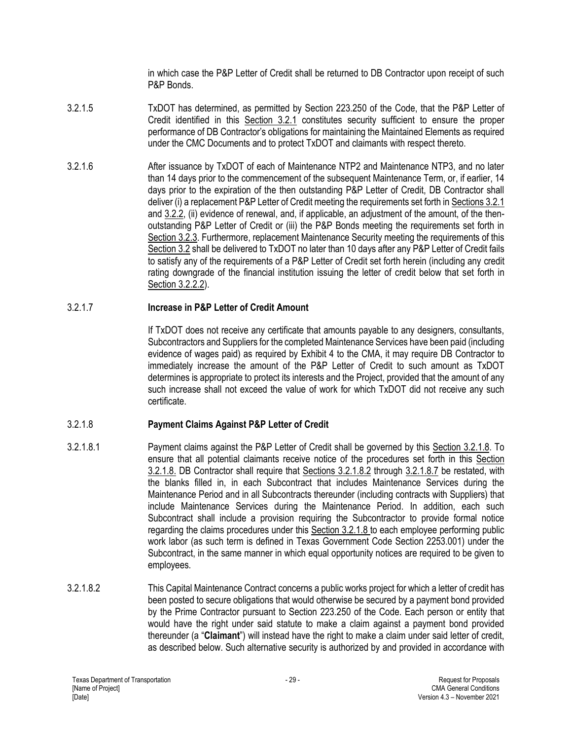in which case the P&P Letter of Credit shall be returned to DB Contractor upon receipt of such P&P Bonds.

- 3.2.1.5 TxDOT has determined, as permitted by Section 223.250 of the Code, that the P&P Letter of Credit identified in this Section 3.2.1 constitutes security sufficient to ensure the proper performance of DB Contractor's obligations for maintaining the Maintained Elements as required under the CMC Documents and to protect TxDOT and claimants with respect thereto.
- 3.2.1.6 After issuance by TxDOT of each of Maintenance NTP2 and Maintenance NTP3, and no later than 14 days prior to the commencement of the subsequent Maintenance Term, or, if earlier, 14 days prior to the expiration of the then outstanding P&P Letter of Credit, DB Contractor shall deliver (i) a replacement P&P Letter of Credit meeting the requirements set forth in Sections 3.2.1 and 3.2.2, (ii) evidence of renewal, and, if applicable, an adjustment of the amount, of the thenoutstanding P&P Letter of Credit or (iii) the P&P Bonds meeting the requirements set forth in Section 3.2.3. Furthermore, replacement Maintenance Security meeting the requirements of this Section 3.2 shall be delivered to TxDOT no later than 10 days after any P&P Letter of Credit fails to satisfy any of the requirements of a P&P Letter of Credit set forth herein (including any credit rating downgrade of the financial institution issuing the letter of credit below that set forth in Section 3.2.2.2).

#### 3.2.1.7 **Increase in P&P Letter of Credit Amount**

If TxDOT does not receive any certificate that amounts payable to any designers, consultants, Subcontractors and Suppliers for the completed Maintenance Services have been paid (including evidence of wages paid) as required by Exhibit 4 to the CMA, it may require DB Contractor to immediately increase the amount of the P&P Letter of Credit to such amount as TxDOT determines is appropriate to protect its interests and the Project, provided that the amount of any such increase shall not exceed the value of work for which TxDOT did not receive any such certificate.

#### 3.2.1.8 **Payment Claims Against P&P Letter of Credit**

- 3.2.1.8.1 Payment claims against the P&P Letter of Credit shall be governed by this Section 3.2.1.8. To ensure that all potential claimants receive notice of the procedures set forth in this Section 3.2.1.8. DB Contractor shall require that Sections 3.2.1.8.2 through 3.2.1.8.7 be restated, with the blanks filled in, in each Subcontract that includes Maintenance Services during the Maintenance Period and in all Subcontracts thereunder (including contracts with Suppliers) that include Maintenance Services during the Maintenance Period. In addition, each such Subcontract shall include a provision requiring the Subcontractor to provide formal notice regarding the claims procedures under this Section 3.2.1.8 to each employee performing public work labor (as such term is defined in Texas Government Code Section 2253.001) under the Subcontract, in the same manner in which equal opportunity notices are required to be given to employees.
- 3.2.1.8.2 This Capital Maintenance Contract concerns a public works project for which a letter of credit has been posted to secure obligations that would otherwise be secured by a payment bond provided by the Prime Contractor pursuant to Section 223.250 of the Code. Each person or entity that would have the right under said statute to make a claim against a payment bond provided thereunder (a "**Claimant**") will instead have the right to make a claim under said letter of credit, as described below. Such alternative security is authorized by and provided in accordance with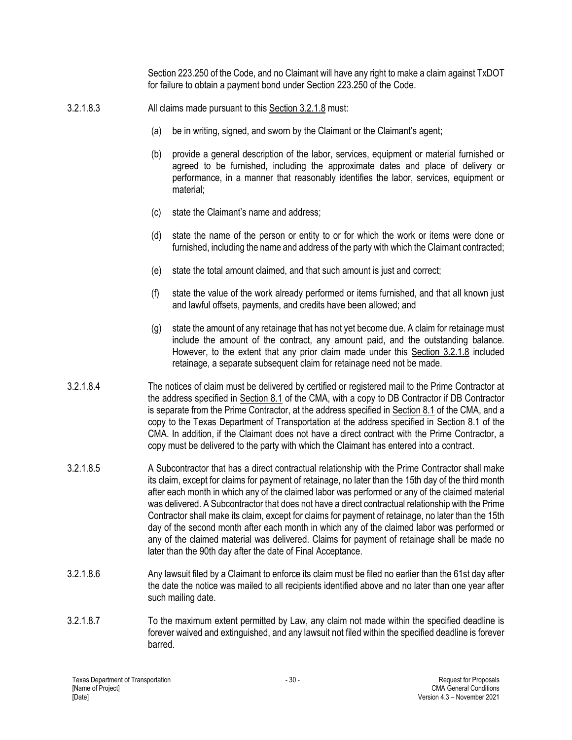Section 223.250 of the Code, and no Claimant will have any right to make a claim against TxDOT for failure to obtain a payment bond under Section 223.250 of the Code.

- 3.2.1.8.3 All claims made pursuant to this Section 3.2.1.8 must:
	- (a) be in writing, signed, and sworn by the Claimant or the Claimant's agent;
	- (b) provide a general description of the labor, services, equipment or material furnished or agreed to be furnished, including the approximate dates and place of delivery or performance, in a manner that reasonably identifies the labor, services, equipment or material;
	- (c) state the Claimant's name and address;
	- (d) state the name of the person or entity to or for which the work or items were done or furnished, including the name and address of the party with which the Claimant contracted;
	- (e) state the total amount claimed, and that such amount is just and correct;
	- (f) state the value of the work already performed or items furnished, and that all known just and lawful offsets, payments, and credits have been allowed; and
	- (g) state the amount of any retainage that has not yet become due. A claim for retainage must include the amount of the contract, any amount paid, and the outstanding balance. However, to the extent that any prior claim made under this Section 3.2.1.8 included retainage, a separate subsequent claim for retainage need not be made.
- 3.2.1.8.4 The notices of claim must be delivered by certified or registered mail to the Prime Contractor at the address specified in Section 8.1 of the CMA, with a copy to DB Contractor if DB Contractor is separate from the Prime Contractor, at the address specified in Section 8.1 of the CMA, and a copy to the Texas Department of Transportation at the address specified in Section 8.1 of the CMA. In addition, if the Claimant does not have a direct contract with the Prime Contractor, a copy must be delivered to the party with which the Claimant has entered into a contract.
- 3.2.1.8.5 A Subcontractor that has a direct contractual relationship with the Prime Contractor shall make its claim, except for claims for payment of retainage, no later than the 15th day of the third month after each month in which any of the claimed labor was performed or any of the claimed material was delivered. A Subcontractor that does not have a direct contractual relationship with the Prime Contractor shall make its claim, except for claims for payment of retainage, no later than the 15th day of the second month after each month in which any of the claimed labor was performed or any of the claimed material was delivered. Claims for payment of retainage shall be made no later than the 90th day after the date of Final Acceptance.
- 3.2.1.8.6 Any lawsuit filed by a Claimant to enforce its claim must be filed no earlier than the 61st day after the date the notice was mailed to all recipients identified above and no later than one year after such mailing date.
- 3.2.1.8.7 To the maximum extent permitted by Law, any claim not made within the specified deadline is forever waived and extinguished, and any lawsuit not filed within the specified deadline is forever barred.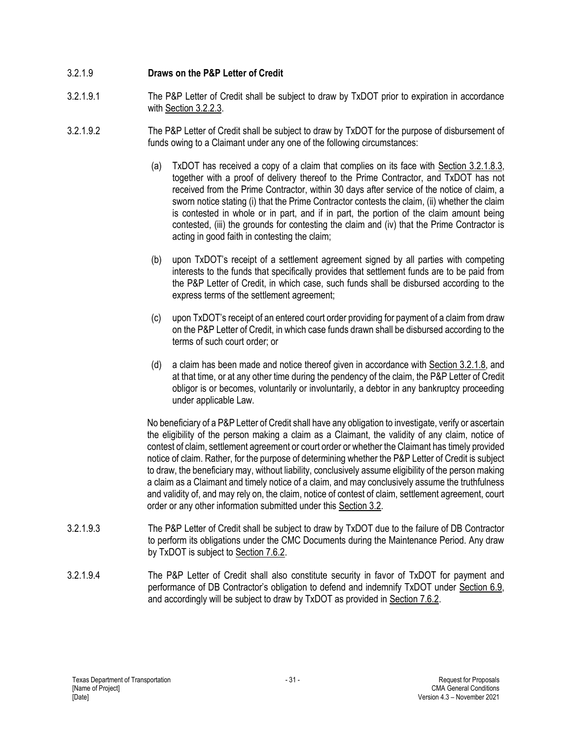### 3.2.1.9 **Draws on the P&P Letter of Credit**

- 3.2.1.9.1 The P&P Letter of Credit shall be subject to draw by TxDOT prior to expiration in accordance with Section 3.2.2.3.
- 3.2.1.9.2 The P&P Letter of Credit shall be subject to draw by TxDOT for the purpose of disbursement of funds owing to a Claimant under any one of the following circumstances:
	- (a) TxDOT has received a copy of a claim that complies on its face with Section 3.2.1.8.3, together with a proof of delivery thereof to the Prime Contractor, and TxDOT has not received from the Prime Contractor, within 30 days after service of the notice of claim, a sworn notice stating (i) that the Prime Contractor contests the claim, (ii) whether the claim is contested in whole or in part, and if in part, the portion of the claim amount being contested, (iii) the grounds for contesting the claim and (iv) that the Prime Contractor is acting in good faith in contesting the claim;
	- (b) upon TxDOT's receipt of a settlement agreement signed by all parties with competing interests to the funds that specifically provides that settlement funds are to be paid from the P&P Letter of Credit, in which case, such funds shall be disbursed according to the express terms of the settlement agreement;
	- (c) upon TxDOT's receipt of an entered court order providing for payment of a claim from draw on the P&P Letter of Credit, in which case funds drawn shall be disbursed according to the terms of such court order; or
	- (d) a claim has been made and notice thereof given in accordance with Section 3.2.1.8, and at that time, or at any other time during the pendency of the claim, the P&P Letter of Credit obligor is or becomes, voluntarily or involuntarily, a debtor in any bankruptcy proceeding under applicable Law.

No beneficiary of a P&P Letter of Credit shall have any obligation to investigate, verify or ascertain the eligibility of the person making a claim as a Claimant, the validity of any claim, notice of contest of claim, settlement agreement or court order or whether the Claimant has timely provided notice of claim. Rather, for the purpose of determining whether the P&P Letter of Credit is subject to draw, the beneficiary may, without liability, conclusively assume eligibility of the person making a claim as a Claimant and timely notice of a claim, and may conclusively assume the truthfulness and validity of, and may rely on, the claim, notice of contest of claim, settlement agreement, court order or any other information submitted under this Section 3.2.

- 3.2.1.9.3 The P&P Letter of Credit shall be subject to draw by TxDOT due to the failure of DB Contractor to perform its obligations under the CMC Documents during the Maintenance Period. Any draw by TxDOT is subject to Section 7.6.2.
- 3.2.1.9.4 The P&P Letter of Credit shall also constitute security in favor of TxDOT for payment and performance of DB Contractor's obligation to defend and indemnify TxDOT under Section 6.9, and accordingly will be subject to draw by TxDOT as provided in Section 7.6.2.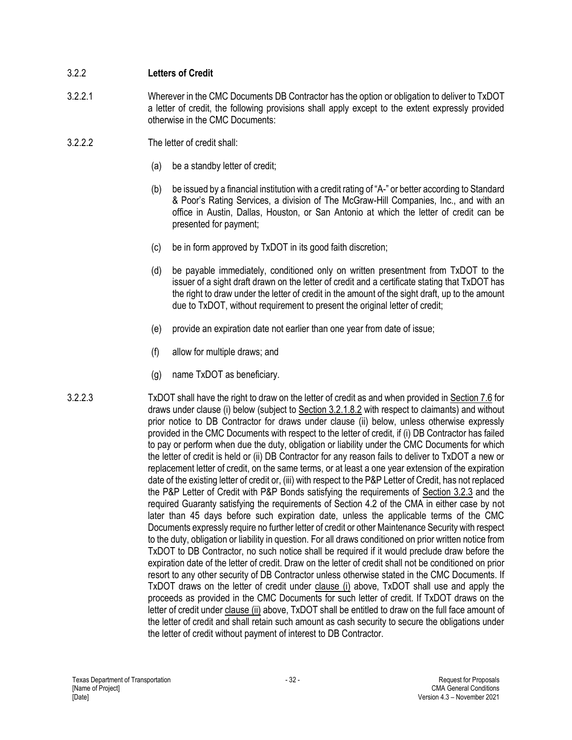## 3.2.2 **Letters of Credit**

- 3.2.2.1 Wherever in the CMC Documents DB Contractor has the option or obligation to deliver to TxDOT a letter of credit, the following provisions shall apply except to the extent expressly provided otherwise in the CMC Documents:
- 3.2.2.2 The letter of credit shall:
	- (a) be a standby letter of credit;
	- (b) be issued by a financial institution with a credit rating of "A-" or better according to Standard & Poor's Rating Services, a division of The McGraw-Hill Companies, Inc., and with an office in Austin, Dallas, Houston, or San Antonio at which the letter of credit can be presented for payment;
	- (c) be in form approved by TxDOT in its good faith discretion;
	- (d) be payable immediately, conditioned only on written presentment from TxDOT to the issuer of a sight draft drawn on the letter of credit and a certificate stating that TxDOT has the right to draw under the letter of credit in the amount of the sight draft, up to the amount due to TxDOT, without requirement to present the original letter of credit;
	- (e) provide an expiration date not earlier than one year from date of issue;
	- (f) allow for multiple draws; and
	- (g) name TxDOT as beneficiary.
- 3.2.2.3 TxDOT shall have the right to draw on the letter of credit as and when provided in Section 7.6 for draws under clause (i) below (subject to Section 3.2.1.8.2 with respect to claimants) and without prior notice to DB Contractor for draws under clause (ii) below, unless otherwise expressly provided in the CMC Documents with respect to the letter of credit, if (i) DB Contractor has failed to pay or perform when due the duty, obligation or liability under the CMC Documents for which the letter of credit is held or (ii) DB Contractor for any reason fails to deliver to TxDOT a new or replacement letter of credit, on the same terms, or at least a one year extension of the expiration date of the existing letter of credit or, (iii) with respect to the P&P Letter of Credit, has not replaced the P&P Letter of Credit with P&P Bonds satisfying the requirements of Section 3.2.3 and the required Guaranty satisfying the requirements of Section 4.2 of the CMA in either case by not later than 45 days before such expiration date, unless the applicable terms of the CMC Documents expressly require no further letter of credit or other Maintenance Security with respect to the duty, obligation or liability in question. For all draws conditioned on prior written notice from TxDOT to DB Contractor, no such notice shall be required if it would preclude draw before the expiration date of the letter of credit. Draw on the letter of credit shall not be conditioned on prior resort to any other security of DB Contractor unless otherwise stated in the CMC Documents. If TxDOT draws on the letter of credit under clause (i) above, TxDOT shall use and apply the proceeds as provided in the CMC Documents for such letter of credit. If TxDOT draws on the letter of credit under clause (ii) above, TxDOT shall be entitled to draw on the full face amount of the letter of credit and shall retain such amount as cash security to secure the obligations under the letter of credit without payment of interest to DB Contractor.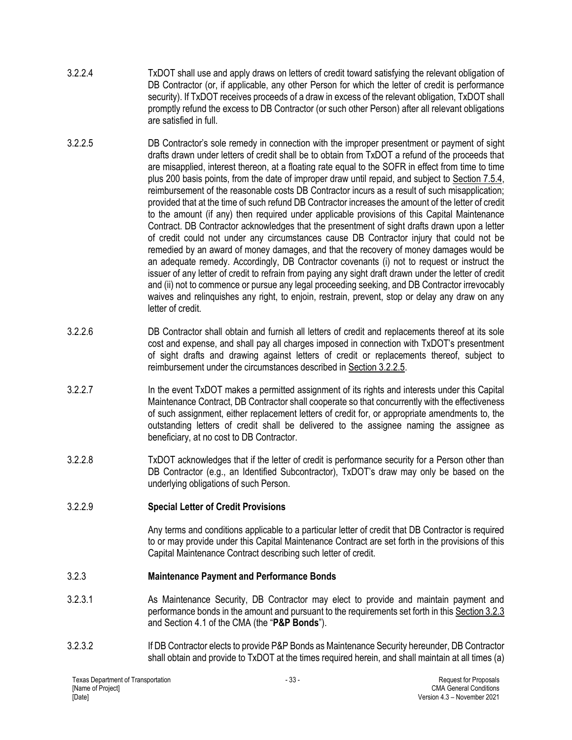- 3.2.2.4 TxDOT shall use and apply draws on letters of credit toward satisfying the relevant obligation of DB Contractor (or, if applicable, any other Person for which the letter of credit is performance security). If TxDOT receives proceeds of a draw in excess of the relevant obligation, TxDOT shall promptly refund the excess to DB Contractor (or such other Person) after all relevant obligations are satisfied in full.
- 3.2.2.5 DB Contractor's sole remedy in connection with the improper presentment or payment of sight drafts drawn under letters of credit shall be to obtain from TxDOT a refund of the proceeds that are misapplied, interest thereon, at a floating rate equal to the SOFR in effect from time to time plus 200 basis points, from the date of improper draw until repaid, and subject to Section 7.5.4, reimbursement of the reasonable costs DB Contractor incurs as a result of such misapplication; provided that at the time of such refund DB Contractor increases the amount of the letter of credit to the amount (if any) then required under applicable provisions of this Capital Maintenance Contract. DB Contractor acknowledges that the presentment of sight drafts drawn upon a letter of credit could not under any circumstances cause DB Contractor injury that could not be remedied by an award of money damages, and that the recovery of money damages would be an adequate remedy. Accordingly, DB Contractor covenants (i) not to request or instruct the issuer of any letter of credit to refrain from paying any sight draft drawn under the letter of credit and (ii) not to commence or pursue any legal proceeding seeking, and DB Contractor irrevocably waives and relinquishes any right, to enjoin, restrain, prevent, stop or delay any draw on any letter of credit.
- 3.2.2.6 DB Contractor shall obtain and furnish all letters of credit and replacements thereof at its sole cost and expense, and shall pay all charges imposed in connection with TxDOT's presentment of sight drafts and drawing against letters of credit or replacements thereof, subject to reimbursement under the circumstances described in Section 3.2.2.5.
- 3.2.2.7 In the event TxDOT makes a permitted assignment of its rights and interests under this Capital Maintenance Contract, DB Contractor shall cooperate so that concurrently with the effectiveness of such assignment, either replacement letters of credit for, or appropriate amendments to, the outstanding letters of credit shall be delivered to the assignee naming the assignee as beneficiary, at no cost to DB Contractor.
- 3.2.2.8 TxDOT acknowledges that if the letter of credit is performance security for a Person other than DB Contractor (e.g., an Identified Subcontractor), TxDOT's draw may only be based on the underlying obligations of such Person.

# 3.2.2.9 **Special Letter of Credit Provisions**

Any terms and conditions applicable to a particular letter of credit that DB Contractor is required to or may provide under this Capital Maintenance Contract are set forth in the provisions of this Capital Maintenance Contract describing such letter of credit.

# 3.2.3 **Maintenance Payment and Performance Bonds**

- 3.2.3.1 As Maintenance Security, DB Contractor may elect to provide and maintain payment and performance bonds in the amount and pursuant to the requirements set forth in this Section 3.2.3 and Section 4.1 of the CMA (the "**P&P Bonds**").
- 3.2.3.2 If DB Contractor elects to provide P&P Bonds as Maintenance Security hereunder, DB Contractor shall obtain and provide to TxDOT at the times required herein, and shall maintain at all times (a)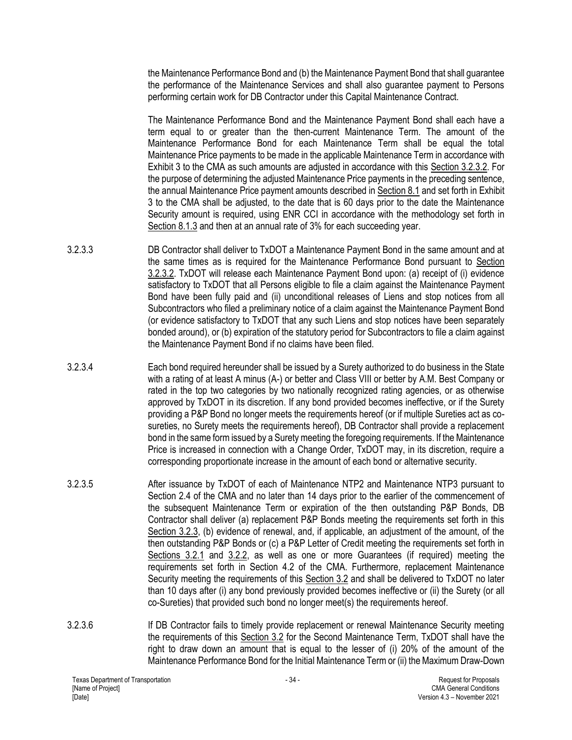the Maintenance Performance Bond and (b) the Maintenance Payment Bond that shall guarantee the performance of the Maintenance Services and shall also guarantee payment to Persons performing certain work for DB Contractor under this Capital Maintenance Contract.

The Maintenance Performance Bond and the Maintenance Payment Bond shall each have a term equal to or greater than the then-current Maintenance Term. The amount of the Maintenance Performance Bond for each Maintenance Term shall be equal the total Maintenance Price payments to be made in the applicable Maintenance Term in accordance with Exhibit 3 to the CMA as such amounts are adjusted in accordance with this Section 3.2.3.2. For the purpose of determining the adjusted Maintenance Price payments in the preceding sentence, the annual Maintenance Price payment amounts described in Section 8.1 and set forth in Exhibit 3 to the CMA shall be adjusted, to the date that is 60 days prior to the date the Maintenance Security amount is required, using ENR CCI in accordance with the methodology set forth in Section 8.1.3 and then at an annual rate of 3% for each succeeding year.

- 3.2.3.3 DB Contractor shall deliver to TxDOT a Maintenance Payment Bond in the same amount and at the same times as is required for the Maintenance Performance Bond pursuant to Section 3.2.3.2. TxDOT will release each Maintenance Payment Bond upon: (a) receipt of (i) evidence satisfactory to TxDOT that all Persons eligible to file a claim against the Maintenance Payment Bond have been fully paid and (ii) unconditional releases of Liens and stop notices from all Subcontractors who filed a preliminary notice of a claim against the Maintenance Payment Bond (or evidence satisfactory to TxDOT that any such Liens and stop notices have been separately bonded around), or (b) expiration of the statutory period for Subcontractors to file a claim against the Maintenance Payment Bond if no claims have been filed.
- 3.2.3.4 Each bond required hereunder shall be issued by a Surety authorized to do business in the State with a rating of at least A minus (A-) or better and Class VIII or better by A.M. Best Company or rated in the top two categories by two nationally recognized rating agencies, or as otherwise approved by TxDOT in its discretion. If any bond provided becomes ineffective, or if the Surety providing a P&P Bond no longer meets the requirements hereof (or if multiple Sureties act as cosureties, no Surety meets the requirements hereof), DB Contractor shall provide a replacement bond in the same form issued by a Surety meeting the foregoing requirements. If the Maintenance Price is increased in connection with a Change Order, TxDOT may, in its discretion, require a corresponding proportionate increase in the amount of each bond or alternative security.
- 3.2.3.5 After issuance by TxDOT of each of Maintenance NTP2 and Maintenance NTP3 pursuant to Section 2.4 of the CMA and no later than 14 days prior to the earlier of the commencement of the subsequent Maintenance Term or expiration of the then outstanding P&P Bonds, DB Contractor shall deliver (a) replacement P&P Bonds meeting the requirements set forth in this Section 3.2.3, (b) evidence of renewal, and, if applicable, an adjustment of the amount, of the then outstanding P&P Bonds or (c) a P&P Letter of Credit meeting the requirements set forth in Sections 3.2.1 and 3.2.2, as well as one or more Guarantees (if required) meeting the requirements set forth in Section 4.2 of the CMA. Furthermore, replacement Maintenance Security meeting the requirements of this Section 3.2 and shall be delivered to TxDOT no later than 10 days after (i) any bond previously provided becomes ineffective or (ii) the Surety (or all co-Sureties) that provided such bond no longer meet(s) the requirements hereof.
- 3.2.3.6 If DB Contractor fails to timely provide replacement or renewal Maintenance Security meeting the requirements of this Section 3.2 for the Second Maintenance Term, TxDOT shall have the right to draw down an amount that is equal to the lesser of (i) 20% of the amount of the Maintenance Performance Bond for the Initial Maintenance Term or (ii) the Maximum Draw-Down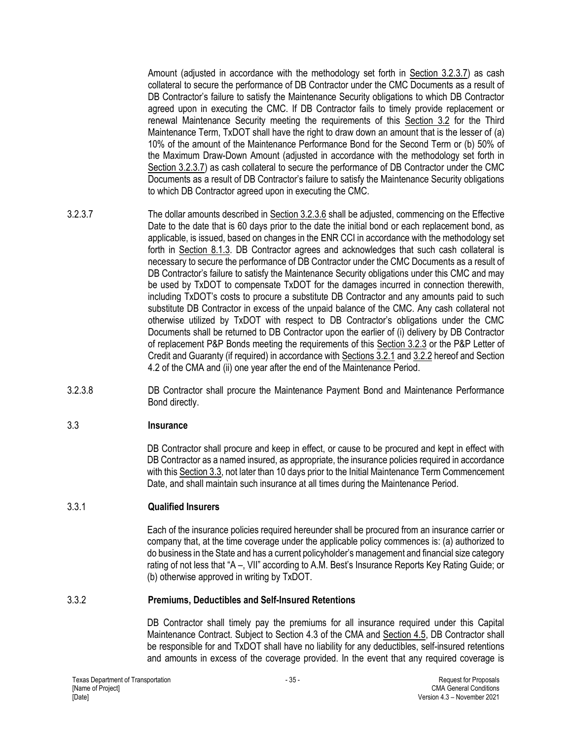Amount (adjusted in accordance with the methodology set forth in Section 3.2.3.7) as cash collateral to secure the performance of DB Contractor under the CMC Documents as a result of DB Contractor's failure to satisfy the Maintenance Security obligations to which DB Contractor agreed upon in executing the CMC. If DB Contractor fails to timely provide replacement or renewal Maintenance Security meeting the requirements of this Section 3.2 for the Third Maintenance Term, TxDOT shall have the right to draw down an amount that is the lesser of (a) 10% of the amount of the Maintenance Performance Bond for the Second Term or (b) 50% of the Maximum Draw-Down Amount (adjusted in accordance with the methodology set forth in Section 3.2.3.7) as cash collateral to secure the performance of DB Contractor under the CMC Documents as a result of DB Contractor's failure to satisfy the Maintenance Security obligations to which DB Contractor agreed upon in executing the CMC.

- 3.2.3.7 The dollar amounts described in Section 3.2.3.6 shall be adjusted, commencing on the Effective Date to the date that is 60 days prior to the date the initial bond or each replacement bond, as applicable, is issued, based on changes in the ENR CCI in accordance with the methodology set forth in Section 8.1.3. DB Contractor agrees and acknowledges that such cash collateral is necessary to secure the performance of DB Contractor under the CMC Documents as a result of DB Contractor's failure to satisfy the Maintenance Security obligations under this CMC and may be used by TxDOT to compensate TxDOT for the damages incurred in connection therewith, including TxDOT's costs to procure a substitute DB Contractor and any amounts paid to such substitute DB Contractor in excess of the unpaid balance of the CMC. Any cash collateral not otherwise utilized by TxDOT with respect to DB Contractor's obligations under the CMC Documents shall be returned to DB Contractor upon the earlier of (i) delivery by DB Contractor of replacement P&P Bonds meeting the requirements of this Section 3.2.3 or the P&P Letter of Credit and Guaranty (if required) in accordance with Sections 3.2.1 and 3.2.2 hereof and Section 4.2 of the CMA and (ii) one year after the end of the Maintenance Period.
- 3.2.3.8 DB Contractor shall procure the Maintenance Payment Bond and Maintenance Performance Bond directly.

### 3.3 **Insurance**

DB Contractor shall procure and keep in effect, or cause to be procured and kept in effect with DB Contractor as a named insured, as appropriate, the insurance policies required in accordance with this Section 3.3, not later than 10 days prior to the Initial Maintenance Term Commencement Date, and shall maintain such insurance at all times during the Maintenance Period.

### 3.3.1 **Qualified Insurers**

Each of the insurance policies required hereunder shall be procured from an insurance carrier or company that, at the time coverage under the applicable policy commences is: (a) authorized to do business in the State and has a current policyholder's management and financial size category rating of not less that "A –, VII" according to A.M. Best's Insurance Reports Key Rating Guide; or (b) otherwise approved in writing by TxDOT.

#### 3.3.2 **Premiums, Deductibles and Self-Insured Retentions**

DB Contractor shall timely pay the premiums for all insurance required under this Capital Maintenance Contract. Subject to Section 4.3 of the CMA and Section 4.5, DB Contractor shall be responsible for and TxDOT shall have no liability for any deductibles, self-insured retentions and amounts in excess of the coverage provided. In the event that any required coverage is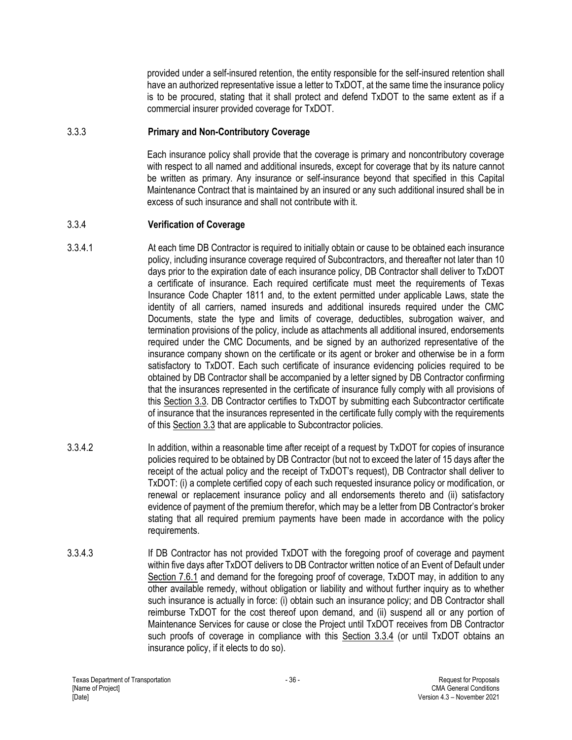provided under a self-insured retention, the entity responsible for the self-insured retention shall have an authorized representative issue a letter to TxDOT, at the same time the insurance policy is to be procured, stating that it shall protect and defend TxDOT to the same extent as if a commercial insurer provided coverage for TxDOT.

### 3.3.3 **Primary and Non-Contributory Coverage**

Each insurance policy shall provide that the coverage is primary and noncontributory coverage with respect to all named and additional insureds, except for coverage that by its nature cannot be written as primary. Any insurance or self-insurance beyond that specified in this Capital Maintenance Contract that is maintained by an insured or any such additional insured shall be in excess of such insurance and shall not contribute with it.

## 3.3.4 **Verification of Coverage**

- 3.3.4.1 At each time DB Contractor is required to initially obtain or cause to be obtained each insurance policy, including insurance coverage required of Subcontractors, and thereafter not later than 10 days prior to the expiration date of each insurance policy, DB Contractor shall deliver to TxDOT a certificate of insurance. Each required certificate must meet the requirements of Texas Insurance Code Chapter 1811 and, to the extent permitted under applicable Laws, state the identity of all carriers, named insureds and additional insureds required under the CMC Documents, state the type and limits of coverage, deductibles, subrogation waiver, and termination provisions of the policy, include as attachments all additional insured, endorsements required under the CMC Documents, and be signed by an authorized representative of the insurance company shown on the certificate or its agent or broker and otherwise be in a form satisfactory to TxDOT. Each such certificate of insurance evidencing policies required to be obtained by DB Contractor shall be accompanied by a letter signed by DB Contractor confirming that the insurances represented in the certificate of insurance fully comply with all provisions of this Section 3.3. DB Contractor certifies to TxDOT by submitting each Subcontractor certificate of insurance that the insurances represented in the certificate fully comply with the requirements of this Section 3.3 that are applicable to Subcontractor policies.
- 3.3.4.2 In addition, within a reasonable time after receipt of a request by TxDOT for copies of insurance policies required to be obtained by DB Contractor (but not to exceed the later of 15 days after the receipt of the actual policy and the receipt of TxDOT's request), DB Contractor shall deliver to TxDOT: (i) a complete certified copy of each such requested insurance policy or modification, or renewal or replacement insurance policy and all endorsements thereto and (ii) satisfactory evidence of payment of the premium therefor, which may be a letter from DB Contractor's broker stating that all required premium payments have been made in accordance with the policy requirements.
- 3.3.4.3 If DB Contractor has not provided TxDOT with the foregoing proof of coverage and payment within five days after TxDOT delivers to DB Contractor written notice of an Event of Default under Section 7.6.1 and demand for the foregoing proof of coverage, TxDOT may, in addition to any other available remedy, without obligation or liability and without further inquiry as to whether such insurance is actually in force: (i) obtain such an insurance policy; and DB Contractor shall reimburse TxDOT for the cost thereof upon demand, and (ii) suspend all or any portion of Maintenance Services for cause or close the Project until TxDOT receives from DB Contractor such proofs of coverage in compliance with this Section 3.3.4 (or until TxDOT obtains an insurance policy, if it elects to do so).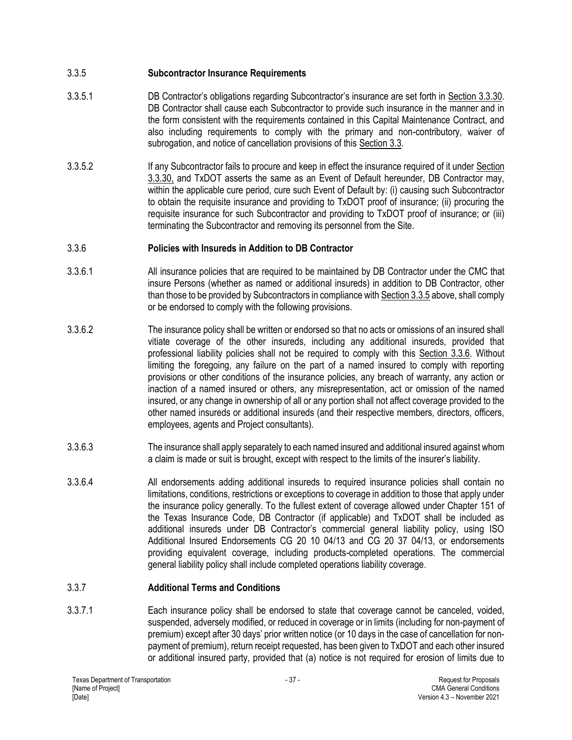## 3.3.5 **Subcontractor Insurance Requirements**

- 3.3.5.1 DB Contractor's obligations regarding Subcontractor's insurance are set forth in Section 3.3.30. DB Contractor shall cause each Subcontractor to provide such insurance in the manner and in the form consistent with the requirements contained in this Capital Maintenance Contract, and also including requirements to comply with the primary and non-contributory, waiver of subrogation, and notice of cancellation provisions of this Section 3.3.
- 3.3.5.2 If any Subcontractor fails to procure and keep in effect the insurance required of it under Section 3.3.30, and TxDOT asserts the same as an Event of Default hereunder, DB Contractor may, within the applicable cure period, cure such Event of Default by: (i) causing such Subcontractor to obtain the requisite insurance and providing to TxDOT proof of insurance; (ii) procuring the requisite insurance for such Subcontractor and providing to TxDOT proof of insurance; or (iii) terminating the Subcontractor and removing its personnel from the Site.

## 3.3.6 **Policies with Insureds in Addition to DB Contractor**

- 3.3.6.1 All insurance policies that are required to be maintained by DB Contractor under the CMC that insure Persons (whether as named or additional insureds) in addition to DB Contractor, other than those to be provided by Subcontractors in compliance with Section 3.3.5 above, shall comply or be endorsed to comply with the following provisions.
- 3.3.6.2 The insurance policy shall be written or endorsed so that no acts or omissions of an insured shall vitiate coverage of the other insureds, including any additional insureds, provided that professional liability policies shall not be required to comply with this Section 3.3.6. Without limiting the foregoing, any failure on the part of a named insured to comply with reporting provisions or other conditions of the insurance policies, any breach of warranty, any action or inaction of a named insured or others, any misrepresentation, act or omission of the named insured, or any change in ownership of all or any portion shall not affect coverage provided to the other named insureds or additional insureds (and their respective members, directors, officers, employees, agents and Project consultants).
- 3.3.6.3 The insurance shall apply separately to each named insured and additional insured against whom a claim is made or suit is brought, except with respect to the limits of the insurer's liability.
- 3.3.6.4 All endorsements adding additional insureds to required insurance policies shall contain no limitations, conditions, restrictions or exceptions to coverage in addition to those that apply under the insurance policy generally. To the fullest extent of coverage allowed under Chapter 151 of the Texas Insurance Code, DB Contractor (if applicable) and TxDOT shall be included as additional insureds under DB Contractor's commercial general liability policy, using ISO Additional Insured Endorsements CG 20 10 04/13 and CG 20 37 04/13, or endorsements providing equivalent coverage, including products-completed operations. The commercial general liability policy shall include completed operations liability coverage.

### 3.3.7 **Additional Terms and Conditions**

3.3.7.1 Each insurance policy shall be endorsed to state that coverage cannot be canceled, voided, suspended, adversely modified, or reduced in coverage or in limits (including for non-payment of premium) except after 30 days' prior written notice (or 10 days in the case of cancellation for nonpayment of premium), return receipt requested, has been given to TxDOT and each other insured or additional insured party, provided that (a) notice is not required for erosion of limits due to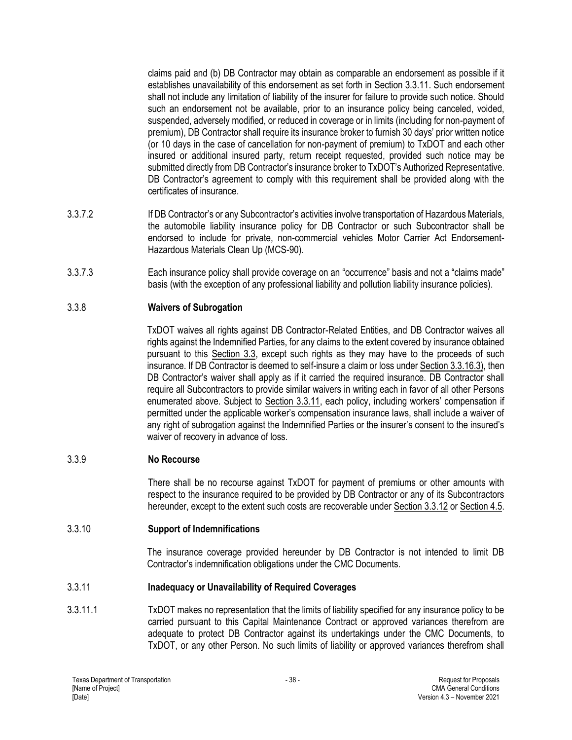claims paid and (b) DB Contractor may obtain as comparable an endorsement as possible if it establishes unavailability of this endorsement as set forth in Section 3.3.11. Such endorsement shall not include any limitation of liability of the insurer for failure to provide such notice. Should such an endorsement not be available, prior to an insurance policy being canceled, voided, suspended, adversely modified, or reduced in coverage or in limits (including for non-payment of premium), DB Contractor shall require its insurance broker to furnish 30 days' prior written notice (or 10 days in the case of cancellation for non-payment of premium) to TxDOT and each other insured or additional insured party, return receipt requested, provided such notice may be submitted directly from DB Contractor's insurance broker to TxDOT's Authorized Representative. DB Contractor's agreement to comply with this requirement shall be provided along with the certificates of insurance.

- 3.3.7.2 If DB Contractor's or any Subcontractor's activities involve transportation of Hazardous Materials, the automobile liability insurance policy for DB Contractor or such Subcontractor shall be endorsed to include for private, non-commercial vehicles Motor Carrier Act Endorsement-Hazardous Materials Clean Up (MCS-90).
- 3.3.7.3 Each insurance policy shall provide coverage on an "occurrence" basis and not a "claims made" basis (with the exception of any professional liability and pollution liability insurance policies).

### 3.3.8 **Waivers of Subrogation**

TxDOT waives all rights against DB Contractor-Related Entities, and DB Contractor waives all rights against the Indemnified Parties, for any claims to the extent covered by insurance obtained pursuant to this Section 3.3, except such rights as they may have to the proceeds of such insurance. If DB Contractor is deemed to self-insure a claim or loss under Section 3.3.16.3), then DB Contractor's waiver shall apply as if it carried the required insurance. DB Contractor shall require all Subcontractors to provide similar waivers in writing each in favor of all other Persons enumerated above. Subject to Section 3.3.11, each policy, including workers' compensation if permitted under the applicable worker's compensation insurance laws, shall include a waiver of any right of subrogation against the Indemnified Parties or the insurer's consent to the insured's waiver of recovery in advance of loss.

#### 3.3.9 **No Recourse**

There shall be no recourse against TxDOT for payment of premiums or other amounts with respect to the insurance required to be provided by DB Contractor or any of its Subcontractors hereunder, except to the extent such costs are recoverable under Section 3.3.12 or Section 4.5.

#### 3.3.10 **Support of Indemnifications**

The insurance coverage provided hereunder by DB Contractor is not intended to limit DB Contractor's indemnification obligations under the CMC Documents.

#### 3.3.11 **Inadequacy or Unavailability of Required Coverages**

3.3.11.1 TxDOT makes no representation that the limits of liability specified for any insurance policy to be carried pursuant to this Capital Maintenance Contract or approved variances therefrom are adequate to protect DB Contractor against its undertakings under the CMC Documents, to TxDOT, or any other Person. No such limits of liability or approved variances therefrom shall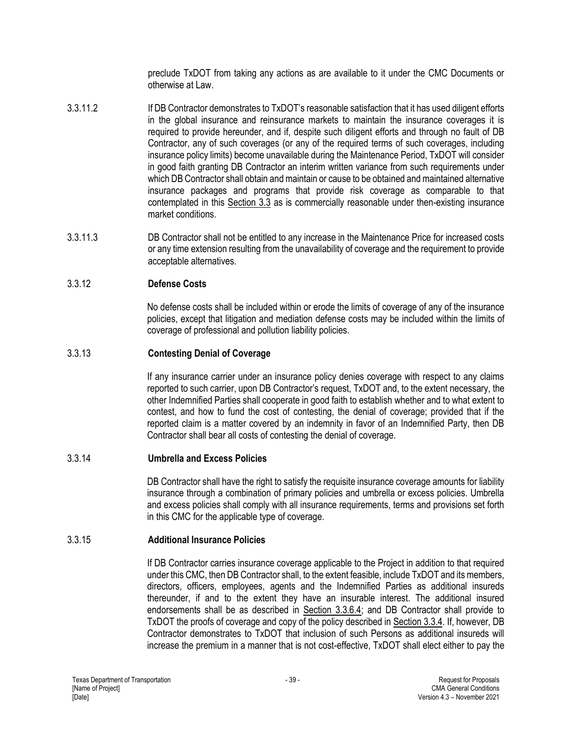preclude TxDOT from taking any actions as are available to it under the CMC Documents or otherwise at Law.

- 3.3.11.2 If DB Contractor demonstrates to TxDOT's reasonable satisfaction that it has used diligent efforts in the global insurance and reinsurance markets to maintain the insurance coverages it is required to provide hereunder, and if, despite such diligent efforts and through no fault of DB Contractor, any of such coverages (or any of the required terms of such coverages, including insurance policy limits) become unavailable during the Maintenance Period, TxDOT will consider in good faith granting DB Contractor an interim written variance from such requirements under which DB Contractor shall obtain and maintain or cause to be obtained and maintained alternative insurance packages and programs that provide risk coverage as comparable to that contemplated in this Section 3.3 as is commercially reasonable under then-existing insurance market conditions.
- 3.3.11.3 DB Contractor shall not be entitled to any increase in the Maintenance Price for increased costs or any time extension resulting from the unavailability of coverage and the requirement to provide acceptable alternatives.

## 3.3.12 **Defense Costs**

No defense costs shall be included within or erode the limits of coverage of any of the insurance policies, except that litigation and mediation defense costs may be included within the limits of coverage of professional and pollution liability policies.

### 3.3.13 **Contesting Denial of Coverage**

If any insurance carrier under an insurance policy denies coverage with respect to any claims reported to such carrier, upon DB Contractor's request, TxDOT and, to the extent necessary, the other Indemnified Parties shall cooperate in good faith to establish whether and to what extent to contest, and how to fund the cost of contesting, the denial of coverage; provided that if the reported claim is a matter covered by an indemnity in favor of an Indemnified Party, then DB Contractor shall bear all costs of contesting the denial of coverage.

### 3.3.14 **Umbrella and Excess Policies**

DB Contractor shall have the right to satisfy the requisite insurance coverage amounts for liability insurance through a combination of primary policies and umbrella or excess policies. Umbrella and excess policies shall comply with all insurance requirements, terms and provisions set forth in this CMC for the applicable type of coverage.

### 3.3.15 **Additional Insurance Policies**

If DB Contractor carries insurance coverage applicable to the Project in addition to that required under this CMC, then DB Contractor shall, to the extent feasible, include TxDOT and its members, directors, officers, employees, agents and the Indemnified Parties as additional insureds thereunder, if and to the extent they have an insurable interest. The additional insured endorsements shall be as described in Section 3.3.6.4; and DB Contractor shall provide to TxDOT the proofs of coverage and copy of the policy described in Section 3.3.4. If, however, DB Contractor demonstrates to TxDOT that inclusion of such Persons as additional insureds will increase the premium in a manner that is not cost-effective, TxDOT shall elect either to pay the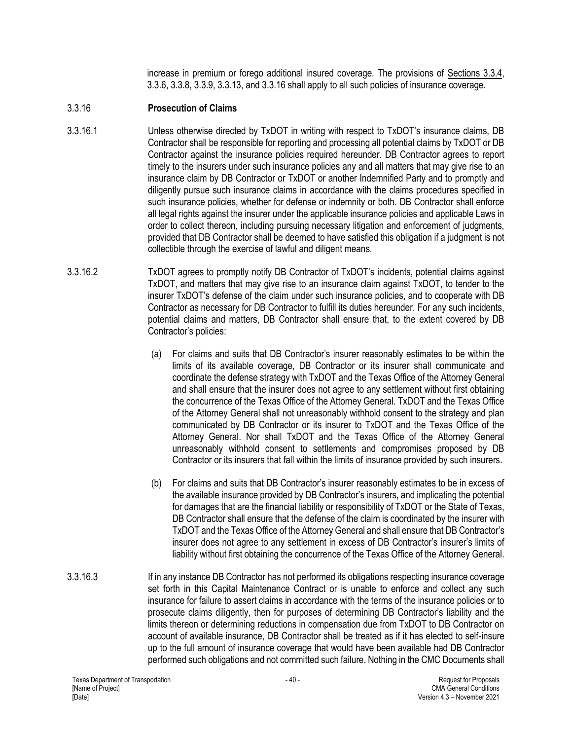increase in premium or forego additional insured coverage. The provisions of Sections 3.3.4, 3.3.6, 3.3.8, 3.3.9, 3.3.13, and 3.3.16 shall apply to all such policies of insurance coverage.

### 3.3.16 **Prosecution of Claims**

- 3.3.16.1 Unless otherwise directed by TxDOT in writing with respect to TxDOT's insurance claims, DB Contractor shall be responsible for reporting and processing all potential claims by TxDOT or DB Contractor against the insurance policies required hereunder. DB Contractor agrees to report timely to the insurers under such insurance policies any and all matters that may give rise to an insurance claim by DB Contractor or TxDOT or another Indemnified Party and to promptly and diligently pursue such insurance claims in accordance with the claims procedures specified in such insurance policies, whether for defense or indemnity or both. DB Contractor shall enforce all legal rights against the insurer under the applicable insurance policies and applicable Laws in order to collect thereon, including pursuing necessary litigation and enforcement of judgments, provided that DB Contractor shall be deemed to have satisfied this obligation if a judgment is not collectible through the exercise of lawful and diligent means.
- 3.3.16.2 TxDOT agrees to promptly notify DB Contractor of TxDOT's incidents, potential claims against TxDOT, and matters that may give rise to an insurance claim against TxDOT, to tender to the insurer TxDOT's defense of the claim under such insurance policies, and to cooperate with DB Contractor as necessary for DB Contractor to fulfill its duties hereunder. For any such incidents, potential claims and matters, DB Contractor shall ensure that, to the extent covered by DB Contractor's policies:
	- (a) For claims and suits that DB Contractor's insurer reasonably estimates to be within the limits of its available coverage, DB Contractor or its insurer shall communicate and coordinate the defense strategy with TxDOT and the Texas Office of the Attorney General and shall ensure that the insurer does not agree to any settlement without first obtaining the concurrence of the Texas Office of the Attorney General. TxDOT and the Texas Office of the Attorney General shall not unreasonably withhold consent to the strategy and plan communicated by DB Contractor or its insurer to TxDOT and the Texas Office of the Attorney General. Nor shall TxDOT and the Texas Office of the Attorney General unreasonably withhold consent to settlements and compromises proposed by DB Contractor or its insurers that fall within the limits of insurance provided by such insurers.
	- (b) For claims and suits that DB Contractor's insurer reasonably estimates to be in excess of the available insurance provided by DB Contractor's insurers, and implicating the potential for damages that are the financial liability or responsibility of TxDOT or the State of Texas, DB Contractor shall ensure that the defense of the claim is coordinated by the insurer with TxDOT and the Texas Office of the Attorney General and shall ensure that DB Contractor's insurer does not agree to any settlement in excess of DB Contractor's insurer's limits of liability without first obtaining the concurrence of the Texas Office of the Attorney General.
- 3.3.16.3 If in any instance DB Contractor has not performed its obligations respecting insurance coverage set forth in this Capital Maintenance Contract or is unable to enforce and collect any such insurance for failure to assert claims in accordance with the terms of the insurance policies or to prosecute claims diligently, then for purposes of determining DB Contractor's liability and the limits thereon or determining reductions in compensation due from TxDOT to DB Contractor on account of available insurance, DB Contractor shall be treated as if it has elected to self-insure up to the full amount of insurance coverage that would have been available had DB Contractor performed such obligations and not committed such failure. Nothing in the CMC Documents shall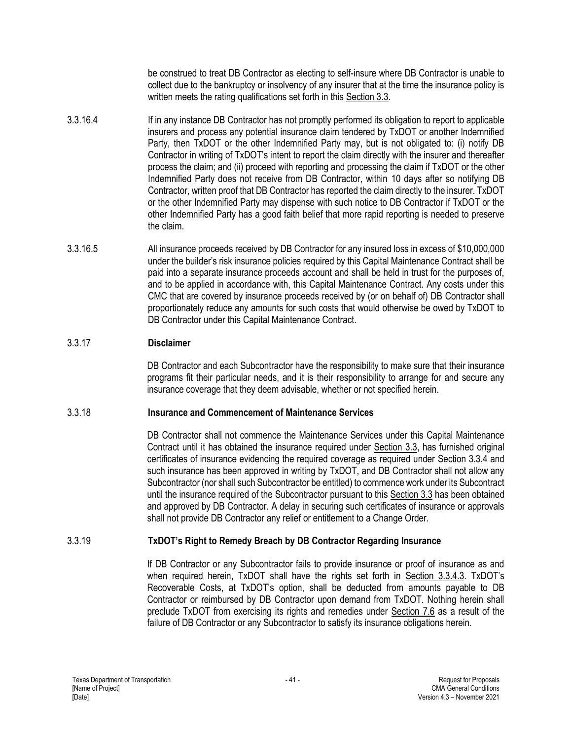be construed to treat DB Contractor as electing to self-insure where DB Contractor is unable to collect due to the bankruptcy or insolvency of any insurer that at the time the insurance policy is written meets the rating qualifications set forth in this Section 3.3.

- 3.3.16.4 If in any instance DB Contractor has not promptly performed its obligation to report to applicable insurers and process any potential insurance claim tendered by TxDOT or another Indemnified Party, then TxDOT or the other Indemnified Party may, but is not obligated to: (i) notify DB Contractor in writing of TxDOT's intent to report the claim directly with the insurer and thereafter process the claim; and (ii) proceed with reporting and processing the claim if TxDOT or the other Indemnified Party does not receive from DB Contractor, within 10 days after so notifying DB Contractor, written proof that DB Contractor has reported the claim directly to the insurer. TxDOT or the other Indemnified Party may dispense with such notice to DB Contractor if TxDOT or the other Indemnified Party has a good faith belief that more rapid reporting is needed to preserve the claim.
- 3.3.16.5 All insurance proceeds received by DB Contractor for any insured loss in excess of \$10,000,000 under the builder's risk insurance policies required by this Capital Maintenance Contract shall be paid into a separate insurance proceeds account and shall be held in trust for the purposes of, and to be applied in accordance with, this Capital Maintenance Contract. Any costs under this CMC that are covered by insurance proceeds received by (or on behalf of) DB Contractor shall proportionately reduce any amounts for such costs that would otherwise be owed by TxDOT to DB Contractor under this Capital Maintenance Contract.

# 3.3.17 **Disclaimer**

DB Contractor and each Subcontractor have the responsibility to make sure that their insurance programs fit their particular needs, and it is their responsibility to arrange for and secure any insurance coverage that they deem advisable, whether or not specified herein.

### 3.3.18 **Insurance and Commencement of Maintenance Services**

DB Contractor shall not commence the Maintenance Services under this Capital Maintenance Contract until it has obtained the insurance required under Section 3.3, has furnished original certificates of insurance evidencing the required coverage as required under Section 3.3.4 and such insurance has been approved in writing by TxDOT, and DB Contractor shall not allow any Subcontractor (nor shall such Subcontractor be entitled) to commence work under its Subcontract until the insurance required of the Subcontractor pursuant to this Section 3.3 has been obtained and approved by DB Contractor. A delay in securing such certificates of insurance or approvals shall not provide DB Contractor any relief or entitlement to a Change Order.

# 3.3.19 **TxDOT's Right to Remedy Breach by DB Contractor Regarding Insurance**

If DB Contractor or any Subcontractor fails to provide insurance or proof of insurance as and when required herein, TxDOT shall have the rights set forth in Section 3.3.4.3. TxDOT's Recoverable Costs, at TxDOT's option, shall be deducted from amounts payable to DB Contractor or reimbursed by DB Contractor upon demand from TxDOT. Nothing herein shall preclude TxDOT from exercising its rights and remedies under Section 7.6 as a result of the failure of DB Contractor or any Subcontractor to satisfy its insurance obligations herein.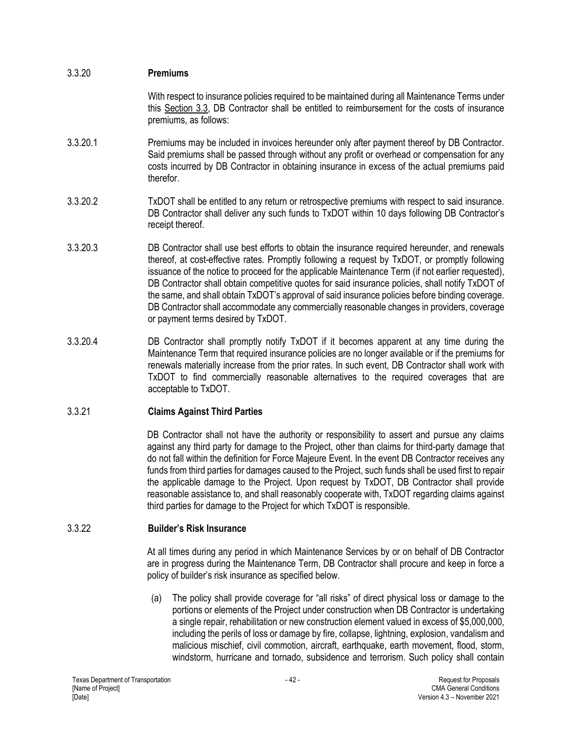| 3.3.20 | <b>Premiums</b> |
|--------|-----------------|
|--------|-----------------|

With respect to insurance policies required to be maintained during all Maintenance Terms under this Section 3.3, DB Contractor shall be entitled to reimbursement for the costs of insurance premiums, as follows:

- 3.3.20.1 Premiums may be included in invoices hereunder only after payment thereof by DB Contractor. Said premiums shall be passed through without any profit or overhead or compensation for any costs incurred by DB Contractor in obtaining insurance in excess of the actual premiums paid therefor.
- 3.3.20.2 TxDOT shall be entitled to any return or retrospective premiums with respect to said insurance. DB Contractor shall deliver any such funds to TxDOT within 10 days following DB Contractor's receipt thereof.
- 3.3.20.3 DB Contractor shall use best efforts to obtain the insurance required hereunder, and renewals thereof, at cost-effective rates. Promptly following a request by TxDOT, or promptly following issuance of the notice to proceed for the applicable Maintenance Term (if not earlier requested), DB Contractor shall obtain competitive quotes for said insurance policies, shall notify TxDOT of the same, and shall obtain TxDOT's approval of said insurance policies before binding coverage. DB Contractor shall accommodate any commercially reasonable changes in providers, coverage or payment terms desired by TxDOT.
- 3.3.20.4 DB Contractor shall promptly notify TxDOT if it becomes apparent at any time during the Maintenance Term that required insurance policies are no longer available or if the premiums for renewals materially increase from the prior rates. In such event, DB Contractor shall work with TxDOT to find commercially reasonable alternatives to the required coverages that are acceptable to TxDOT.

### 3.3.21 **Claims Against Third Parties**

DB Contractor shall not have the authority or responsibility to assert and pursue any claims against any third party for damage to the Project, other than claims for third-party damage that do not fall within the definition for Force Majeure Event. In the event DB Contractor receives any funds from third parties for damages caused to the Project, such funds shall be used first to repair the applicable damage to the Project. Upon request by TxDOT, DB Contractor shall provide reasonable assistance to, and shall reasonably cooperate with, TxDOT regarding claims against third parties for damage to the Project for which TxDOT is responsible.

### 3.3.22 **Builder's Risk Insurance**

At all times during any period in which Maintenance Services by or on behalf of DB Contractor are in progress during the Maintenance Term, DB Contractor shall procure and keep in force a policy of builder's risk insurance as specified below.

(a) The policy shall provide coverage for "all risks" of direct physical loss or damage to the portions or elements of the Project under construction when DB Contractor is undertaking a single repair, rehabilitation or new construction element valued in excess of \$5,000,000, including the perils of loss or damage by fire, collapse, lightning, explosion, vandalism and malicious mischief, civil commotion, aircraft, earthquake, earth movement, flood, storm, windstorm, hurricane and tornado, subsidence and terrorism. Such policy shall contain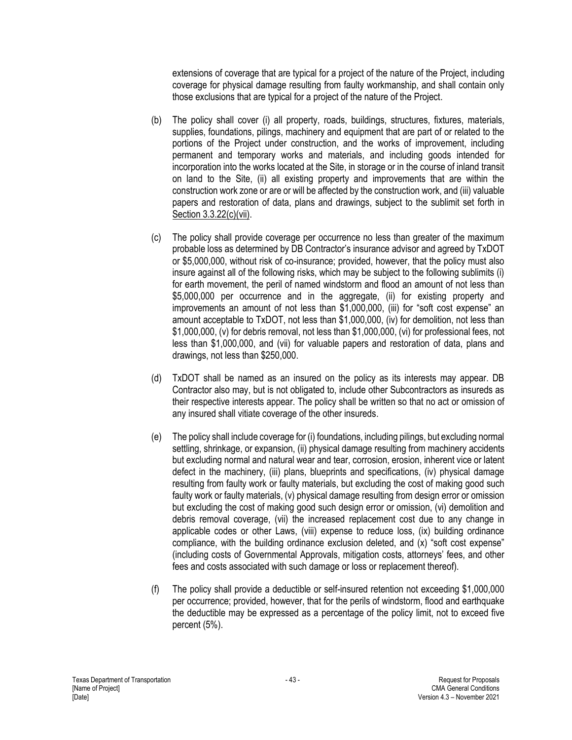extensions of coverage that are typical for a project of the nature of the Project, including coverage for physical damage resulting from faulty workmanship, and shall contain only those exclusions that are typical for a project of the nature of the Project.

- (b) The policy shall cover (i) all property, roads, buildings, structures, fixtures, materials, supplies, foundations, pilings, machinery and equipment that are part of or related to the portions of the Project under construction, and the works of improvement, including permanent and temporary works and materials, and including goods intended for incorporation into the works located at the Site, in storage or in the course of inland transit on land to the Site, (ii) all existing property and improvements that are within the construction work zone or are or will be affected by the construction work, and (iii) valuable papers and restoration of data, plans and drawings, subject to the sublimit set forth in Section 3.3.22(c)(vii).
- (c) The policy shall provide coverage per occurrence no less than greater of the maximum probable loss as determined by DB Contractor's insurance advisor and agreed by TxDOT or \$5,000,000, without risk of co-insurance; provided, however, that the policy must also insure against all of the following risks, which may be subject to the following sublimits (i) for earth movement, the peril of named windstorm and flood an amount of not less than \$5,000,000 per occurrence and in the aggregate, (ii) for existing property and improvements an amount of not less than \$1,000,000, (iii) for "soft cost expense" an amount acceptable to TxDOT, not less than \$1,000,000, (iv) for demolition, not less than \$1,000,000, (v) for debris removal, not less than \$1,000,000, (vi) for professional fees, not less than \$1,000,000, and (vii) for valuable papers and restoration of data, plans and drawings, not less than \$250,000.
- (d) TxDOT shall be named as an insured on the policy as its interests may appear. DB Contractor also may, but is not obligated to, include other Subcontractors as insureds as their respective interests appear. The policy shall be written so that no act or omission of any insured shall vitiate coverage of the other insureds.
- (e) The policy shall include coverage for (i) foundations, including pilings, but excluding normal settling, shrinkage, or expansion, (ii) physical damage resulting from machinery accidents but excluding normal and natural wear and tear, corrosion, erosion, inherent vice or latent defect in the machinery, (iii) plans, blueprints and specifications, (iv) physical damage resulting from faulty work or faulty materials, but excluding the cost of making good such faulty work or faulty materials, (v) physical damage resulting from design error or omission but excluding the cost of making good such design error or omission, (vi) demolition and debris removal coverage, (vii) the increased replacement cost due to any change in applicable codes or other Laws, (viii) expense to reduce loss, (ix) building ordinance compliance, with the building ordinance exclusion deleted, and (x) "soft cost expense" (including costs of Governmental Approvals, mitigation costs, attorneys' fees, and other fees and costs associated with such damage or loss or replacement thereof).
- (f) The policy shall provide a deductible or self-insured retention not exceeding \$1,000,000 per occurrence; provided, however, that for the perils of windstorm, flood and earthquake the deductible may be expressed as a percentage of the policy limit, not to exceed five percent (5%).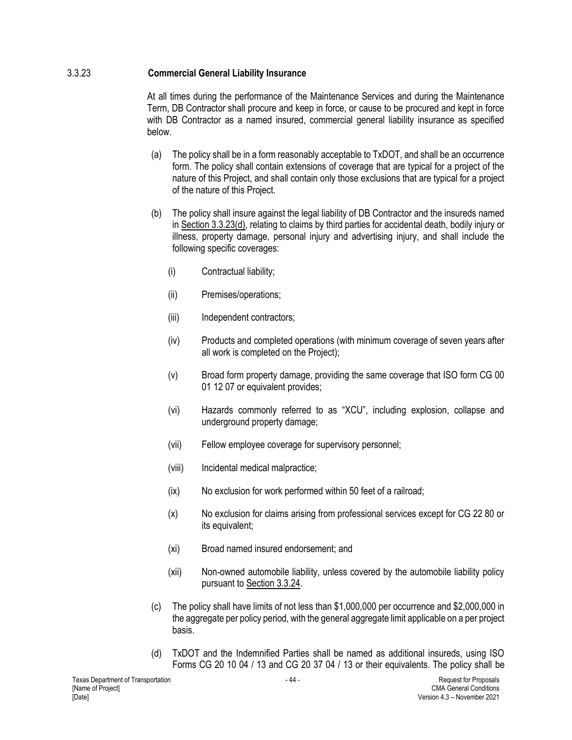## 3.3.23 **Commercial General Liability Insurance**

At all times during the performance of the Maintenance Services and during the Maintenance Term, DB Contractor shall procure and keep in force, or cause to be procured and kept in force with DB Contractor as a named insured, commercial general liability insurance as specified below.

- (a) The policy shall be in a form reasonably acceptable to TxDOT, and shall be an occurrence form. The policy shall contain extensions of coverage that are typical for a project of the nature of this Project, and shall contain only those exclusions that are typical for a project of the nature of this Project.
- (b) The policy shall insure against the legal liability of DB Contractor and the insureds named in Section 3.3.23(d), relating to claims by third parties for accidental death, bodily injury or illness, property damage, personal injury and advertising injury, and shall include the following specific coverages:
	- (i) Contractual liability;
	- (ii) Premises/operations;
	- (iii) Independent contractors;
	- (iv) Products and completed operations (with minimum coverage of seven years after all work is completed on the Project);
	- (v) Broad form property damage, providing the same coverage that ISO form CG 00 01 12 07 or equivalent provides;
	- (vi) Hazards commonly referred to as "XCU", including explosion, collapse and underground property damage;
	- (vii) Fellow employee coverage for supervisory personnel;
	- (viii) Incidental medical malpractice;
	- (ix) No exclusion for work performed within 50 feet of a railroad;
	- (x) No exclusion for claims arising from professional services except for CG 22 80 or its equivalent;
	- (xi) Broad named insured endorsement; and
	- (xii) Non-owned automobile liability, unless covered by the automobile liability policy pursuant to Section 3.3.24.
- (c) The policy shall have limits of not less than \$1,000,000 per occurrence and \$2,000,000 in the aggregate per policy period, with the general aggregate limit applicable on a per project basis.
- (d) TxDOT and the Indemnified Parties shall be named as additional insureds, using ISO Forms CG 20 10 04 / 13 and CG 20 37 04 / 13 or their equivalents. The policy shall be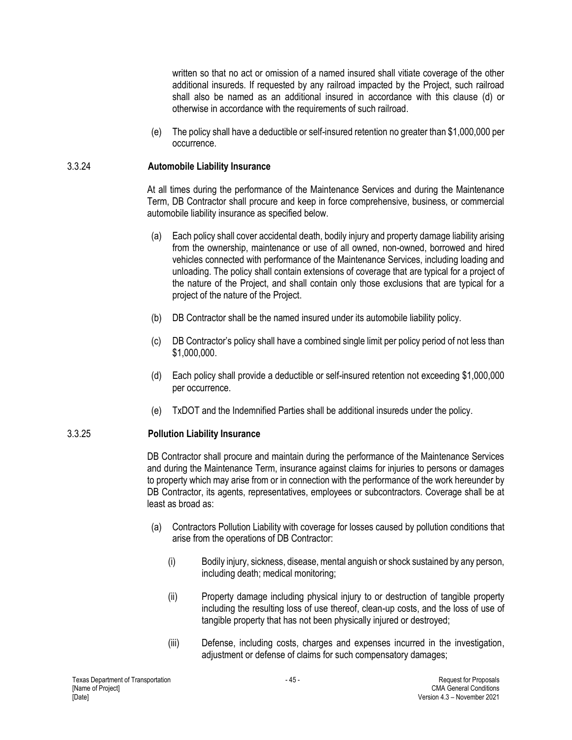written so that no act or omission of a named insured shall vitiate coverage of the other additional insureds. If requested by any railroad impacted by the Project, such railroad shall also be named as an additional insured in accordance with this clause (d) or otherwise in accordance with the requirements of such railroad.

(e) The policy shall have a deductible or self-insured retention no greater than \$1,000,000 per occurrence.

### 3.3.24 **Automobile Liability Insurance**

At all times during the performance of the Maintenance Services and during the Maintenance Term, DB Contractor shall procure and keep in force comprehensive, business, or commercial automobile liability insurance as specified below.

- (a) Each policy shall cover accidental death, bodily injury and property damage liability arising from the ownership, maintenance or use of all owned, non-owned, borrowed and hired vehicles connected with performance of the Maintenance Services, including loading and unloading. The policy shall contain extensions of coverage that are typical for a project of the nature of the Project, and shall contain only those exclusions that are typical for a project of the nature of the Project.
- (b) DB Contractor shall be the named insured under its automobile liability policy.
- (c) DB Contractor's policy shall have a combined single limit per policy period of not less than \$1,000,000.
- (d) Each policy shall provide a deductible or self-insured retention not exceeding \$1,000,000 per occurrence.
- (e) TxDOT and the Indemnified Parties shall be additional insureds under the policy.

### 3.3.25 **Pollution Liability Insurance**

DB Contractor shall procure and maintain during the performance of the Maintenance Services and during the Maintenance Term, insurance against claims for injuries to persons or damages to property which may arise from or in connection with the performance of the work hereunder by DB Contractor, its agents, representatives, employees or subcontractors. Coverage shall be at least as broad as:

- (a) Contractors Pollution Liability with coverage for losses caused by pollution conditions that arise from the operations of DB Contractor:
	- (i) Bodily injury, sickness, disease, mental anguish or shock sustained by any person, including death; medical monitoring;
	- (ii) Property damage including physical injury to or destruction of tangible property including the resulting loss of use thereof, clean-up costs, and the loss of use of tangible property that has not been physically injured or destroyed;
	- (iii) Defense, including costs, charges and expenses incurred in the investigation, adjustment or defense of claims for such compensatory damages;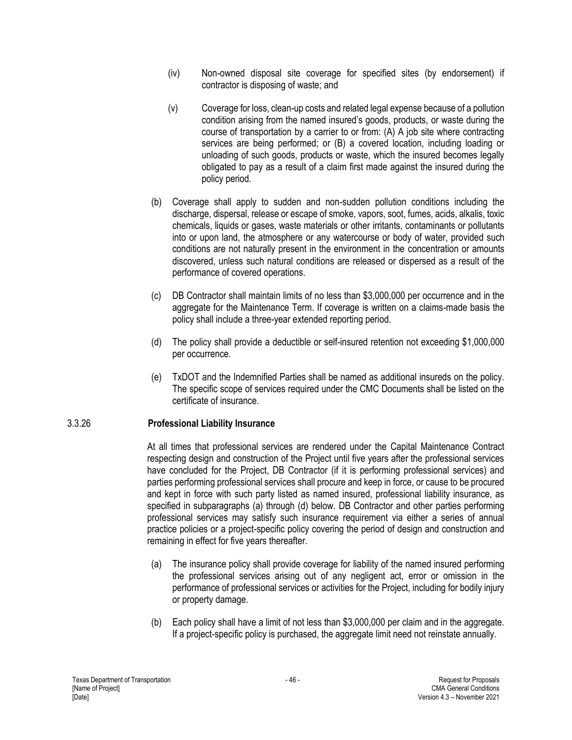- (iv) Non-owned disposal site coverage for specified sites (by endorsement) if contractor is disposing of waste; and
- (v) Coverage for loss, clean-up costs and related legal expense because of a pollution condition arising from the named insured's goods, products, or waste during the course of transportation by a carrier to or from: (A) A job site where contracting services are being performed; or (B) a covered location, including loading or unloading of such goods, products or waste, which the insured becomes legally obligated to pay as a result of a claim first made against the insured during the policy period.
- (b) Coverage shall apply to sudden and non-sudden pollution conditions including the discharge, dispersal, release or escape of smoke, vapors, soot, fumes, acids, alkalis, toxic chemicals, liquids or gases, waste materials or other irritants, contaminants or pollutants into or upon land, the atmosphere or any watercourse or body of water, provided such conditions are not naturally present in the environment in the concentration or amounts discovered, unless such natural conditions are released or dispersed as a result of the performance of covered operations.
- (c) DB Contractor shall maintain limits of no less than \$3,000,000 per occurrence and in the aggregate for the Maintenance Term. If coverage is written on a claims-made basis the policy shall include a three-year extended reporting period.
- (d) The policy shall provide a deductible or self-insured retention not exceeding \$1,000,000 per occurrence.
- (e) TxDOT and the Indemnified Parties shall be named as additional insureds on the policy. The specific scope of services required under the CMC Documents shall be listed on the certificate of insurance.

### 3.3.26 **Professional Liability Insurance**

At all times that professional services are rendered under the Capital Maintenance Contract respecting design and construction of the Project until five years after the professional services have concluded for the Project, DB Contractor (if it is performing professional services) and parties performing professional services shall procure and keep in force, or cause to be procured and kept in force with such party listed as named insured, professional liability insurance, as specified in subparagraphs (a) through (d) below. DB Contractor and other parties performing professional services may satisfy such insurance requirement via either a series of annual practice policies or a project-specific policy covering the period of design and construction and remaining in effect for five years thereafter.

- (a) The insurance policy shall provide coverage for liability of the named insured performing the professional services arising out of any negligent act, error or omission in the performance of professional services or activities for the Project, including for bodily injury or property damage.
- (b) Each policy shall have a limit of not less than \$3,000,000 per claim and in the aggregate. If a project-specific policy is purchased, the aggregate limit need not reinstate annually.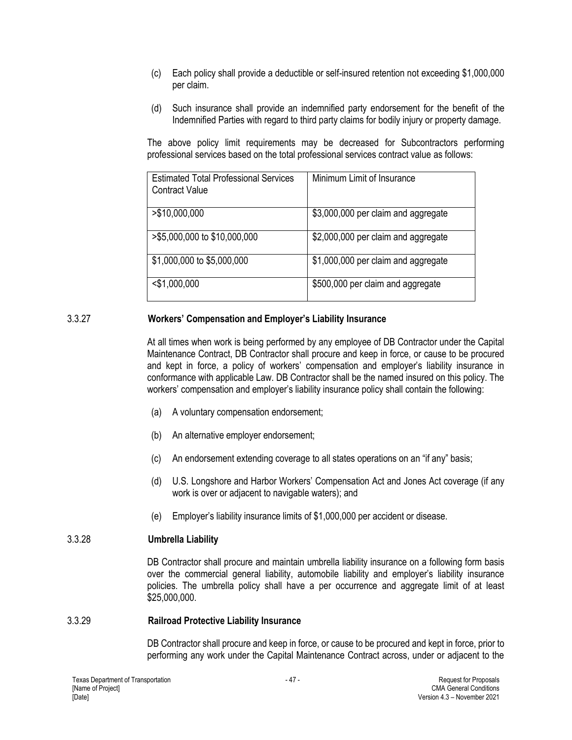- (c) Each policy shall provide a deductible or self-insured retention not exceeding \$1,000,000 per claim.
- (d) Such insurance shall provide an indemnified party endorsement for the benefit of the Indemnified Parties with regard to third party claims for bodily injury or property damage.

The above policy limit requirements may be decreased for Subcontractors performing professional services based on the total professional services contract value as follows:

| <b>Estimated Total Professional Services</b><br><b>Contract Value</b> | Minimum Limit of Insurance          |
|-----------------------------------------------------------------------|-------------------------------------|
| >\$10,000,000                                                         | \$3,000,000 per claim and aggregate |
| >\$5,000,000 to \$10,000,000                                          | \$2,000,000 per claim and aggregate |
| \$1,000,000 to \$5,000,000                                            | \$1,000,000 per claim and aggregate |
| $<$ \$1,000,000                                                       | \$500,000 per claim and aggregate   |

## 3.3.27 **Workers' Compensation and Employer's Liability Insurance**

At all times when work is being performed by any employee of DB Contractor under the Capital Maintenance Contract, DB Contractor shall procure and keep in force, or cause to be procured and kept in force, a policy of workers' compensation and employer's liability insurance in conformance with applicable Law. DB Contractor shall be the named insured on this policy. The workers' compensation and employer's liability insurance policy shall contain the following:

- (a) A voluntary compensation endorsement;
- (b) An alternative employer endorsement;
- (c) An endorsement extending coverage to all states operations on an "if any" basis;
- (d) U.S. Longshore and Harbor Workers' Compensation Act and Jones Act coverage (if any work is over or adjacent to navigable waters); and
- (e) Employer's liability insurance limits of \$1,000,000 per accident or disease.

### 3.3.28 **Umbrella Liability**

DB Contractor shall procure and maintain umbrella liability insurance on a following form basis over the commercial general liability, automobile liability and employer's liability insurance policies. The umbrella policy shall have a per occurrence and aggregate limit of at least \$25,000,000.

#### 3.3.29 **Railroad Protective Liability Insurance**

DB Contractor shall procure and keep in force, or cause to be procured and kept in force, prior to performing any work under the Capital Maintenance Contract across, under or adjacent to the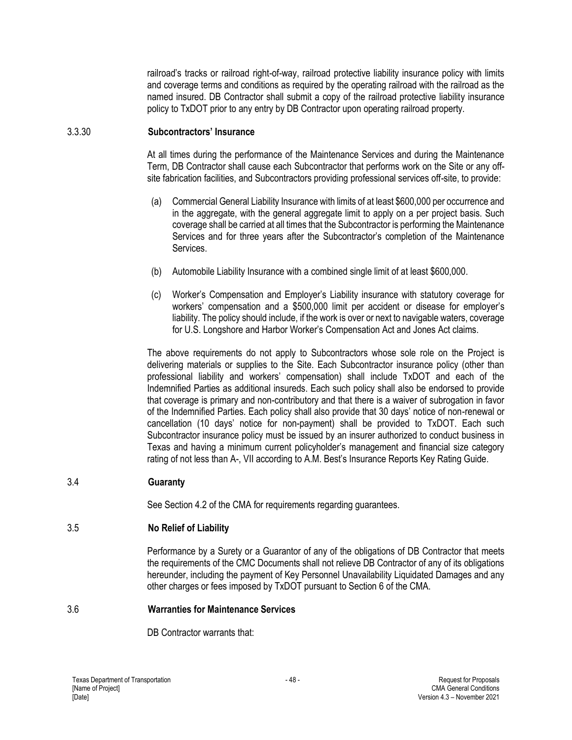railroad's tracks or railroad right-of-way, railroad protective liability insurance policy with limits and coverage terms and conditions as required by the operating railroad with the railroad as the named insured. DB Contractor shall submit a copy of the railroad protective liability insurance policy to TxDOT prior to any entry by DB Contractor upon operating railroad property.

### 3.3.30 **Subcontractors' Insurance**

At all times during the performance of the Maintenance Services and during the Maintenance Term, DB Contractor shall cause each Subcontractor that performs work on the Site or any offsite fabrication facilities, and Subcontractors providing professional services off-site, to provide:

- (a) Commercial General Liability Insurance with limits of at least \$600,000 per occurrence and in the aggregate, with the general aggregate limit to apply on a per project basis. Such coverage shall be carried at all times that the Subcontractor is performing the Maintenance Services and for three years after the Subcontractor's completion of the Maintenance Services.
- (b) Automobile Liability Insurance with a combined single limit of at least \$600,000.
- (c) Worker's Compensation and Employer's Liability insurance with statutory coverage for workers' compensation and a \$500,000 limit per accident or disease for employer's liability. The policy should include, if the work is over or next to navigable waters, coverage for U.S. Longshore and Harbor Worker's Compensation Act and Jones Act claims.

The above requirements do not apply to Subcontractors whose sole role on the Project is delivering materials or supplies to the Site. Each Subcontractor insurance policy (other than professional liability and workers' compensation) shall include TxDOT and each of the Indemnified Parties as additional insureds. Each such policy shall also be endorsed to provide that coverage is primary and non-contributory and that there is a waiver of subrogation in favor of the Indemnified Parties. Each policy shall also provide that 30 days' notice of non-renewal or cancellation (10 days' notice for non-payment) shall be provided to TxDOT. Each such Subcontractor insurance policy must be issued by an insurer authorized to conduct business in Texas and having a minimum current policyholder's management and financial size category rating of not less than A-, VII according to A.M. Best's Insurance Reports Key Rating Guide.

### 3.4 **Guaranty**

See Section 4.2 of the CMA for requirements regarding guarantees.

### 3.5 **No Relief of Liability**

Performance by a Surety or a Guarantor of any of the obligations of DB Contractor that meets the requirements of the CMC Documents shall not relieve DB Contractor of any of its obligations hereunder, including the payment of Key Personnel Unavailability Liquidated Damages and any other charges or fees imposed by TxDOT pursuant to Section 6 of the CMA.

#### 3.6 **Warranties for Maintenance Services**

DB Contractor warrants that: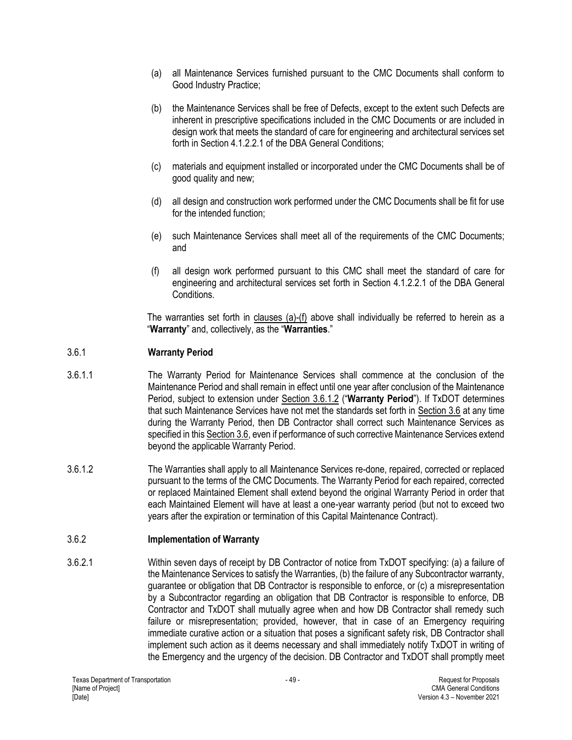- (a) all Maintenance Services furnished pursuant to the CMC Documents shall conform to Good Industry Practice;
- (b) the Maintenance Services shall be free of Defects, except to the extent such Defects are inherent in prescriptive specifications included in the CMC Documents or are included in design work that meets the standard of care for engineering and architectural services set forth in Section 4.1.2.2.1 of the DBA General Conditions;
- (c) materials and equipment installed or incorporated under the CMC Documents shall be of good quality and new;
- (d) all design and construction work performed under the CMC Documents shall be fit for use for the intended function;
- (e) such Maintenance Services shall meet all of the requirements of the CMC Documents; and
- (f) all design work performed pursuant to this CMC shall meet the standard of care for engineering and architectural services set forth in Section 4.1.2.2.1 of the DBA General Conditions.

The warranties set forth in clauses (a)-(f) above shall individually be referred to herein as a "**Warranty**" and, collectively, as the "**Warranties**."

### 3.6.1 **Warranty Period**

- 3.6.1.1 The Warranty Period for Maintenance Services shall commence at the conclusion of the Maintenance Period and shall remain in effect until one year after conclusion of the Maintenance Period, subject to extension under Section 3.6.1.2 ("**Warranty Period**"). If TxDOT determines that such Maintenance Services have not met the standards set forth in Section 3.6 at any time during the Warranty Period, then DB Contractor shall correct such Maintenance Services as specified in this Section 3.6, even if performance of such corrective Maintenance Services extend beyond the applicable Warranty Period.
- 3.6.1.2 The Warranties shall apply to all Maintenance Services re-done, repaired, corrected or replaced pursuant to the terms of the CMC Documents. The Warranty Period for each repaired, corrected or replaced Maintained Element shall extend beyond the original Warranty Period in order that each Maintained Element will have at least a one-year warranty period (but not to exceed two years after the expiration or termination of this Capital Maintenance Contract).

# 3.6.2 **Implementation of Warranty**

3.6.2.1 Within seven days of receipt by DB Contractor of notice from TxDOT specifying: (a) a failure of the Maintenance Services to satisfy the Warranties, (b) the failure of any Subcontractor warranty, guarantee or obligation that DB Contractor is responsible to enforce, or (c) a misrepresentation by a Subcontractor regarding an obligation that DB Contractor is responsible to enforce, DB Contractor and TxDOT shall mutually agree when and how DB Contractor shall remedy such failure or misrepresentation; provided, however, that in case of an Emergency requiring immediate curative action or a situation that poses a significant safety risk, DB Contractor shall implement such action as it deems necessary and shall immediately notify TxDOT in writing of the Emergency and the urgency of the decision. DB Contractor and TxDOT shall promptly meet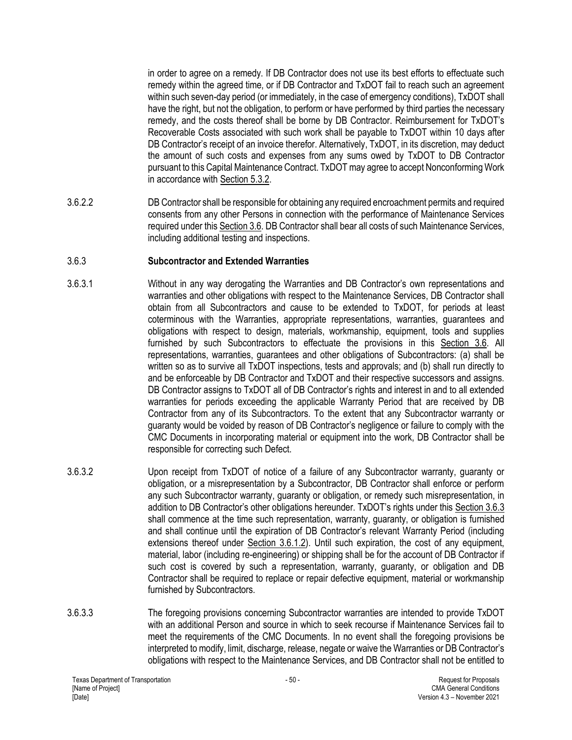in order to agree on a remedy. If DB Contractor does not use its best efforts to effectuate such remedy within the agreed time, or if DB Contractor and TxDOT fail to reach such an agreement within such seven-day period (or immediately, in the case of emergency conditions), TxDOT shall have the right, but not the obligation, to perform or have performed by third parties the necessary remedy, and the costs thereof shall be borne by DB Contractor. Reimbursement for TxDOT's Recoverable Costs associated with such work shall be payable to TxDOT within 10 days after DB Contractor's receipt of an invoice therefor. Alternatively, TxDOT, in its discretion, may deduct the amount of such costs and expenses from any sums owed by TxDOT to DB Contractor pursuant to this Capital Maintenance Contract. TxDOT may agree to accept Nonconforming Work in accordance with Section 5.3.2.

3.6.2.2 DB Contractor shall be responsible for obtaining any required encroachment permits and required consents from any other Persons in connection with the performance of Maintenance Services required under this Section 3.6. DB Contractor shall bear all costs of such Maintenance Services, including additional testing and inspections.

## 3.6.3 **Subcontractor and Extended Warranties**

- 3.6.3.1 Without in any way derogating the Warranties and DB Contractor's own representations and warranties and other obligations with respect to the Maintenance Services, DB Contractor shall obtain from all Subcontractors and cause to be extended to TxDOT, for periods at least coterminous with the Warranties, appropriate representations, warranties, guarantees and obligations with respect to design, materials, workmanship, equipment, tools and supplies furnished by such Subcontractors to effectuate the provisions in this Section 3.6. All representations, warranties, guarantees and other obligations of Subcontractors: (a) shall be written so as to survive all TxDOT inspections, tests and approvals; and (b) shall run directly to and be enforceable by DB Contractor and TxDOT and their respective successors and assigns. DB Contractor assigns to TxDOT all of DB Contractor's rights and interest in and to all extended warranties for periods exceeding the applicable Warranty Period that are received by DB Contractor from any of its Subcontractors. To the extent that any Subcontractor warranty or guaranty would be voided by reason of DB Contractor's negligence or failure to comply with the CMC Documents in incorporating material or equipment into the work, DB Contractor shall be responsible for correcting such Defect.
- 3.6.3.2 Upon receipt from TxDOT of notice of a failure of any Subcontractor warranty, guaranty or obligation, or a misrepresentation by a Subcontractor, DB Contractor shall enforce or perform any such Subcontractor warranty, guaranty or obligation, or remedy such misrepresentation, in addition to DB Contractor's other obligations hereunder. TxDOT's rights under this Section 3.6.3 shall commence at the time such representation, warranty, guaranty, or obligation is furnished and shall continue until the expiration of DB Contractor's relevant Warranty Period (including extensions thereof under Section 3.6.1.2). Until such expiration, the cost of any equipment, material, labor (including re-engineering) or shipping shall be for the account of DB Contractor if such cost is covered by such a representation, warranty, guaranty, or obligation and DB Contractor shall be required to replace or repair defective equipment, material or workmanship furnished by Subcontractors.
- 3.6.3.3 The foregoing provisions concerning Subcontractor warranties are intended to provide TxDOT with an additional Person and source in which to seek recourse if Maintenance Services fail to meet the requirements of the CMC Documents. In no event shall the foregoing provisions be interpreted to modify, limit, discharge, release, negate or waive the Warranties or DB Contractor's obligations with respect to the Maintenance Services, and DB Contractor shall not be entitled to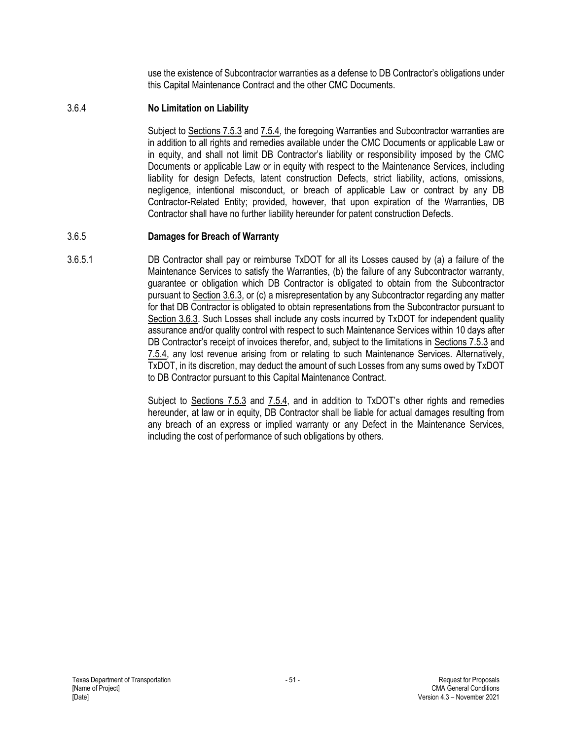use the existence of Subcontractor warranties as a defense to DB Contractor's obligations under this Capital Maintenance Contract and the other CMC Documents.

### 3.6.4 **No Limitation on Liability**

Subject to Sections 7.5.3 and 7.5.4, the foregoing Warranties and Subcontractor warranties are in addition to all rights and remedies available under the CMC Documents or applicable Law or in equity, and shall not limit DB Contractor's liability or responsibility imposed by the CMC Documents or applicable Law or in equity with respect to the Maintenance Services, including liability for design Defects, latent construction Defects, strict liability, actions, omissions, negligence, intentional misconduct, or breach of applicable Law or contract by any DB Contractor-Related Entity; provided, however, that upon expiration of the Warranties, DB Contractor shall have no further liability hereunder for patent construction Defects.

## 3.6.5 **Damages for Breach of Warranty**

3.6.5.1 DB Contractor shall pay or reimburse TxDOT for all its Losses caused by (a) a failure of the Maintenance Services to satisfy the Warranties, (b) the failure of any Subcontractor warranty, guarantee or obligation which DB Contractor is obligated to obtain from the Subcontractor pursuant to Section 3.6.3, or (c) a misrepresentation by any Subcontractor regarding any matter for that DB Contractor is obligated to obtain representations from the Subcontractor pursuant to Section 3.6.3. Such Losses shall include any costs incurred by TxDOT for independent quality assurance and/or quality control with respect to such Maintenance Services within 10 days after DB Contractor's receipt of invoices therefor, and, subject to the limitations in Sections 7.5.3 and 7.5.4, any lost revenue arising from or relating to such Maintenance Services. Alternatively, TxDOT, in its discretion, may deduct the amount of such Losses from any sums owed by TxDOT to DB Contractor pursuant to this Capital Maintenance Contract.

> Subject to Sections 7.5.3 and 7.5.4, and in addition to TxDOT's other rights and remedies hereunder, at law or in equity, DB Contractor shall be liable for actual damages resulting from any breach of an express or implied warranty or any Defect in the Maintenance Services, including the cost of performance of such obligations by others.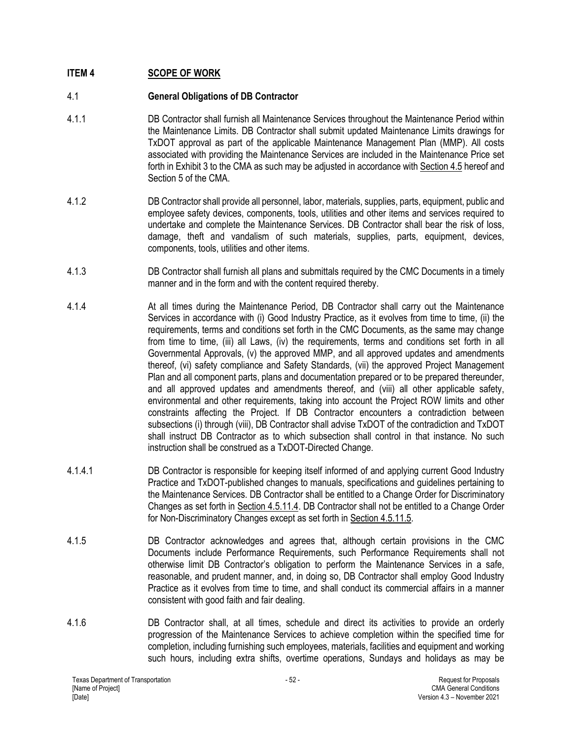# **ITEM 4 SCOPE OF WORK**

## 4.1 **General Obligations of DB Contractor**

- 4.1.1 DB Contractor shall furnish all Maintenance Services throughout the Maintenance Period within the Maintenance Limits. DB Contractor shall submit updated Maintenance Limits drawings for TxDOT approval as part of the applicable Maintenance Management Plan (MMP). All costs associated with providing the Maintenance Services are included in the Maintenance Price set forth in Exhibit 3 to the CMA as such may be adjusted in accordance with Section 4.5 hereof and Section 5 of the CMA.
- 4.1.2 DB Contractor shall provide all personnel, labor, materials, supplies, parts, equipment, public and employee safety devices, components, tools, utilities and other items and services required to undertake and complete the Maintenance Services. DB Contractor shall bear the risk of loss, damage, theft and vandalism of such materials, supplies, parts, equipment, devices, components, tools, utilities and other items.
- 4.1.3 DB Contractor shall furnish all plans and submittals required by the CMC Documents in a timely manner and in the form and with the content required thereby.
- 4.1.4 At all times during the Maintenance Period, DB Contractor shall carry out the Maintenance Services in accordance with (i) Good Industry Practice, as it evolves from time to time, (ii) the requirements, terms and conditions set forth in the CMC Documents, as the same may change from time to time, (iii) all Laws, (iv) the requirements, terms and conditions set forth in all Governmental Approvals, (v) the approved MMP, and all approved updates and amendments thereof, (vi) safety compliance and Safety Standards, (vii) the approved Project Management Plan and all component parts, plans and documentation prepared or to be prepared thereunder, and all approved updates and amendments thereof, and (viii) all other applicable safety, environmental and other requirements, taking into account the Project ROW limits and other constraints affecting the Project. If DB Contractor encounters a contradiction between subsections (i) through (viii), DB Contractor shall advise TxDOT of the contradiction and TxDOT shall instruct DB Contractor as to which subsection shall control in that instance. No such instruction shall be construed as a TxDOT-Directed Change.
- 4.1.4.1 DB Contractor is responsible for keeping itself informed of and applying current Good Industry Practice and TxDOT-published changes to manuals, specifications and guidelines pertaining to the Maintenance Services. DB Contractor shall be entitled to a Change Order for Discriminatory Changes as set forth in Section 4.5.11.4. DB Contractor shall not be entitled to a Change Order for Non-Discriminatory Changes except as set forth in Section 4.5.11.5.
- 4.1.5 DB Contractor acknowledges and agrees that, although certain provisions in the CMC Documents include Performance Requirements, such Performance Requirements shall not otherwise limit DB Contractor's obligation to perform the Maintenance Services in a safe, reasonable, and prudent manner, and, in doing so, DB Contractor shall employ Good Industry Practice as it evolves from time to time, and shall conduct its commercial affairs in a manner consistent with good faith and fair dealing.
- 4.1.6 DB Contractor shall, at all times, schedule and direct its activities to provide an orderly progression of the Maintenance Services to achieve completion within the specified time for completion, including furnishing such employees, materials, facilities and equipment and working such hours, including extra shifts, overtime operations, Sundays and holidays as may be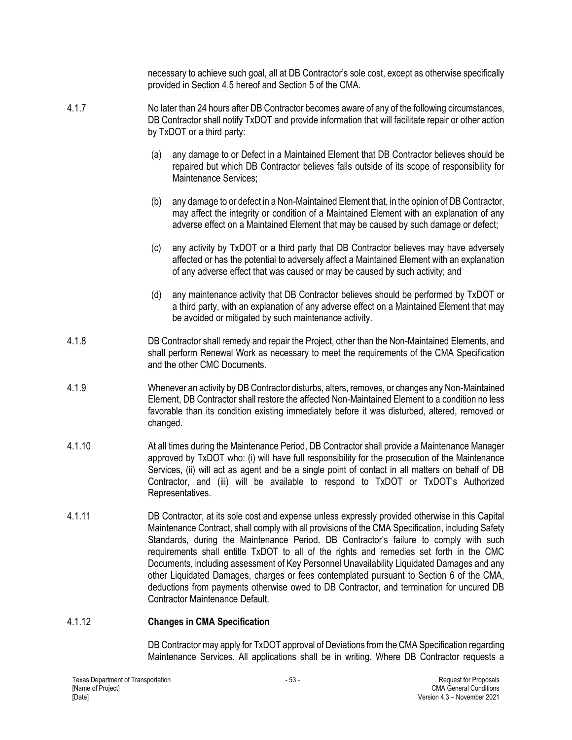necessary to achieve such goal, all at DB Contractor's sole cost, except as otherwise specifically provided in Section 4.5 hereof and Section 5 of the CMA.

- 4.1.7 No later than 24 hours after DB Contractor becomes aware of any of the following circumstances, DB Contractor shall notify TxDOT and provide information that will facilitate repair or other action by TxDOT or a third party:
	- (a) any damage to or Defect in a Maintained Element that DB Contractor believes should be repaired but which DB Contractor believes falls outside of its scope of responsibility for Maintenance Services;
	- (b) any damage to or defect in a Non-Maintained Element that, in the opinion of DB Contractor, may affect the integrity or condition of a Maintained Element with an explanation of any adverse effect on a Maintained Element that may be caused by such damage or defect;
	- (c) any activity by TxDOT or a third party that DB Contractor believes may have adversely affected or has the potential to adversely affect a Maintained Element with an explanation of any adverse effect that was caused or may be caused by such activity; and
	- (d) any maintenance activity that DB Contractor believes should be performed by TxDOT or a third party, with an explanation of any adverse effect on a Maintained Element that may be avoided or mitigated by such maintenance activity.
- 4.1.8 DB Contractor shall remedy and repair the Project, other than the Non-Maintained Elements, and shall perform Renewal Work as necessary to meet the requirements of the CMA Specification and the other CMC Documents.
- 4.1.9 Whenever an activity by DB Contractor disturbs, alters, removes, or changes any Non-Maintained Element, DB Contractor shall restore the affected Non-Maintained Element to a condition no less favorable than its condition existing immediately before it was disturbed, altered, removed or changed.
- 4.1.10 At all times during the Maintenance Period, DB Contractor shall provide a Maintenance Manager approved by TxDOT who: (i) will have full responsibility for the prosecution of the Maintenance Services, (ii) will act as agent and be a single point of contact in all matters on behalf of DB Contractor, and (iii) will be available to respond to TxDOT or TxDOT's Authorized Representatives.
- 4.1.11 DB Contractor, at its sole cost and expense unless expressly provided otherwise in this Capital Maintenance Contract, shall comply with all provisions of the CMA Specification, including Safety Standards, during the Maintenance Period. DB Contractor's failure to comply with such requirements shall entitle TxDOT to all of the rights and remedies set forth in the CMC Documents, including assessment of Key Personnel Unavailability Liquidated Damages and any other Liquidated Damages, charges or fees contemplated pursuant to Section 6 of the CMA, deductions from payments otherwise owed to DB Contractor, and termination for uncured DB Contractor Maintenance Default.

### 4.1.12 **Changes in CMA Specification**

DB Contractor may apply for TxDOT approval of Deviations from the CMA Specification regarding Maintenance Services. All applications shall be in writing. Where DB Contractor requests a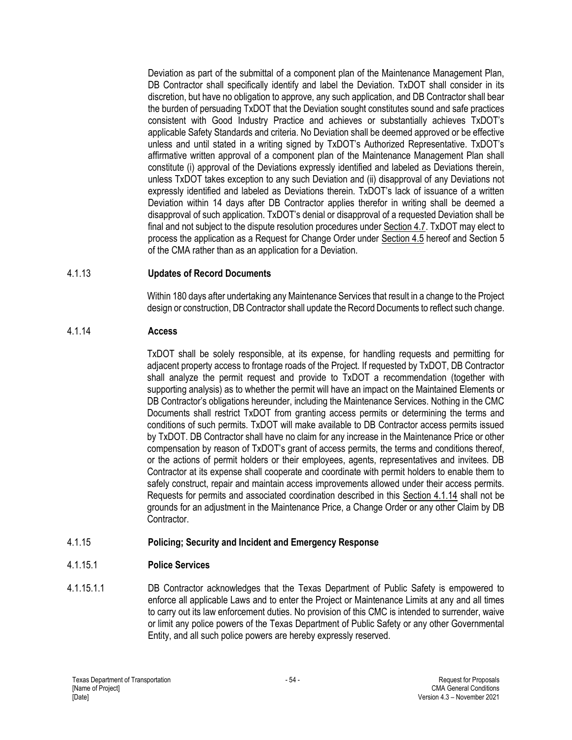Deviation as part of the submittal of a component plan of the Maintenance Management Plan, DB Contractor shall specifically identify and label the Deviation. TxDOT shall consider in its discretion, but have no obligation to approve, any such application, and DB Contractor shall bear the burden of persuading TxDOT that the Deviation sought constitutes sound and safe practices consistent with Good Industry Practice and achieves or substantially achieves TxDOT's applicable Safety Standards and criteria. No Deviation shall be deemed approved or be effective unless and until stated in a writing signed by TxDOT's Authorized Representative. TxDOT's affirmative written approval of a component plan of the Maintenance Management Plan shall constitute (i) approval of the Deviations expressly identified and labeled as Deviations therein, unless TxDOT takes exception to any such Deviation and (ii) disapproval of any Deviations not expressly identified and labeled as Deviations therein. TxDOT's lack of issuance of a written Deviation within 14 days after DB Contractor applies therefor in writing shall be deemed a disapproval of such application. TxDOT's denial or disapproval of a requested Deviation shall be final and not subject to the dispute resolution procedures under Section 4.7. TxDOT may elect to process the application as a Request for Change Order under Section 4.5 hereof and Section 5 of the CMA rather than as an application for a Deviation.

## 4.1.13 **Updates of Record Documents**

Within 180 days after undertaking any Maintenance Services that result in a change to the Project design or construction, DB Contractor shall update the Record Documents to reflect such change.

## 4.1.14 **Access**

TxDOT shall be solely responsible, at its expense, for handling requests and permitting for adjacent property access to frontage roads of the Project. If requested by TxDOT, DB Contractor shall analyze the permit request and provide to TxDOT a recommendation (together with supporting analysis) as to whether the permit will have an impact on the Maintained Elements or DB Contractor's obligations hereunder, including the Maintenance Services. Nothing in the CMC Documents shall restrict TxDOT from granting access permits or determining the terms and conditions of such permits. TxDOT will make available to DB Contractor access permits issued by TxDOT. DB Contractor shall have no claim for any increase in the Maintenance Price or other compensation by reason of TxDOT's grant of access permits, the terms and conditions thereof, or the actions of permit holders or their employees, agents, representatives and invitees. DB Contractor at its expense shall cooperate and coordinate with permit holders to enable them to safely construct, repair and maintain access improvements allowed under their access permits. Requests for permits and associated coordination described in this Section 4.1.14 shall not be grounds for an adjustment in the Maintenance Price, a Change Order or any other Claim by DB Contractor.

# 4.1.15 **Policing; Security and Incident and Emergency Response**

# 4.1.15.1 **Police Services**

4.1.15.1.1 DB Contractor acknowledges that the Texas Department of Public Safety is empowered to enforce all applicable Laws and to enter the Project or Maintenance Limits at any and all times to carry out its law enforcement duties. No provision of this CMC is intended to surrender, waive or limit any police powers of the Texas Department of Public Safety or any other Governmental Entity, and all such police powers are hereby expressly reserved.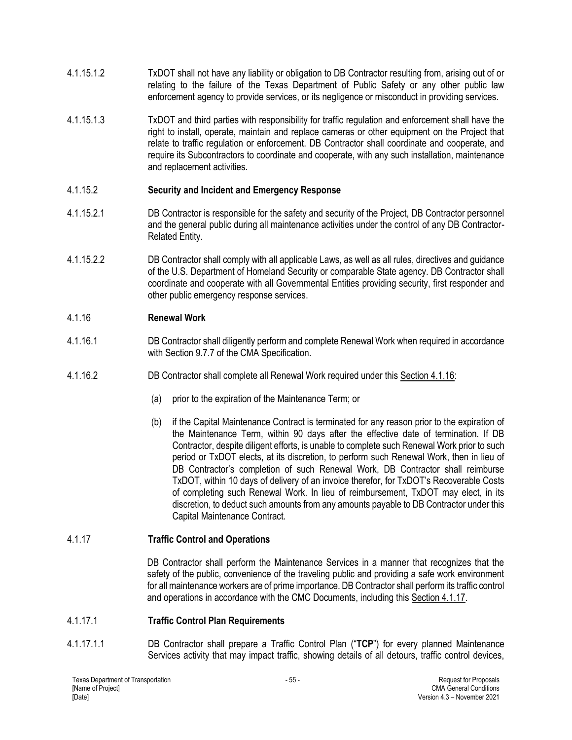- 4.1.15.1.2 TxDOT shall not have any liability or obligation to DB Contractor resulting from, arising out of or relating to the failure of the Texas Department of Public Safety or any other public law enforcement agency to provide services, or its negligence or misconduct in providing services.
- 4.1.15.1.3 TxDOT and third parties with responsibility for traffic regulation and enforcement shall have the right to install, operate, maintain and replace cameras or other equipment on the Project that relate to traffic regulation or enforcement. DB Contractor shall coordinate and cooperate, and require its Subcontractors to coordinate and cooperate, with any such installation, maintenance and replacement activities.

### 4.1.15.2 **Security and Incident and Emergency Response**

- 4.1.15.2.1 DB Contractor is responsible for the safety and security of the Project, DB Contractor personnel and the general public during all maintenance activities under the control of any DB Contractor-Related Entity.
- 4.1.15.2.2 DB Contractor shall comply with all applicable Laws, as well as all rules, directives and guidance of the U.S. Department of Homeland Security or comparable State agency. DB Contractor shall coordinate and cooperate with all Governmental Entities providing security, first responder and other public emergency response services.

# 4.1.16 **Renewal Work**

- 4.1.16.1 DB Contractor shall diligently perform and complete Renewal Work when required in accordance with Section 9.7.7 of the CMA Specification.
- 4.1.16.2 DB Contractor shall complete all Renewal Work required under this Section 4.1.16:
	- (a) prior to the expiration of the Maintenance Term; or
	- (b) if the Capital Maintenance Contract is terminated for any reason prior to the expiration of the Maintenance Term, within 90 days after the effective date of termination. If DB Contractor, despite diligent efforts, is unable to complete such Renewal Work prior to such period or TxDOT elects, at its discretion, to perform such Renewal Work, then in lieu of DB Contractor's completion of such Renewal Work, DB Contractor shall reimburse TxDOT, within 10 days of delivery of an invoice therefor, for TxDOT's Recoverable Costs of completing such Renewal Work. In lieu of reimbursement, TxDOT may elect, in its discretion, to deduct such amounts from any amounts payable to DB Contractor under this Capital Maintenance Contract.

# 4.1.17 **Traffic Control and Operations**

DB Contractor shall perform the Maintenance Services in a manner that recognizes that the safety of the public, convenience of the traveling public and providing a safe work environment for all maintenance workers are of prime importance. DB Contractor shall perform its traffic control and operations in accordance with the CMC Documents, including this Section 4.1.17.

### 4.1.17.1 **Traffic Control Plan Requirements**

4.1.17.1.1 DB Contractor shall prepare a Traffic Control Plan ("**TCP**") for every planned Maintenance Services activity that may impact traffic, showing details of all detours, traffic control devices,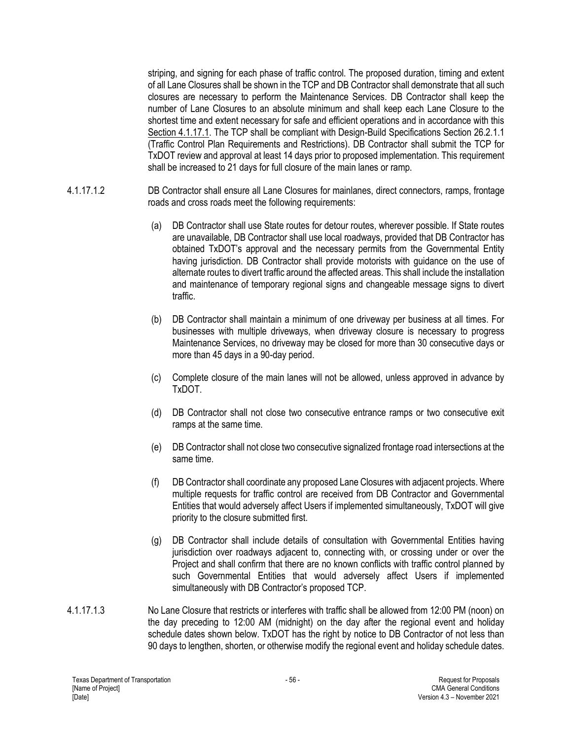striping, and signing for each phase of traffic control. The proposed duration, timing and extent of all Lane Closures shall be shown in the TCP and DB Contractor shall demonstrate that all such closures are necessary to perform the Maintenance Services. DB Contractor shall keep the number of Lane Closures to an absolute minimum and shall keep each Lane Closure to the shortest time and extent necessary for safe and efficient operations and in accordance with this Section 4.1.17.1. The TCP shall be compliant with Design-Build Specifications Section 26.2.1.1 (Traffic Control Plan Requirements and Restrictions). DB Contractor shall submit the TCP for TxDOT review and approval at least 14 days prior to proposed implementation. This requirement shall be increased to 21 days for full closure of the main lanes or ramp.

- 4.1.17.1.2 DB Contractor shall ensure all Lane Closures for mainlanes, direct connectors, ramps, frontage roads and cross roads meet the following requirements:
	- (a) DB Contractor shall use State routes for detour routes, wherever possible. If State routes are unavailable, DB Contractor shall use local roadways, provided that DB Contractor has obtained TxDOT's approval and the necessary permits from the Governmental Entity having jurisdiction. DB Contractor shall provide motorists with guidance on the use of alternate routes to divert traffic around the affected areas. This shall include the installation and maintenance of temporary regional signs and changeable message signs to divert traffic.
	- (b) DB Contractor shall maintain a minimum of one driveway per business at all times. For businesses with multiple driveways, when driveway closure is necessary to progress Maintenance Services, no driveway may be closed for more than 30 consecutive days or more than 45 days in a 90-day period.
	- (c) Complete closure of the main lanes will not be allowed, unless approved in advance by TxDOT.
	- (d) DB Contractor shall not close two consecutive entrance ramps or two consecutive exit ramps at the same time.
	- (e) DB Contractor shall not close two consecutive signalized frontage road intersections at the same time.
	- (f) DB Contractor shall coordinate any proposed Lane Closures with adjacent projects. Where multiple requests for traffic control are received from DB Contractor and Governmental Entities that would adversely affect Users if implemented simultaneously, TxDOT will give priority to the closure submitted first.
	- (g) DB Contractor shall include details of consultation with Governmental Entities having jurisdiction over roadways adjacent to, connecting with, or crossing under or over the Project and shall confirm that there are no known conflicts with traffic control planned by such Governmental Entities that would adversely affect Users if implemented simultaneously with DB Contractor's proposed TCP.
- 4.1.17.1.3 No Lane Closure that restricts or interferes with traffic shall be allowed from 12:00 PM (noon) on the day preceding to 12:00 AM (midnight) on the day after the regional event and holiday schedule dates shown below. TxDOT has the right by notice to DB Contractor of not less than 90 days to lengthen, shorten, or otherwise modify the regional event and holiday schedule dates.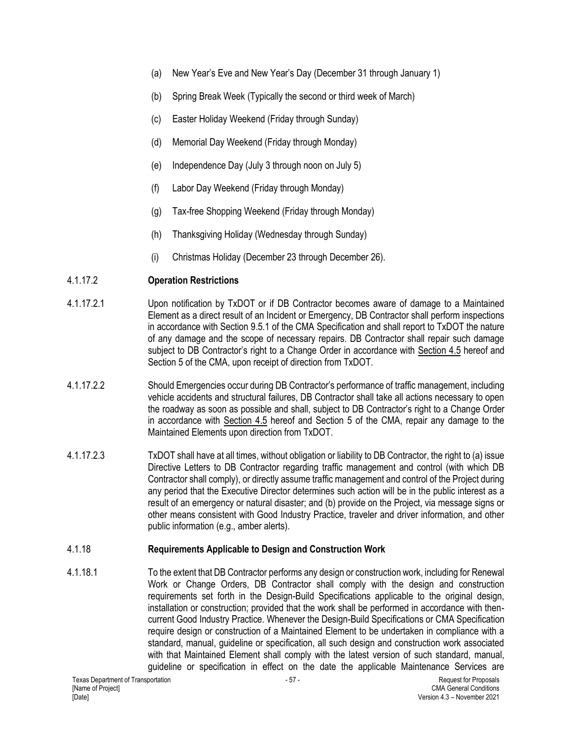- (a) New Year's Eve and New Year's Day (December 31 through January 1)
- (b) Spring Break Week (Typically the second or third week of March)
- (c) Easter Holiday Weekend (Friday through Sunday)
- (d) Memorial Day Weekend (Friday through Monday)
- (e) Independence Day (July 3 through noon on July 5)
- (f) Labor Day Weekend (Friday through Monday)
- (g) Tax-free Shopping Weekend (Friday through Monday)
- (h) Thanksgiving Holiday (Wednesday through Sunday)
- (i) Christmas Holiday (December 23 through December 26).

# 4.1.17.2 **Operation Restrictions**

- 4.1.17.2.1 Upon notification by TxDOT or if DB Contractor becomes aware of damage to a Maintained Element as a direct result of an Incident or Emergency, DB Contractor shall perform inspections in accordance with Section 9.5.1 of the CMA Specification and shall report to TxDOT the nature of any damage and the scope of necessary repairs. DB Contractor shall repair such damage subject to DB Contractor's right to a Change Order in accordance with Section 4.5 hereof and Section 5 of the CMA, upon receipt of direction from TxDOT.
- 4.1.17.2.2 Should Emergencies occur during DB Contractor's performance of traffic management, including vehicle accidents and structural failures, DB Contractor shall take all actions necessary to open the roadway as soon as possible and shall, subject to DB Contractor's right to a Change Order in accordance with Section 4.5 hereof and Section 5 of the CMA, repair any damage to the Maintained Elements upon direction from TxDOT.
- 4.1.17.2.3 TxDOT shall have at all times, without obligation or liability to DB Contractor, the right to (a) issue Directive Letters to DB Contractor regarding traffic management and control (with which DB Contractor shall comply), or directly assume traffic management and control of the Project during any period that the Executive Director determines such action will be in the public interest as a result of an emergency or natural disaster; and (b) provide on the Project, via message signs or other means consistent with Good Industry Practice, traveler and driver information, and other public information (e.g., amber alerts).

# 4.1.18 **Requirements Applicable to Design and Construction Work**

4.1.18.1 To the extent that DB Contractor performs any design or construction work, including for Renewal Work or Change Orders, DB Contractor shall comply with the design and construction requirements set forth in the Design-Build Specifications applicable to the original design, installation or construction; provided that the work shall be performed in accordance with thencurrent Good Industry Practice. Whenever the Design-Build Specifications or CMA Specification require design or construction of a Maintained Element to be undertaken in compliance with a standard, manual, guideline or specification, all such design and construction work associated with that Maintained Element shall comply with the latest version of such standard, manual, guideline or specification in effect on the date the applicable Maintenance Services are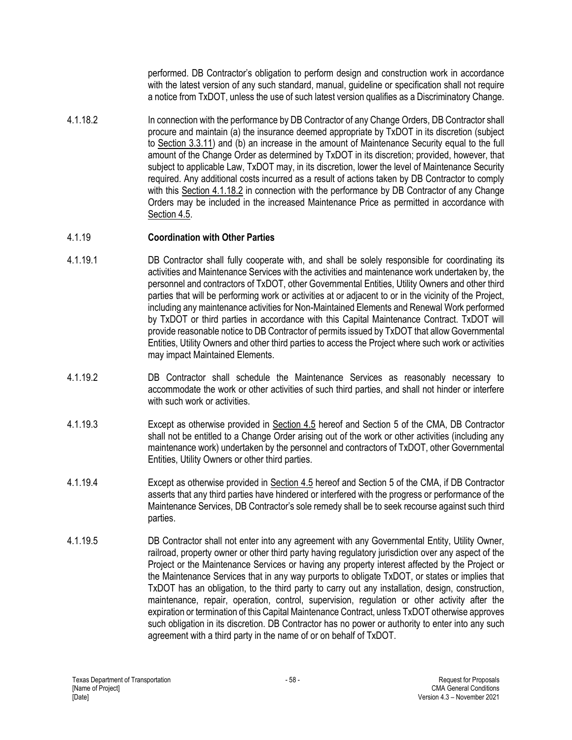performed. DB Contractor's obligation to perform design and construction work in accordance with the latest version of any such standard, manual, guideline or specification shall not require a notice from TxDOT, unless the use of such latest version qualifies as a Discriminatory Change.

4.1.18.2 In connection with the performance by DB Contractor of any Change Orders, DB Contractor shall procure and maintain (a) the insurance deemed appropriate by TxDOT in its discretion (subject to Section 3.3.11) and (b) an increase in the amount of Maintenance Security equal to the full amount of the Change Order as determined by TxDOT in its discretion; provided, however, that subject to applicable Law, TxDOT may, in its discretion, lower the level of Maintenance Security required. Any additional costs incurred as a result of actions taken by DB Contractor to comply with this Section 4.1.18.2 in connection with the performance by DB Contractor of any Change Orders may be included in the increased Maintenance Price as permitted in accordance with Section 4.5.

## 4.1.19 **Coordination with Other Parties**

- 4.1.19.1 DB Contractor shall fully cooperate with, and shall be solely responsible for coordinating its activities and Maintenance Services with the activities and maintenance work undertaken by, the personnel and contractors of TxDOT, other Governmental Entities, Utility Owners and other third parties that will be performing work or activities at or adjacent to or in the vicinity of the Project, including any maintenance activities for Non-Maintained Elements and Renewal Work performed by TxDOT or third parties in accordance with this Capital Maintenance Contract. TxDOT will provide reasonable notice to DB Contractor of permits issued by TxDOT that allow Governmental Entities, Utility Owners and other third parties to access the Project where such work or activities may impact Maintained Elements.
- 4.1.19.2 DB Contractor shall schedule the Maintenance Services as reasonably necessary to accommodate the work or other activities of such third parties, and shall not hinder or interfere with such work or activities.
- 4.1.19.3 Except as otherwise provided in Section 4.5 hereof and Section 5 of the CMA, DB Contractor shall not be entitled to a Change Order arising out of the work or other activities (including any maintenance work) undertaken by the personnel and contractors of TxDOT, other Governmental Entities, Utility Owners or other third parties.
- 4.1.19.4 Except as otherwise provided in Section 4.5 hereof and Section 5 of the CMA, if DB Contractor asserts that any third parties have hindered or interfered with the progress or performance of the Maintenance Services, DB Contractor's sole remedy shall be to seek recourse against such third parties.
- 4.1.19.5 DB Contractor shall not enter into any agreement with any Governmental Entity, Utility Owner, railroad, property owner or other third party having regulatory jurisdiction over any aspect of the Project or the Maintenance Services or having any property interest affected by the Project or the Maintenance Services that in any way purports to obligate TxDOT, or states or implies that TxDOT has an obligation, to the third party to carry out any installation, design, construction, maintenance, repair, operation, control, supervision, regulation or other activity after the expiration or termination of this Capital Maintenance Contract, unless TxDOT otherwise approves such obligation in its discretion. DB Contractor has no power or authority to enter into any such agreement with a third party in the name of or on behalf of TxDOT.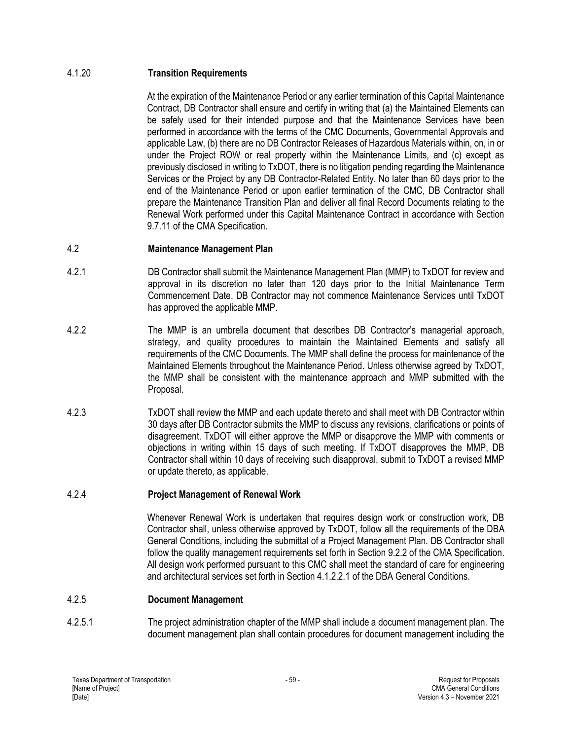## 4.1.20 **Transition Requirements**

At the expiration of the Maintenance Period or any earlier termination of this Capital Maintenance Contract, DB Contractor shall ensure and certify in writing that (a) the Maintained Elements can be safely used for their intended purpose and that the Maintenance Services have been performed in accordance with the terms of the CMC Documents, Governmental Approvals and applicable Law, (b) there are no DB Contractor Releases of Hazardous Materials within, on, in or under the Project ROW or real property within the Maintenance Limits, and (c) except as previously disclosed in writing to TxDOT, there is no litigation pending regarding the Maintenance Services or the Project by any DB Contractor-Related Entity. No later than 60 days prior to the end of the Maintenance Period or upon earlier termination of the CMC, DB Contractor shall prepare the Maintenance Transition Plan and deliver all final Record Documents relating to the Renewal Work performed under this Capital Maintenance Contract in accordance with Section 9.7.11 of the CMA Specification.

## 4.2 **Maintenance Management Plan**

- 4.2.1 DB Contractor shall submit the Maintenance Management Plan (MMP) to TxDOT for review and approval in its discretion no later than 120 days prior to the Initial Maintenance Term Commencement Date. DB Contractor may not commence Maintenance Services until TxDOT has approved the applicable MMP.
- 4.2.2 The MMP is an umbrella document that describes DB Contractor's managerial approach, strategy, and quality procedures to maintain the Maintained Elements and satisfy all requirements of the CMC Documents. The MMP shall define the process for maintenance of the Maintained Elements throughout the Maintenance Period. Unless otherwise agreed by TxDOT, the MMP shall be consistent with the maintenance approach and MMP submitted with the Proposal.
- 4.2.3 TxDOT shall review the MMP and each update thereto and shall meet with DB Contractor within 30 days after DB Contractor submits the MMP to discuss any revisions, clarifications or points of disagreement. TxDOT will either approve the MMP or disapprove the MMP with comments or objections in writing within 15 days of such meeting. If TxDOT disapproves the MMP, DB Contractor shall within 10 days of receiving such disapproval, submit to TxDOT a revised MMP or update thereto, as applicable.

### 4.2.4 **Project Management of Renewal Work**

Whenever Renewal Work is undertaken that requires design work or construction work, DB Contractor shall, unless otherwise approved by TxDOT, follow all the requirements of the DBA General Conditions, including the submittal of a Project Management Plan. DB Contractor shall follow the quality management requirements set forth in Section 9.2.2 of the CMA Specification. All design work performed pursuant to this CMC shall meet the standard of care for engineering and architectural services set forth in Section 4.1.2.2.1 of the DBA General Conditions.

### 4.2.5 **Document Management**

4.2.5.1 The project administration chapter of the MMP shall include a document management plan. The document management plan shall contain procedures for document management including the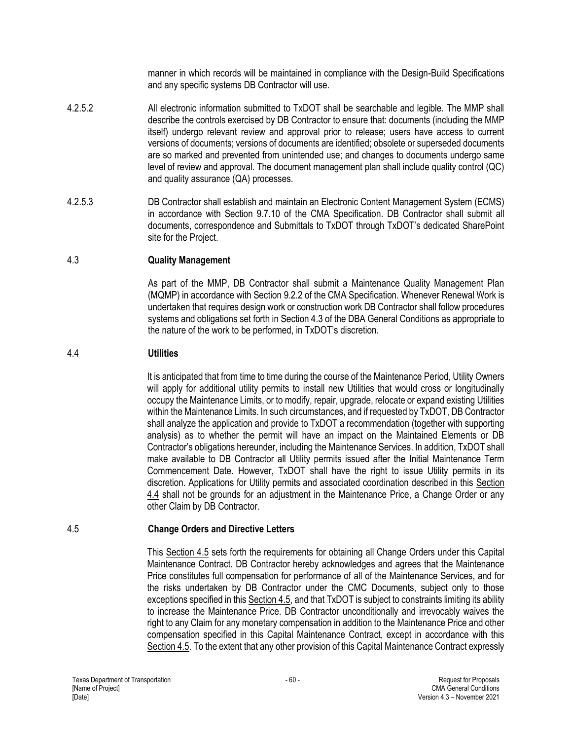manner in which records will be maintained in compliance with the Design-Build Specifications and any specific systems DB Contractor will use.

- 4.2.5.2 All electronic information submitted to TxDOT shall be searchable and legible. The MMP shall describe the controls exercised by DB Contractor to ensure that: documents (including the MMP itself) undergo relevant review and approval prior to release; users have access to current versions of documents; versions of documents are identified; obsolete or superseded documents are so marked and prevented from unintended use; and changes to documents undergo same level of review and approval. The document management plan shall include quality control (QC) and quality assurance (QA) processes.
- 4.2.5.3 DB Contractor shall establish and maintain an Electronic Content Management System (ECMS) in accordance with Section 9.7.10 of the CMA Specification. DB Contractor shall submit all documents, correspondence and Submittals to TxDOT through TxDOT's dedicated SharePoint site for the Project.

### 4.3 **Quality Management**

As part of the MMP, DB Contractor shall submit a Maintenance Quality Management Plan (MQMP) in accordance with Section 9.2.2 of the CMA Specification. Whenever Renewal Work is undertaken that requires design work or construction work DB Contractor shall follow procedures systems and obligations set forth in Section 4.3 of the DBA General Conditions as appropriate to the nature of the work to be performed, in TxDOT's discretion.

#### 4.4 **Utilities**

It is anticipated that from time to time during the course of the Maintenance Period, Utility Owners will apply for additional utility permits to install new Utilities that would cross or longitudinally occupy the Maintenance Limits, or to modify, repair, upgrade, relocate or expand existing Utilities within the Maintenance Limits. In such circumstances, and if requested by TxDOT, DB Contractor shall analyze the application and provide to TxDOT a recommendation (together with supporting analysis) as to whether the permit will have an impact on the Maintained Elements or DB Contractor's obligations hereunder, including the Maintenance Services. In addition, TxDOT shall make available to DB Contractor all Utility permits issued after the Initial Maintenance Term Commencement Date. However, TxDOT shall have the right to issue Utility permits in its discretion. Applications for Utility permits and associated coordination described in this Section 4.4 shall not be grounds for an adjustment in the Maintenance Price, a Change Order or any other Claim by DB Contractor.

### 4.5 **Change Orders and Directive Letters**

This Section 4.5 sets forth the requirements for obtaining all Change Orders under this Capital Maintenance Contract. DB Contractor hereby acknowledges and agrees that the Maintenance Price constitutes full compensation for performance of all of the Maintenance Services, and for the risks undertaken by DB Contractor under the CMC Documents, subject only to those exceptions specified in this Section 4.5, and that TxDOT is subject to constraints limiting its ability to increase the Maintenance Price. DB Contractor unconditionally and irrevocably waives the right to any Claim for any monetary compensation in addition to the Maintenance Price and other compensation specified in this Capital Maintenance Contract, except in accordance with this Section 4.5. To the extent that any other provision of this Capital Maintenance Contract expressly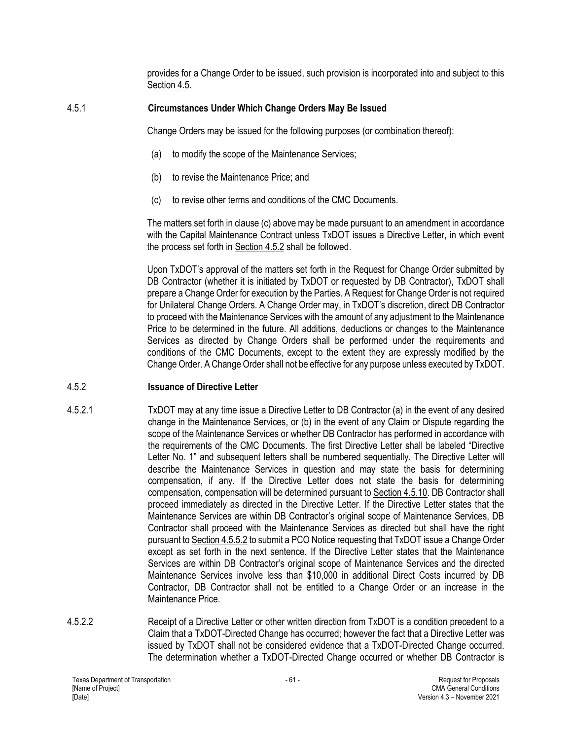provides for a Change Order to be issued, such provision is incorporated into and subject to this Section 4.5.

### 4.5.1 **Circumstances Under Which Change Orders May Be Issued**

Change Orders may be issued for the following purposes (or combination thereof):

- (a) to modify the scope of the Maintenance Services;
- (b) to revise the Maintenance Price; and
- (c) to revise other terms and conditions of the CMC Documents.

The matters set forth in clause (c) above may be made pursuant to an amendment in accordance with the Capital Maintenance Contract unless TxDOT issues a Directive Letter, in which event the process set forth in Section 4.5.2 shall be followed.

Upon TxDOT's approval of the matters set forth in the Request for Change Order submitted by DB Contractor (whether it is initiated by TxDOT or requested by DB Contractor), TxDOT shall prepare a Change Order for execution by the Parties. A Request for Change Order is not required for Unilateral Change Orders. A Change Order may, in TxDOT's discretion, direct DB Contractor to proceed with the Maintenance Services with the amount of any adjustment to the Maintenance Price to be determined in the future. All additions, deductions or changes to the Maintenance Services as directed by Change Orders shall be performed under the requirements and conditions of the CMC Documents, except to the extent they are expressly modified by the Change Order. A Change Order shall not be effective for any purpose unless executed by TxDOT.

# 4.5.2 **Issuance of Directive Letter**

- 4.5.2.1 TxDOT may at any time issue a Directive Letter to DB Contractor (a) in the event of any desired change in the Maintenance Services, or (b) in the event of any Claim or Dispute regarding the scope of the Maintenance Services or whether DB Contractor has performed in accordance with the requirements of the CMC Documents. The first Directive Letter shall be labeled "Directive Letter No. 1" and subsequent letters shall be numbered sequentially. The Directive Letter will describe the Maintenance Services in question and may state the basis for determining compensation, if any. If the Directive Letter does not state the basis for determining compensation, compensation will be determined pursuant to Section 4.5.10. DB Contractor shall proceed immediately as directed in the Directive Letter. If the Directive Letter states that the Maintenance Services are within DB Contractor's original scope of Maintenance Services, DB Contractor shall proceed with the Maintenance Services as directed but shall have the right pursuant to Section 4.5.5.2 to submit a PCO Notice requesting that TxDOT issue a Change Order except as set forth in the next sentence. If the Directive Letter states that the Maintenance Services are within DB Contractor's original scope of Maintenance Services and the directed Maintenance Services involve less than \$10,000 in additional Direct Costs incurred by DB Contractor, DB Contractor shall not be entitled to a Change Order or an increase in the Maintenance Price.
- 4.5.2.2 Receipt of a Directive Letter or other written direction from TxDOT is a condition precedent to a Claim that a TxDOT-Directed Change has occurred; however the fact that a Directive Letter was issued by TxDOT shall not be considered evidence that a TxDOT-Directed Change occurred. The determination whether a TxDOT-Directed Change occurred or whether DB Contractor is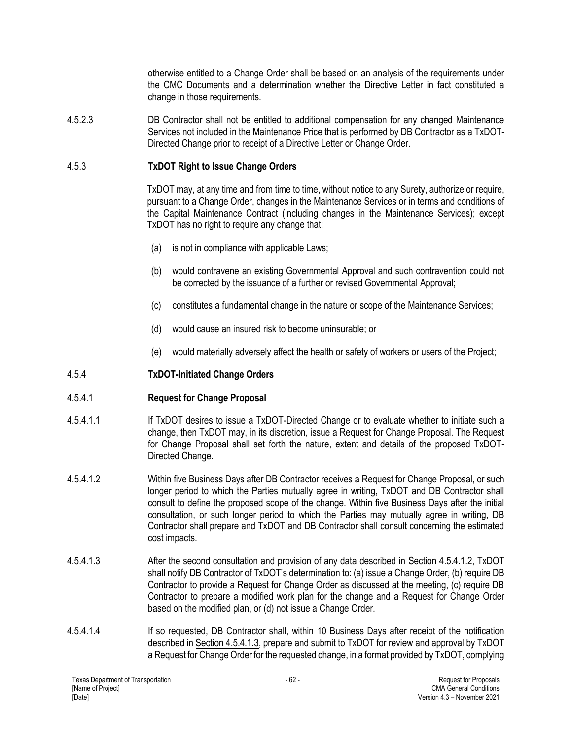otherwise entitled to a Change Order shall be based on an analysis of the requirements under the CMC Documents and a determination whether the Directive Letter in fact constituted a change in those requirements.

4.5.2.3 DB Contractor shall not be entitled to additional compensation for any changed Maintenance Services not included in the Maintenance Price that is performed by DB Contractor as a TxDOT-Directed Change prior to receipt of a Directive Letter or Change Order.

## 4.5.3 **TxDOT Right to Issue Change Orders**

TxDOT may, at any time and from time to time, without notice to any Surety, authorize or require, pursuant to a Change Order, changes in the Maintenance Services or in terms and conditions of the Capital Maintenance Contract (including changes in the Maintenance Services); except TxDOT has no right to require any change that:

- (a) is not in compliance with applicable Laws;
- (b) would contravene an existing Governmental Approval and such contravention could not be corrected by the issuance of a further or revised Governmental Approval;
- (c) constitutes a fundamental change in the nature or scope of the Maintenance Services;
- (d) would cause an insured risk to become uninsurable; or
- (e) would materially adversely affect the health or safety of workers or users of the Project;

### 4.5.4 **TxDOT-Initiated Change Orders**

### 4.5.4.1 **Request for Change Proposal**

- 4.5.4.1.1 If TxDOT desires to issue a TxDOT-Directed Change or to evaluate whether to initiate such a change, then TxDOT may, in its discretion, issue a Request for Change Proposal. The Request for Change Proposal shall set forth the nature, extent and details of the proposed TxDOT-Directed Change.
- 4.5.4.1.2 Within five Business Days after DB Contractor receives a Request for Change Proposal, or such longer period to which the Parties mutually agree in writing, TxDOT and DB Contractor shall consult to define the proposed scope of the change. Within five Business Days after the initial consultation, or such longer period to which the Parties may mutually agree in writing, DB Contractor shall prepare and TxDOT and DB Contractor shall consult concerning the estimated cost impacts.
- 4.5.4.1.3 After the second consultation and provision of any data described in Section 4.5.4.1.2, TxDOT shall notify DB Contractor of TxDOT's determination to: (a) issue a Change Order, (b) require DB Contractor to provide a Request for Change Order as discussed at the meeting, (c) require DB Contractor to prepare a modified work plan for the change and a Request for Change Order based on the modified plan, or (d) not issue a Change Order.
- 4.5.4.1.4 If so requested, DB Contractor shall, within 10 Business Days after receipt of the notification described in Section 4.5.4.1.3, prepare and submit to TxDOT for review and approval by TxDOT a Request for Change Order for the requested change, in a format provided by TxDOT, complying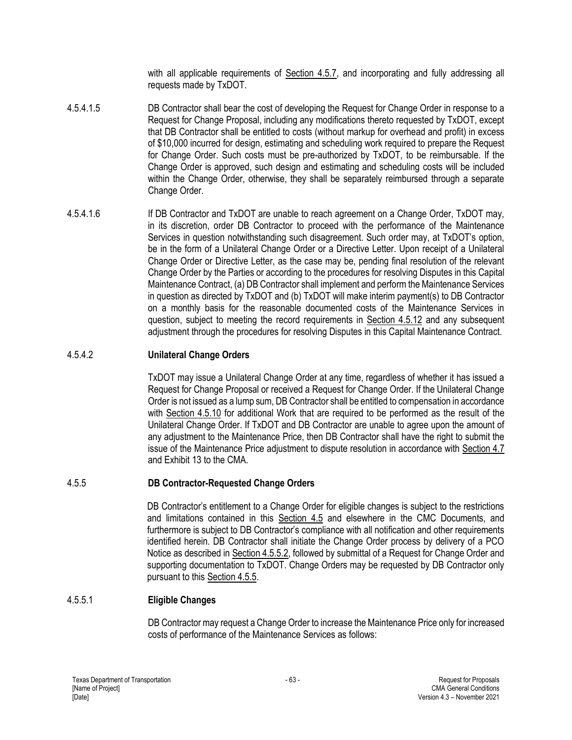with all applicable requirements of Section 4.5.7, and incorporating and fully addressing all requests made by TxDOT.

- 4.5.4.1.5 DB Contractor shall bear the cost of developing the Request for Change Order in response to a Request for Change Proposal, including any modifications thereto requested by TxDOT, except that DB Contractor shall be entitled to costs (without markup for overhead and profit) in excess of \$10,000 incurred for design, estimating and scheduling work required to prepare the Request for Change Order. Such costs must be pre-authorized by TxDOT, to be reimbursable. If the Change Order is approved, such design and estimating and scheduling costs will be included within the Change Order, otherwise, they shall be separately reimbursed through a separate Change Order.
- 4.5.4.1.6 If DB Contractor and TxDOT are unable to reach agreement on a Change Order, TxDOT may, in its discretion, order DB Contractor to proceed with the performance of the Maintenance Services in question notwithstanding such disagreement. Such order may, at TxDOT's option, be in the form of a Unilateral Change Order or a Directive Letter. Upon receipt of a Unilateral Change Order or Directive Letter, as the case may be, pending final resolution of the relevant Change Order by the Parties or according to the procedures for resolving Disputes in this Capital Maintenance Contract, (a) DB Contractor shall implement and perform the Maintenance Services in question as directed by TxDOT and (b) TxDOT will make interim payment(s) to DB Contractor on a monthly basis for the reasonable documented costs of the Maintenance Services in question, subject to meeting the record requirements in Section 4.5.12 and any subsequent adjustment through the procedures for resolving Disputes in this Capital Maintenance Contract.

### 4.5.4.2 **Unilateral Change Orders**

TxDOT may issue a Unilateral Change Order at any time, regardless of whether it has issued a Request for Change Proposal or received a Request for Change Order. If the Unilateral Change Order is not issued as a lump sum, DB Contractor shall be entitled to compensation in accordance with Section 4.5.10 for additional Work that are required to be performed as the result of the Unilateral Change Order. If TxDOT and DB Contractor are unable to agree upon the amount of any adjustment to the Maintenance Price, then DB Contractor shall have the right to submit the issue of the Maintenance Price adjustment to dispute resolution in accordance with Section 4.7 and Exhibit 13 to the CMA.

# 4.5.5 **DB Contractor-Requested Change Orders**

DB Contractor's entitlement to a Change Order for eligible changes is subject to the restrictions and limitations contained in this Section 4.5 and elsewhere in the CMC Documents, and furthermore is subject to DB Contractor's compliance with all notification and other requirements identified herein. DB Contractor shall initiate the Change Order process by delivery of a PCO Notice as described in Section 4.5.5.2, followed by submittal of a Request for Change Order and supporting documentation to TxDOT. Change Orders may be requested by DB Contractor only pursuant to this Section 4.5.5.

### 4.5.5.1 **Eligible Changes**

DB Contractor may request a Change Order to increase the Maintenance Price only for increased costs of performance of the Maintenance Services as follows: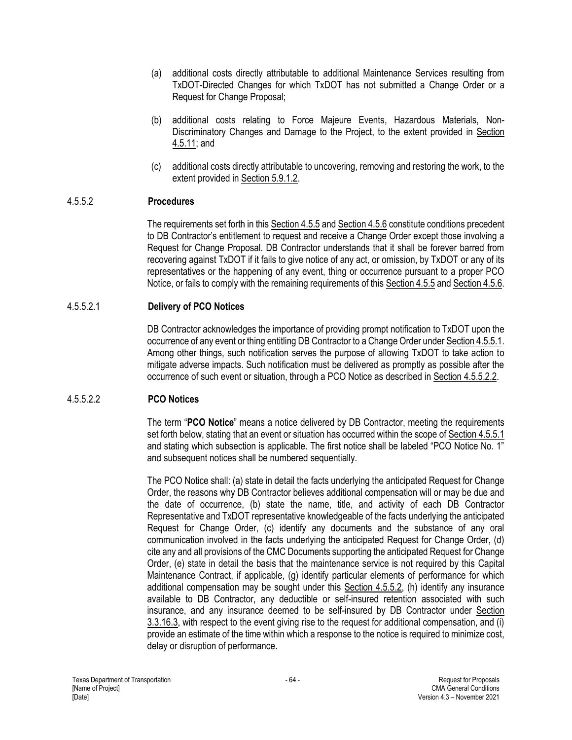- (a) additional costs directly attributable to additional Maintenance Services resulting from TxDOT-Directed Changes for which TxDOT has not submitted a Change Order or a Request for Change Proposal;
- (b) additional costs relating to Force Majeure Events, Hazardous Materials, Non-Discriminatory Changes and Damage to the Project, to the extent provided in Section 4.5.11; and
- (c) additional costs directly attributable to uncovering, removing and restoring the work, to the extent provided in Section 5.9.1.2.

#### 4.5.5.2 **Procedures**

The requirements set forth in this Section 4.5.5 and Section 4.5.6 constitute conditions precedent to DB Contractor's entitlement to request and receive a Change Order except those involving a Request for Change Proposal. DB Contractor understands that it shall be forever barred from recovering against TxDOT if it fails to give notice of any act, or omission, by TxDOT or any of its representatives or the happening of any event, thing or occurrence pursuant to a proper PCO Notice, or fails to comply with the remaining requirements of this Section 4.5.5 and Section 4.5.6.

#### 4.5.5.2.1 **Delivery of PCO Notices**

DB Contractor acknowledges the importance of providing prompt notification to TxDOT upon the occurrence of any event or thing entitling DB Contractor to a Change Order under Section 4.5.5.1. Among other things, such notification serves the purpose of allowing TxDOT to take action to mitigate adverse impacts. Such notification must be delivered as promptly as possible after the occurrence of such event or situation, through a PCO Notice as described in Section 4.5.5.2.2.

### 4.5.5.2.2 **PCO Notices**

The term "**PCO Notice**" means a notice delivered by DB Contractor, meeting the requirements set forth below, stating that an event or situation has occurred within the scope of Section 4.5.5.1 and stating which subsection is applicable. The first notice shall be labeled "PCO Notice No. 1" and subsequent notices shall be numbered sequentially.

The PCO Notice shall: (a) state in detail the facts underlying the anticipated Request for Change Order, the reasons why DB Contractor believes additional compensation will or may be due and the date of occurrence, (b) state the name, title, and activity of each DB Contractor Representative and TxDOT representative knowledgeable of the facts underlying the anticipated Request for Change Order, (c) identify any documents and the substance of any oral communication involved in the facts underlying the anticipated Request for Change Order, (d) cite any and all provisions of the CMC Documents supporting the anticipated Request for Change Order, (e) state in detail the basis that the maintenance service is not required by this Capital Maintenance Contract, if applicable, (g) identify particular elements of performance for which additional compensation may be sought under this Section 4.5.5.2, (h) identify any insurance available to DB Contractor, any deductible or self-insured retention associated with such insurance, and any insurance deemed to be self-insured by DB Contractor under Section 3.3.16.3, with respect to the event giving rise to the request for additional compensation, and (i) provide an estimate of the time within which a response to the notice is required to minimize cost, delay or disruption of performance.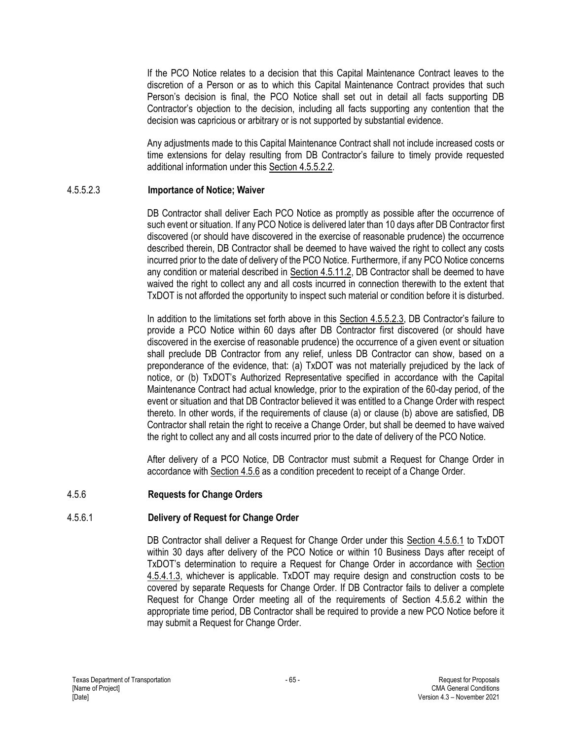If the PCO Notice relates to a decision that this Capital Maintenance Contract leaves to the discretion of a Person or as to which this Capital Maintenance Contract provides that such Person's decision is final, the PCO Notice shall set out in detail all facts supporting DB Contractor's objection to the decision, including all facts supporting any contention that the decision was capricious or arbitrary or is not supported by substantial evidence.

Any adjustments made to this Capital Maintenance Contract shall not include increased costs or time extensions for delay resulting from DB Contractor's failure to timely provide requested additional information under this Section 4.5.5.2.2.

### 4.5.5.2.3 **Importance of Notice; Waiver**

DB Contractor shall deliver Each PCO Notice as promptly as possible after the occurrence of such event or situation. If any PCO Notice is delivered later than 10 days after DB Contractor first discovered (or should have discovered in the exercise of reasonable prudence) the occurrence described therein, DB Contractor shall be deemed to have waived the right to collect any costs incurred prior to the date of delivery of the PCO Notice. Furthermore, if any PCO Notice concerns any condition or material described in Section 4.5.11.2, DB Contractor shall be deemed to have waived the right to collect any and all costs incurred in connection therewith to the extent that TxDOT is not afforded the opportunity to inspect such material or condition before it is disturbed.

In addition to the limitations set forth above in this Section 4.5.5.2.3, DB Contractor's failure to provide a PCO Notice within 60 days after DB Contractor first discovered (or should have discovered in the exercise of reasonable prudence) the occurrence of a given event or situation shall preclude DB Contractor from any relief, unless DB Contractor can show, based on a preponderance of the evidence, that: (a) TxDOT was not materially prejudiced by the lack of notice, or (b) TxDOT's Authorized Representative specified in accordance with the Capital Maintenance Contract had actual knowledge, prior to the expiration of the 60-day period, of the event or situation and that DB Contractor believed it was entitled to a Change Order with respect thereto. In other words, if the requirements of clause (a) or clause (b) above are satisfied, DB Contractor shall retain the right to receive a Change Order, but shall be deemed to have waived the right to collect any and all costs incurred prior to the date of delivery of the PCO Notice.

After delivery of a PCO Notice, DB Contractor must submit a Request for Change Order in accordance with Section 4.5.6 as a condition precedent to receipt of a Change Order.

### 4.5.6 **Requests for Change Orders**

### 4.5.6.1 **Delivery of Request for Change Order**

DB Contractor shall deliver a Request for Change Order under this Section 4.5.6.1 to TxDOT within 30 days after delivery of the PCO Notice or within 10 Business Days after receipt of TxDOT's determination to require a Request for Change Order in accordance with Section 4.5.4.1.3, whichever is applicable. TxDOT may require design and construction costs to be covered by separate Requests for Change Order. If DB Contractor fails to deliver a complete Request for Change Order meeting all of the requirements of Section 4.5.6.2 within the appropriate time period, DB Contractor shall be required to provide a new PCO Notice before it may submit a Request for Change Order.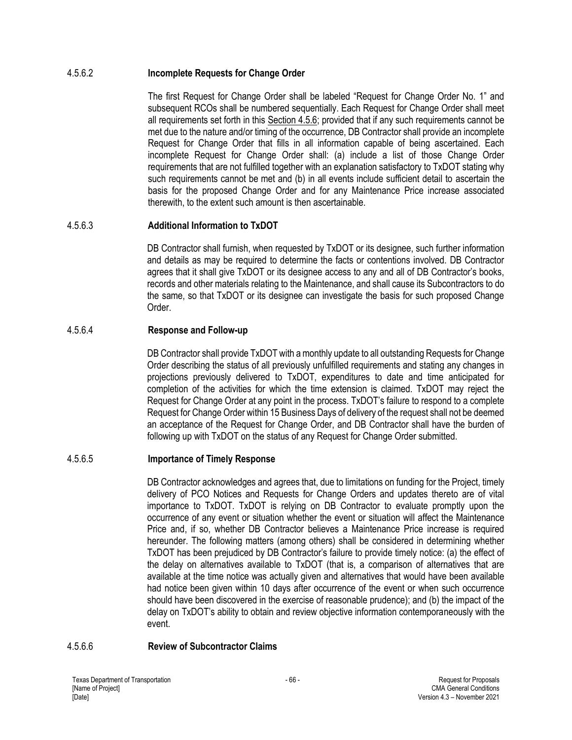### 4.5.6.2 **Incomplete Requests for Change Order**

The first Request for Change Order shall be labeled "Request for Change Order No. 1" and subsequent RCOs shall be numbered sequentially. Each Request for Change Order shall meet all requirements set forth in this Section 4.5.6; provided that if any such requirements cannot be met due to the nature and/or timing of the occurrence, DB Contractor shall provide an incomplete Request for Change Order that fills in all information capable of being ascertained. Each incomplete Request for Change Order shall: (a) include a list of those Change Order requirements that are not fulfilled together with an explanation satisfactory to TxDOT stating why such requirements cannot be met and (b) in all events include sufficient detail to ascertain the basis for the proposed Change Order and for any Maintenance Price increase associated therewith, to the extent such amount is then ascertainable.

### 4.5.6.3 **Additional Information to TxDOT**

DB Contractor shall furnish, when requested by TxDOT or its designee, such further information and details as may be required to determine the facts or contentions involved. DB Contractor agrees that it shall give TxDOT or its designee access to any and all of DB Contractor's books, records and other materials relating to the Maintenance, and shall cause its Subcontractors to do the same, so that TxDOT or its designee can investigate the basis for such proposed Change Order.

### 4.5.6.4 **Response and Follow-up**

DB Contractor shall provide TxDOT with a monthly update to all outstanding Requests for Change Order describing the status of all previously unfulfilled requirements and stating any changes in projections previously delivered to TxDOT, expenditures to date and time anticipated for completion of the activities for which the time extension is claimed. TxDOT may reject the Request for Change Order at any point in the process. TxDOT's failure to respond to a complete Request for Change Order within 15 Business Days of delivery of the request shall not be deemed an acceptance of the Request for Change Order, and DB Contractor shall have the burden of following up with TxDOT on the status of any Request for Change Order submitted.

### 4.5.6.5 **Importance of Timely Response**

DB Contractor acknowledges and agrees that, due to limitations on funding for the Project, timely delivery of PCO Notices and Requests for Change Orders and updates thereto are of vital importance to TxDOT. TxDOT is relying on DB Contractor to evaluate promptly upon the occurrence of any event or situation whether the event or situation will affect the Maintenance Price and, if so, whether DB Contractor believes a Maintenance Price increase is required hereunder. The following matters (among others) shall be considered in determining whether TxDOT has been prejudiced by DB Contractor's failure to provide timely notice: (a) the effect of the delay on alternatives available to TxDOT (that is, a comparison of alternatives that are available at the time notice was actually given and alternatives that would have been available had notice been given within 10 days after occurrence of the event or when such occurrence should have been discovered in the exercise of reasonable prudence); and (b) the impact of the delay on TxDOT's ability to obtain and review objective information contemporaneously with the event.

### 4.5.6.6 **Review of Subcontractor Claims**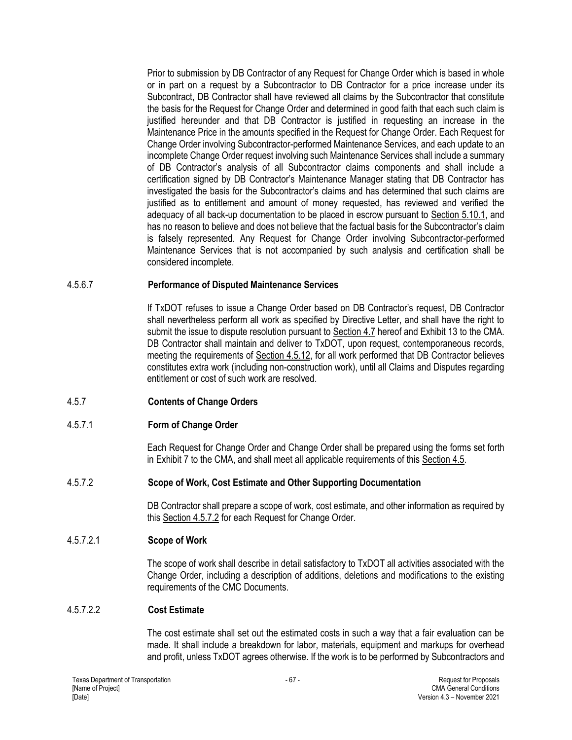Prior to submission by DB Contractor of any Request for Change Order which is based in whole or in part on a request by a Subcontractor to DB Contractor for a price increase under its Subcontract, DB Contractor shall have reviewed all claims by the Subcontractor that constitute the basis for the Request for Change Order and determined in good faith that each such claim is justified hereunder and that DB Contractor is justified in requesting an increase in the Maintenance Price in the amounts specified in the Request for Change Order. Each Request for Change Order involving Subcontractor-performed Maintenance Services, and each update to an incomplete Change Order request involving such Maintenance Services shall include a summary of DB Contractor's analysis of all Subcontractor claims components and shall include a certification signed by DB Contractor's Maintenance Manager stating that DB Contractor has investigated the basis for the Subcontractor's claims and has determined that such claims are justified as to entitlement and amount of money requested, has reviewed and verified the adequacy of all back-up documentation to be placed in escrow pursuant to Section 5.10.1, and has no reason to believe and does not believe that the factual basis for the Subcontractor's claim is falsely represented. Any Request for Change Order involving Subcontractor-performed Maintenance Services that is not accompanied by such analysis and certification shall be considered incomplete.

### 4.5.6.7 **Performance of Disputed Maintenance Services**

If TxDOT refuses to issue a Change Order based on DB Contractor's request, DB Contractor shall nevertheless perform all work as specified by Directive Letter, and shall have the right to submit the issue to dispute resolution pursuant to Section 4.7 hereof and Exhibit 13 to the CMA. DB Contractor shall maintain and deliver to TxDOT, upon request, contemporaneous records, meeting the requirements of Section 4.5.12, for all work performed that DB Contractor believes constitutes extra work (including non-construction work), until all Claims and Disputes regarding entitlement or cost of such work are resolved.

### 4.5.7 **Contents of Change Orders**

### 4.5.7.1 **Form of Change Order**

Each Request for Change Order and Change Order shall be prepared using the forms set forth in Exhibit 7 to the CMA, and shall meet all applicable requirements of this Section 4.5.

### 4.5.7.2 **Scope of Work, Cost Estimate and Other Supporting Documentation**

DB Contractor shall prepare a scope of work, cost estimate, and other information as required by this Section 4.5.7.2 for each Request for Change Order.

### 4.5.7.2.1 **Scope of Work**

The scope of work shall describe in detail satisfactory to TxDOT all activities associated with the Change Order, including a description of additions, deletions and modifications to the existing requirements of the CMC Documents.

### 4.5.7.2.2 **Cost Estimate**

The cost estimate shall set out the estimated costs in such a way that a fair evaluation can be made. It shall include a breakdown for labor, materials, equipment and markups for overhead and profit, unless TxDOT agrees otherwise. If the work is to be performed by Subcontractors and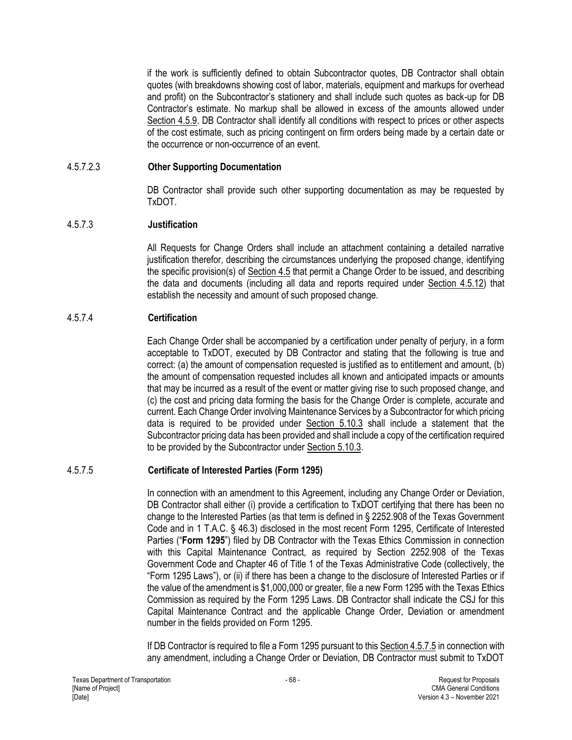if the work is sufficiently defined to obtain Subcontractor quotes, DB Contractor shall obtain quotes (with breakdowns showing cost of labor, materials, equipment and markups for overhead and profit) on the Subcontractor's stationery and shall include such quotes as back-up for DB Contractor's estimate. No markup shall be allowed in excess of the amounts allowed under Section 4.5.9. DB Contractor shall identify all conditions with respect to prices or other aspects of the cost estimate, such as pricing contingent on firm orders being made by a certain date or the occurrence or non-occurrence of an event.

### 4.5.7.2.3 **Other Supporting Documentation**

DB Contractor shall provide such other supporting documentation as may be requested by TxDOT.

#### 4.5.7.3 **Justification**

All Requests for Change Orders shall include an attachment containing a detailed narrative justification therefor, describing the circumstances underlying the proposed change, identifying the specific provision(s) of Section 4.5 that permit a Change Order to be issued, and describing the data and documents (including all data and reports required under Section 4.5.12) that establish the necessity and amount of such proposed change.

#### 4.5.7.4 **Certification**

Each Change Order shall be accompanied by a certification under penalty of perjury, in a form acceptable to TxDOT, executed by DB Contractor and stating that the following is true and correct: (a) the amount of compensation requested is justified as to entitlement and amount, (b) the amount of compensation requested includes all known and anticipated impacts or amounts that may be incurred as a result of the event or matter giving rise to such proposed change, and (c) the cost and pricing data forming the basis for the Change Order is complete, accurate and current. Each Change Order involving Maintenance Services by a Subcontractor for which pricing data is required to be provided under Section 5.10.3 shall include a statement that the Subcontractor pricing data has been provided and shall include a copy of the certification required to be provided by the Subcontractor under Section 5.10.3.

### 4.5.7.5 **Certificate of Interested Parties (Form 1295)**

In connection with an amendment to this Agreement, including any Change Order or Deviation, DB Contractor shall either (i) provide a certification to TxDOT certifying that there has been no change to the Interested Parties (as that term is defined in § 2252.908 of the Texas Government Code and in 1 T.A.C. § 46.3) disclosed in the most recent Form 1295, Certificate of Interested Parties ("**Form 1295**") filed by DB Contractor with the Texas Ethics Commission in connection with this Capital Maintenance Contract, as required by Section 2252.908 of the Texas Government Code and Chapter 46 of Title 1 of the Texas Administrative Code (collectively, the "Form 1295 Laws"), or (ii) if there has been a change to the disclosure of Interested Parties or if the value of the amendment is \$1,000,000 or greater, file a new Form 1295 with the Texas Ethics Commission as required by the Form 1295 Laws. DB Contractor shall indicate the CSJ for this Capital Maintenance Contract and the applicable Change Order, Deviation or amendment number in the fields provided on Form 1295.

If DB Contractor is required to file a Form 1295 pursuant to this Section 4.5.7.5 in connection with any amendment, including a Change Order or Deviation, DB Contractor must submit to TxDOT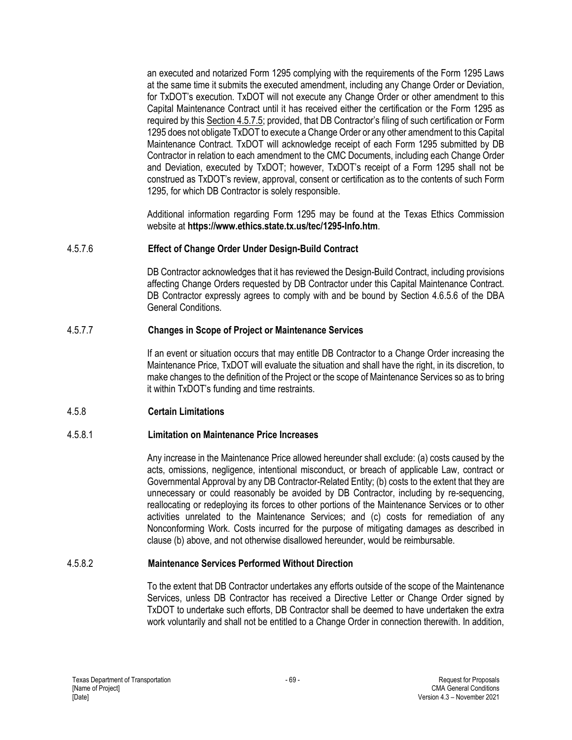an executed and notarized Form 1295 complying with the requirements of the Form 1295 Laws at the same time it submits the executed amendment, including any Change Order or Deviation, for TxDOT's execution. TxDOT will not execute any Change Order or other amendment to this Capital Maintenance Contract until it has received either the certification or the Form 1295 as required by this Section 4.5.7.5; provided, that DB Contractor's filing of such certification or Form 1295 does not obligate TxDOT to execute a Change Order or any other amendment to this Capital Maintenance Contract. TxDOT will acknowledge receipt of each Form 1295 submitted by DB Contractor in relation to each amendment to the CMC Documents, including each Change Order and Deviation, executed by TxDOT; however, TxDOT's receipt of a Form 1295 shall not be construed as TxDOT's review, approval, consent or certification as to the contents of such Form 1295, for which DB Contractor is solely responsible.

Additional information regarding Form 1295 may be found at the Texas Ethics Commission website at **<https://www.ethics.state.tx.us/tec/1295-Info.htm>**.

### 4.5.7.6 **Effect of Change Order Under Design-Build Contract**

DB Contractor acknowledges that it has reviewed the Design-Build Contract, including provisions affecting Change Orders requested by DB Contractor under this Capital Maintenance Contract. DB Contractor expressly agrees to comply with and be bound by Section 4.6.5.6 of the DBA General Conditions.

#### 4.5.7.7 **Changes in Scope of Project or Maintenance Services**

If an event or situation occurs that may entitle DB Contractor to a Change Order increasing the Maintenance Price, TxDOT will evaluate the situation and shall have the right, in its discretion, to make changes to the definition of the Project or the scope of Maintenance Services so as to bring it within TxDOT's funding and time restraints.

### 4.5.8 **Certain Limitations**

#### 4.5.8.1 **Limitation on Maintenance Price Increases**

Any increase in the Maintenance Price allowed hereunder shall exclude: (a) costs caused by the acts, omissions, negligence, intentional misconduct, or breach of applicable Law, contract or Governmental Approval by any DB Contractor-Related Entity; (b) costs to the extent that they are unnecessary or could reasonably be avoided by DB Contractor, including by re-sequencing, reallocating or redeploying its forces to other portions of the Maintenance Services or to other activities unrelated to the Maintenance Services; and (c) costs for remediation of any Nonconforming Work. Costs incurred for the purpose of mitigating damages as described in clause (b) above, and not otherwise disallowed hereunder, would be reimbursable.

#### 4.5.8.2 **Maintenance Services Performed Without Direction**

To the extent that DB Contractor undertakes any efforts outside of the scope of the Maintenance Services, unless DB Contractor has received a Directive Letter or Change Order signed by TxDOT to undertake such efforts, DB Contractor shall be deemed to have undertaken the extra work voluntarily and shall not be entitled to a Change Order in connection therewith. In addition,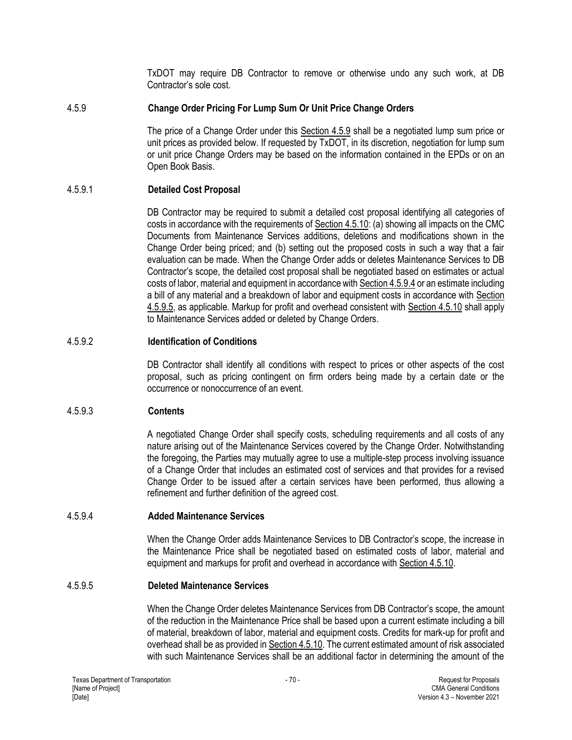TxDOT may require DB Contractor to remove or otherwise undo any such work, at DB Contractor's sole cost.

### 4.5.9 **Change Order Pricing For Lump Sum Or Unit Price Change Orders**

The price of a Change Order under this Section 4.5.9 shall be a negotiated lump sum price or unit prices as provided below. If requested by TxDOT, in its discretion, negotiation for lump sum or unit price Change Orders may be based on the information contained in the EPDs or on an Open Book Basis.

## 4.5.9.1 **Detailed Cost Proposal**

DB Contractor may be required to submit a detailed cost proposal identifying all categories of costs in accordance with the requirements of Section 4.5.10: (a) showing all impacts on the CMC Documents from Maintenance Services additions, deletions and modifications shown in the Change Order being priced; and (b) setting out the proposed costs in such a way that a fair evaluation can be made. When the Change Order adds or deletes Maintenance Services to DB Contractor's scope, the detailed cost proposal shall be negotiated based on estimates or actual costs of labor, material and equipment in accordance with Section 4.5.9.4 or an estimate including a bill of any material and a breakdown of labor and equipment costs in accordance with Section 4.5.9.5, as applicable. Markup for profit and overhead consistent with Section 4.5.10 shall apply to Maintenance Services added or deleted by Change Orders.

### 4.5.9.2 **Identification of Conditions**

DB Contractor shall identify all conditions with respect to prices or other aspects of the cost proposal, such as pricing contingent on firm orders being made by a certain date or the occurrence or nonoccurrence of an event.

### 4.5.9.3 **Contents**

A negotiated Change Order shall specify costs, scheduling requirements and all costs of any nature arising out of the Maintenance Services covered by the Change Order. Notwithstanding the foregoing, the Parties may mutually agree to use a multiple-step process involving issuance of a Change Order that includes an estimated cost of services and that provides for a revised Change Order to be issued after a certain services have been performed, thus allowing a refinement and further definition of the agreed cost.

### 4.5.9.4 **Added Maintenance Services**

When the Change Order adds Maintenance Services to DB Contractor's scope, the increase in the Maintenance Price shall be negotiated based on estimated costs of labor, material and equipment and markups for profit and overhead in accordance with Section 4.5.10.

### 4.5.9.5 **Deleted Maintenance Services**

When the Change Order deletes Maintenance Services from DB Contractor's scope, the amount of the reduction in the Maintenance Price shall be based upon a current estimate including a bill of material, breakdown of labor, material and equipment costs. Credits for mark-up for profit and overhead shall be as provided in Section 4.5.10. The current estimated amount of risk associated with such Maintenance Services shall be an additional factor in determining the amount of the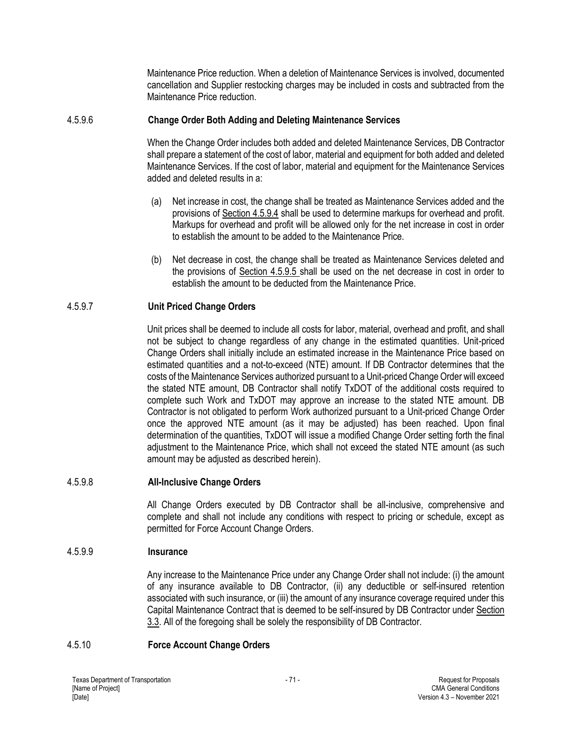Maintenance Price reduction. When a deletion of Maintenance Services is involved, documented cancellation and Supplier restocking charges may be included in costs and subtracted from the Maintenance Price reduction.

### 4.5.9.6 **Change Order Both Adding and Deleting Maintenance Services**

When the Change Order includes both added and deleted Maintenance Services, DB Contractor shall prepare a statement of the cost of labor, material and equipment for both added and deleted Maintenance Services. If the cost of labor, material and equipment for the Maintenance Services added and deleted results in a:

- (a) Net increase in cost, the change shall be treated as Maintenance Services added and the provisions of Section 4.5.9.4 shall be used to determine markups for overhead and profit. Markups for overhead and profit will be allowed only for the net increase in cost in order to establish the amount to be added to the Maintenance Price.
- (b) Net decrease in cost, the change shall be treated as Maintenance Services deleted and the provisions of Section 4.5.9.5 shall be used on the net decrease in cost in order to establish the amount to be deducted from the Maintenance Price.

#### 4.5.9.7 **Unit Priced Change Orders**

Unit prices shall be deemed to include all costs for labor, material, overhead and profit, and shall not be subject to change regardless of any change in the estimated quantities. Unit-priced Change Orders shall initially include an estimated increase in the Maintenance Price based on estimated quantities and a not-to-exceed (NTE) amount. If DB Contractor determines that the costs of the Maintenance Services authorized pursuant to a Unit-priced Change Order will exceed the stated NTE amount, DB Contractor shall notify TxDOT of the additional costs required to complete such Work and TxDOT may approve an increase to the stated NTE amount. DB Contractor is not obligated to perform Work authorized pursuant to a Unit-priced Change Order once the approved NTE amount (as it may be adjusted) has been reached. Upon final determination of the quantities, TxDOT will issue a modified Change Order setting forth the final adjustment to the Maintenance Price, which shall not exceed the stated NTE amount (as such amount may be adjusted as described herein).

#### 4.5.9.8 **All-Inclusive Change Orders**

All Change Orders executed by DB Contractor shall be all-inclusive, comprehensive and complete and shall not include any conditions with respect to pricing or schedule, except as permitted for Force Account Change Orders.

### 4.5.9.9 **Insurance**

Any increase to the Maintenance Price under any Change Order shall not include: (i) the amount of any insurance available to DB Contractor, (ii) any deductible or self-insured retention associated with such insurance, or (iii) the amount of any insurance coverage required under this Capital Maintenance Contract that is deemed to be self-insured by DB Contractor under Section 3.3. All of the foregoing shall be solely the responsibility of DB Contractor.

#### 4.5.10 **Force Account Change Orders**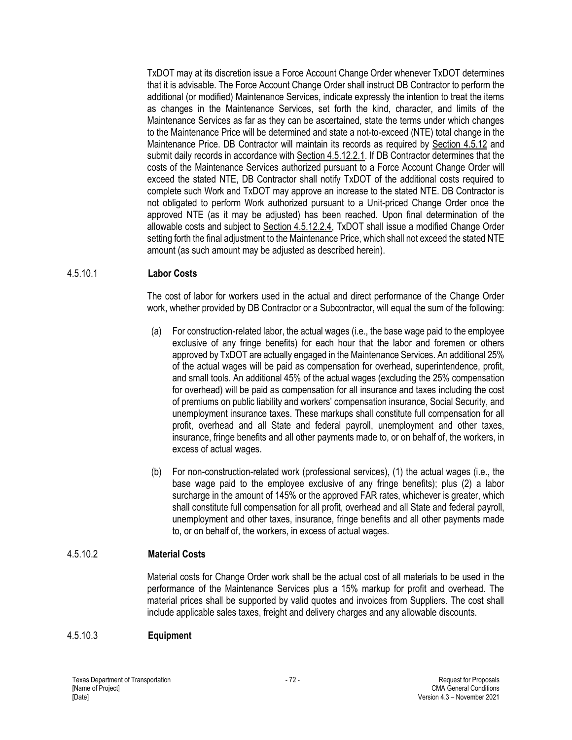TxDOT may at its discretion issue a Force Account Change Order whenever TxDOT determines that it is advisable. The Force Account Change Order shall instruct DB Contractor to perform the additional (or modified) Maintenance Services, indicate expressly the intention to treat the items as changes in the Maintenance Services, set forth the kind, character, and limits of the Maintenance Services as far as they can be ascertained, state the terms under which changes to the Maintenance Price will be determined and state a not-to-exceed (NTE) total change in the Maintenance Price. DB Contractor will maintain its records as required by Section 4.5.12 and submit daily records in accordance with Section 4.5.12.2.1. If DB Contractor determines that the costs of the Maintenance Services authorized pursuant to a Force Account Change Order will exceed the stated NTE, DB Contractor shall notify TxDOT of the additional costs required to complete such Work and TxDOT may approve an increase to the stated NTE. DB Contractor is not obligated to perform Work authorized pursuant to a Unit-priced Change Order once the approved NTE (as it may be adjusted) has been reached. Upon final determination of the allowable costs and subject to Section 4.5.12.2.4, TxDOT shall issue a modified Change Order setting forth the final adjustment to the Maintenance Price, which shall not exceed the stated NTE amount (as such amount may be adjusted as described herein).

#### 4.5.10.1 **Labor Costs**

The cost of labor for workers used in the actual and direct performance of the Change Order work, whether provided by DB Contractor or a Subcontractor, will equal the sum of the following:

- (a) For construction-related labor, the actual wages (i.e., the base wage paid to the employee exclusive of any fringe benefits) for each hour that the labor and foremen or others approved by TxDOT are actually engaged in the Maintenance Services. An additional 25% of the actual wages will be paid as compensation for overhead, superintendence, profit, and small tools. An additional 45% of the actual wages (excluding the 25% compensation for overhead) will be paid as compensation for all insurance and taxes including the cost of premiums on public liability and workers' compensation insurance, Social Security, and unemployment insurance taxes. These markups shall constitute full compensation for all profit, overhead and all State and federal payroll, unemployment and other taxes, insurance, fringe benefits and all other payments made to, or on behalf of, the workers, in excess of actual wages.
- (b) For non-construction-related work (professional services), (1) the actual wages (i.e., the base wage paid to the employee exclusive of any fringe benefits); plus (2) a labor surcharge in the amount of 145% or the approved FAR rates, whichever is greater, which shall constitute full compensation for all profit, overhead and all State and federal payroll, unemployment and other taxes, insurance, fringe benefits and all other payments made to, or on behalf of, the workers, in excess of actual wages.

### 4.5.10.2 **Material Costs**

Material costs for Change Order work shall be the actual cost of all materials to be used in the performance of the Maintenance Services plus a 15% markup for profit and overhead. The material prices shall be supported by valid quotes and invoices from Suppliers. The cost shall include applicable sales taxes, freight and delivery charges and any allowable discounts.

#### 4.5.10.3 **Equipment**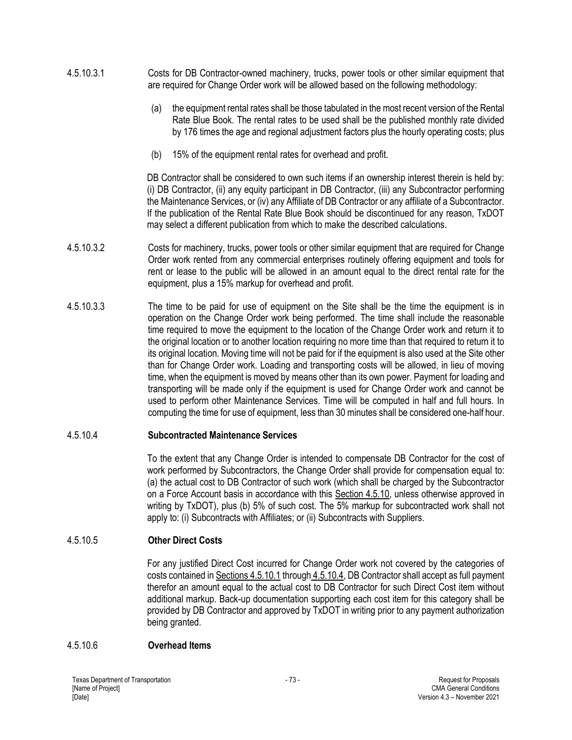- 4.5.10.3.1 Costs for DB Contractor-owned machinery, trucks, power tools or other similar equipment that are required for Change Order work will be allowed based on the following methodology:
	- (a) the equipment rental rates shall be those tabulated in the most recent version of the Rental Rate Blue Book. The rental rates to be used shall be the published monthly rate divided by 176 times the age and regional adjustment factors plus the hourly operating costs; plus
	- (b) 15% of the equipment rental rates for overhead and profit.

DB Contractor shall be considered to own such items if an ownership interest therein is held by: (i) DB Contractor, (ii) any equity participant in DB Contractor, (iii) any Subcontractor performing the Maintenance Services, or (iv) any Affiliate of DB Contractor or any affiliate of a Subcontractor. If the publication of the Rental Rate Blue Book should be discontinued for any reason, TxDOT may select a different publication from which to make the described calculations.

- 4.5.10.3.2 Costs for machinery, trucks, power tools or other similar equipment that are required for Change Order work rented from any commercial enterprises routinely offering equipment and tools for rent or lease to the public will be allowed in an amount equal to the direct rental rate for the equipment, plus a 15% markup for overhead and profit.
- 4.5.10.3.3 The time to be paid for use of equipment on the Site shall be the time the equipment is in operation on the Change Order work being performed. The time shall include the reasonable time required to move the equipment to the location of the Change Order work and return it to the original location or to another location requiring no more time than that required to return it to its original location. Moving time will not be paid for if the equipment is also used at the Site other than for Change Order work. Loading and transporting costs will be allowed, in lieu of moving time, when the equipment is moved by means other than its own power. Payment for loading and transporting will be made only if the equipment is used for Change Order work and cannot be used to perform other Maintenance Services. Time will be computed in half and full hours. In computing the time for use of equipment, less than 30 minutes shall be considered one-half hour.

#### 4.5.10.4 **Subcontracted Maintenance Services**

To the extent that any Change Order is intended to compensate DB Contractor for the cost of work performed by Subcontractors, the Change Order shall provide for compensation equal to: (a) the actual cost to DB Contractor of such work (which shall be charged by the Subcontractor on a Force Account basis in accordance with this Section 4.5.10, unless otherwise approved in writing by TxDOT), plus (b) 5% of such cost. The 5% markup for subcontracted work shall not apply to: (i) Subcontracts with Affiliates; or (ii) Subcontracts with Suppliers.

### 4.5.10.5 **Other Direct Costs**

For any justified Direct Cost incurred for Change Order work not covered by the categories of costs contained in Sections 4.5.10.1 through 4.5.10.4, DB Contractor shall accept as full payment therefor an amount equal to the actual cost to DB Contractor for such Direct Cost item without additional markup. Back-up documentation supporting each cost item for this category shall be provided by DB Contractor and approved by TxDOT in writing prior to any payment authorization being granted.

#### 4.5.10.6 **Overhead Items**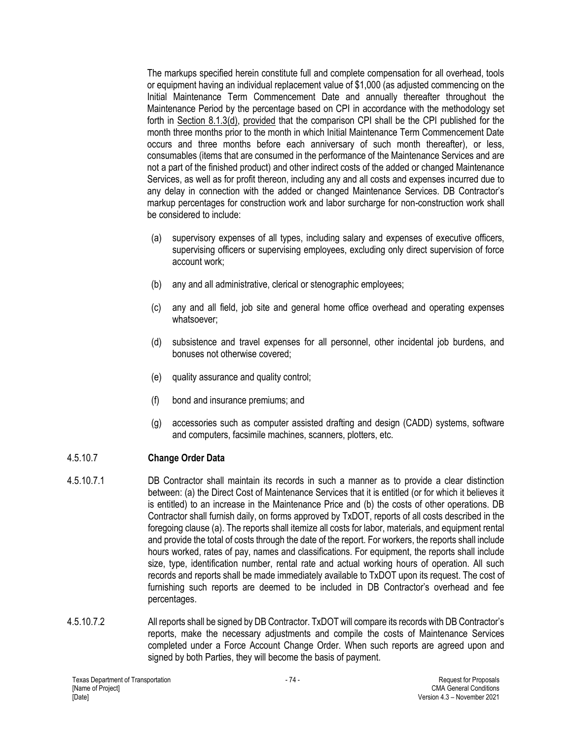The markups specified herein constitute full and complete compensation for all overhead, tools or equipment having an individual replacement value of \$1,000 (as adjusted commencing on the Initial Maintenance Term Commencement Date and annually thereafter throughout the Maintenance Period by the percentage based on CPI in accordance with the methodology set forth in Section 8.1.3(d), provided that the comparison CPI shall be the CPI published for the month three months prior to the month in which Initial Maintenance Term Commencement Date occurs and three months before each anniversary of such month thereafter), or less, consumables (items that are consumed in the performance of the Maintenance Services and are not a part of the finished product) and other indirect costs of the added or changed Maintenance Services, as well as for profit thereon, including any and all costs and expenses incurred due to any delay in connection with the added or changed Maintenance Services. DB Contractor's markup percentages for construction work and labor surcharge for non-construction work shall be considered to include:

- (a) supervisory expenses of all types, including salary and expenses of executive officers, supervising officers or supervising employees, excluding only direct supervision of force account work;
- (b) any and all administrative, clerical or stenographic employees;
- (c) any and all field, job site and general home office overhead and operating expenses whatsoever;
- (d) subsistence and travel expenses for all personnel, other incidental job burdens, and bonuses not otherwise covered;
- (e) quality assurance and quality control;
- (f) bond and insurance premiums; and
- (g) accessories such as computer assisted drafting and design (CADD) systems, software and computers, facsimile machines, scanners, plotters, etc.

# 4.5.10.7 **Change Order Data**

- 4.5.10.7.1 DB Contractor shall maintain its records in such a manner as to provide a clear distinction between: (a) the Direct Cost of Maintenance Services that it is entitled (or for which it believes it is entitled) to an increase in the Maintenance Price and (b) the costs of other operations. DB Contractor shall furnish daily, on forms approved by TxDOT, reports of all costs described in the foregoing clause (a). The reports shall itemize all costs for labor, materials, and equipment rental and provide the total of costs through the date of the report. For workers, the reports shall include hours worked, rates of pay, names and classifications. For equipment, the reports shall include size, type, identification number, rental rate and actual working hours of operation. All such records and reports shall be made immediately available to TxDOT upon its request. The cost of furnishing such reports are deemed to be included in DB Contractor's overhead and fee percentages.
- 4.5.10.7.2 All reports shall be signed by DB Contractor. TxDOT will compare its records with DB Contractor's reports, make the necessary adjustments and compile the costs of Maintenance Services completed under a Force Account Change Order. When such reports are agreed upon and signed by both Parties, they will become the basis of payment.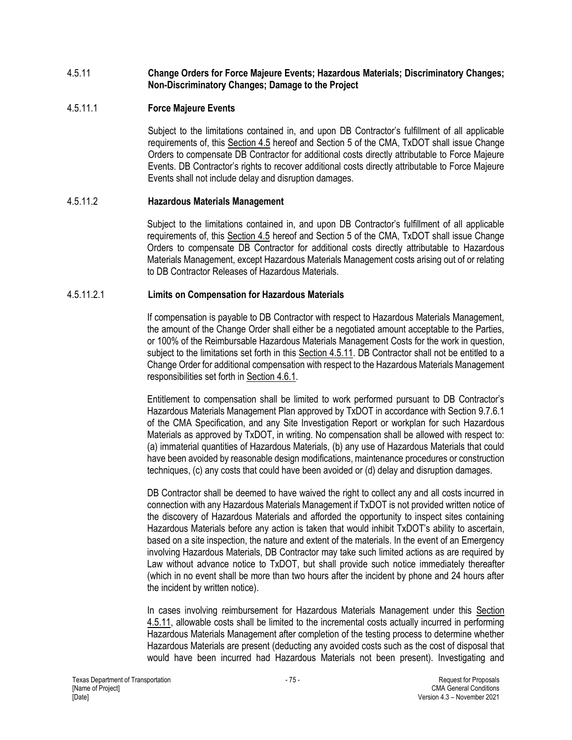### 4.5.11 **Change Orders for Force Majeure Events; Hazardous Materials; Discriminatory Changes; Non-Discriminatory Changes; Damage to the Project**

## 4.5.11.1 **Force Majeure Events**

Subject to the limitations contained in, and upon DB Contractor's fulfillment of all applicable requirements of, this Section 4.5 hereof and Section 5 of the CMA, TxDOT shall issue Change Orders to compensate DB Contractor for additional costs directly attributable to Force Majeure Events. DB Contractor's rights to recover additional costs directly attributable to Force Majeure Events shall not include delay and disruption damages.

### 4.5.11.2 **Hazardous Materials Management**

Subject to the limitations contained in, and upon DB Contractor's fulfillment of all applicable requirements of, this Section 4.5 hereof and Section 5 of the CMA, TxDOT shall issue Change Orders to compensate DB Contractor for additional costs directly attributable to Hazardous Materials Management, except Hazardous Materials Management costs arising out of or relating to DB Contractor Releases of Hazardous Materials.

#### 4.5.11.2.1 **Limits on Compensation for Hazardous Materials**

If compensation is payable to DB Contractor with respect to Hazardous Materials Management, the amount of the Change Order shall either be a negotiated amount acceptable to the Parties, or 100% of the Reimbursable Hazardous Materials Management Costs for the work in question, subject to the limitations set forth in this Section 4.5.11. DB Contractor shall not be entitled to a Change Order for additional compensation with respect to the Hazardous Materials Management responsibilities set forth in Section 4.6.1.

Entitlement to compensation shall be limited to work performed pursuant to DB Contractor's Hazardous Materials Management Plan approved by TxDOT in accordance with Section 9.7.6.1 of the CMA Specification, and any Site Investigation Report or workplan for such Hazardous Materials as approved by TxDOT, in writing. No compensation shall be allowed with respect to: (a) immaterial quantities of Hazardous Materials, (b) any use of Hazardous Materials that could have been avoided by reasonable design modifications, maintenance procedures or construction techniques, (c) any costs that could have been avoided or (d) delay and disruption damages.

DB Contractor shall be deemed to have waived the right to collect any and all costs incurred in connection with any Hazardous Materials Management if TxDOT is not provided written notice of the discovery of Hazardous Materials and afforded the opportunity to inspect sites containing Hazardous Materials before any action is taken that would inhibit TxDOT's ability to ascertain, based on a site inspection, the nature and extent of the materials. In the event of an Emergency involving Hazardous Materials, DB Contractor may take such limited actions as are required by Law without advance notice to TxDOT, but shall provide such notice immediately thereafter (which in no event shall be more than two hours after the incident by phone and 24 hours after the incident by written notice).

In cases involving reimbursement for Hazardous Materials Management under this Section 4.5.11, allowable costs shall be limited to the incremental costs actually incurred in performing Hazardous Materials Management after completion of the testing process to determine whether Hazardous Materials are present (deducting any avoided costs such as the cost of disposal that would have been incurred had Hazardous Materials not been present). Investigating and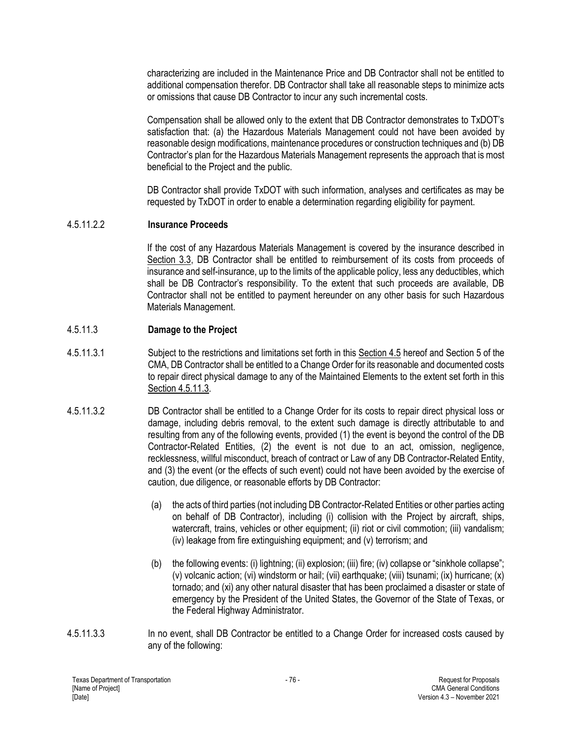characterizing are included in the Maintenance Price and DB Contractor shall not be entitled to additional compensation therefor. DB Contractor shall take all reasonable steps to minimize acts or omissions that cause DB Contractor to incur any such incremental costs.

Compensation shall be allowed only to the extent that DB Contractor demonstrates to TxDOT's satisfaction that: (a) the Hazardous Materials Management could not have been avoided by reasonable design modifications, maintenance procedures or construction techniques and (b) DB Contractor's plan for the Hazardous Materials Management represents the approach that is most beneficial to the Project and the public.

DB Contractor shall provide TxDOT with such information, analyses and certificates as may be requested by TxDOT in order to enable a determination regarding eligibility for payment.

#### 4.5.11.2.2 **Insurance Proceeds**

If the cost of any Hazardous Materials Management is covered by the insurance described in Section 3.3, DB Contractor shall be entitled to reimbursement of its costs from proceeds of insurance and self-insurance, up to the limits of the applicable policy, less any deductibles, which shall be DB Contractor's responsibility. To the extent that such proceeds are available, DB Contractor shall not be entitled to payment hereunder on any other basis for such Hazardous Materials Management.

### 4.5.11.3 **Damage to the Project**

- 4.5.11.3.1 Subject to the restrictions and limitations set forth in this Section 4.5 hereof and Section 5 of the CMA, DB Contractor shall be entitled to a Change Order for its reasonable and documented costs to repair direct physical damage to any of the Maintained Elements to the extent set forth in this Section 4.5.11.3.
- 4.5.11.3.2 DB Contractor shall be entitled to a Change Order for its costs to repair direct physical loss or damage, including debris removal, to the extent such damage is directly attributable to and resulting from any of the following events, provided (1) the event is beyond the control of the DB Contractor-Related Entities, (2) the event is not due to an act, omission, negligence, recklessness, willful misconduct, breach of contract or Law of any DB Contractor-Related Entity, and (3) the event (or the effects of such event) could not have been avoided by the exercise of caution, due diligence, or reasonable efforts by DB Contractor:
	- (a) the acts of third parties (not including DB Contractor-Related Entities or other parties acting on behalf of DB Contractor), including (i) collision with the Project by aircraft, ships, watercraft, trains, vehicles or other equipment; (ii) riot or civil commotion; (iii) vandalism; (iv) leakage from fire extinguishing equipment; and (v) terrorism; and
	- (b) the following events: (i) lightning; (ii) explosion; (iii) fire; (iv) collapse or "sinkhole collapse"; (v) volcanic action; (vi) windstorm or hail; (vii) earthquake; (viii) tsunami; (ix) hurricane; (x) tornado; and (xi) any other natural disaster that has been proclaimed a disaster or state of emergency by the President of the United States, the Governor of the State of Texas, or the Federal Highway Administrator.
- 4.5.11.3.3 In no event, shall DB Contractor be entitled to a Change Order for increased costs caused by any of the following: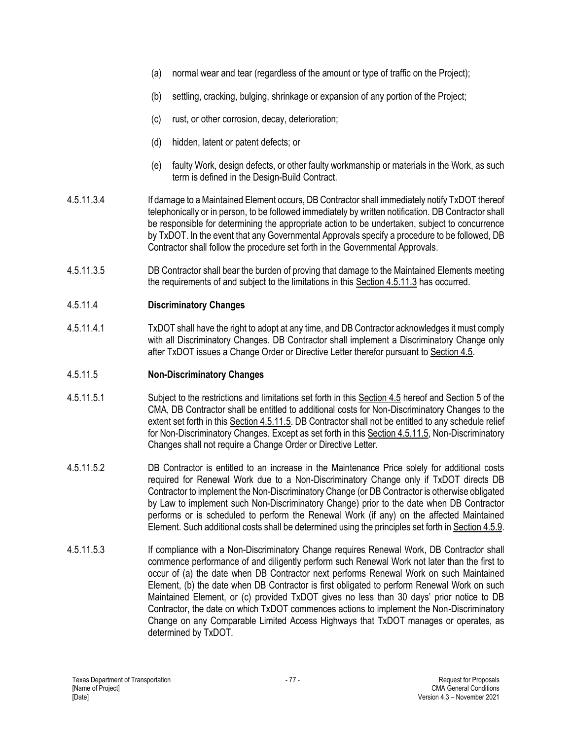- (a) normal wear and tear (regardless of the amount or type of traffic on the Project);
- (b) settling, cracking, bulging, shrinkage or expansion of any portion of the Project;
- (c) rust, or other corrosion, decay, deterioration;
- (d) hidden, latent or patent defects; or
- (e) faulty Work, design defects, or other faulty workmanship or materials in the Work, as such term is defined in the Design-Build Contract.
- 4.5.11.3.4 If damage to a Maintained Element occurs, DB Contractor shall immediately notify TxDOT thereof telephonically or in person, to be followed immediately by written notification. DB Contractor shall be responsible for determining the appropriate action to be undertaken, subject to concurrence by TxDOT. In the event that any Governmental Approvals specify a procedure to be followed, DB Contractor shall follow the procedure set forth in the Governmental Approvals.
- 4.5.11.3.5 DB Contractor shall bear the burden of proving that damage to the Maintained Elements meeting the requirements of and subject to the limitations in this Section 4.5.11.3 has occurred.

# 4.5.11.4 **Discriminatory Changes**

4.5.11.4.1 TxDOT shall have the right to adopt at any time, and DB Contractor acknowledges it must comply with all Discriminatory Changes. DB Contractor shall implement a Discriminatory Change only after TxDOT issues a Change Order or Directive Letter therefor pursuant to Section 4.5.

# 4.5.11.5 **Non-Discriminatory Changes**

- 4.5.11.5.1 Subject to the restrictions and limitations set forth in this Section 4.5 hereof and Section 5 of the CMA, DB Contractor shall be entitled to additional costs for Non-Discriminatory Changes to the extent set forth in this Section 4.5.11.5. DB Contractor shall not be entitled to any schedule relief for Non-Discriminatory Changes. Except as set forth in this Section 4.5.11.5, Non-Discriminatory Changes shall not require a Change Order or Directive Letter.
- 4.5.11.5.2 DB Contractor is entitled to an increase in the Maintenance Price solely for additional costs required for Renewal Work due to a Non-Discriminatory Change only if TxDOT directs DB Contractor to implement the Non-Discriminatory Change (or DB Contractor is otherwise obligated by Law to implement such Non-Discriminatory Change) prior to the date when DB Contractor performs or is scheduled to perform the Renewal Work (if any) on the affected Maintained Element. Such additional costs shall be determined using the principles set forth in Section 4.5.9.
- 4.5.11.5.3 If compliance with a Non-Discriminatory Change requires Renewal Work, DB Contractor shall commence performance of and diligently perform such Renewal Work not later than the first to occur of (a) the date when DB Contractor next performs Renewal Work on such Maintained Element, (b) the date when DB Contractor is first obligated to perform Renewal Work on such Maintained Element, or (c) provided TxDOT gives no less than 30 days' prior notice to DB Contractor, the date on which TxDOT commences actions to implement the Non-Discriminatory Change on any Comparable Limited Access Highways that TxDOT manages or operates, as determined by TxDOT.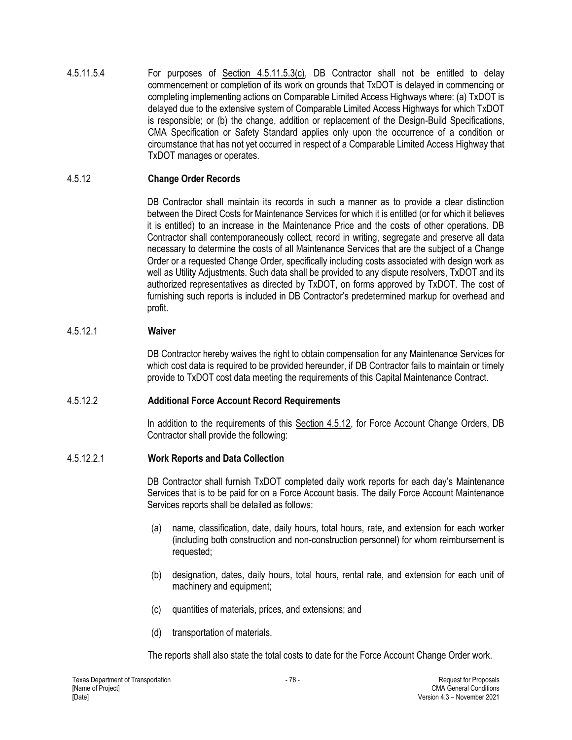4.5.11.5.4 For purposes of Section 4.5.11.5.3(c), DB Contractor shall not be entitled to delay commencement or completion of its work on grounds that TxDOT is delayed in commencing or completing implementing actions on Comparable Limited Access Highways where: (a) TxDOT is delayed due to the extensive system of Comparable Limited Access Highways for which TxDOT is responsible; or (b) the change, addition or replacement of the Design-Build Specifications, CMA Specification or Safety Standard applies only upon the occurrence of a condition or circumstance that has not yet occurred in respect of a Comparable Limited Access Highway that TxDOT manages or operates.

# 4.5.12 **Change Order Records**

DB Contractor shall maintain its records in such a manner as to provide a clear distinction between the Direct Costs for Maintenance Services for which it is entitled (or for which it believes it is entitled) to an increase in the Maintenance Price and the costs of other operations. DB Contractor shall contemporaneously collect, record in writing, segregate and preserve all data necessary to determine the costs of all Maintenance Services that are the subject of a Change Order or a requested Change Order, specifically including costs associated with design work as well as Utility Adjustments. Such data shall be provided to any dispute resolvers, TxDOT and its authorized representatives as directed by TxDOT, on forms approved by TxDOT. The cost of furnishing such reports is included in DB Contractor's predetermined markup for overhead and profit.

# 4.5.12.1 **Waiver**

DB Contractor hereby waives the right to obtain compensation for any Maintenance Services for which cost data is required to be provided hereunder, if DB Contractor fails to maintain or timely provide to TxDOT cost data meeting the requirements of this Capital Maintenance Contract.

# 4.5.12.2 **Additional Force Account Record Requirements**

In addition to the requirements of this Section 4.5.12, for Force Account Change Orders, DB Contractor shall provide the following:

# 4.5.12.2.1 **Work Reports and Data Collection**

DB Contractor shall furnish TxDOT completed daily work reports for each day's Maintenance Services that is to be paid for on a Force Account basis. The daily Force Account Maintenance Services reports shall be detailed as follows:

- (a) name, classification, date, daily hours, total hours, rate, and extension for each worker (including both construction and non-construction personnel) for whom reimbursement is requested;
- (b) designation, dates, daily hours, total hours, rental rate, and extension for each unit of machinery and equipment;
- (c) quantities of materials, prices, and extensions; and
- (d) transportation of materials.

The reports shall also state the total costs to date for the Force Account Change Order work.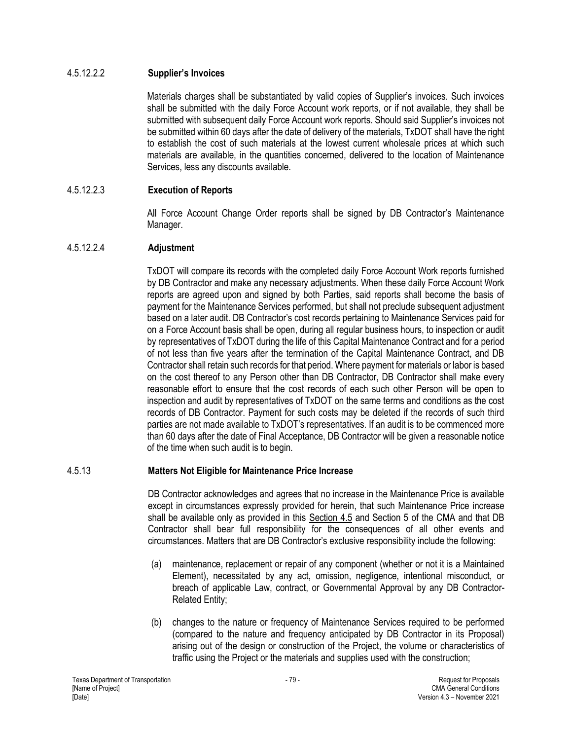### 4.5.12.2.2 **Supplier's Invoices**

Materials charges shall be substantiated by valid copies of Supplier's invoices. Such invoices shall be submitted with the daily Force Account work reports, or if not available, they shall be submitted with subsequent daily Force Account work reports. Should said Supplier's invoices not be submitted within 60 days after the date of delivery of the materials, TxDOT shall have the right to establish the cost of such materials at the lowest current wholesale prices at which such materials are available, in the quantities concerned, delivered to the location of Maintenance Services, less any discounts available.

# 4.5.12.2.3 **Execution of Reports**

All Force Account Change Order reports shall be signed by DB Contractor's Maintenance Manager.

### 4.5.12.2.4 **Adjustment**

TxDOT will compare its records with the completed daily Force Account Work reports furnished by DB Contractor and make any necessary adjustments. When these daily Force Account Work reports are agreed upon and signed by both Parties, said reports shall become the basis of payment for the Maintenance Services performed, but shall not preclude subsequent adjustment based on a later audit. DB Contractor's cost records pertaining to Maintenance Services paid for on a Force Account basis shall be open, during all regular business hours, to inspection or audit by representatives of TxDOT during the life of this Capital Maintenance Contract and for a period of not less than five years after the termination of the Capital Maintenance Contract, and DB Contractor shall retain such records for that period. Where payment for materials or labor is based on the cost thereof to any Person other than DB Contractor, DB Contractor shall make every reasonable effort to ensure that the cost records of each such other Person will be open to inspection and audit by representatives of TxDOT on the same terms and conditions as the cost records of DB Contractor. Payment for such costs may be deleted if the records of such third parties are not made available to TxDOT's representatives. If an audit is to be commenced more than 60 days after the date of Final Acceptance, DB Contractor will be given a reasonable notice of the time when such audit is to begin.

### 4.5.13 **Matters Not Eligible for Maintenance Price Increase**

DB Contractor acknowledges and agrees that no increase in the Maintenance Price is available except in circumstances expressly provided for herein, that such Maintenance Price increase shall be available only as provided in this Section 4.5 and Section 5 of the CMA and that DB Contractor shall bear full responsibility for the consequences of all other events and circumstances. Matters that are DB Contractor's exclusive responsibility include the following:

- (a) maintenance, replacement or repair of any component (whether or not it is a Maintained Element), necessitated by any act, omission, negligence, intentional misconduct, or breach of applicable Law, contract, or Governmental Approval by any DB Contractor-Related Entity;
- (b) changes to the nature or frequency of Maintenance Services required to be performed (compared to the nature and frequency anticipated by DB Contractor in its Proposal) arising out of the design or construction of the Project, the volume or characteristics of traffic using the Project or the materials and supplies used with the construction;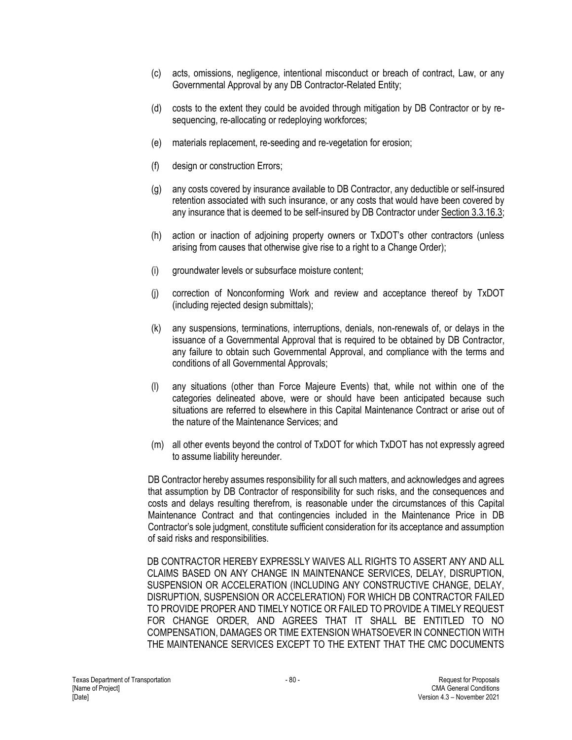- (c) acts, omissions, negligence, intentional misconduct or breach of contract, Law, or any Governmental Approval by any DB Contractor-Related Entity;
- (d) costs to the extent they could be avoided through mitigation by DB Contractor or by resequencing, re-allocating or redeploying workforces;
- (e) materials replacement, re-seeding and re-vegetation for erosion;
- (f) design or construction Errors;
- (g) any costs covered by insurance available to DB Contractor, any deductible or self-insured retention associated with such insurance, or any costs that would have been covered by any insurance that is deemed to be self-insured by DB Contractor under Section 3.3.16.3;
- (h) action or inaction of adjoining property owners or TxDOT's other contractors (unless arising from causes that otherwise give rise to a right to a Change Order);
- (i) groundwater levels or subsurface moisture content;
- (j) correction of Nonconforming Work and review and acceptance thereof by TxDOT (including rejected design submittals);
- (k) any suspensions, terminations, interruptions, denials, non-renewals of, or delays in the issuance of a Governmental Approval that is required to be obtained by DB Contractor, any failure to obtain such Governmental Approval, and compliance with the terms and conditions of all Governmental Approvals;
- (l) any situations (other than Force Majeure Events) that, while not within one of the categories delineated above, were or should have been anticipated because such situations are referred to elsewhere in this Capital Maintenance Contract or arise out of the nature of the Maintenance Services; and
- (m) all other events beyond the control of TxDOT for which TxDOT has not expressly agreed to assume liability hereunder.

DB Contractor hereby assumes responsibility for all such matters, and acknowledges and agrees that assumption by DB Contractor of responsibility for such risks, and the consequences and costs and delays resulting therefrom, is reasonable under the circumstances of this Capital Maintenance Contract and that contingencies included in the Maintenance Price in DB Contractor's sole judgment, constitute sufficient consideration for its acceptance and assumption of said risks and responsibilities.

DB CONTRACTOR HEREBY EXPRESSLY WAIVES ALL RIGHTS TO ASSERT ANY AND ALL CLAIMS BASED ON ANY CHANGE IN MAINTENANCE SERVICES, DELAY, DISRUPTION, SUSPENSION OR ACCELERATION (INCLUDING ANY CONSTRUCTIVE CHANGE, DELAY, DISRUPTION, SUSPENSION OR ACCELERATION) FOR WHICH DB CONTRACTOR FAILED TO PROVIDE PROPER AND TIMELY NOTICE OR FAILED TO PROVIDE A TIMELY REQUEST FOR CHANGE ORDER, AND AGREES THAT IT SHALL BE ENTITLED TO NO COMPENSATION, DAMAGES OR TIME EXTENSION WHATSOEVER IN CONNECTION WITH THE MAINTENANCE SERVICES EXCEPT TO THE EXTENT THAT THE CMC DOCUMENTS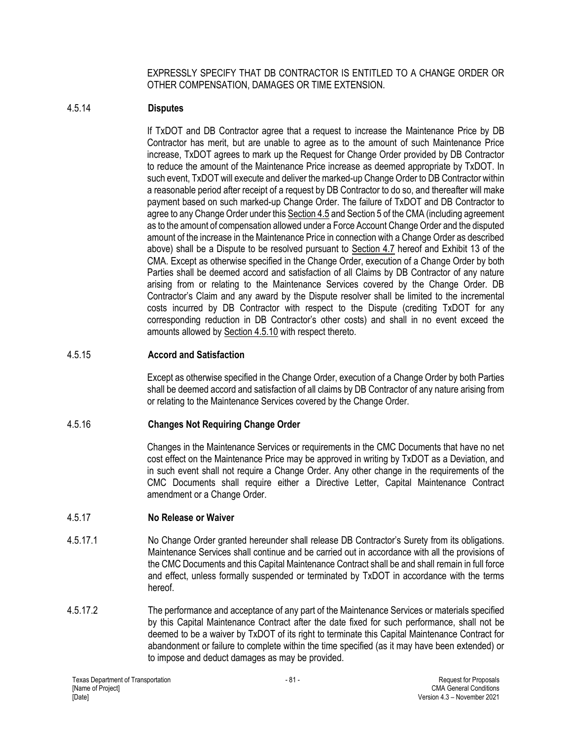EXPRESSLY SPECIFY THAT DB CONTRACTOR IS ENTITLED TO A CHANGE ORDER OR OTHER COMPENSATION, DAMAGES OR TIME EXTENSION.

### 4.5.14 **Disputes**

If TxDOT and DB Contractor agree that a request to increase the Maintenance Price by DB Contractor has merit, but are unable to agree as to the amount of such Maintenance Price increase, TxDOT agrees to mark up the Request for Change Order provided by DB Contractor to reduce the amount of the Maintenance Price increase as deemed appropriate by TxDOT. In such event, TxDOT will execute and deliver the marked-up Change Order to DB Contractor within a reasonable period after receipt of a request by DB Contractor to do so, and thereafter will make payment based on such marked-up Change Order. The failure of TxDOT and DB Contractor to agree to any Change Order under this Section 4.5 and Section 5 of the CMA (including agreement as to the amount of compensation allowed under a Force Account Change Order and the disputed amount of the increase in the Maintenance Price in connection with a Change Order as described above) shall be a Dispute to be resolved pursuant to Section 4.7 hereof and Exhibit 13 of the CMA. Except as otherwise specified in the Change Order, execution of a Change Order by both Parties shall be deemed accord and satisfaction of all Claims by DB Contractor of any nature arising from or relating to the Maintenance Services covered by the Change Order. DB Contractor's Claim and any award by the Dispute resolver shall be limited to the incremental costs incurred by DB Contractor with respect to the Dispute (crediting TxDOT for any corresponding reduction in DB Contractor's other costs) and shall in no event exceed the amounts allowed by Section 4.5.10 with respect thereto.

### 4.5.15 **Accord and Satisfaction**

Except as otherwise specified in the Change Order, execution of a Change Order by both Parties shall be deemed accord and satisfaction of all claims by DB Contractor of any nature arising from or relating to the Maintenance Services covered by the Change Order.

# 4.5.16 **Changes Not Requiring Change Order**

Changes in the Maintenance Services or requirements in the CMC Documents that have no net cost effect on the Maintenance Price may be approved in writing by TxDOT as a Deviation, and in such event shall not require a Change Order. Any other change in the requirements of the CMC Documents shall require either a Directive Letter, Capital Maintenance Contract amendment or a Change Order.

### 4.5.17 **No Release or Waiver**

- 4.5.17.1 No Change Order granted hereunder shall release DB Contractor's Surety from its obligations. Maintenance Services shall continue and be carried out in accordance with all the provisions of the CMC Documents and this Capital Maintenance Contract shall be and shall remain in full force and effect, unless formally suspended or terminated by TxDOT in accordance with the terms hereof.
- 4.5.17.2 The performance and acceptance of any part of the Maintenance Services or materials specified by this Capital Maintenance Contract after the date fixed for such performance, shall not be deemed to be a waiver by TxDOT of its right to terminate this Capital Maintenance Contract for abandonment or failure to complete within the time specified (as it may have been extended) or to impose and deduct damages as may be provided.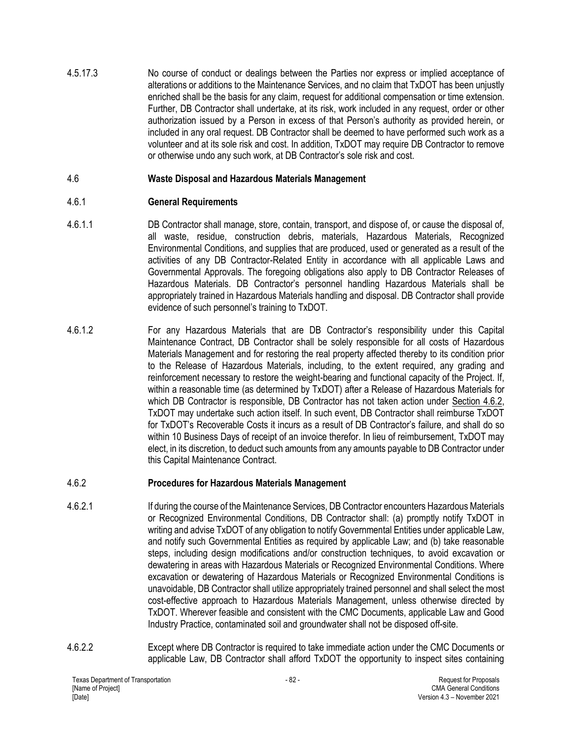4.5.17.3 No course of conduct or dealings between the Parties nor express or implied acceptance of alterations or additions to the Maintenance Services, and no claim that TxDOT has been unjustly enriched shall be the basis for any claim, request for additional compensation or time extension. Further, DB Contractor shall undertake, at its risk, work included in any request, order or other authorization issued by a Person in excess of that Person's authority as provided herein, or included in any oral request. DB Contractor shall be deemed to have performed such work as a volunteer and at its sole risk and cost. In addition, TxDOT may require DB Contractor to remove or otherwise undo any such work, at DB Contractor's sole risk and cost.

### 4.6 **Waste Disposal and Hazardous Materials Management**

### 4.6.1 **General Requirements**

- 4.6.1.1 DB Contractor shall manage, store, contain, transport, and dispose of, or cause the disposal of, all waste, residue, construction debris, materials, Hazardous Materials, Recognized Environmental Conditions, and supplies that are produced, used or generated as a result of the activities of any DB Contractor-Related Entity in accordance with all applicable Laws and Governmental Approvals. The foregoing obligations also apply to DB Contractor Releases of Hazardous Materials. DB Contractor's personnel handling Hazardous Materials shall be appropriately trained in Hazardous Materials handling and disposal. DB Contractor shall provide evidence of such personnel's training to TxDOT.
- 4.6.1.2 For any Hazardous Materials that are DB Contractor's responsibility under this Capital Maintenance Contract, DB Contractor shall be solely responsible for all costs of Hazardous Materials Management and for restoring the real property affected thereby to its condition prior to the Release of Hazardous Materials, including, to the extent required, any grading and reinforcement necessary to restore the weight-bearing and functional capacity of the Project. If, within a reasonable time (as determined by TxDOT) after a Release of Hazardous Materials for which DB Contractor is responsible, DB Contractor has not taken action under Section 4.6.2, TxDOT may undertake such action itself. In such event, DB Contractor shall reimburse TxDOT for TxDOT's Recoverable Costs it incurs as a result of DB Contractor's failure, and shall do so within 10 Business Days of receipt of an invoice therefor. In lieu of reimbursement, TxDOT may elect, in its discretion, to deduct such amounts from any amounts payable to DB Contractor under this Capital Maintenance Contract.

### 4.6.2 **Procedures for Hazardous Materials Management**

- 4.6.2.1 If during the course of the Maintenance Services, DB Contractor encounters Hazardous Materials or Recognized Environmental Conditions, DB Contractor shall: (a) promptly notify TxDOT in writing and advise TxDOT of any obligation to notify Governmental Entities under applicable Law, and notify such Governmental Entities as required by applicable Law; and (b) take reasonable steps, including design modifications and/or construction techniques, to avoid excavation or dewatering in areas with Hazardous Materials or Recognized Environmental Conditions. Where excavation or dewatering of Hazardous Materials or Recognized Environmental Conditions is unavoidable, DB Contractor shall utilize appropriately trained personnel and shall select the most cost-effective approach to Hazardous Materials Management, unless otherwise directed by TxDOT. Wherever feasible and consistent with the CMC Documents, applicable Law and Good Industry Practice, contaminated soil and groundwater shall not be disposed off-site.
- 4.6.2.2 Except where DB Contractor is required to take immediate action under the CMC Documents or applicable Law, DB Contractor shall afford TxDOT the opportunity to inspect sites containing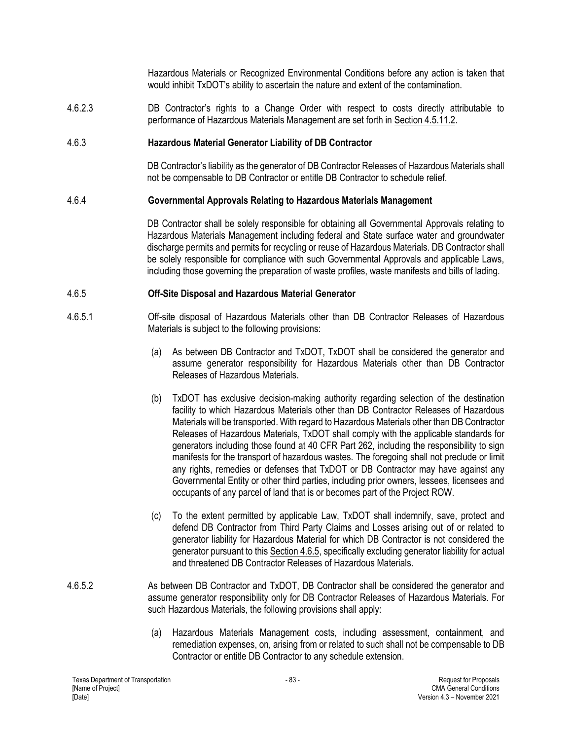Hazardous Materials or Recognized Environmental Conditions before any action is taken that would inhibit TxDOT's ability to ascertain the nature and extent of the contamination.

4.6.2.3 DB Contractor's rights to a Change Order with respect to costs directly attributable to performance of Hazardous Materials Management are set forth in Section 4.5.11.2.

#### 4.6.3 **Hazardous Material Generator Liability of DB Contractor**

DB Contractor's liability as the generator of DB Contractor Releases of Hazardous Materials shall not be compensable to DB Contractor or entitle DB Contractor to schedule relief.

#### 4.6.4 **Governmental Approvals Relating to Hazardous Materials Management**

DB Contractor shall be solely responsible for obtaining all Governmental Approvals relating to Hazardous Materials Management including federal and State surface water and groundwater discharge permits and permits for recycling or reuse of Hazardous Materials. DB Contractor shall be solely responsible for compliance with such Governmental Approvals and applicable Laws, including those governing the preparation of waste profiles, waste manifests and bills of lading.

#### 4.6.5 **Off-Site Disposal and Hazardous Material Generator**

- 4.6.5.1 Off-site disposal of Hazardous Materials other than DB Contractor Releases of Hazardous Materials is subject to the following provisions:
	- (a) As between DB Contractor and TxDOT, TxDOT shall be considered the generator and assume generator responsibility for Hazardous Materials other than DB Contractor Releases of Hazardous Materials.
	- (b) TxDOT has exclusive decision-making authority regarding selection of the destination facility to which Hazardous Materials other than DB Contractor Releases of Hazardous Materials will be transported. With regard to Hazardous Materials other than DB Contractor Releases of Hazardous Materials, TxDOT shall comply with the applicable standards for generators including those found at 40 CFR Part 262, including the responsibility to sign manifests for the transport of hazardous wastes. The foregoing shall not preclude or limit any rights, remedies or defenses that TxDOT or DB Contractor may have against any Governmental Entity or other third parties, including prior owners, lessees, licensees and occupants of any parcel of land that is or becomes part of the Project ROW.
	- (c) To the extent permitted by applicable Law, TxDOT shall indemnify, save, protect and defend DB Contractor from Third Party Claims and Losses arising out of or related to generator liability for Hazardous Material for which DB Contractor is not considered the generator pursuant to this Section 4.6.5, specifically excluding generator liability for actual and threatened DB Contractor Releases of Hazardous Materials.
- 4.6.5.2 As between DB Contractor and TxDOT, DB Contractor shall be considered the generator and assume generator responsibility only for DB Contractor Releases of Hazardous Materials. For such Hazardous Materials, the following provisions shall apply:
	- (a) Hazardous Materials Management costs, including assessment, containment, and remediation expenses, on, arising from or related to such shall not be compensable to DB Contractor or entitle DB Contractor to any schedule extension.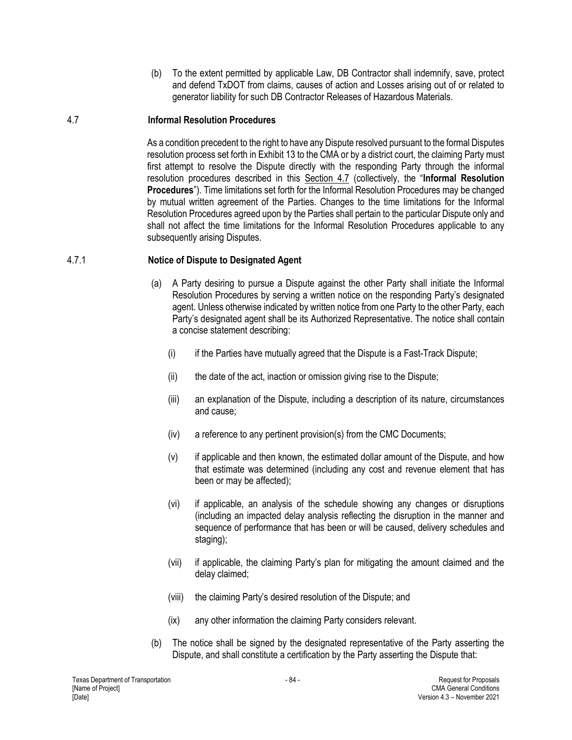(b) To the extent permitted by applicable Law, DB Contractor shall indemnify, save, protect and defend TxDOT from claims, causes of action and Losses arising out of or related to generator liability for such DB Contractor Releases of Hazardous Materials.

### 4.7 **Informal Resolution Procedures**

As a condition precedent to the right to have any Dispute resolved pursuant to the formal Disputes resolution process set forth in Exhibit 13 to the CMA or by a district court, the claiming Party must first attempt to resolve the Dispute directly with the responding Party through the informal resolution procedures described in this Section 4.7 (collectively, the "**Informal Resolution Procedures**"). Time limitations set forth for the Informal Resolution Procedures may be changed by mutual written agreement of the Parties. Changes to the time limitations for the Informal Resolution Procedures agreed upon by the Parties shall pertain to the particular Dispute only and shall not affect the time limitations for the Informal Resolution Procedures applicable to any subsequently arising Disputes.

### 4.7.1 **Notice of Dispute to Designated Agent**

- (a) A Party desiring to pursue a Dispute against the other Party shall initiate the Informal Resolution Procedures by serving a written notice on the responding Party's designated agent. Unless otherwise indicated by written notice from one Party to the other Party, each Party's designated agent shall be its Authorized Representative. The notice shall contain a concise statement describing:
	- (i) if the Parties have mutually agreed that the Dispute is a Fast-Track Dispute;
	- (ii) the date of the act, inaction or omission giving rise to the Dispute;
	- (iii) an explanation of the Dispute, including a description of its nature, circumstances and cause;
	- (iv) a reference to any pertinent provision(s) from the CMC Documents;
	- (v) if applicable and then known, the estimated dollar amount of the Dispute, and how that estimate was determined (including any cost and revenue element that has been or may be affected);
	- (vi) if applicable, an analysis of the schedule showing any changes or disruptions (including an impacted delay analysis reflecting the disruption in the manner and sequence of performance that has been or will be caused, delivery schedules and staging);
	- (vii) if applicable, the claiming Party's plan for mitigating the amount claimed and the delay claimed;
	- (viii) the claiming Party's desired resolution of the Dispute; and
	- (ix) any other information the claiming Party considers relevant.
- (b) The notice shall be signed by the designated representative of the Party asserting the Dispute, and shall constitute a certification by the Party asserting the Dispute that: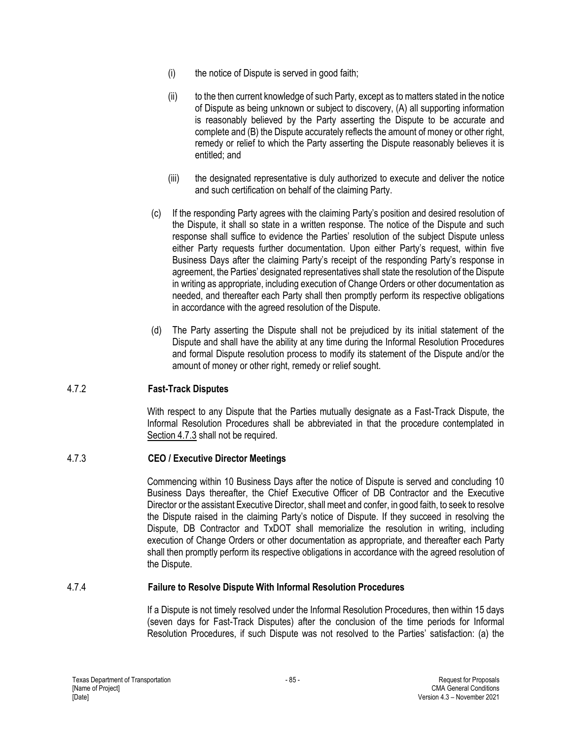- (i) the notice of Dispute is served in good faith;
- (ii) to the then current knowledge of such Party, except as to matters stated in the notice of Dispute as being unknown or subject to discovery, (A) all supporting information is reasonably believed by the Party asserting the Dispute to be accurate and complete and (B) the Dispute accurately reflects the amount of money or other right, remedy or relief to which the Party asserting the Dispute reasonably believes it is entitled; and
- (iii) the designated representative is duly authorized to execute and deliver the notice and such certification on behalf of the claiming Party.
- (c) If the responding Party agrees with the claiming Party's position and desired resolution of the Dispute, it shall so state in a written response. The notice of the Dispute and such response shall suffice to evidence the Parties' resolution of the subject Dispute unless either Party requests further documentation. Upon either Party's request, within five Business Days after the claiming Party's receipt of the responding Party's response in agreement, the Parties' designated representatives shall state the resolution of the Dispute in writing as appropriate, including execution of Change Orders or other documentation as needed, and thereafter each Party shall then promptly perform its respective obligations in accordance with the agreed resolution of the Dispute.
- (d) The Party asserting the Dispute shall not be prejudiced by its initial statement of the Dispute and shall have the ability at any time during the Informal Resolution Procedures and formal Dispute resolution process to modify its statement of the Dispute and/or the amount of money or other right, remedy or relief sought.

### 4.7.2 **Fast-Track Disputes**

With respect to any Dispute that the Parties mutually designate as a Fast-Track Dispute, the Informal Resolution Procedures shall be abbreviated in that the procedure contemplated in Section 4.7.3 shall not be required.

### 4.7.3 **CEO / Executive Director Meetings**

Commencing within 10 Business Days after the notice of Dispute is served and concluding 10 Business Days thereafter, the Chief Executive Officer of DB Contractor and the Executive Director or the assistant Executive Director, shall meet and confer, in good faith, to seek to resolve the Dispute raised in the claiming Party's notice of Dispute. If they succeed in resolving the Dispute, DB Contractor and TxDOT shall memorialize the resolution in writing, including execution of Change Orders or other documentation as appropriate, and thereafter each Party shall then promptly perform its respective obligations in accordance with the agreed resolution of the Dispute.

### 4.7.4 **Failure to Resolve Dispute With Informal Resolution Procedures**

If a Dispute is not timely resolved under the Informal Resolution Procedures, then within 15 days (seven days for Fast-Track Disputes) after the conclusion of the time periods for Informal Resolution Procedures, if such Dispute was not resolved to the Parties' satisfaction: (a) the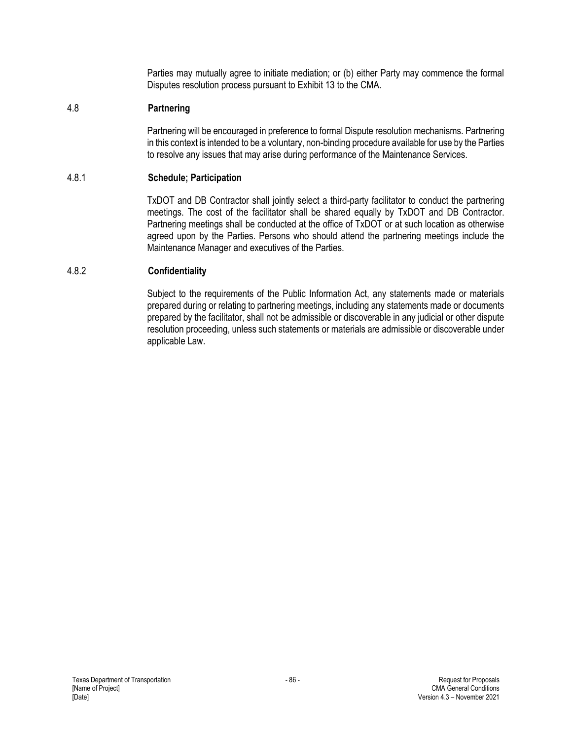Parties may mutually agree to initiate mediation; or (b) either Party may commence the formal Disputes resolution process pursuant to Exhibit 13 to the CMA.

### 4.8 **Partnering**

Partnering will be encouraged in preference to formal Dispute resolution mechanisms. Partnering in this context is intended to be a voluntary, non-binding procedure available for use by the Parties to resolve any issues that may arise during performance of the Maintenance Services.

### 4.8.1 **Schedule; Participation**

TxDOT and DB Contractor shall jointly select a third-party facilitator to conduct the partnering meetings. The cost of the facilitator shall be shared equally by TxDOT and DB Contractor. Partnering meetings shall be conducted at the office of TxDOT or at such location as otherwise agreed upon by the Parties. Persons who should attend the partnering meetings include the Maintenance Manager and executives of the Parties.

### 4.8.2 **Confidentiality**

Subject to the requirements of the Public Information Act, any statements made or materials prepared during or relating to partnering meetings, including any statements made or documents prepared by the facilitator, shall not be admissible or discoverable in any judicial or other dispute resolution proceeding, unless such statements or materials are admissible or discoverable under applicable Law.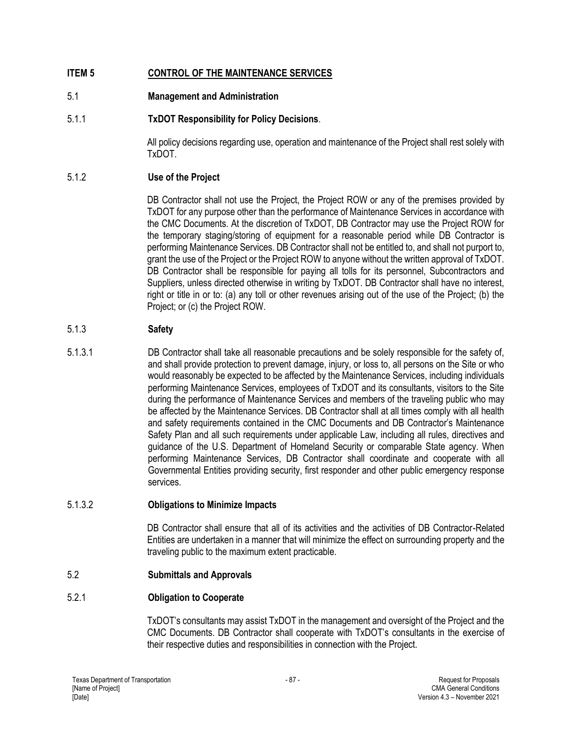# **ITEM 5 CONTROL OF THE MAINTENANCE SERVICES**

# 5.1 **Management and Administration**

# 5.1.1 **TxDOT Responsibility for Policy Decisions**.

All policy decisions regarding use, operation and maintenance of the Project shall rest solely with TxDOT.

# 5.1.2 **Use of the Project**

DB Contractor shall not use the Project, the Project ROW or any of the premises provided by TxDOT for any purpose other than the performance of Maintenance Services in accordance with the CMC Documents. At the discretion of TxDOT, DB Contractor may use the Project ROW for the temporary staging/storing of equipment for a reasonable period while DB Contractor is performing Maintenance Services. DB Contractor shall not be entitled to, and shall not purport to, grant the use of the Project or the Project ROW to anyone without the written approval of TxDOT. DB Contractor shall be responsible for paying all tolls for its personnel, Subcontractors and Suppliers, unless directed otherwise in writing by TxDOT. DB Contractor shall have no interest, right or title in or to: (a) any toll or other revenues arising out of the use of the Project; (b) the Project; or (c) the Project ROW.

# 5.1.3 **Safety**

5.1.3.1 DB Contractor shall take all reasonable precautions and be solely responsible for the safety of, and shall provide protection to prevent damage, injury, or loss to, all persons on the Site or who would reasonably be expected to be affected by the Maintenance Services, including individuals performing Maintenance Services, employees of TxDOT and its consultants, visitors to the Site during the performance of Maintenance Services and members of the traveling public who may be affected by the Maintenance Services. DB Contractor shall at all times comply with all health and safety requirements contained in the CMC Documents and DB Contractor's Maintenance Safety Plan and all such requirements under applicable Law, including all rules, directives and guidance of the U.S. Department of Homeland Security or comparable State agency. When performing Maintenance Services, DB Contractor shall coordinate and cooperate with all Governmental Entities providing security, first responder and other public emergency response services.

# 5.1.3.2 **Obligations to Minimize Impacts**

DB Contractor shall ensure that all of its activities and the activities of DB Contractor-Related Entities are undertaken in a manner that will minimize the effect on surrounding property and the traveling public to the maximum extent practicable.

# 5.2 **Submittals and Approvals**

# 5.2.1 **Obligation to Cooperate**

TxDOT's consultants may assist TxDOT in the management and oversight of the Project and the CMC Documents. DB Contractor shall cooperate with TxDOT's consultants in the exercise of their respective duties and responsibilities in connection with the Project.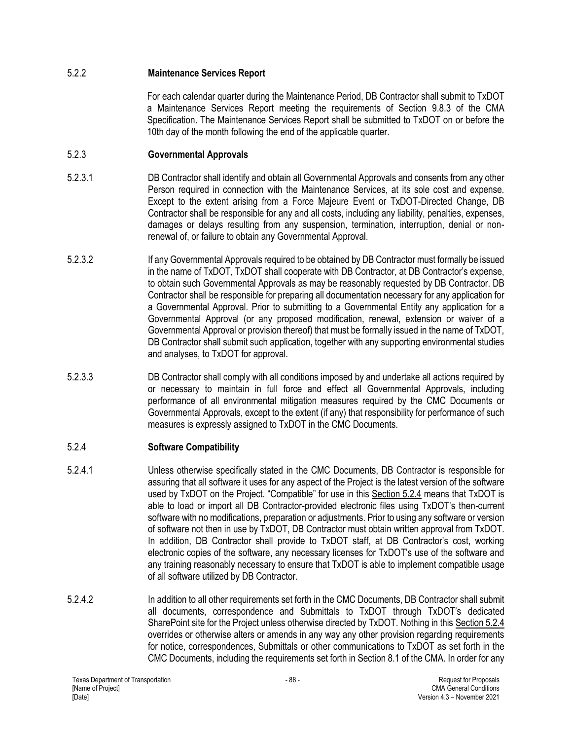### 5.2.2 **Maintenance Services Report**

For each calendar quarter during the Maintenance Period, DB Contractor shall submit to TxDOT a Maintenance Services Report meeting the requirements of Section 9.8.3 of the CMA Specification. The Maintenance Services Report shall be submitted to TxDOT on or before the 10th day of the month following the end of the applicable quarter.

## 5.2.3 **Governmental Approvals**

- 5.2.3.1 DB Contractor shall identify and obtain all Governmental Approvals and consents from any other Person required in connection with the Maintenance Services, at its sole cost and expense. Except to the extent arising from a Force Majeure Event or TxDOT-Directed Change, DB Contractor shall be responsible for any and all costs, including any liability, penalties, expenses, damages or delays resulting from any suspension, termination, interruption, denial or nonrenewal of, or failure to obtain any Governmental Approval.
- 5.2.3.2 If any Governmental Approvals required to be obtained by DB Contractor must formally be issued in the name of TxDOT, TxDOT shall cooperate with DB Contractor, at DB Contractor's expense, to obtain such Governmental Approvals as may be reasonably requested by DB Contractor. DB Contractor shall be responsible for preparing all documentation necessary for any application for a Governmental Approval. Prior to submitting to a Governmental Entity any application for a Governmental Approval (or any proposed modification, renewal, extension or waiver of a Governmental Approval or provision thereof) that must be formally issued in the name of TxDOT, DB Contractor shall submit such application, together with any supporting environmental studies and analyses, to TxDOT for approval.
- 5.2.3.3 DB Contractor shall comply with all conditions imposed by and undertake all actions required by or necessary to maintain in full force and effect all Governmental Approvals, including performance of all environmental mitigation measures required by the CMC Documents or Governmental Approvals, except to the extent (if any) that responsibility for performance of such measures is expressly assigned to TxDOT in the CMC Documents.

# 5.2.4 **Software Compatibility**

- 5.2.4.1 Unless otherwise specifically stated in the CMC Documents, DB Contractor is responsible for assuring that all software it uses for any aspect of the Project is the latest version of the software used by TxDOT on the Project. "Compatible" for use in this Section 5.2.4 means that TxDOT is able to load or import all DB Contractor-provided electronic files using TxDOT's then-current software with no modifications, preparation or adjustments. Prior to using any software or version of software not then in use by TxDOT, DB Contractor must obtain written approval from TxDOT. In addition, DB Contractor shall provide to TxDOT staff, at DB Contractor's cost, working electronic copies of the software, any necessary licenses for TxDOT's use of the software and any training reasonably necessary to ensure that TxDOT is able to implement compatible usage of all software utilized by DB Contractor.
- 5.2.4.2 In addition to all other requirements set forth in the CMC Documents, DB Contractor shall submit all documents, correspondence and Submittals to TxDOT through TxDOT's dedicated SharePoint site for the Project unless otherwise directed by TxDOT. Nothing in this Section 5.2.4 overrides or otherwise alters or amends in any way any other provision regarding requirements for notice, correspondences, Submittals or other communications to TxDOT as set forth in the CMC Documents, including the requirements set forth in Section 8.1 of the CMA. In order for any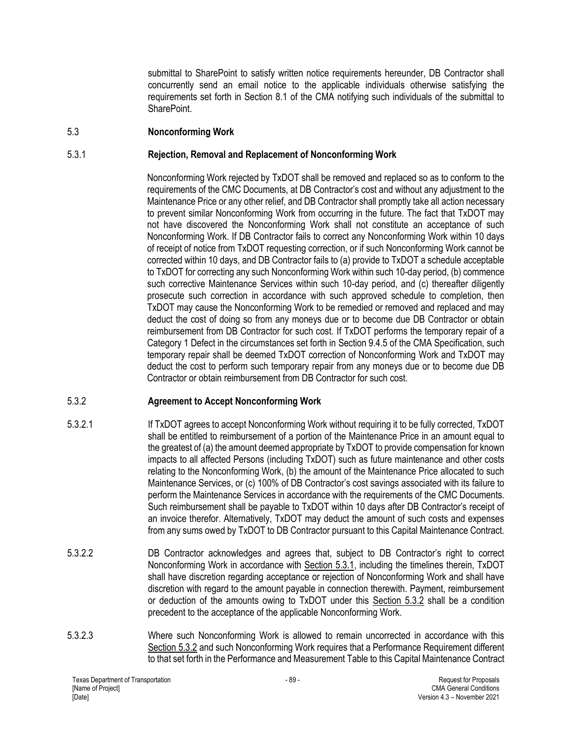submittal to SharePoint to satisfy written notice requirements hereunder, DB Contractor shall concurrently send an email notice to the applicable individuals otherwise satisfying the requirements set forth in Section 8.1 of the CMA notifying such individuals of the submittal to SharePoint.

### 5.3 **Nonconforming Work**

### 5.3.1 **Rejection, Removal and Replacement of Nonconforming Work**

Nonconforming Work rejected by TxDOT shall be removed and replaced so as to conform to the requirements of the CMC Documents, at DB Contractor's cost and without any adjustment to the Maintenance Price or any other relief, and DB Contractor shall promptly take all action necessary to prevent similar Nonconforming Work from occurring in the future. The fact that TxDOT may not have discovered the Nonconforming Work shall not constitute an acceptance of such Nonconforming Work. If DB Contractor fails to correct any Nonconforming Work within 10 days of receipt of notice from TxDOT requesting correction, or if such Nonconforming Work cannot be corrected within 10 days, and DB Contractor fails to (a) provide to TxDOT a schedule acceptable to TxDOT for correcting any such Nonconforming Work within such 10-day period, (b) commence such corrective Maintenance Services within such 10-day period, and (c) thereafter diligently prosecute such correction in accordance with such approved schedule to completion, then TxDOT may cause the Nonconforming Work to be remedied or removed and replaced and may deduct the cost of doing so from any moneys due or to become due DB Contractor or obtain reimbursement from DB Contractor for such cost. If TxDOT performs the temporary repair of a Category 1 Defect in the circumstances set forth in Section 9.4.5 of the CMA Specification, such temporary repair shall be deemed TxDOT correction of Nonconforming Work and TxDOT may deduct the cost to perform such temporary repair from any moneys due or to become due DB Contractor or obtain reimbursement from DB Contractor for such cost.

### 5.3.2 **Agreement to Accept Nonconforming Work**

- 5.3.2.1 If TxDOT agrees to accept Nonconforming Work without requiring it to be fully corrected, TxDOT shall be entitled to reimbursement of a portion of the Maintenance Price in an amount equal to the greatest of (a) the amount deemed appropriate by TxDOT to provide compensation for known impacts to all affected Persons (including TxDOT) such as future maintenance and other costs relating to the Nonconforming Work, (b) the amount of the Maintenance Price allocated to such Maintenance Services, or (c) 100% of DB Contractor's cost savings associated with its failure to perform the Maintenance Services in accordance with the requirements of the CMC Documents. Such reimbursement shall be payable to TxDOT within 10 days after DB Contractor's receipt of an invoice therefor. Alternatively, TxDOT may deduct the amount of such costs and expenses from any sums owed by TxDOT to DB Contractor pursuant to this Capital Maintenance Contract.
- 5.3.2.2 DB Contractor acknowledges and agrees that, subject to DB Contractor's right to correct Nonconforming Work in accordance with Section 5.3.1, including the timelines therein, TxDOT shall have discretion regarding acceptance or rejection of Nonconforming Work and shall have discretion with regard to the amount payable in connection therewith. Payment, reimbursement or deduction of the amounts owing to TxDOT under this Section 5.3.2 shall be a condition precedent to the acceptance of the applicable Nonconforming Work.
- 5.3.2.3 Where such Nonconforming Work is allowed to remain uncorrected in accordance with this Section 5.3.2 and such Nonconforming Work requires that a Performance Requirement different to that set forth in the Performance and Measurement Table to this Capital Maintenance Contract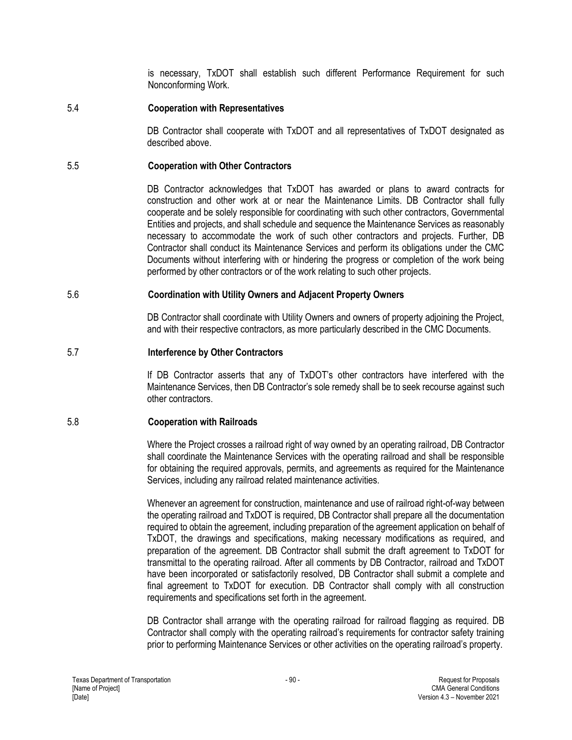is necessary, TxDOT shall establish such different Performance Requirement for such Nonconforming Work.

### 5.4 **Cooperation with Representatives**

DB Contractor shall cooperate with TxDOT and all representatives of TxDOT designated as described above.

#### 5.5 **Cooperation with Other Contractors**

DB Contractor acknowledges that TxDOT has awarded or plans to award contracts for construction and other work at or near the Maintenance Limits. DB Contractor shall fully cooperate and be solely responsible for coordinating with such other contractors, Governmental Entities and projects, and shall schedule and sequence the Maintenance Services as reasonably necessary to accommodate the work of such other contractors and projects. Further, DB Contractor shall conduct its Maintenance Services and perform its obligations under the CMC Documents without interfering with or hindering the progress or completion of the work being performed by other contractors or of the work relating to such other projects.

#### 5.6 **Coordination with Utility Owners and Adjacent Property Owners**

DB Contractor shall coordinate with Utility Owners and owners of property adjoining the Project, and with their respective contractors, as more particularly described in the CMC Documents.

#### 5.7 **Interference by Other Contractors**

If DB Contractor asserts that any of TxDOT's other contractors have interfered with the Maintenance Services, then DB Contractor's sole remedy shall be to seek recourse against such other contractors.

### 5.8 **Cooperation with Railroads**

Where the Project crosses a railroad right of way owned by an operating railroad, DB Contractor shall coordinate the Maintenance Services with the operating railroad and shall be responsible for obtaining the required approvals, permits, and agreements as required for the Maintenance Services, including any railroad related maintenance activities.

Whenever an agreement for construction, maintenance and use of railroad right-of-way between the operating railroad and TxDOT is required, DB Contractor shall prepare all the documentation required to obtain the agreement, including preparation of the agreement application on behalf of TxDOT, the drawings and specifications, making necessary modifications as required, and preparation of the agreement. DB Contractor shall submit the draft agreement to TxDOT for transmittal to the operating railroad. After all comments by DB Contractor, railroad and TxDOT have been incorporated or satisfactorily resolved, DB Contractor shall submit a complete and final agreement to TxDOT for execution. DB Contractor shall comply with all construction requirements and specifications set forth in the agreement.

DB Contractor shall arrange with the operating railroad for railroad flagging as required. DB Contractor shall comply with the operating railroad's requirements for contractor safety training prior to performing Maintenance Services or other activities on the operating railroad's property.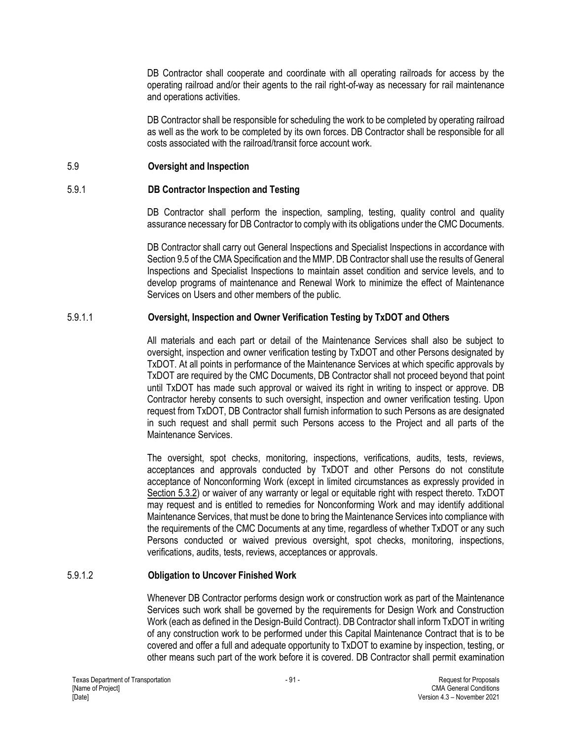DB Contractor shall cooperate and coordinate with all operating railroads for access by the operating railroad and/or their agents to the rail right-of-way as necessary for rail maintenance and operations activities.

DB Contractor shall be responsible for scheduling the work to be completed by operating railroad as well as the work to be completed by its own forces. DB Contractor shall be responsible for all costs associated with the railroad/transit force account work.

### 5.9 **Oversight and Inspection**

#### 5.9.1 **DB Contractor Inspection and Testing**

DB Contractor shall perform the inspection, sampling, testing, quality control and quality assurance necessary for DB Contractor to comply with its obligations under the CMC Documents.

DB Contractor shall carry out General Inspections and Specialist Inspections in accordance with Section 9.5 of the CMA Specification and the MMP. DB Contractor shall use the results of General Inspections and Specialist Inspections to maintain asset condition and service levels, and to develop programs of maintenance and Renewal Work to minimize the effect of Maintenance Services on Users and other members of the public.

### 5.9.1.1 **Oversight, Inspection and Owner Verification Testing by TxDOT and Others**

All materials and each part or detail of the Maintenance Services shall also be subject to oversight, inspection and owner verification testing by TxDOT and other Persons designated by TxDOT. At all points in performance of the Maintenance Services at which specific approvals by TxDOT are required by the CMC Documents, DB Contractor shall not proceed beyond that point until TxDOT has made such approval or waived its right in writing to inspect or approve. DB Contractor hereby consents to such oversight, inspection and owner verification testing. Upon request from TxDOT, DB Contractor shall furnish information to such Persons as are designated in such request and shall permit such Persons access to the Project and all parts of the Maintenance Services.

The oversight, spot checks, monitoring, inspections, verifications, audits, tests, reviews, acceptances and approvals conducted by TxDOT and other Persons do not constitute acceptance of Nonconforming Work (except in limited circumstances as expressly provided in Section 5.3.2) or waiver of any warranty or legal or equitable right with respect thereto. TxDOT may request and is entitled to remedies for Nonconforming Work and may identify additional Maintenance Services, that must be done to bring the Maintenance Services into compliance with the requirements of the CMC Documents at any time, regardless of whether TxDOT or any such Persons conducted or waived previous oversight, spot checks, monitoring, inspections, verifications, audits, tests, reviews, acceptances or approvals.

### 5.9.1.2 **Obligation to Uncover Finished Work**

Whenever DB Contractor performs design work or construction work as part of the Maintenance Services such work shall be governed by the requirements for Design Work and Construction Work (each as defined in the Design-Build Contract). DB Contractor shall inform TxDOT in writing of any construction work to be performed under this Capital Maintenance Contract that is to be covered and offer a full and adequate opportunity to TxDOT to examine by inspection, testing, or other means such part of the work before it is covered. DB Contractor shall permit examination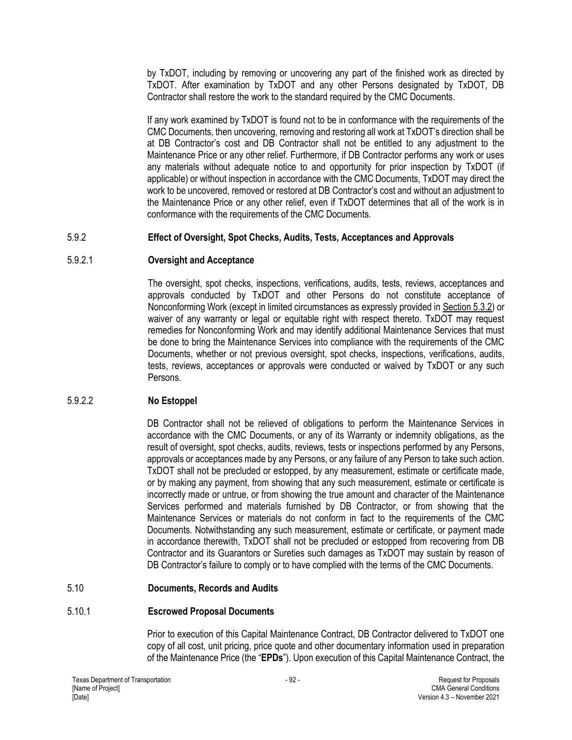by TxDOT, including by removing or uncovering any part of the finished work as directed by TxDOT. After examination by TxDOT and any other Persons designated by TxDOT, DB Contractor shall restore the work to the standard required by the CMC Documents.

If any work examined by TxDOT is found not to be in conformance with the requirements of the CMC Documents, then uncovering, removing and restoring all work at TxDOT's direction shall be at DB Contractor's cost and DB Contractor shall not be entitled to any adjustment to the Maintenance Price or any other relief. Furthermore, if DB Contractor performs any work or uses any materials without adequate notice to and opportunity for prior inspection by TxDOT (if applicable) or without inspection in accordance with the CMC Documents, TxDOT may direct the work to be uncovered, removed or restored at DB Contractor's cost and without an adjustment to the Maintenance Price or any other relief, even if TxDOT determines that all of the work is in conformance with the requirements of the CMC Documents.

### 5.9.2 **Effect of Oversight, Spot Checks, Audits, Tests, Acceptances and Approvals**

### 5.9.2.1 **Oversight and Acceptance**

The oversight, spot checks, inspections, verifications, audits, tests, reviews, acceptances and approvals conducted by TxDOT and other Persons do not constitute acceptance of Nonconforming Work (except in limited circumstances as expressly provided in Section 5.3.2) or waiver of any warranty or legal or equitable right with respect thereto. TxDOT may request remedies for Nonconforming Work and may identify additional Maintenance Services that must be done to bring the Maintenance Services into compliance with the requirements of the CMC Documents, whether or not previous oversight, spot checks, inspections, verifications, audits, tests, reviews, acceptances or approvals were conducted or waived by TxDOT or any such Persons.

# 5.9.2.2 **No Estoppel**

DB Contractor shall not be relieved of obligations to perform the Maintenance Services in accordance with the CMC Documents, or any of its Warranty or indemnity obligations, as the result of oversight, spot checks, audits, reviews, tests or inspections performed by any Persons, approvals or acceptances made by any Persons, or any failure of any Person to take such action. TxDOT shall not be precluded or estopped, by any measurement, estimate or certificate made, or by making any payment, from showing that any such measurement, estimate or certificate is incorrectly made or untrue, or from showing the true amount and character of the Maintenance Services performed and materials furnished by DB Contractor, or from showing that the Maintenance Services or materials do not conform in fact to the requirements of the CMC Documents. Notwithstanding any such measurement, estimate or certificate, or payment made in accordance therewith, TxDOT shall not be precluded or estopped from recovering from DB Contractor and its Guarantors or Sureties such damages as TxDOT may sustain by reason of DB Contractor's failure to comply or to have complied with the terms of the CMC Documents.

### 5.10 **Documents, Records and Audits**

### 5.10.1 **Escrowed Proposal Documents**

Prior to execution of this Capital Maintenance Contract, DB Contractor delivered to TxDOT one copy of all cost, unit pricing, price quote and other documentary information used in preparation of the Maintenance Price (the "**EPDs**"). Upon execution of this Capital Maintenance Contract, the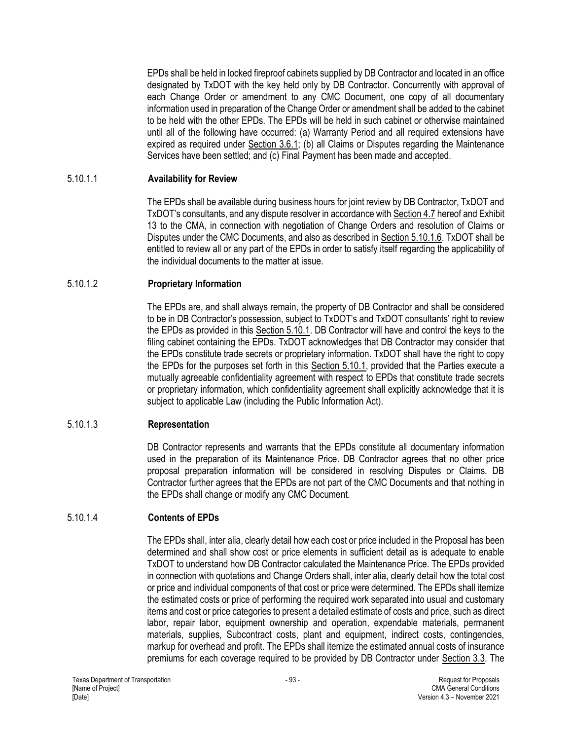EPDs shall be held in locked fireproof cabinets supplied by DB Contractor and located in an office designated by TxDOT with the key held only by DB Contractor. Concurrently with approval of each Change Order or amendment to any CMC Document, one copy of all documentary information used in preparation of the Change Order or amendment shall be added to the cabinet to be held with the other EPDs. The EPDs will be held in such cabinet or otherwise maintained until all of the following have occurred: (a) Warranty Period and all required extensions have expired as required under Section 3.6.1; (b) all Claims or Disputes regarding the Maintenance Services have been settled; and (c) Final Payment has been made and accepted.

### 5.10.1.1 **Availability for Review**

The EPDs shall be available during business hours for joint review by DB Contractor, TxDOT and TxDOT's consultants, and any dispute resolver in accordance with Section 4.7 hereof and Exhibit 13 to the CMA, in connection with negotiation of Change Orders and resolution of Claims or Disputes under the CMC Documents, and also as described in Section 5.10.1.6. TxDOT shall be entitled to review all or any part of the EPDs in order to satisfy itself regarding the applicability of the individual documents to the matter at issue.

### 5.10.1.2 **Proprietary Information**

The EPDs are, and shall always remain, the property of DB Contractor and shall be considered to be in DB Contractor's possession, subject to TxDOT's and TxDOT consultants' right to review the EPDs as provided in this Section 5.10.1. DB Contractor will have and control the keys to the filing cabinet containing the EPDs. TxDOT acknowledges that DB Contractor may consider that the EPDs constitute trade secrets or proprietary information. TxDOT shall have the right to copy the EPDs for the purposes set forth in this Section 5.10.1, provided that the Parties execute a mutually agreeable confidentiality agreement with respect to EPDs that constitute trade secrets or proprietary information, which confidentiality agreement shall explicitly acknowledge that it is subject to applicable Law (including the Public Information Act).

# 5.10.1.3 **Representation**

DB Contractor represents and warrants that the EPDs constitute all documentary information used in the preparation of its Maintenance Price. DB Contractor agrees that no other price proposal preparation information will be considered in resolving Disputes or Claims. DB Contractor further agrees that the EPDs are not part of the CMC Documents and that nothing in the EPDs shall change or modify any CMC Document.

# 5.10.1.4 **Contents of EPDs**

The EPDs shall, inter alia, clearly detail how each cost or price included in the Proposal has been determined and shall show cost or price elements in sufficient detail as is adequate to enable TxDOT to understand how DB Contractor calculated the Maintenance Price. The EPDs provided in connection with quotations and Change Orders shall, inter alia, clearly detail how the total cost or price and individual components of that cost or price were determined. The EPDs shall itemize the estimated costs or price of performing the required work separated into usual and customary items and cost or price categories to present a detailed estimate of costs and price, such as direct labor, repair labor, equipment ownership and operation, expendable materials, permanent materials, supplies, Subcontract costs, plant and equipment, indirect costs, contingencies, markup for overhead and profit. The EPDs shall itemize the estimated annual costs of insurance premiums for each coverage required to be provided by DB Contractor under Section 3.3. The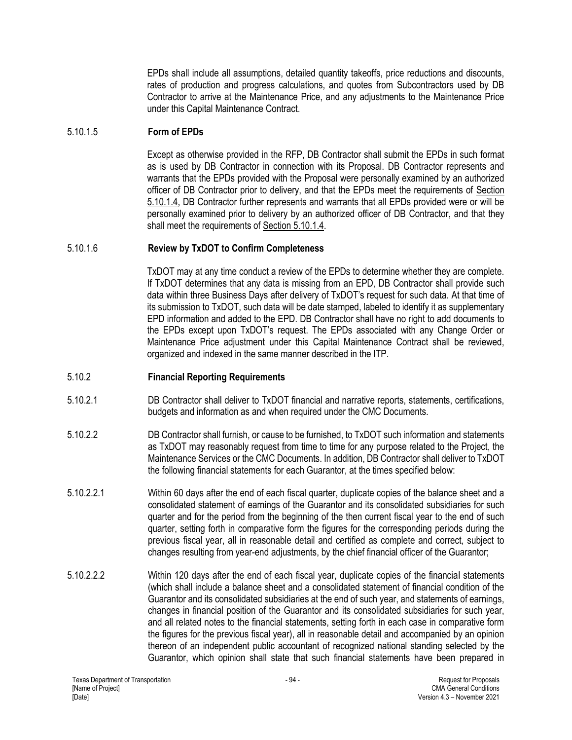EPDs shall include all assumptions, detailed quantity takeoffs, price reductions and discounts, rates of production and progress calculations, and quotes from Subcontractors used by DB Contractor to arrive at the Maintenance Price, and any adjustments to the Maintenance Price under this Capital Maintenance Contract.

### 5.10.1.5 **Form of EPDs**

Except as otherwise provided in the RFP, DB Contractor shall submit the EPDs in such format as is used by DB Contractor in connection with its Proposal. DB Contractor represents and warrants that the EPDs provided with the Proposal were personally examined by an authorized officer of DB Contractor prior to delivery, and that the EPDs meet the requirements of Section 5.10.1.4, DB Contractor further represents and warrants that all EPDs provided were or will be personally examined prior to delivery by an authorized officer of DB Contractor, and that they shall meet the requirements of Section 5.10.1.4.

### 5.10.1.6 **Review by TxDOT to Confirm Completeness**

TxDOT may at any time conduct a review of the EPDs to determine whether they are complete. If TxDOT determines that any data is missing from an EPD, DB Contractor shall provide such data within three Business Days after delivery of TxDOT's request for such data. At that time of its submission to TxDOT, such data will be date stamped, labeled to identify it as supplementary EPD information and added to the EPD. DB Contractor shall have no right to add documents to the EPDs except upon TxDOT's request. The EPDs associated with any Change Order or Maintenance Price adjustment under this Capital Maintenance Contract shall be reviewed, organized and indexed in the same manner described in the ITP.

### 5.10.2 **Financial Reporting Requirements**

- 5.10.2.1 DB Contractor shall deliver to TxDOT financial and narrative reports, statements, certifications, budgets and information as and when required under the CMC Documents.
- 5.10.2.2 DB Contractor shall furnish, or cause to be furnished, to TxDOT such information and statements as TxDOT may reasonably request from time to time for any purpose related to the Project, the Maintenance Services or the CMC Documents. In addition, DB Contractor shall deliver to TxDOT the following financial statements for each Guarantor, at the times specified below:
- 5.10.2.2.1 Within 60 days after the end of each fiscal quarter, duplicate copies of the balance sheet and a consolidated statement of earnings of the Guarantor and its consolidated subsidiaries for such quarter and for the period from the beginning of the then current fiscal year to the end of such quarter, setting forth in comparative form the figures for the corresponding periods during the previous fiscal year, all in reasonable detail and certified as complete and correct, subject to changes resulting from year-end adjustments, by the chief financial officer of the Guarantor;
- 5.10.2.2.2 Within 120 days after the end of each fiscal year, duplicate copies of the financial statements (which shall include a balance sheet and a consolidated statement of financial condition of the Guarantor and its consolidated subsidiaries at the end of such year, and statements of earnings, changes in financial position of the Guarantor and its consolidated subsidiaries for such year, and all related notes to the financial statements, setting forth in each case in comparative form the figures for the previous fiscal year), all in reasonable detail and accompanied by an opinion thereon of an independent public accountant of recognized national standing selected by the Guarantor, which opinion shall state that such financial statements have been prepared in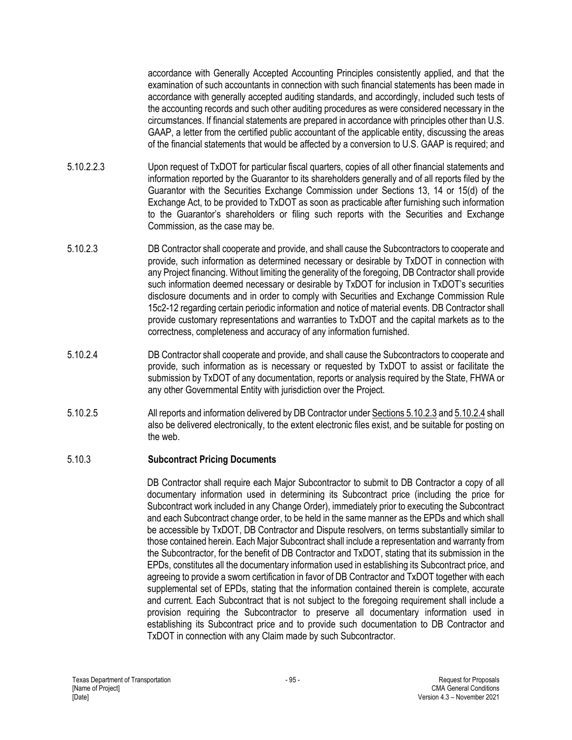accordance with Generally Accepted Accounting Principles consistently applied, and that the examination of such accountants in connection with such financial statements has been made in accordance with generally accepted auditing standards, and accordingly, included such tests of the accounting records and such other auditing procedures as were considered necessary in the circumstances. If financial statements are prepared in accordance with principles other than U.S. GAAP, a letter from the certified public accountant of the applicable entity, discussing the areas of the financial statements that would be affected by a conversion to U.S. GAAP is required; and

- 5.10.2.2.3 Upon request of TxDOT for particular fiscal quarters, copies of all other financial statements and information reported by the Guarantor to its shareholders generally and of all reports filed by the Guarantor with the Securities Exchange Commission under Sections 13, 14 or 15(d) of the Exchange Act, to be provided to TxDOT as soon as practicable after furnishing such information to the Guarantor's shareholders or filing such reports with the Securities and Exchange Commission, as the case may be.
- 5.10.2.3 DB Contractor shall cooperate and provide, and shall cause the Subcontractors to cooperate and provide, such information as determined necessary or desirable by TxDOT in connection with any Project financing. Without limiting the generality of the foregoing, DB Contractor shall provide such information deemed necessary or desirable by TxDOT for inclusion in TxDOT's securities disclosure documents and in order to comply with Securities and Exchange Commission Rule 15c2-12 regarding certain periodic information and notice of material events. DB Contractor shall provide customary representations and warranties to TxDOT and the capital markets as to the correctness, completeness and accuracy of any information furnished.
- 5.10.2.4 DB Contractor shall cooperate and provide, and shall cause the Subcontractors to cooperate and provide, such information as is necessary or requested by TxDOT to assist or facilitate the submission by TxDOT of any documentation, reports or analysis required by the State, FHWA or any other Governmental Entity with jurisdiction over the Project.
- 5.10.2.5 All reports and information delivered by DB Contractor under Sections 5.10.2.3 and 5.10.2.4 shall also be delivered electronically, to the extent electronic files exist, and be suitable for posting on the web.

### 5.10.3 **Subcontract Pricing Documents**

DB Contractor shall require each Major Subcontractor to submit to DB Contractor a copy of all documentary information used in determining its Subcontract price (including the price for Subcontract work included in any Change Order), immediately prior to executing the Subcontract and each Subcontract change order, to be held in the same manner as the EPDs and which shall be accessible by TxDOT, DB Contractor and Dispute resolvers, on terms substantially similar to those contained herein. Each Major Subcontract shall include a representation and warranty from the Subcontractor, for the benefit of DB Contractor and TxDOT, stating that its submission in the EPDs, constitutes all the documentary information used in establishing its Subcontract price, and agreeing to provide a sworn certification in favor of DB Contractor and TxDOT together with each supplemental set of EPDs, stating that the information contained therein is complete, accurate and current. Each Subcontract that is not subject to the foregoing requirement shall include a provision requiring the Subcontractor to preserve all documentary information used in establishing its Subcontract price and to provide such documentation to DB Contractor and TxDOT in connection with any Claim made by such Subcontractor.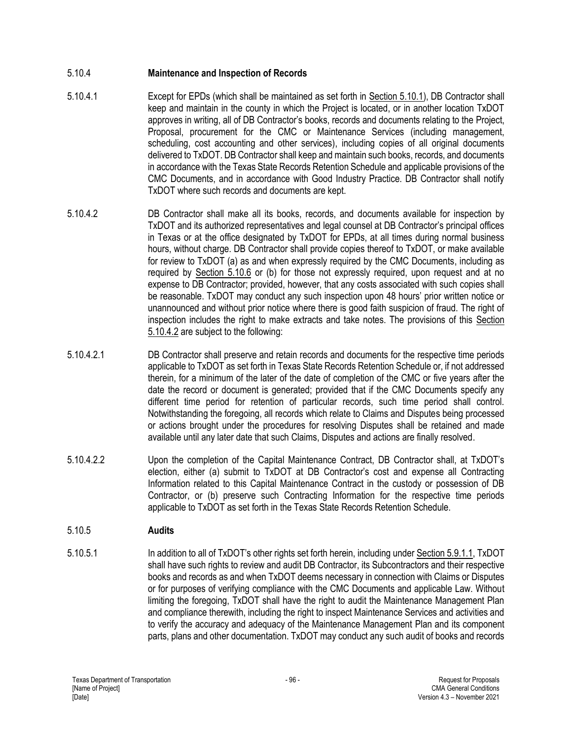## 5.10.4 **Maintenance and Inspection of Records**

- 5.10.4.1 Except for EPDs (which shall be maintained as set forth in Section 5.10.1), DB Contractor shall keep and maintain in the county in which the Project is located, or in another location TxDOT approves in writing, all of DB Contractor's books, records and documents relating to the Project, Proposal, procurement for the CMC or Maintenance Services (including management, scheduling, cost accounting and other services), including copies of all original documents delivered to TxDOT. DB Contractor shall keep and maintain such books, records, and documents in accordance with the Texas State Records Retention Schedule and applicable provisions of the CMC Documents, and in accordance with Good Industry Practice. DB Contractor shall notify TxDOT where such records and documents are kept.
- 5.10.4.2 DB Contractor shall make all its books, records, and documents available for inspection by TxDOT and its authorized representatives and legal counsel at DB Contractor's principal offices in Texas or at the office designated by TxDOT for EPDs, at all times during normal business hours, without charge. DB Contractor shall provide copies thereof to TxDOT, or make available for review to TxDOT (a) as and when expressly required by the CMC Documents, including as required by Section 5.10.6 or (b) for those not expressly required, upon request and at no expense to DB Contractor; provided, however, that any costs associated with such copies shall be reasonable. TxDOT may conduct any such inspection upon 48 hours' prior written notice or unannounced and without prior notice where there is good faith suspicion of fraud. The right of inspection includes the right to make extracts and take notes. The provisions of this Section 5.10.4.2 are subject to the following:
- 5.10.4.2.1 DB Contractor shall preserve and retain records and documents for the respective time periods applicable to TxDOT as set forth in Texas State Records Retention Schedule or, if not addressed therein, for a minimum of the later of the date of completion of the CMC or five years after the date the record or document is generated; provided that if the CMC Documents specify any different time period for retention of particular records, such time period shall control. Notwithstanding the foregoing, all records which relate to Claims and Disputes being processed or actions brought under the procedures for resolving Disputes shall be retained and made available until any later date that such Claims, Disputes and actions are finally resolved.
- 5.10.4.2.2 Upon the completion of the Capital Maintenance Contract, DB Contractor shall, at TxDOT's election, either (a) submit to TxDOT at DB Contractor's cost and expense all Contracting Information related to this Capital Maintenance Contract in the custody or possession of DB Contractor, or (b) preserve such Contracting Information for the respective time periods applicable to TxDOT as set forth in the Texas State Records Retention Schedule.

### 5.10.5 **Audits**

5.10.5.1 In addition to all of TxDOT's other rights set forth herein, including under Section 5.9.1.1, TxDOT shall have such rights to review and audit DB Contractor, its Subcontractors and their respective books and records as and when TxDOT deems necessary in connection with Claims or Disputes or for purposes of verifying compliance with the CMC Documents and applicable Law. Without limiting the foregoing, TxDOT shall have the right to audit the Maintenance Management Plan and compliance therewith, including the right to inspect Maintenance Services and activities and to verify the accuracy and adequacy of the Maintenance Management Plan and its component parts, plans and other documentation. TxDOT may conduct any such audit of books and records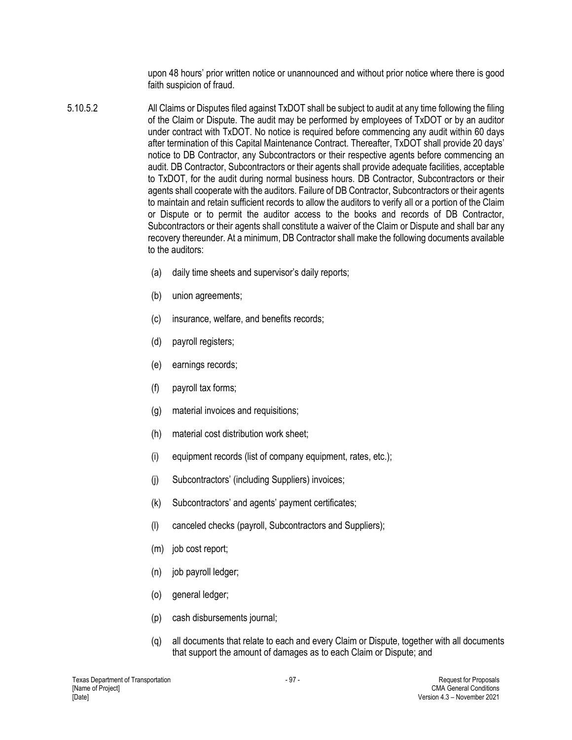upon 48 hours' prior written notice or unannounced and without prior notice where there is good faith suspicion of fraud.

- 5.10.5.2 All Claims or Disputes filed against TxDOT shall be subject to audit at any time following the filing of the Claim or Dispute. The audit may be performed by employees of TxDOT or by an auditor under contract with TxDOT. No notice is required before commencing any audit within 60 days after termination of this Capital Maintenance Contract. Thereafter, TxDOT shall provide 20 days' notice to DB Contractor, any Subcontractors or their respective agents before commencing an audit. DB Contractor, Subcontractors or their agents shall provide adequate facilities, acceptable to TxDOT, for the audit during normal business hours. DB Contractor, Subcontractors or their agents shall cooperate with the auditors. Failure of DB Contractor, Subcontractors or their agents to maintain and retain sufficient records to allow the auditors to verify all or a portion of the Claim or Dispute or to permit the auditor access to the books and records of DB Contractor, Subcontractors or their agents shall constitute a waiver of the Claim or Dispute and shall bar any recovery thereunder. At a minimum, DB Contractor shall make the following documents available to the auditors:
	- (a) daily time sheets and supervisor's daily reports;
	- (b) union agreements;
	- (c) insurance, welfare, and benefits records;
	- (d) payroll registers;
	- (e) earnings records;
	- (f) payroll tax forms;
	- (g) material invoices and requisitions;
	- (h) material cost distribution work sheet;
	- (i) equipment records (list of company equipment, rates, etc.);
	- (j) Subcontractors' (including Suppliers) invoices;
	- (k) Subcontractors' and agents' payment certificates;
	- (l) canceled checks (payroll, Subcontractors and Suppliers);
	- (m) job cost report;
	- (n) job payroll ledger;
	- (o) general ledger;
	- (p) cash disbursements journal;
	- (q) all documents that relate to each and every Claim or Dispute, together with all documents that support the amount of damages as to each Claim or Dispute; and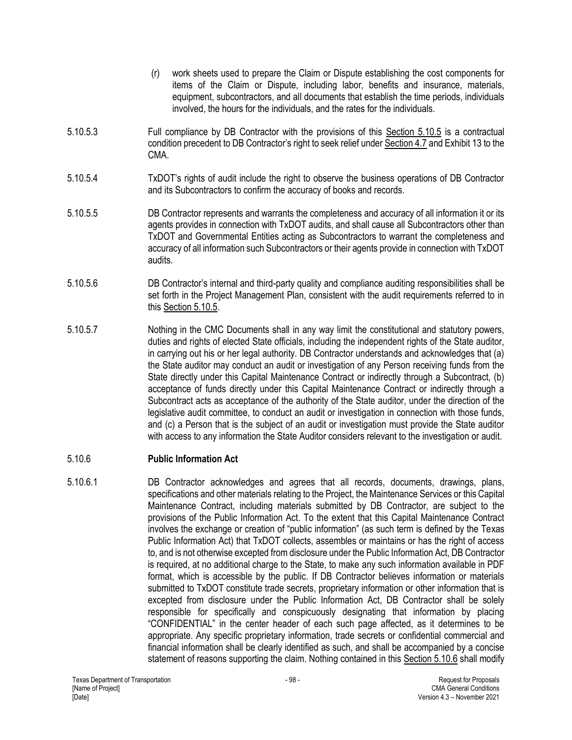- (r) work sheets used to prepare the Claim or Dispute establishing the cost components for items of the Claim or Dispute, including labor, benefits and insurance, materials, equipment, subcontractors, and all documents that establish the time periods, individuals involved, the hours for the individuals, and the rates for the individuals.
- 5.10.5.3 Full compliance by DB Contractor with the provisions of this Section 5.10.5 is a contractual condition precedent to DB Contractor's right to seek relief under Section 4.7 and Exhibit 13 to the CMA.
- 5.10.5.4 TxDOT's rights of audit include the right to observe the business operations of DB Contractor and its Subcontractors to confirm the accuracy of books and records.
- 5.10.5.5 DB Contractor represents and warrants the completeness and accuracy of all information it or its agents provides in connection with TxDOT audits, and shall cause all Subcontractors other than TxDOT and Governmental Entities acting as Subcontractors to warrant the completeness and accuracy of all information such Subcontractors or their agents provide in connection with TxDOT audits.
- 5.10.5.6 DB Contractor's internal and third-party quality and compliance auditing responsibilities shall be set forth in the Project Management Plan, consistent with the audit requirements referred to in this Section 5.10.5.
- 5.10.5.7 Nothing in the CMC Documents shall in any way limit the constitutional and statutory powers, duties and rights of elected State officials, including the independent rights of the State auditor, in carrying out his or her legal authority. DB Contractor understands and acknowledges that (a) the State auditor may conduct an audit or investigation of any Person receiving funds from the State directly under this Capital Maintenance Contract or indirectly through a Subcontract, (b) acceptance of funds directly under this Capital Maintenance Contract or indirectly through a Subcontract acts as acceptance of the authority of the State auditor, under the direction of the legislative audit committee, to conduct an audit or investigation in connection with those funds, and (c) a Person that is the subject of an audit or investigation must provide the State auditor with access to any information the State Auditor considers relevant to the investigation or audit.

### 5.10.6 **Public Information Act**

5.10.6.1 DB Contractor acknowledges and agrees that all records, documents, drawings, plans, specifications and other materials relating to the Project, the Maintenance Services or this Capital Maintenance Contract, including materials submitted by DB Contractor, are subject to the provisions of the Public Information Act. To the extent that this Capital Maintenance Contract involves the exchange or creation of "public information" (as such term is defined by the Texas Public Information Act) that TxDOT collects, assembles or maintains or has the right of access to, and is not otherwise excepted from disclosure under the Public Information Act, DB Contractor is required, at no additional charge to the State, to make any such information available in PDF format, which is accessible by the public. If DB Contractor believes information or materials submitted to TxDOT constitute trade secrets, proprietary information or other information that is excepted from disclosure under the Public Information Act, DB Contractor shall be solely responsible for specifically and conspicuously designating that information by placing "CONFIDENTIAL" in the center header of each such page affected, as it determines to be appropriate. Any specific proprietary information, trade secrets or confidential commercial and financial information shall be clearly identified as such, and shall be accompanied by a concise statement of reasons supporting the claim. Nothing contained in this Section 5.10.6 shall modify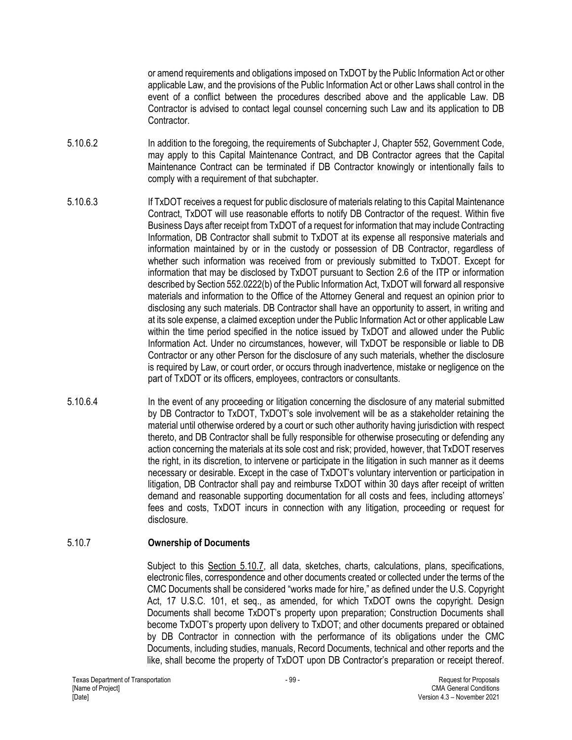or amend requirements and obligations imposed on TxDOT by the Public Information Act or other applicable Law, and the provisions of the Public Information Act or other Laws shall control in the event of a conflict between the procedures described above and the applicable Law. DB Contractor is advised to contact legal counsel concerning such Law and its application to DB Contractor.

- 5.10.6.2 In addition to the foregoing, the requirements of Subchapter J, Chapter 552, Government Code, may apply to this Capital Maintenance Contract, and DB Contractor agrees that the Capital Maintenance Contract can be terminated if DB Contractor knowingly or intentionally fails to comply with a requirement of that subchapter.
- 5.10.6.3 If TxDOT receives a request for public disclosure of materials relating to this Capital Maintenance Contract, TxDOT will use reasonable efforts to notify DB Contractor of the request. Within five Business Days after receipt from TxDOT of a request for information that may include Contracting Information, DB Contractor shall submit to TxDOT at its expense all responsive materials and information maintained by or in the custody or possession of DB Contractor, regardless of whether such information was received from or previously submitted to TxDOT. Except for information that may be disclosed by TxDOT pursuant to Section 2.6 of the ITP or information described by Section 552.0222(b) of the Public Information Act, TxDOT will forward all responsive materials and information to the Office of the Attorney General and request an opinion prior to disclosing any such materials. DB Contractor shall have an opportunity to assert, in writing and at its sole expense, a claimed exception under the Public Information Act or other applicable Law within the time period specified in the notice issued by TxDOT and allowed under the Public Information Act. Under no circumstances, however, will TxDOT be responsible or liable to DB Contractor or any other Person for the disclosure of any such materials, whether the disclosure is required by Law, or court order, or occurs through inadvertence, mistake or negligence on the part of TxDOT or its officers, employees, contractors or consultants.
- 5.10.6.4 In the event of any proceeding or litigation concerning the disclosure of any material submitted by DB Contractor to TxDOT, TxDOT's sole involvement will be as a stakeholder retaining the material until otherwise ordered by a court or such other authority having jurisdiction with respect thereto, and DB Contractor shall be fully responsible for otherwise prosecuting or defending any action concerning the materials at its sole cost and risk; provided, however, that TxDOT reserves the right, in its discretion, to intervene or participate in the litigation in such manner as it deems necessary or desirable. Except in the case of TxDOT's voluntary intervention or participation in litigation, DB Contractor shall pay and reimburse TxDOT within 30 days after receipt of written demand and reasonable supporting documentation for all costs and fees, including attorneys' fees and costs, TxDOT incurs in connection with any litigation, proceeding or request for disclosure.

### 5.10.7 **Ownership of Documents**

Subject to this Section 5.10.7, all data, sketches, charts, calculations, plans, specifications, electronic files, correspondence and other documents created or collected under the terms of the CMC Documents shall be considered "works made for hire," as defined under the U.S. Copyright Act, 17 U.S.C. 101, et seq., as amended, for which TxDOT owns the copyright. Design Documents shall become TxDOT's property upon preparation; Construction Documents shall become TxDOT's property upon delivery to TxDOT; and other documents prepared or obtained by DB Contractor in connection with the performance of its obligations under the CMC Documents, including studies, manuals, Record Documents, technical and other reports and the like, shall become the property of TxDOT upon DB Contractor's preparation or receipt thereof.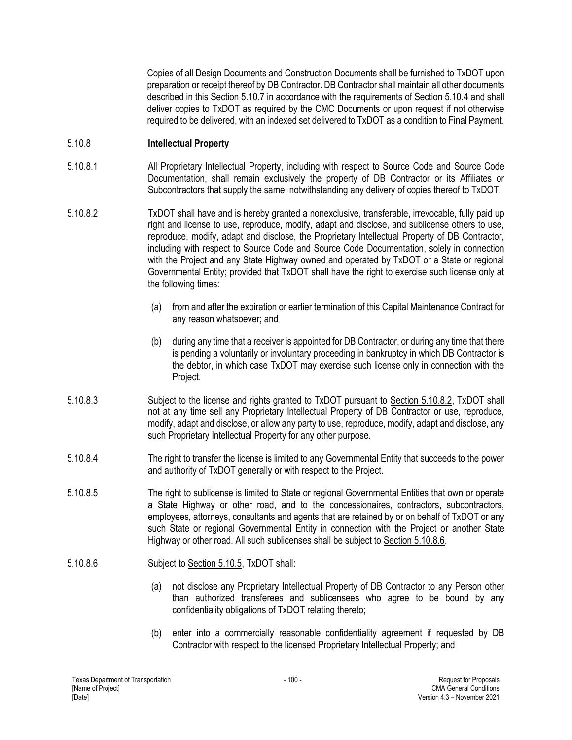Copies of all Design Documents and Construction Documents shall be furnished to TxDOT upon preparation or receipt thereof by DB Contractor. DB Contractor shall maintain all other documents described in this Section 5.10.7 in accordance with the requirements of Section 5.10.4 and shall deliver copies to TxDOT as required by the CMC Documents or upon request if not otherwise required to be delivered, with an indexed set delivered to TxDOT as a condition to Final Payment.

### 5.10.8 **Intellectual Property**

- 5.10.8.1 All Proprietary Intellectual Property, including with respect to Source Code and Source Code Documentation, shall remain exclusively the property of DB Contractor or its Affiliates or Subcontractors that supply the same, notwithstanding any delivery of copies thereof to TxDOT.
- 5.10.8.2 TxDOT shall have and is hereby granted a nonexclusive, transferable, irrevocable, fully paid up right and license to use, reproduce, modify, adapt and disclose, and sublicense others to use, reproduce, modify, adapt and disclose, the Proprietary Intellectual Property of DB Contractor, including with respect to Source Code and Source Code Documentation, solely in connection with the Project and any State Highway owned and operated by TxDOT or a State or regional Governmental Entity; provided that TxDOT shall have the right to exercise such license only at the following times:
	- (a) from and after the expiration or earlier termination of this Capital Maintenance Contract for any reason whatsoever; and
	- (b) during any time that a receiver is appointed for DB Contractor, or during any time that there is pending a voluntarily or involuntary proceeding in bankruptcy in which DB Contractor is the debtor, in which case TxDOT may exercise such license only in connection with the Project.
- 5.10.8.3 Subject to the license and rights granted to TxDOT pursuant to Section 5.10.8.2, TxDOT shall not at any time sell any Proprietary Intellectual Property of DB Contractor or use, reproduce, modify, adapt and disclose, or allow any party to use, reproduce, modify, adapt and disclose, any such Proprietary Intellectual Property for any other purpose.
- 5.10.8.4 The right to transfer the license is limited to any Governmental Entity that succeeds to the power and authority of TxDOT generally or with respect to the Project.
- 5.10.8.5 The right to sublicense is limited to State or regional Governmental Entities that own or operate a State Highway or other road, and to the concessionaires, contractors, subcontractors, employees, attorneys, consultants and agents that are retained by or on behalf of TxDOT or any such State or regional Governmental Entity in connection with the Project or another State Highway or other road. All such sublicenses shall be subject to Section 5.10.8.6.
- 5.10.8.6 Subject to Section 5.10.5, TxDOT shall:
	- (a) not disclose any Proprietary Intellectual Property of DB Contractor to any Person other than authorized transferees and sublicensees who agree to be bound by any confidentiality obligations of TxDOT relating thereto;
	- (b) enter into a commercially reasonable confidentiality agreement if requested by DB Contractor with respect to the licensed Proprietary Intellectual Property; and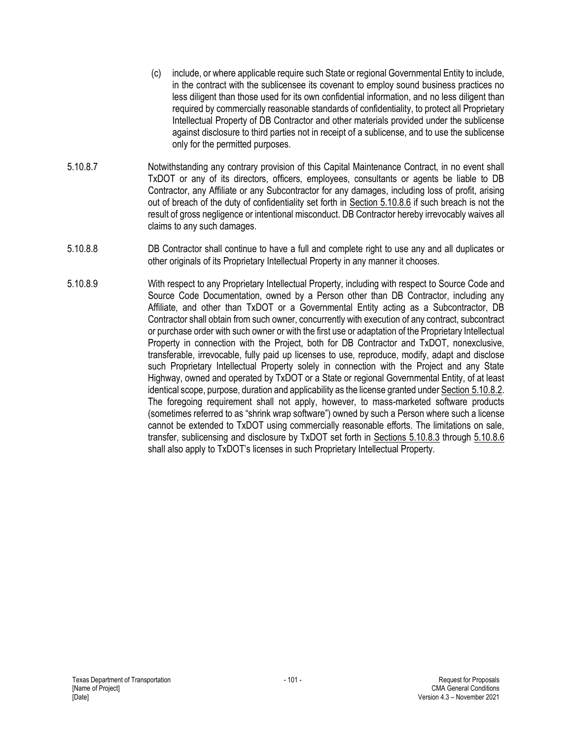- (c) include, or where applicable require such State or regional Governmental Entity to include, in the contract with the sublicensee its covenant to employ sound business practices no less diligent than those used for its own confidential information, and no less diligent than required by commercially reasonable standards of confidentiality, to protect all Proprietary Intellectual Property of DB Contractor and other materials provided under the sublicense against disclosure to third parties not in receipt of a sublicense, and to use the sublicense only for the permitted purposes.
- 5.10.8.7 Notwithstanding any contrary provision of this Capital Maintenance Contract, in no event shall TxDOT or any of its directors, officers, employees, consultants or agents be liable to DB Contractor, any Affiliate or any Subcontractor for any damages, including loss of profit, arising out of breach of the duty of confidentiality set forth in Section 5.10.8.6 if such breach is not the result of gross negligence or intentional misconduct. DB Contractor hereby irrevocably waives all claims to any such damages.
- 5.10.8.8 DB Contractor shall continue to have a full and complete right to use any and all duplicates or other originals of its Proprietary Intellectual Property in any manner it chooses.
- 5.10.8.9 With respect to any Proprietary Intellectual Property, including with respect to Source Code and Source Code Documentation, owned by a Person other than DB Contractor, including any Affiliate, and other than TxDOT or a Governmental Entity acting as a Subcontractor, DB Contractor shall obtain from such owner, concurrently with execution of any contract, subcontract or purchase order with such owner or with the first use or adaptation of the Proprietary Intellectual Property in connection with the Project, both for DB Contractor and TxDOT, nonexclusive, transferable, irrevocable, fully paid up licenses to use, reproduce, modify, adapt and disclose such Proprietary Intellectual Property solely in connection with the Project and any State Highway, owned and operated by TxDOT or a State or regional Governmental Entity, of at least identical scope, purpose, duration and applicability as the license granted under Section 5.10.8.2. The foregoing requirement shall not apply, however, to mass-marketed software products (sometimes referred to as "shrink wrap software") owned by such a Person where such a license cannot be extended to TxDOT using commercially reasonable efforts. The limitations on sale, transfer, sublicensing and disclosure by TxDOT set forth in Sections 5.10.8.3 through 5.10.8.6 shall also apply to TxDOT's licenses in such Proprietary Intellectual Property.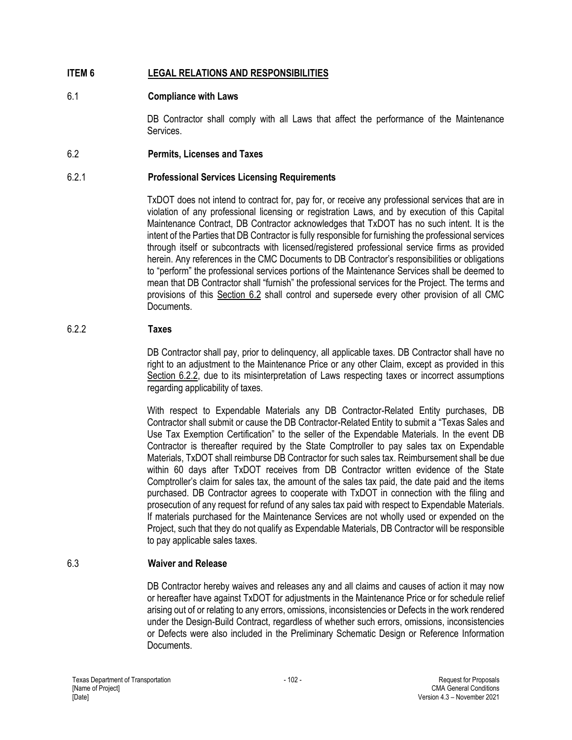## **ITEM 6 LEGAL RELATIONS AND RESPONSIBILITIES**

### 6.1 **Compliance with Laws**

DB Contractor shall comply with all Laws that affect the performance of the Maintenance Services.

#### 6.2 **Permits, Licenses and Taxes**

### 6.2.1 **Professional Services Licensing Requirements**

TxDOT does not intend to contract for, pay for, or receive any professional services that are in violation of any professional licensing or registration Laws, and by execution of this Capital Maintenance Contract, DB Contractor acknowledges that TxDOT has no such intent. It is the intent of the Parties that DB Contractor is fully responsible for furnishing the professional services through itself or subcontracts with licensed/registered professional service firms as provided herein. Any references in the CMC Documents to DB Contractor's responsibilities or obligations to "perform" the professional services portions of the Maintenance Services shall be deemed to mean that DB Contractor shall "furnish" the professional services for the Project. The terms and provisions of this Section 6.2 shall control and supersede every other provision of all CMC Documents.

#### 6.2.2 **Taxes**

DB Contractor shall pay, prior to delinquency, all applicable taxes. DB Contractor shall have no right to an adjustment to the Maintenance Price or any other Claim, except as provided in this Section 6.2.2, due to its misinterpretation of Laws respecting taxes or incorrect assumptions regarding applicability of taxes.

With respect to Expendable Materials any DB Contractor-Related Entity purchases, DB Contractor shall submit or cause the DB Contractor-Related Entity to submit a "Texas Sales and Use Tax Exemption Certification" to the seller of the Expendable Materials. In the event DB Contractor is thereafter required by the State Comptroller to pay sales tax on Expendable Materials, TxDOT shall reimburse DB Contractor for such sales tax. Reimbursement shall be due within 60 days after TxDOT receives from DB Contractor written evidence of the State Comptroller's claim for sales tax, the amount of the sales tax paid, the date paid and the items purchased. DB Contractor agrees to cooperate with TxDOT in connection with the filing and prosecution of any request for refund of any sales tax paid with respect to Expendable Materials. If materials purchased for the Maintenance Services are not wholly used or expended on the Project, such that they do not qualify as Expendable Materials, DB Contractor will be responsible to pay applicable sales taxes.

### 6.3 **Waiver and Release**

DB Contractor hereby waives and releases any and all claims and causes of action it may now or hereafter have against TxDOT for adjustments in the Maintenance Price or for schedule relief arising out of or relating to any errors, omissions, inconsistencies or Defects in the work rendered under the Design-Build Contract, regardless of whether such errors, omissions, inconsistencies or Defects were also included in the Preliminary Schematic Design or Reference Information Documents.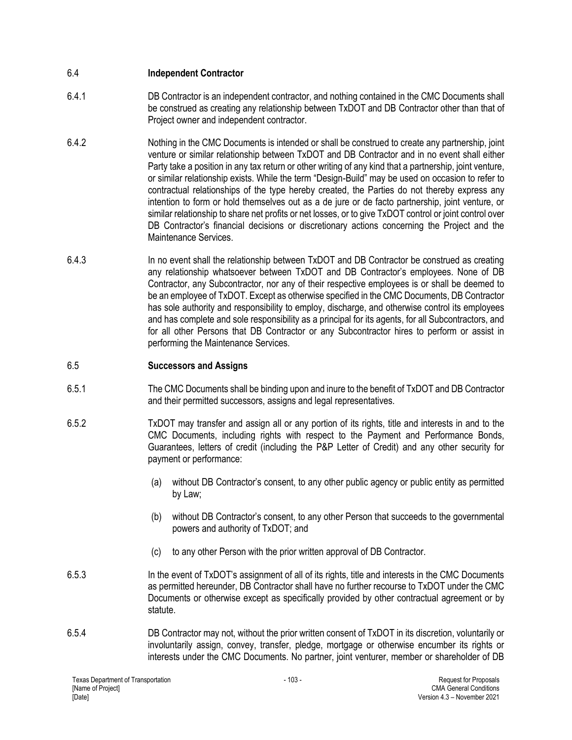## 6.4 **Independent Contractor**

- 6.4.1 DB Contractor is an independent contractor, and nothing contained in the CMC Documents shall be construed as creating any relationship between TxDOT and DB Contractor other than that of Project owner and independent contractor.
- 6.4.2 Nothing in the CMC Documents is intended or shall be construed to create any partnership, joint venture or similar relationship between TxDOT and DB Contractor and in no event shall either Party take a position in any tax return or other writing of any kind that a partnership, joint venture, or similar relationship exists. While the term "Design-Build" may be used on occasion to refer to contractual relationships of the type hereby created, the Parties do not thereby express any intention to form or hold themselves out as a de jure or de facto partnership, joint venture, or similar relationship to share net profits or net losses, or to give TxDOT control or joint control over DB Contractor's financial decisions or discretionary actions concerning the Project and the Maintenance Services.
- 6.4.3 In no event shall the relationship between TxDOT and DB Contractor be construed as creating any relationship whatsoever between TxDOT and DB Contractor's employees. None of DB Contractor, any Subcontractor, nor any of their respective employees is or shall be deemed to be an employee of TxDOT. Except as otherwise specified in the CMC Documents, DB Contractor has sole authority and responsibility to employ, discharge, and otherwise control its employees and has complete and sole responsibility as a principal for its agents, for all Subcontractors, and for all other Persons that DB Contractor or any Subcontractor hires to perform or assist in performing the Maintenance Services.

## 6.5 **Successors and Assigns**

- 6.5.1 The CMC Documents shall be binding upon and inure to the benefit of TxDOT and DB Contractor and their permitted successors, assigns and legal representatives.
- 6.5.2 TxDOT may transfer and assign all or any portion of its rights, title and interests in and to the CMC Documents, including rights with respect to the Payment and Performance Bonds, Guarantees, letters of credit (including the P&P Letter of Credit) and any other security for payment or performance:
	- (a) without DB Contractor's consent, to any other public agency or public entity as permitted by Law;
	- (b) without DB Contractor's consent, to any other Person that succeeds to the governmental powers and authority of TxDOT; and
	- (c) to any other Person with the prior written approval of DB Contractor.
- 6.5.3 In the event of TxDOT's assignment of all of its rights, title and interests in the CMC Documents as permitted hereunder, DB Contractor shall have no further recourse to TxDOT under the CMC Documents or otherwise except as specifically provided by other contractual agreement or by statute.
- 6.5.4 DB Contractor may not, without the prior written consent of TxDOT in its discretion, voluntarily or involuntarily assign, convey, transfer, pledge, mortgage or otherwise encumber its rights or interests under the CMC Documents. No partner, joint venturer, member or shareholder of DB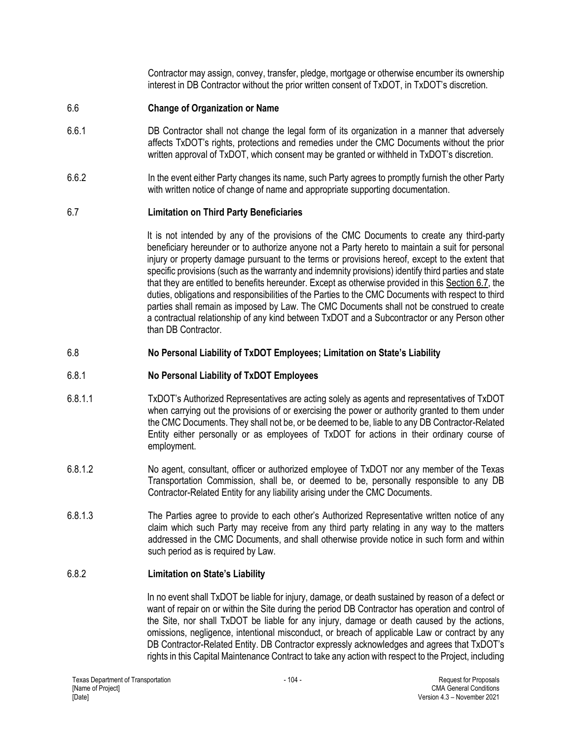Contractor may assign, convey, transfer, pledge, mortgage or otherwise encumber its ownership interest in DB Contractor without the prior written consent of TxDOT, in TxDOT's discretion.

### 6.6 **Change of Organization or Name**

- 6.6.1 DB Contractor shall not change the legal form of its organization in a manner that adversely affects TxDOT's rights, protections and remedies under the CMC Documents without the prior written approval of TxDOT, which consent may be granted or withheld in TxDOT's discretion.
- 6.6.2 In the event either Party changes its name, such Party agrees to promptly furnish the other Party with written notice of change of name and appropriate supporting documentation.

### 6.7 **Limitation on Third Party Beneficiaries**

It is not intended by any of the provisions of the CMC Documents to create any third-party beneficiary hereunder or to authorize anyone not a Party hereto to maintain a suit for personal injury or property damage pursuant to the terms or provisions hereof, except to the extent that specific provisions (such as the warranty and indemnity provisions) identify third parties and state that they are entitled to benefits hereunder. Except as otherwise provided in this Section 6.7, the duties, obligations and responsibilities of the Parties to the CMC Documents with respect to third parties shall remain as imposed by Law. The CMC Documents shall not be construed to create a contractual relationship of any kind between TxDOT and a Subcontractor or any Person other than DB Contractor.

### 6.8 **No Personal Liability of TxDOT Employees; Limitation on State's Liability**

### 6.8.1 **No Personal Liability of TxDOT Employees**

- 6.8.1.1 TxDOT's Authorized Representatives are acting solely as agents and representatives of TxDOT when carrying out the provisions of or exercising the power or authority granted to them under the CMC Documents. They shall not be, or be deemed to be, liable to any DB Contractor-Related Entity either personally or as employees of TxDOT for actions in their ordinary course of employment.
- 6.8.1.2 No agent, consultant, officer or authorized employee of TxDOT nor any member of the Texas Transportation Commission, shall be, or deemed to be, personally responsible to any DB Contractor-Related Entity for any liability arising under the CMC Documents.
- 6.8.1.3 The Parties agree to provide to each other's Authorized Representative written notice of any claim which such Party may receive from any third party relating in any way to the matters addressed in the CMC Documents, and shall otherwise provide notice in such form and within such period as is required by Law.

### 6.8.2 **Limitation on State's Liability**

In no event shall TxDOT be liable for injury, damage, or death sustained by reason of a defect or want of repair on or within the Site during the period DB Contractor has operation and control of the Site, nor shall TxDOT be liable for any injury, damage or death caused by the actions, omissions, negligence, intentional misconduct, or breach of applicable Law or contract by any DB Contractor-Related Entity. DB Contractor expressly acknowledges and agrees that TxDOT's rights in this Capital Maintenance Contract to take any action with respect to the Project, including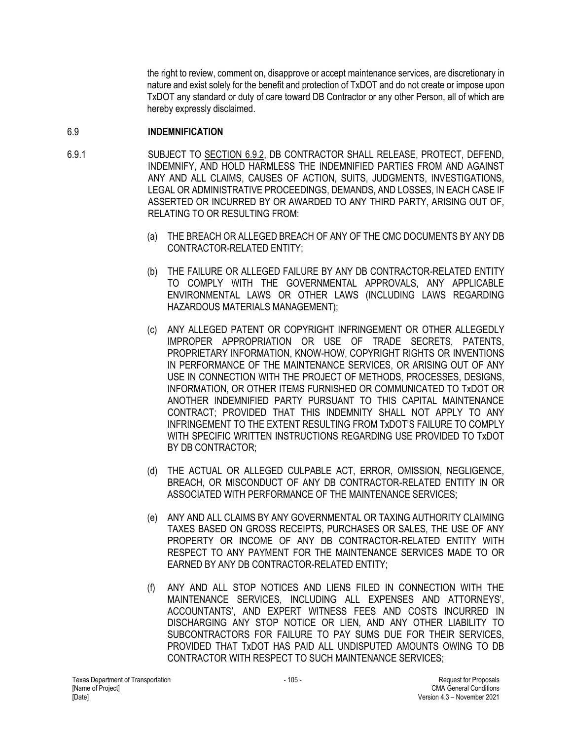the right to review, comment on, disapprove or accept maintenance services, are discretionary in nature and exist solely for the benefit and protection of TxDOT and do not create or impose upon TxDOT any standard or duty of care toward DB Contractor or any other Person, all of which are hereby expressly disclaimed.

## 6.9 **INDEMNIFICATION**

- 6.9.1 SUBJECT TO SECTION 6.9.2, DB CONTRACTOR SHALL RELEASE, PROTECT, DEFEND, INDEMNIFY, AND HOLD HARMLESS THE INDEMNIFIED PARTIES FROM AND AGAINST ANY AND ALL CLAIMS, CAUSES OF ACTION, SUITS, JUDGMENTS, INVESTIGATIONS, LEGAL OR ADMINISTRATIVE PROCEEDINGS, DEMANDS, AND LOSSES, IN EACH CASE IF ASSERTED OR INCURRED BY OR AWARDED TO ANY THIRD PARTY, ARISING OUT OF, RELATING TO OR RESULTING FROM:
	- (a) THE BREACH OR ALLEGED BREACH OF ANY OF THE CMC DOCUMENTS BY ANY DB CONTRACTOR-RELATED ENTITY;
	- (b) THE FAILURE OR ALLEGED FAILURE BY ANY DB CONTRACTOR-RELATED ENTITY TO COMPLY WITH THE GOVERNMENTAL APPROVALS, ANY APPLICABLE ENVIRONMENTAL LAWS OR OTHER LAWS (INCLUDING LAWS REGARDING HAZARDOUS MATERIALS MANAGEMENT);
	- (c) ANY ALLEGED PATENT OR COPYRIGHT INFRINGEMENT OR OTHER ALLEGEDLY IMPROPER APPROPRIATION OR USE OF TRADE SECRETS, PATENTS, PROPRIETARY INFORMATION, KNOW-HOW, COPYRIGHT RIGHTS OR INVENTIONS IN PERFORMANCE OF THE MAINTENANCE SERVICES, OR ARISING OUT OF ANY USE IN CONNECTION WITH THE PROJECT OF METHODS, PROCESSES, DESIGNS, INFORMATION, OR OTHER ITEMS FURNISHED OR COMMUNICATED TO TxDOT OR ANOTHER INDEMNIFIED PARTY PURSUANT TO THIS CAPITAL MAINTENANCE CONTRACT; PROVIDED THAT THIS INDEMNITY SHALL NOT APPLY TO ANY INFRINGEMENT TO THE EXTENT RESULTING FROM TxDOT'S FAILURE TO COMPLY WITH SPECIFIC WRITTEN INSTRUCTIONS REGARDING USE PROVIDED TO TxDOT BY DB CONTRACTOR;
	- (d) THE ACTUAL OR ALLEGED CULPABLE ACT, ERROR, OMISSION, NEGLIGENCE, BREACH, OR MISCONDUCT OF ANY DB CONTRACTOR-RELATED ENTITY IN OR ASSOCIATED WITH PERFORMANCE OF THE MAINTENANCE SERVICES;
	- (e) ANY AND ALL CLAIMS BY ANY GOVERNMENTAL OR TAXING AUTHORITY CLAIMING TAXES BASED ON GROSS RECEIPTS, PURCHASES OR SALES, THE USE OF ANY PROPERTY OR INCOME OF ANY DB CONTRACTOR-RELATED ENTITY WITH RESPECT TO ANY PAYMENT FOR THE MAINTENANCE SERVICES MADE TO OR EARNED BY ANY DB CONTRACTOR-RELATED ENTITY;
	- (f) ANY AND ALL STOP NOTICES AND LIENS FILED IN CONNECTION WITH THE MAINTENANCE SERVICES, INCLUDING ALL EXPENSES AND ATTORNEYS', ACCOUNTANTS', AND EXPERT WITNESS FEES AND COSTS INCURRED IN DISCHARGING ANY STOP NOTICE OR LIEN, AND ANY OTHER LIABILITY TO SUBCONTRACTORS FOR FAILURE TO PAY SUMS DUE FOR THEIR SERVICES, PROVIDED THAT TxDOT HAS PAID ALL UNDISPUTED AMOUNTS OWING TO DB CONTRACTOR WITH RESPECT TO SUCH MAINTENANCE SERVICES;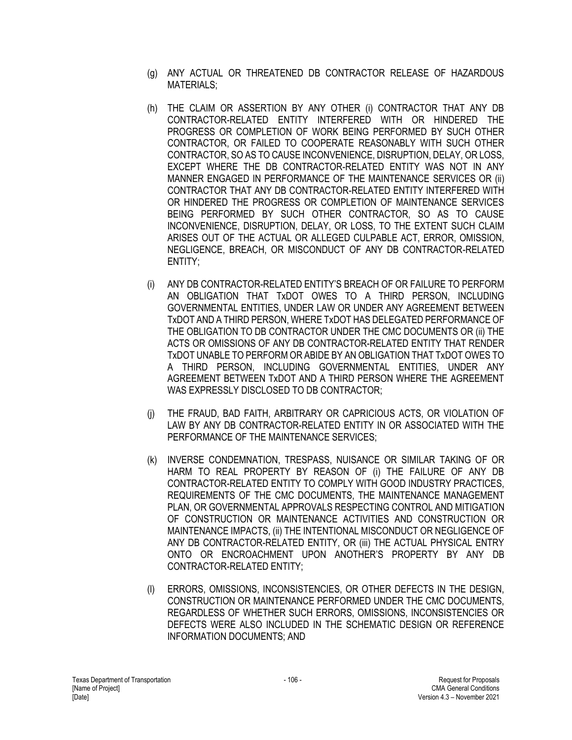- (g) ANY ACTUAL OR THREATENED DB CONTRACTOR RELEASE OF HAZARDOUS MATERIALS;
- (h) THE CLAIM OR ASSERTION BY ANY OTHER (i) CONTRACTOR THAT ANY DB CONTRACTOR-RELATED ENTITY INTERFERED WITH OR HINDERED THE PROGRESS OR COMPLETION OF WORK BEING PERFORMED BY SUCH OTHER CONTRACTOR, OR FAILED TO COOPERATE REASONABLY WITH SUCH OTHER CONTRACTOR, SO AS TO CAUSE INCONVENIENCE, DISRUPTION, DELAY, OR LOSS, EXCEPT WHERE THE DB CONTRACTOR-RELATED ENTITY WAS NOT IN ANY MANNER ENGAGED IN PERFORMANCE OF THE MAINTENANCE SERVICES OR (ii) CONTRACTOR THAT ANY DB CONTRACTOR-RELATED ENTITY INTERFERED WITH OR HINDERED THE PROGRESS OR COMPLETION OF MAINTENANCE SERVICES BEING PERFORMED BY SUCH OTHER CONTRACTOR, SO AS TO CAUSE INCONVENIENCE, DISRUPTION, DELAY, OR LOSS, TO THE EXTENT SUCH CLAIM ARISES OUT OF THE ACTUAL OR ALLEGED CULPABLE ACT, ERROR, OMISSION, NEGLIGENCE, BREACH, OR MISCONDUCT OF ANY DB CONTRACTOR-RELATED ENTITY;
- (i) ANY DB CONTRACTOR-RELATED ENTITY'S BREACH OF OR FAILURE TO PERFORM AN OBLIGATION THAT TxDOT OWES TO A THIRD PERSON, INCLUDING GOVERNMENTAL ENTITIES, UNDER LAW OR UNDER ANY AGREEMENT BETWEEN TxDOT AND A THIRD PERSON, WHERE TxDOT HAS DELEGATED PERFORMANCE OF THE OBLIGATION TO DB CONTRACTOR UNDER THE CMC DOCUMENTS OR (ii) THE ACTS OR OMISSIONS OF ANY DB CONTRACTOR-RELATED ENTITY THAT RENDER TxDOT UNABLE TO PERFORM OR ABIDE BY AN OBLIGATION THAT TxDOT OWES TO A THIRD PERSON, INCLUDING GOVERNMENTAL ENTITIES, UNDER ANY AGREEMENT BETWEEN TxDOT AND A THIRD PERSON WHERE THE AGREEMENT WAS EXPRESSLY DISCLOSED TO DB CONTRACTOR;
- (j) THE FRAUD, BAD FAITH, ARBITRARY OR CAPRICIOUS ACTS, OR VIOLATION OF LAW BY ANY DB CONTRACTOR-RELATED ENTITY IN OR ASSOCIATED WITH THE PERFORMANCE OF THE MAINTENANCE SERVICES;
- (k) INVERSE CONDEMNATION, TRESPASS, NUISANCE OR SIMILAR TAKING OF OR HARM TO REAL PROPERTY BY REASON OF (i) THE FAILURE OF ANY DB CONTRACTOR-RELATED ENTITY TO COMPLY WITH GOOD INDUSTRY PRACTICES, REQUIREMENTS OF THE CMC DOCUMENTS, THE MAINTENANCE MANAGEMENT PLAN, OR GOVERNMENTAL APPROVALS RESPECTING CONTROL AND MITIGATION OF CONSTRUCTION OR MAINTENANCE ACTIVITIES AND CONSTRUCTION OR MAINTENANCE IMPACTS, (ii) THE INTENTIONAL MISCONDUCT OR NEGLIGENCE OF ANY DB CONTRACTOR-RELATED ENTITY, OR (iii) THE ACTUAL PHYSICAL ENTRY ONTO OR ENCROACHMENT UPON ANOTHER'S PROPERTY BY ANY DB CONTRACTOR-RELATED ENTITY;
- (l) ERRORS, OMISSIONS, INCONSISTENCIES, OR OTHER DEFECTS IN THE DESIGN, CONSTRUCTION OR MAINTENANCE PERFORMED UNDER THE CMC DOCUMENTS, REGARDLESS OF WHETHER SUCH ERRORS, OMISSIONS, INCONSISTENCIES OR DEFECTS WERE ALSO INCLUDED IN THE SCHEMATIC DESIGN OR REFERENCE INFORMATION DOCUMENTS; AND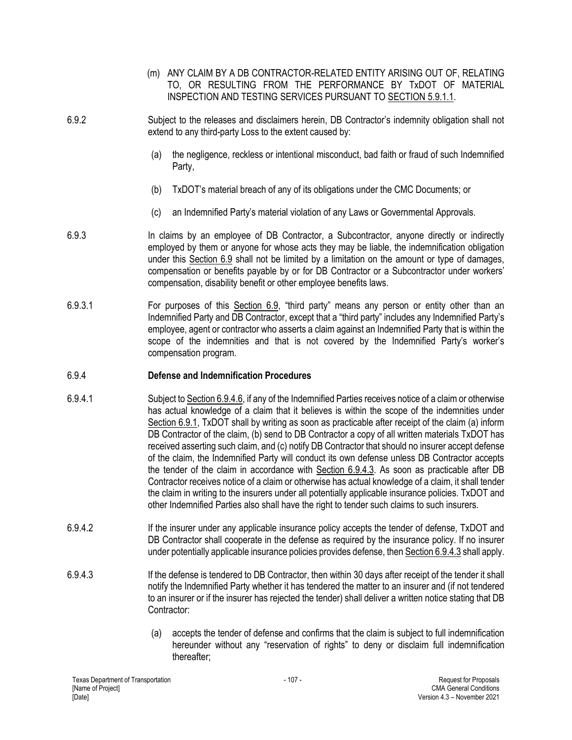- (m) ANY CLAIM BY A DB CONTRACTOR-RELATED ENTITY ARISING OUT OF, RELATING TO, OR RESULTING FROM THE PERFORMANCE BY TxDOT OF MATERIAL INSPECTION AND TESTING SERVICES PURSUANT TO SECTION 5.9.1.1.
- 6.9.2 Subject to the releases and disclaimers herein, DB Contractor's indemnity obligation shall not extend to any third-party Loss to the extent caused by:
	- (a) the negligence, reckless or intentional misconduct, bad faith or fraud of such Indemnified Party,
	- (b) TxDOT's material breach of any of its obligations under the CMC Documents; or
	- (c) an Indemnified Party's material violation of any Laws or Governmental Approvals.
- 6.9.3 In claims by an employee of DB Contractor, a Subcontractor, anyone directly or indirectly employed by them or anyone for whose acts they may be liable, the indemnification obligation under this Section 6.9 shall not be limited by a limitation on the amount or type of damages, compensation or benefits payable by or for DB Contractor or a Subcontractor under workers' compensation, disability benefit or other employee benefits laws.
- 6.9.3.1 For purposes of this Section 6.9, "third party" means any person or entity other than an Indemnified Party and DB Contractor, except that a "third party" includes any Indemnified Party's employee, agent or contractor who asserts a claim against an Indemnified Party that is within the scope of the indemnities and that is not covered by the Indemnified Party's worker's compensation program.

## 6.9.4 **Defense and Indemnification Procedures**

- 6.9.4.1 Subject to Section 6.9.4.6, if any of the Indemnified Parties receives notice of a claim or otherwise has actual knowledge of a claim that it believes is within the scope of the indemnities under Section 6.9.1, TxDOT shall by writing as soon as practicable after receipt of the claim (a) inform DB Contractor of the claim, (b) send to DB Contractor a copy of all written materials TxDOT has received asserting such claim, and (c) notify DB Contractor that should no insurer accept defense of the claim, the Indemnified Party will conduct its own defense unless DB Contractor accepts the tender of the claim in accordance with Section 6.9.4.3. As soon as practicable after DB Contractor receives notice of a claim or otherwise has actual knowledge of a claim, it shall tender the claim in writing to the insurers under all potentially applicable insurance policies. TxDOT and other Indemnified Parties also shall have the right to tender such claims to such insurers.
- 6.9.4.2 If the insurer under any applicable insurance policy accepts the tender of defense, TxDOT and DB Contractor shall cooperate in the defense as required by the insurance policy. If no insurer under potentially applicable insurance policies provides defense, then Section 6.9.4.3 shall apply.
- 6.9.4.3 If the defense is tendered to DB Contractor, then within 30 days after receipt of the tender it shall notify the Indemnified Party whether it has tendered the matter to an insurer and (if not tendered to an insurer or if the insurer has rejected the tender) shall deliver a written notice stating that DB Contractor:
	- (a) accepts the tender of defense and confirms that the claim is subject to full indemnification hereunder without any "reservation of rights" to deny or disclaim full indemnification thereafter;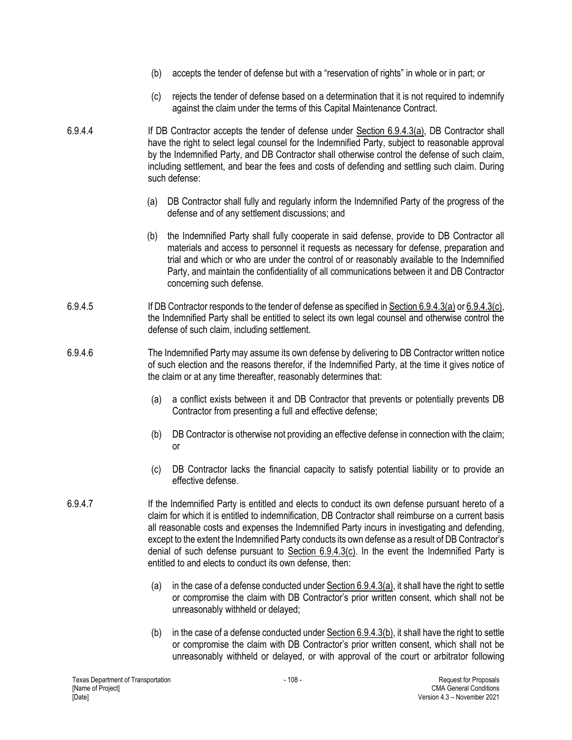- (b) accepts the tender of defense but with a "reservation of rights" in whole or in part; or
- (c) rejects the tender of defense based on a determination that it is not required to indemnify against the claim under the terms of this Capital Maintenance Contract.
- 6.9.4.4 If DB Contractor accepts the tender of defense under Section 6.9.4.3(a), DB Contractor shall have the right to select legal counsel for the Indemnified Party, subject to reasonable approval by the Indemnified Party, and DB Contractor shall otherwise control the defense of such claim, including settlement, and bear the fees and costs of defending and settling such claim. During such defense:
	- (a) DB Contractor shall fully and regularly inform the Indemnified Party of the progress of the defense and of any settlement discussions; and
	- (b) the Indemnified Party shall fully cooperate in said defense, provide to DB Contractor all materials and access to personnel it requests as necessary for defense, preparation and trial and which or who are under the control of or reasonably available to the Indemnified Party, and maintain the confidentiality of all communications between it and DB Contractor concerning such defense.
- 6.9.4.5 If DB Contractor responds to the tender of defense as specified in Section 6.9.4.3(a) or 6.9.4.3(c), the Indemnified Party shall be entitled to select its own legal counsel and otherwise control the defense of such claim, including settlement.
- 6.9.4.6 The Indemnified Party may assume its own defense by delivering to DB Contractor written notice of such election and the reasons therefor, if the Indemnified Party, at the time it gives notice of the claim or at any time thereafter, reasonably determines that:
	- (a) a conflict exists between it and DB Contractor that prevents or potentially prevents DB Contractor from presenting a full and effective defense;
	- (b) DB Contractor is otherwise not providing an effective defense in connection with the claim; or
	- (c) DB Contractor lacks the financial capacity to satisfy potential liability or to provide an effective defense.
- 6.9.4.7 If the Indemnified Party is entitled and elects to conduct its own defense pursuant hereto of a claim for which it is entitled to indemnification, DB Contractor shall reimburse on a current basis all reasonable costs and expenses the Indemnified Party incurs in investigating and defending, except to the extent the Indemnified Party conducts its own defense as a result of DB Contractor's denial of such defense pursuant to Section 6.9.4.3(c). In the event the Indemnified Party is entitled to and elects to conduct its own defense, then:
	- (a) in the case of a defense conducted under  $Section 6.9.4.3(a)$ , it shall have the right to settle or compromise the claim with DB Contractor's prior written consent, which shall not be unreasonably withheld or delayed;
	- (b) in the case of a defense conducted under Section 6.9.4.3(b), it shall have the right to settle or compromise the claim with DB Contractor's prior written consent, which shall not be unreasonably withheld or delayed, or with approval of the court or arbitrator following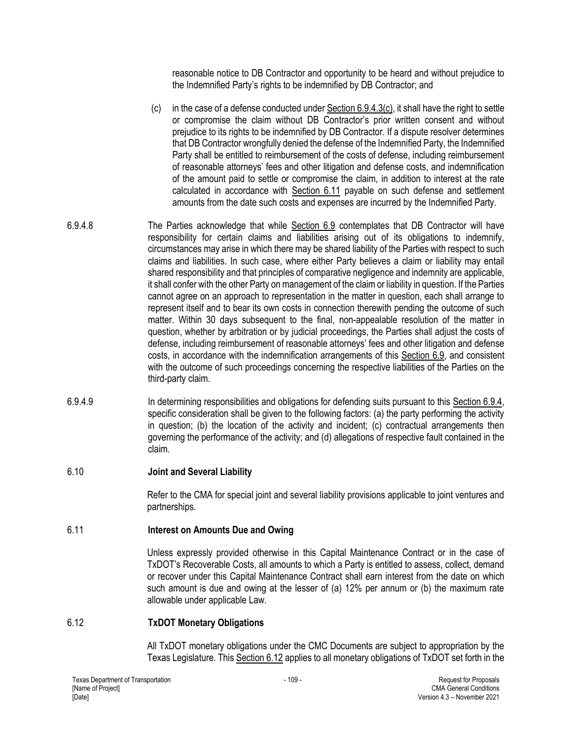reasonable notice to DB Contractor and opportunity to be heard and without prejudice to the Indemnified Party's rights to be indemnified by DB Contractor; and

- (c) in the case of a defense conducted under  $Section 6.9.4.3(c)$ , it shall have the right to settle or compromise the claim without DB Contractor's prior written consent and without prejudice to its rights to be indemnified by DB Contractor. If a dispute resolver determines that DB Contractor wrongfully denied the defense of the Indemnified Party, the Indemnified Party shall be entitled to reimbursement of the costs of defense, including reimbursement of reasonable attorneys' fees and other litigation and defense costs, and indemnification of the amount paid to settle or compromise the claim, in addition to interest at the rate calculated in accordance with Section 6.11 payable on such defense and settlement amounts from the date such costs and expenses are incurred by the Indemnified Party.
- 6.9.4.8 The Parties acknowledge that while Section 6.9 contemplates that DB Contractor will have responsibility for certain claims and liabilities arising out of its obligations to indemnify, circumstances may arise in which there may be shared liability of the Parties with respect to such claims and liabilities. In such case, where either Party believes a claim or liability may entail shared responsibility and that principles of comparative negligence and indemnity are applicable, it shall confer with the other Party on management of the claim or liability in question. If the Parties cannot agree on an approach to representation in the matter in question, each shall arrange to represent itself and to bear its own costs in connection therewith pending the outcome of such matter. Within 30 days subsequent to the final, non-appealable resolution of the matter in question, whether by arbitration or by judicial proceedings, the Parties shall adjust the costs of defense, including reimbursement of reasonable attorneys' fees and other litigation and defense costs, in accordance with the indemnification arrangements of this Section 6.9, and consistent with the outcome of such proceedings concerning the respective liabilities of the Parties on the third-party claim.
- 6.9.4.9 In determining responsibilities and obligations for defending suits pursuant to this Section 6.9.4, specific consideration shall be given to the following factors: (a) the party performing the activity in question; (b) the location of the activity and incident; (c) contractual arrangements then governing the performance of the activity; and (d) allegations of respective fault contained in the claim.

## 6.10 **Joint and Several Liability**

Refer to the CMA for special joint and several liability provisions applicable to joint ventures and partnerships.

# 6.11 **Interest on Amounts Due and Owing**

Unless expressly provided otherwise in this Capital Maintenance Contract or in the case of TxDOT's Recoverable Costs, all amounts to which a Party is entitled to assess, collect, demand or recover under this Capital Maintenance Contract shall earn interest from the date on which such amount is due and owing at the lesser of (a) 12% per annum or (b) the maximum rate allowable under applicable Law.

# 6.12 **TxDOT Monetary Obligations**

All TxDOT monetary obligations under the CMC Documents are subject to appropriation by the Texas Legislature. This Section 6.12 applies to all monetary obligations of TxDOT set forth in the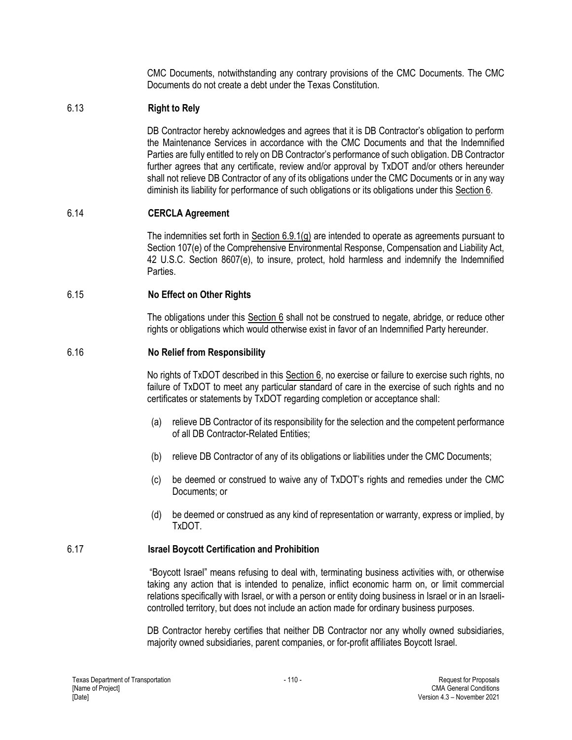CMC Documents, notwithstanding any contrary provisions of the CMC Documents. The CMC Documents do not create a debt under the Texas Constitution.

## 6.13 **Right to Rely**

DB Contractor hereby acknowledges and agrees that it is DB Contractor's obligation to perform the Maintenance Services in accordance with the CMC Documents and that the Indemnified Parties are fully entitled to rely on DB Contractor's performance of such obligation. DB Contractor further agrees that any certificate, review and/or approval by TxDOT and/or others hereunder shall not relieve DB Contractor of any of its obligations under the CMC Documents or in any way diminish its liability for performance of such obligations or its obligations under this Section 6.

## 6.14 **CERCLA Agreement**

The indemnities set forth in Section 6.9.1(g) are intended to operate as agreements pursuant to Section 107(e) of the Comprehensive Environmental Response, Compensation and Liability Act, 42 U.S.C. Section 8607(e), to insure, protect, hold harmless and indemnify the Indemnified **Parties** 

## 6.15 **No Effect on Other Rights**

The obligations under this Section 6 shall not be construed to negate, abridge, or reduce other rights or obligations which would otherwise exist in favor of an Indemnified Party hereunder.

## 6.16 **No Relief from Responsibility**

No rights of TxDOT described in this Section 6, no exercise or failure to exercise such rights, no failure of TxDOT to meet any particular standard of care in the exercise of such rights and no certificates or statements by TxDOT regarding completion or acceptance shall:

- (a) relieve DB Contractor of its responsibility for the selection and the competent performance of all DB Contractor-Related Entities;
- (b) relieve DB Contractor of any of its obligations or liabilities under the CMC Documents;
- (c) be deemed or construed to waive any of TxDOT's rights and remedies under the CMC Documents; or
- (d) be deemed or construed as any kind of representation or warranty, express or implied, by TxDOT.

## 6.17 **Israel Boycott Certification and Prohibition**

"Boycott Israel" means refusing to deal with, terminating business activities with, or otherwise taking any action that is intended to penalize, inflict economic harm on, or limit commercial relations specifically with Israel, or with a person or entity doing business in Israel or in an Israelicontrolled territory, but does not include an action made for ordinary business purposes.

DB Contractor hereby certifies that neither DB Contractor nor any wholly owned subsidiaries, majority owned subsidiaries, parent companies, or for-profit affiliates Boycott Israel.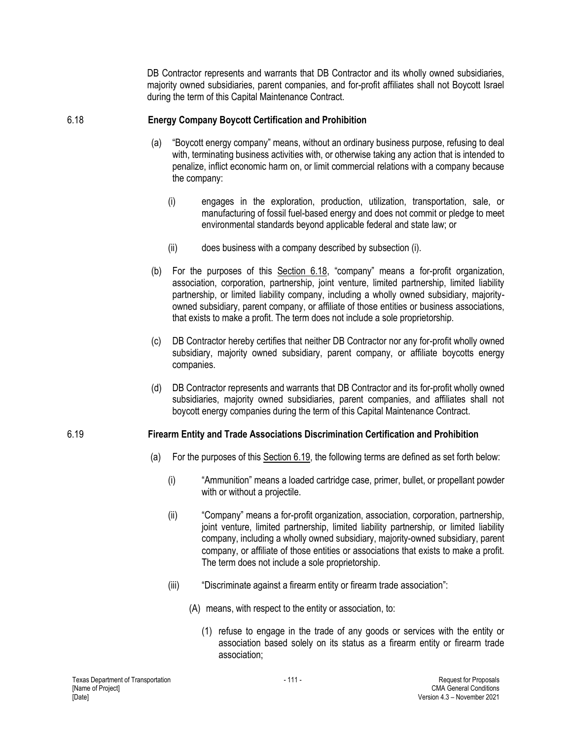DB Contractor represents and warrants that DB Contractor and its wholly owned subsidiaries, majority owned subsidiaries, parent companies, and for-profit affiliates shall not Boycott Israel during the term of this Capital Maintenance Contract.

## 6.18 **Energy Company Boycott Certification and Prohibition**

- (a) "Boycott energy company" means, without an ordinary business purpose, refusing to deal with, terminating business activities with, or otherwise taking any action that is intended to penalize, inflict economic harm on, or limit commercial relations with a company because the company:
	- (i) engages in the exploration, production, utilization, transportation, sale, or manufacturing of fossil fuel-based energy and does not commit or pledge to meet environmental standards beyond applicable federal and state law; or
	- (ii) does business with a company described by subsection (i).
- (b) For the purposes of this Section 6.18, "company" means a for-profit organization, association, corporation, partnership, joint venture, limited partnership, limited liability partnership, or limited liability company, including a wholly owned subsidiary, majorityowned subsidiary, parent company, or affiliate of those entities or business associations, that exists to make a profit. The term does not include a sole proprietorship.
- (c) DB Contractor hereby certifies that neither DB Contractor nor any for-profit wholly owned subsidiary, majority owned subsidiary, parent company, or affiliate boycotts energy companies.
- (d) DB Contractor represents and warrants that DB Contractor and its for-profit wholly owned subsidiaries, majority owned subsidiaries, parent companies, and affiliates shall not boycott energy companies during the term of this Capital Maintenance Contract.

# 6.19 **Firearm Entity and Trade Associations Discrimination Certification and Prohibition**

- (a) For the purposes of this Section 6.19, the following terms are defined as set forth below:
	- (i) "Ammunition" means a loaded cartridge case, primer, bullet, or propellant powder with or without a projectile.
	- (ii) "Company" means a for-profit organization, association, corporation, partnership, joint venture, limited partnership, limited liability partnership, or limited liability company, including a wholly owned subsidiary, majority-owned subsidiary, parent company, or affiliate of those entities or associations that exists to make a profit. The term does not include a sole proprietorship.
	- (iii) "Discriminate against a firearm entity or firearm trade association":
		- (A) means, with respect to the entity or association, to:
			- (1) refuse to engage in the trade of any goods or services with the entity or association based solely on its status as a firearm entity or firearm trade association;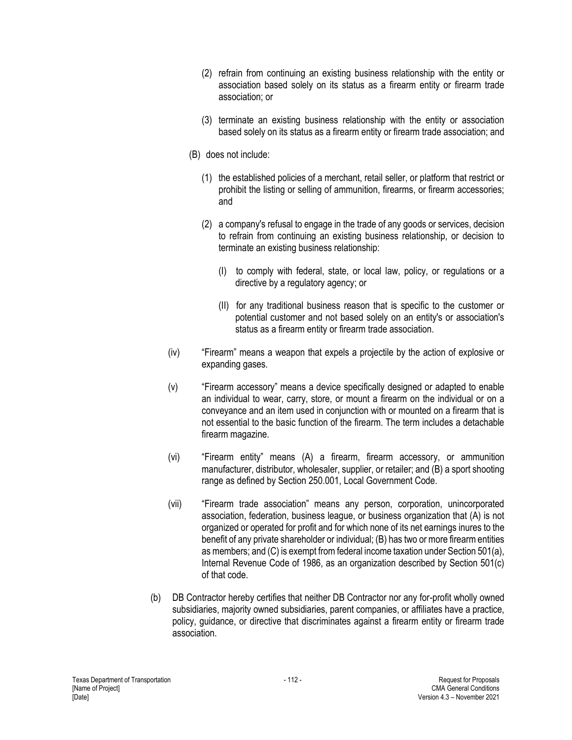- (2) refrain from continuing an existing business relationship with the entity or association based solely on its status as a firearm entity or firearm trade association; or
- (3) terminate an existing business relationship with the entity or association based solely on its status as a firearm entity or firearm trade association; and
- (B) does not include:
	- (1) the established policies of a merchant, retail seller, or platform that restrict or prohibit the listing or selling of ammunition, firearms, or firearm accessories; and
	- (2) a company's refusal to engage in the trade of any goods or services, decision to refrain from continuing an existing business relationship, or decision to terminate an existing business relationship:
		- (I) to comply with federal, state, or local law, policy, or regulations or a directive by a regulatory agency; or
		- (II) for any traditional business reason that is specific to the customer or potential customer and not based solely on an entity's or association's status as a firearm entity or firearm trade association.
- (iv) "Firearm" means a weapon that expels a projectile by the action of explosive or expanding gases.
- (v) "Firearm accessory" means a device specifically designed or adapted to enable an individual to wear, carry, store, or mount a firearm on the individual or on a conveyance and an item used in conjunction with or mounted on a firearm that is not essential to the basic function of the firearm. The term includes a detachable firearm magazine.
- (vi) "Firearm entity" means (A) a firearm, firearm accessory, or ammunition manufacturer, distributor, wholesaler, supplier, or retailer; and (B) a sport shooting range as defined by Section 250.001, Local Government Code.
- (vii) "Firearm trade association" means any person, corporation, unincorporated association, federation, business league, or business organization that (A) is not organized or operated for profit and for which none of its net earnings inures to the benefit of any private shareholder or individual; (B) has two or more firearm entities as members; and (C) is exempt from federal income taxation under Section 501(a), Internal Revenue Code of 1986, as an organization described by Section 501(c) of that code.
- (b) DB Contractor hereby certifies that neither DB Contractor nor any for-profit wholly owned subsidiaries, majority owned subsidiaries, parent companies, or affiliates have a practice, policy, guidance, or directive that discriminates against a firearm entity or firearm trade association.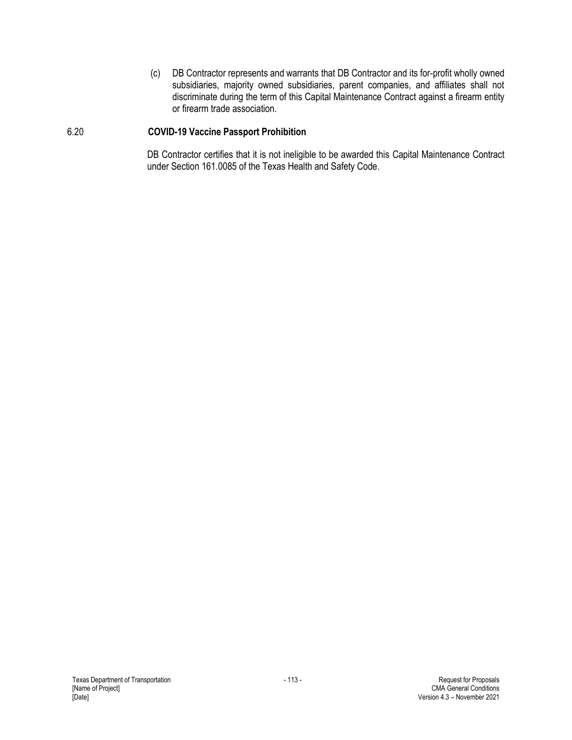(c) DB Contractor represents and warrants that DB Contractor and its for-profit wholly owned subsidiaries, majority owned subsidiaries, parent companies, and affiliates shall not discriminate during the term of this Capital Maintenance Contract against a firearm entity or firearm trade association.

#### 6.20 **COVID-19 Vaccine Passport Prohibition**

DB Contractor certifies that it is not ineligible to be awarded this Capital Maintenance Contract under Section 161.0085 of the Texas Health and Safety Code.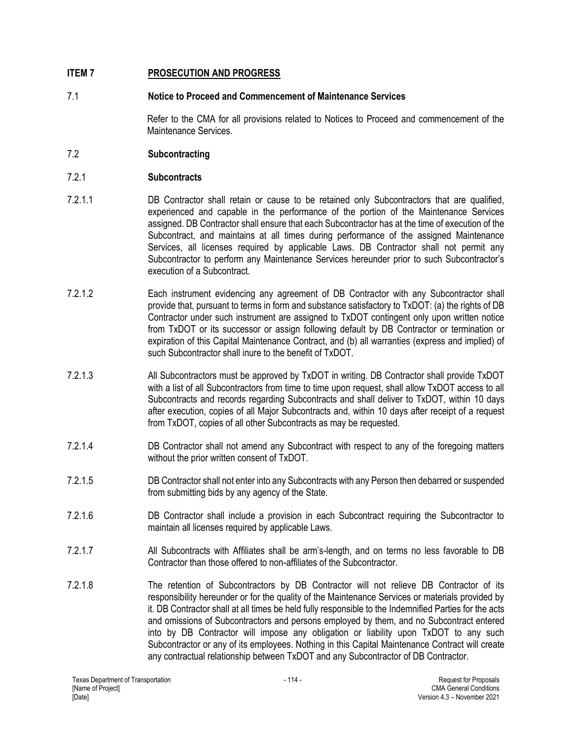# **ITEM 7 PROSECUTION AND PROGRESS**

## 7.1 **Notice to Proceed and Commencement of Maintenance Services**

Refer to the CMA for all provisions related to Notices to Proceed and commencement of the Maintenance Services.

## 7.2 **Subcontracting**

## 7.2.1 **Subcontracts**

- 7.2.1.1 DB Contractor shall retain or cause to be retained only Subcontractors that are qualified, experienced and capable in the performance of the portion of the Maintenance Services assigned. DB Contractor shall ensure that each Subcontractor has at the time of execution of the Subcontract, and maintains at all times during performance of the assigned Maintenance Services, all licenses required by applicable Laws. DB Contractor shall not permit any Subcontractor to perform any Maintenance Services hereunder prior to such Subcontractor's execution of a Subcontract.
- 7.2.1.2 Each instrument evidencing any agreement of DB Contractor with any Subcontractor shall provide that, pursuant to terms in form and substance satisfactory to TxDOT: (a) the rights of DB Contractor under such instrument are assigned to TxDOT contingent only upon written notice from TxDOT or its successor or assign following default by DB Contractor or termination or expiration of this Capital Maintenance Contract, and (b) all warranties (express and implied) of such Subcontractor shall inure to the benefit of TxDOT.
- 7.2.1.3 All Subcontractors must be approved by TxDOT in writing. DB Contractor shall provide TxDOT with a list of all Subcontractors from time to time upon request, shall allow TxDOT access to all Subcontracts and records regarding Subcontracts and shall deliver to TxDOT, within 10 days after execution, copies of all Major Subcontracts and, within 10 days after receipt of a request from TxDOT, copies of all other Subcontracts as may be requested.
- 7.2.1.4 DB Contractor shall not amend any Subcontract with respect to any of the foregoing matters without the prior written consent of TxDOT.
- 7.2.1.5 DB Contractor shall not enter into any Subcontracts with any Person then debarred or suspended from submitting bids by any agency of the State.
- 7.2.1.6 DB Contractor shall include a provision in each Subcontract requiring the Subcontractor to maintain all licenses required by applicable Laws.
- 7.2.1.7 All Subcontracts with Affiliates shall be arm's-length, and on terms no less favorable to DB Contractor than those offered to non-affiliates of the Subcontractor.
- 7.2.1.8 The retention of Subcontractors by DB Contractor will not relieve DB Contractor of its responsibility hereunder or for the quality of the Maintenance Services or materials provided by it. DB Contractor shall at all times be held fully responsible to the Indemnified Parties for the acts and omissions of Subcontractors and persons employed by them, and no Subcontract entered into by DB Contractor will impose any obligation or liability upon TxDOT to any such Subcontractor or any of its employees. Nothing in this Capital Maintenance Contract will create any contractual relationship between TxDOT and any Subcontractor of DB Contractor.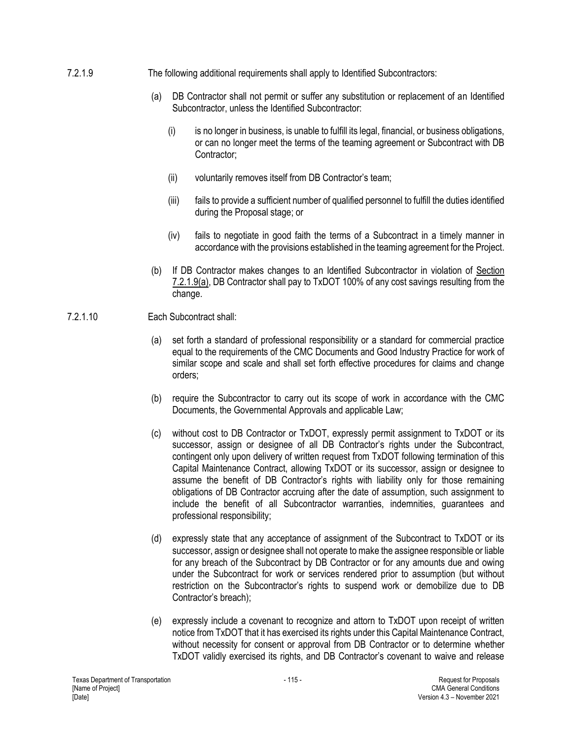- 7.2.1.9 The following additional requirements shall apply to Identified Subcontractors:
	- (a) DB Contractor shall not permit or suffer any substitution or replacement of an Identified Subcontractor, unless the Identified Subcontractor:
		- (i) is no longer in business, is unable to fulfill its legal, financial, or business obligations, or can no longer meet the terms of the teaming agreement or Subcontract with DB Contractor;
		- (ii) voluntarily removes itself from DB Contractor's team;
		- (iii) fails to provide a sufficient number of qualified personnel to fulfill the duties identified during the Proposal stage; or
		- (iv) fails to negotiate in good faith the terms of a Subcontract in a timely manner in accordance with the provisions established in the teaming agreement for the Project.
	- (b) If DB Contractor makes changes to an Identified Subcontractor in violation of Section 7.2.1.9(a), DB Contractor shall pay to TxDOT 100% of any cost savings resulting from the change.
- 7.2.1.10 Each Subcontract shall:
	- (a) set forth a standard of professional responsibility or a standard for commercial practice equal to the requirements of the CMC Documents and Good Industry Practice for work of similar scope and scale and shall set forth effective procedures for claims and change orders;
	- (b) require the Subcontractor to carry out its scope of work in accordance with the CMC Documents, the Governmental Approvals and applicable Law;
	- (c) without cost to DB Contractor or TxDOT, expressly permit assignment to TxDOT or its successor, assign or designee of all DB Contractor's rights under the Subcontract, contingent only upon delivery of written request from TxDOT following termination of this Capital Maintenance Contract, allowing TxDOT or its successor, assign or designee to assume the benefit of DB Contractor's rights with liability only for those remaining obligations of DB Contractor accruing after the date of assumption, such assignment to include the benefit of all Subcontractor warranties, indemnities, guarantees and professional responsibility;
	- (d) expressly state that any acceptance of assignment of the Subcontract to TxDOT or its successor, assign or designee shall not operate to make the assignee responsible or liable for any breach of the Subcontract by DB Contractor or for any amounts due and owing under the Subcontract for work or services rendered prior to assumption (but without restriction on the Subcontractor's rights to suspend work or demobilize due to DB Contractor's breach);
	- (e) expressly include a covenant to recognize and attorn to TxDOT upon receipt of written notice from TxDOT that it has exercised its rights under this Capital Maintenance Contract, without necessity for consent or approval from DB Contractor or to determine whether TxDOT validly exercised its rights, and DB Contractor's covenant to waive and release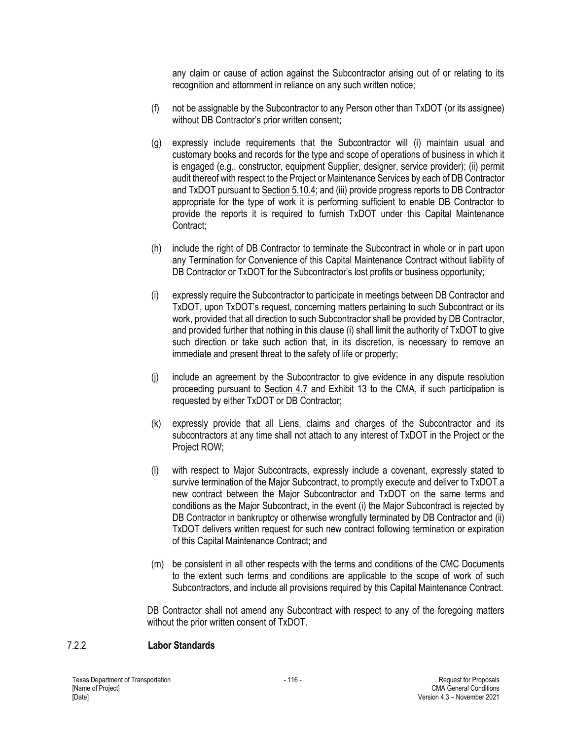any claim or cause of action against the Subcontractor arising out of or relating to its recognition and attornment in reliance on any such written notice;

- (f) not be assignable by the Subcontractor to any Person other than TxDOT (or its assignee) without DB Contractor's prior written consent;
- (g) expressly include requirements that the Subcontractor will (i) maintain usual and customary books and records for the type and scope of operations of business in which it is engaged (e.g., constructor, equipment Supplier, designer, service provider); (ii) permit audit thereof with respect to the Project or Maintenance Services by each of DB Contractor and TxDOT pursuant to Section 5.10.4; and (iii) provide progress reports to DB Contractor appropriate for the type of work it is performing sufficient to enable DB Contractor to provide the reports it is required to furnish TxDOT under this Capital Maintenance Contract;
- (h) include the right of DB Contractor to terminate the Subcontract in whole or in part upon any Termination for Convenience of this Capital Maintenance Contract without liability of DB Contractor or TxDOT for the Subcontractor's lost profits or business opportunity;
- (i) expressly require the Subcontractor to participate in meetings between DB Contractor and TxDOT, upon TxDOT's request, concerning matters pertaining to such Subcontract or its work, provided that all direction to such Subcontractor shall be provided by DB Contractor, and provided further that nothing in this clause (i) shall limit the authority of TxDOT to give such direction or take such action that, in its discretion, is necessary to remove an immediate and present threat to the safety of life or property;
- (j) include an agreement by the Subcontractor to give evidence in any dispute resolution proceeding pursuant to Section 4.7 and Exhibit 13 to the CMA, if such participation is requested by either TxDOT or DB Contractor;
- (k) expressly provide that all Liens, claims and charges of the Subcontractor and its subcontractors at any time shall not attach to any interest of TxDOT in the Project or the Project ROW;
- (l) with respect to Major Subcontracts, expressly include a covenant, expressly stated to survive termination of the Major Subcontract, to promptly execute and deliver to TxDOT a new contract between the Major Subcontractor and TxDOT on the same terms and conditions as the Major Subcontract, in the event (i) the Major Subcontract is rejected by DB Contractor in bankruptcy or otherwise wrongfully terminated by DB Contractor and (ii) TxDOT delivers written request for such new contract following termination or expiration of this Capital Maintenance Contract; and
- (m) be consistent in all other respects with the terms and conditions of the CMC Documents to the extent such terms and conditions are applicable to the scope of work of such Subcontractors, and include all provisions required by this Capital Maintenance Contract.

DB Contractor shall not amend any Subcontract with respect to any of the foregoing matters without the prior written consent of TxDOT.

#### 7.2.2 **Labor Standards**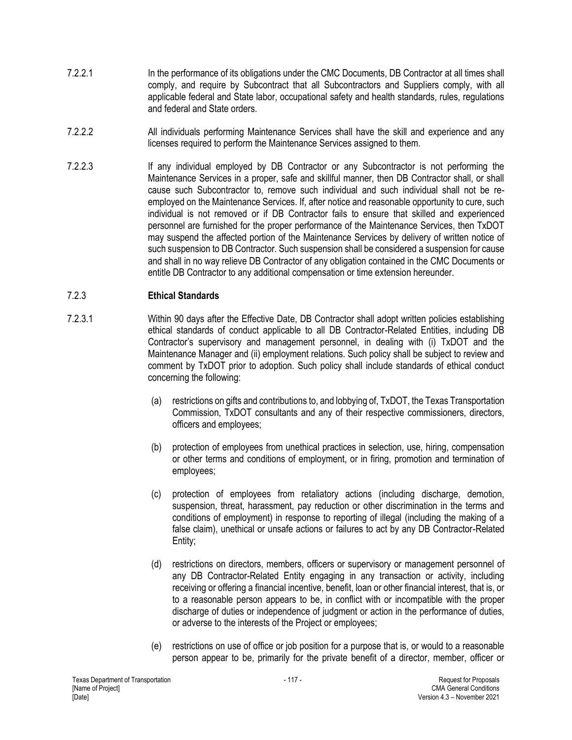- 7.2.2.1 In the performance of its obligations under the CMC Documents, DB Contractor at all times shall comply, and require by Subcontract that all Subcontractors and Suppliers comply, with all applicable federal and State labor, occupational safety and health standards, rules, regulations and federal and State orders.
- 7.2.2.2 All individuals performing Maintenance Services shall have the skill and experience and any licenses required to perform the Maintenance Services assigned to them.
- 7.2.2.3 If any individual employed by DB Contractor or any Subcontractor is not performing the Maintenance Services in a proper, safe and skillful manner, then DB Contractor shall, or shall cause such Subcontractor to, remove such individual and such individual shall not be reemployed on the Maintenance Services. If, after notice and reasonable opportunity to cure, such individual is not removed or if DB Contractor fails to ensure that skilled and experienced personnel are furnished for the proper performance of the Maintenance Services, then TxDOT may suspend the affected portion of the Maintenance Services by delivery of written notice of such suspension to DB Contractor. Such suspension shall be considered a suspension for cause and shall in no way relieve DB Contractor of any obligation contained in the CMC Documents or entitle DB Contractor to any additional compensation or time extension hereunder.

## 7.2.3 **Ethical Standards**

- 7.2.3.1 Within 90 days after the Effective Date, DB Contractor shall adopt written policies establishing ethical standards of conduct applicable to all DB Contractor-Related Entities, including DB Contractor's supervisory and management personnel, in dealing with (i) TxDOT and the Maintenance Manager and (ii) employment relations. Such policy shall be subject to review and comment by TxDOT prior to adoption. Such policy shall include standards of ethical conduct concerning the following:
	- (a) restrictions on gifts and contributions to, and lobbying of, TxDOT, the Texas Transportation Commission, TxDOT consultants and any of their respective commissioners, directors, officers and employees;
	- (b) protection of employees from unethical practices in selection, use, hiring, compensation or other terms and conditions of employment, or in firing, promotion and termination of employees;
	- (c) protection of employees from retaliatory actions (including discharge, demotion, suspension, threat, harassment, pay reduction or other discrimination in the terms and conditions of employment) in response to reporting of illegal (including the making of a false claim), unethical or unsafe actions or failures to act by any DB Contractor-Related Entity;
	- (d) restrictions on directors, members, officers or supervisory or management personnel of any DB Contractor-Related Entity engaging in any transaction or activity, including receiving or offering a financial incentive, benefit, loan or other financial interest, that is, or to a reasonable person appears to be, in conflict with or incompatible with the proper discharge of duties or independence of judgment or action in the performance of duties, or adverse to the interests of the Project or employees;
	- (e) restrictions on use of office or job position for a purpose that is, or would to a reasonable person appear to be, primarily for the private benefit of a director, member, officer or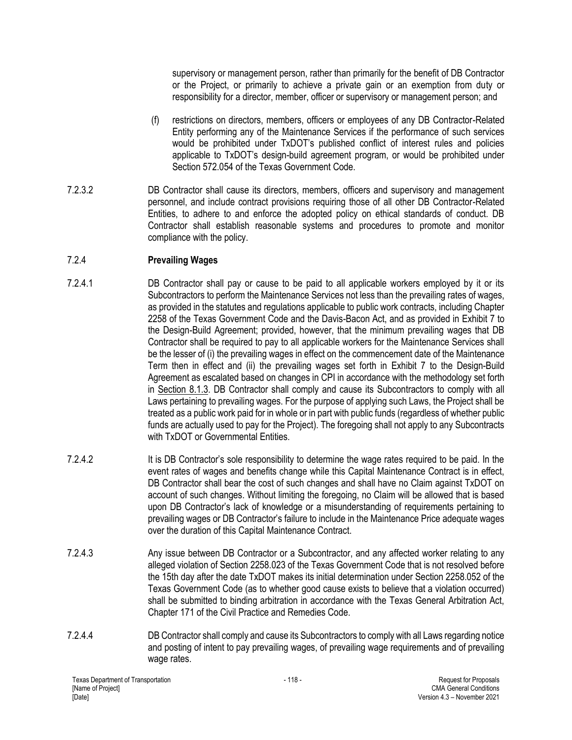supervisory or management person, rather than primarily for the benefit of DB Contractor or the Project, or primarily to achieve a private gain or an exemption from duty or responsibility for a director, member, officer or supervisory or management person; and

- (f) restrictions on directors, members, officers or employees of any DB Contractor-Related Entity performing any of the Maintenance Services if the performance of such services would be prohibited under TxDOT's published conflict of interest rules and policies applicable to TxDOT's design-build agreement program, or would be prohibited under Section 572.054 of the Texas Government Code.
- 7.2.3.2 DB Contractor shall cause its directors, members, officers and supervisory and management personnel, and include contract provisions requiring those of all other DB Contractor-Related Entities, to adhere to and enforce the adopted policy on ethical standards of conduct. DB Contractor shall establish reasonable systems and procedures to promote and monitor compliance with the policy.

# 7.2.4 **Prevailing Wages**

- 7.2.4.1 DB Contractor shall pay or cause to be paid to all applicable workers employed by it or its Subcontractors to perform the Maintenance Services not less than the prevailing rates of wages, as provided in the statutes and regulations applicable to public work contracts, including Chapter 2258 of the Texas Government Code and the Davis-Bacon Act, and as provided in Exhibit 7 to the Design-Build Agreement; provided, however, that the minimum prevailing wages that DB Contractor shall be required to pay to all applicable workers for the Maintenance Services shall be the lesser of (i) the prevailing wages in effect on the commencement date of the Maintenance Term then in effect and (ii) the prevailing wages set forth in Exhibit 7 to the Design-Build Agreement as escalated based on changes in CPI in accordance with the methodology set forth in Section 8.1.3. DB Contractor shall comply and cause its Subcontractors to comply with all Laws pertaining to prevailing wages. For the purpose of applying such Laws, the Project shall be treated as a public work paid for in whole or in part with public funds (regardless of whether public funds are actually used to pay for the Project). The foregoing shall not apply to any Subcontracts with TxDOT or Governmental Entities.
- 7.2.4.2 It is DB Contractor's sole responsibility to determine the wage rates required to be paid. In the event rates of wages and benefits change while this Capital Maintenance Contract is in effect, DB Contractor shall bear the cost of such changes and shall have no Claim against TxDOT on account of such changes. Without limiting the foregoing, no Claim will be allowed that is based upon DB Contractor's lack of knowledge or a misunderstanding of requirements pertaining to prevailing wages or DB Contractor's failure to include in the Maintenance Price adequate wages over the duration of this Capital Maintenance Contract.
- 7.2.4.3 Any issue between DB Contractor or a Subcontractor, and any affected worker relating to any alleged violation of Section 2258.023 of the Texas Government Code that is not resolved before the 15th day after the date TxDOT makes its initial determination under Section 2258.052 of the Texas Government Code (as to whether good cause exists to believe that a violation occurred) shall be submitted to binding arbitration in accordance with the Texas General Arbitration Act, Chapter 171 of the Civil Practice and Remedies Code.
- 7.2.4.4 DB Contractor shall comply and cause its Subcontractors to comply with all Laws regarding notice and posting of intent to pay prevailing wages, of prevailing wage requirements and of prevailing wage rates.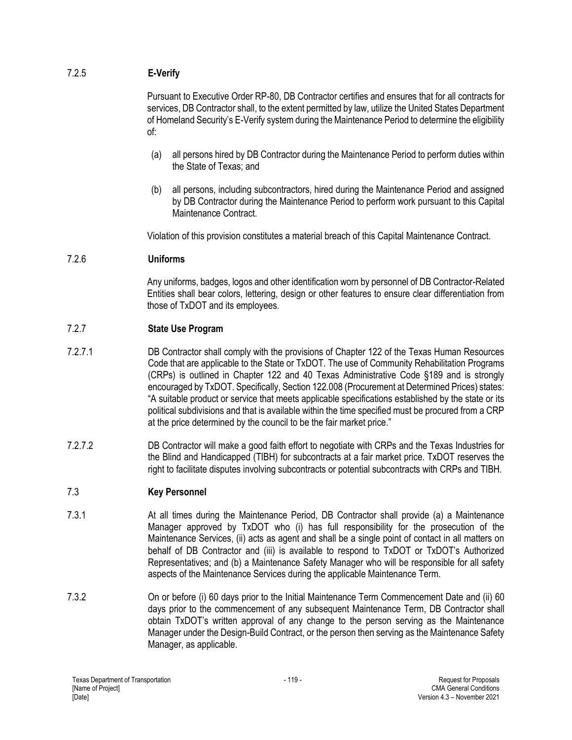# 7.2.5 **E-Verify**

Pursuant to Executive Order RP-80, DB Contractor certifies and ensures that for all contracts for services, DB Contractor shall, to the extent permitted by law, utilize the United States Department of Homeland Security's E-Verify system during the Maintenance Period to determine the eligibility of:

- (a) all persons hired by DB Contractor during the Maintenance Period to perform duties within the State of Texas; and
- (b) all persons, including subcontractors, hired during the Maintenance Period and assigned by DB Contractor during the Maintenance Period to perform work pursuant to this Capital Maintenance Contract.

Violation of this provision constitutes a material breach of this Capital Maintenance Contract.

## 7.2.6 **Uniforms**

Any uniforms, badges, logos and other identification worn by personnel of DB Contractor-Related Entities shall bear colors, lettering, design or other features to ensure clear differentiation from those of TxDOT and its employees.

## 7.2.7 **State Use Program**

- 7.2.7.1 DB Contractor shall comply with the provisions of Chapter 122 of the Texas Human Resources Code that are applicable to the State or TxDOT. The use of Community Rehabilitation Programs (CRPs) is outlined in Chapter 122 and 40 Texas Administrative Code §189 and is strongly encouraged by TxDOT. Specifically, Section 122.008 (Procurement at Determined Prices) states: "A suitable product or service that meets applicable specifications established by the state or its political subdivisions and that is available within the time specified must be procured from a CRP at the price determined by the council to be the fair market price."
- 7.2.7.2 DB Contractor will make a good faith effort to negotiate with CRPs and the Texas Industries for the Blind and Handicapped (TIBH) for subcontracts at a fair market price. TxDOT reserves the right to facilitate disputes involving subcontracts or potential subcontracts with CRPs and TIBH.

# 7.3 **Key Personnel**

- 7.3.1 At all times during the Maintenance Period, DB Contractor shall provide (a) a Maintenance Manager approved by TxDOT who (i) has full responsibility for the prosecution of the Maintenance Services, (ii) acts as agent and shall be a single point of contact in all matters on behalf of DB Contractor and (iii) is available to respond to TxDOT or TxDOT's Authorized Representatives; and (b) a Maintenance Safety Manager who will be responsible for all safety aspects of the Maintenance Services during the applicable Maintenance Term.
- 7.3.2 On or before (i) 60 days prior to the Initial Maintenance Term Commencement Date and (ii) 60 days prior to the commencement of any subsequent Maintenance Term, DB Contractor shall obtain TxDOT's written approval of any change to the person serving as the Maintenance Manager under the Design-Build Contract, or the person then serving as the Maintenance Safety Manager, as applicable.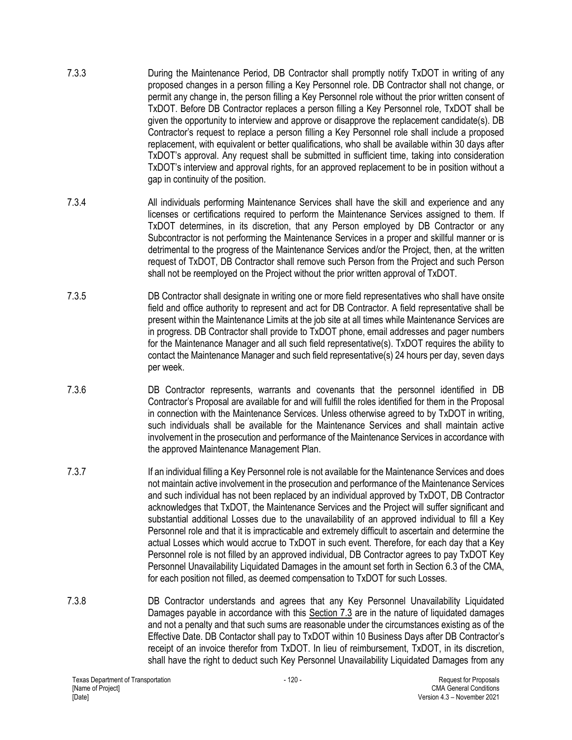- 7.3.3 During the Maintenance Period, DB Contractor shall promptly notify TxDOT in writing of any proposed changes in a person filling a Key Personnel role. DB Contractor shall not change, or permit any change in, the person filling a Key Personnel role without the prior written consent of TxDOT. Before DB Contractor replaces a person filling a Key Personnel role, TxDOT shall be given the opportunity to interview and approve or disapprove the replacement candidate(s). DB Contractor's request to replace a person filling a Key Personnel role shall include a proposed replacement, with equivalent or better qualifications, who shall be available within 30 days after TxDOT's approval. Any request shall be submitted in sufficient time, taking into consideration TxDOT's interview and approval rights, for an approved replacement to be in position without a gap in continuity of the position.
- 7.3.4 All individuals performing Maintenance Services shall have the skill and experience and any licenses or certifications required to perform the Maintenance Services assigned to them. If TxDOT determines, in its discretion, that any Person employed by DB Contractor or any Subcontractor is not performing the Maintenance Services in a proper and skillful manner or is detrimental to the progress of the Maintenance Services and/or the Project, then, at the written request of TxDOT, DB Contractor shall remove such Person from the Project and such Person shall not be reemployed on the Project without the prior written approval of TxDOT.
- 7.3.5 DB Contractor shall designate in writing one or more field representatives who shall have onsite field and office authority to represent and act for DB Contractor. A field representative shall be present within the Maintenance Limits at the job site at all times while Maintenance Services are in progress. DB Contractor shall provide to TxDOT phone, email addresses and pager numbers for the Maintenance Manager and all such field representative(s). TxDOT requires the ability to contact the Maintenance Manager and such field representative(s) 24 hours per day, seven days per week.
- 7.3.6 DB Contractor represents, warrants and covenants that the personnel identified in DB Contractor's Proposal are available for and will fulfill the roles identified for them in the Proposal in connection with the Maintenance Services. Unless otherwise agreed to by TxDOT in writing, such individuals shall be available for the Maintenance Services and shall maintain active involvement in the prosecution and performance of the Maintenance Services in accordance with the approved Maintenance Management Plan.
- 7.3.7 If an individual filling a Key Personnel role is not available for the Maintenance Services and does not maintain active involvement in the prosecution and performance of the Maintenance Services and such individual has not been replaced by an individual approved by TxDOT, DB Contractor acknowledges that TxDOT, the Maintenance Services and the Project will suffer significant and substantial additional Losses due to the unavailability of an approved individual to fill a Key Personnel role and that it is impracticable and extremely difficult to ascertain and determine the actual Losses which would accrue to TxDOT in such event. Therefore, for each day that a Key Personnel role is not filled by an approved individual, DB Contractor agrees to pay TxDOT Key Personnel Unavailability Liquidated Damages in the amount set forth in Section 6.3 of the CMA, for each position not filled, as deemed compensation to TxDOT for such Losses.
- 7.3.8 DB Contractor understands and agrees that any Key Personnel Unavailability Liquidated Damages payable in accordance with this Section 7.3 are in the nature of liquidated damages and not a penalty and that such sums are reasonable under the circumstances existing as of the Effective Date. DB Contactor shall pay to TxDOT within 10 Business Days after DB Contractor's receipt of an invoice therefor from TxDOT. In lieu of reimbursement, TxDOT, in its discretion, shall have the right to deduct such Key Personnel Unavailability Liquidated Damages from any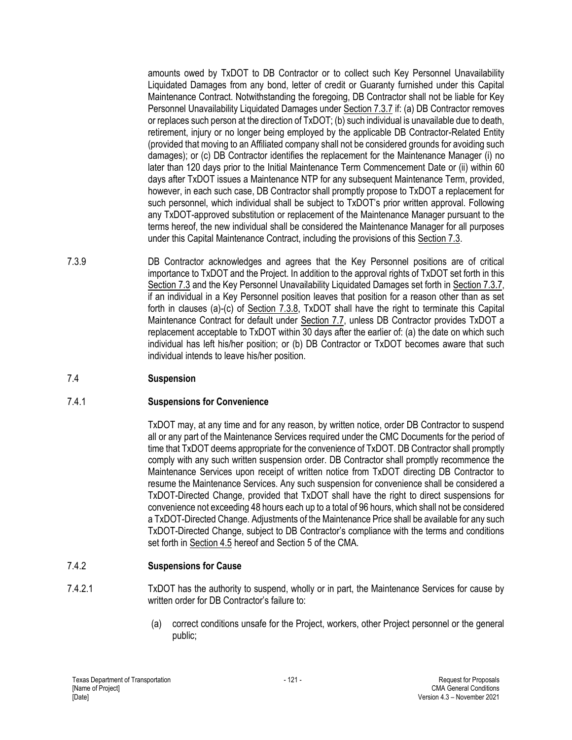amounts owed by TxDOT to DB Contractor or to collect such Key Personnel Unavailability Liquidated Damages from any bond, letter of credit or Guaranty furnished under this Capital Maintenance Contract. Notwithstanding the foregoing, DB Contractor shall not be liable for Key Personnel Unavailability Liquidated Damages under Section 7.3.7 if: (a) DB Contractor removes or replaces such person at the direction of TxDOT; (b) such individual is unavailable due to death, retirement, injury or no longer being employed by the applicable DB Contractor-Related Entity (provided that moving to an Affiliated company shall not be considered grounds for avoiding such damages); or (c) DB Contractor identifies the replacement for the Maintenance Manager (i) no later than 120 days prior to the Initial Maintenance Term Commencement Date or (ii) within 60 days after TxDOT issues a Maintenance NTP for any subsequent Maintenance Term, provided, however, in each such case, DB Contractor shall promptly propose to TxDOT a replacement for such personnel, which individual shall be subject to TxDOT's prior written approval. Following any TxDOT-approved substitution or replacement of the Maintenance Manager pursuant to the terms hereof, the new individual shall be considered the Maintenance Manager for all purposes under this Capital Maintenance Contract, including the provisions of this Section 7.3.

7.3.9 DB Contractor acknowledges and agrees that the Key Personnel positions are of critical importance to TxDOT and the Project. In addition to the approval rights of TxDOT set forth in this Section 7.3 and the Key Personnel Unavailability Liquidated Damages set forth in Section 7.3.7, if an individual in a Key Personnel position leaves that position for a reason other than as set forth in clauses (a)-(c) of Section 7.3.8, TxDOT shall have the right to terminate this Capital Maintenance Contract for default under Section 7.7, unless DB Contractor provides TxDOT a replacement acceptable to TxDOT within 30 days after the earlier of: (a) the date on which such individual has left his/her position; or (b) DB Contractor or TxDOT becomes aware that such individual intends to leave his/her position.

# 7.4 **Suspension**

## 7.4.1 **Suspensions for Convenience**

TxDOT may, at any time and for any reason, by written notice, order DB Contractor to suspend all or any part of the Maintenance Services required under the CMC Documents for the period of time that TxDOT deems appropriate for the convenience of TxDOT. DB Contractor shall promptly comply with any such written suspension order. DB Contractor shall promptly recommence the Maintenance Services upon receipt of written notice from TxDOT directing DB Contractor to resume the Maintenance Services. Any such suspension for convenience shall be considered a TxDOT-Directed Change, provided that TxDOT shall have the right to direct suspensions for convenience not exceeding 48 hours each up to a total of 96 hours, which shall not be considered a TxDOT-Directed Change. Adjustments of the Maintenance Price shall be available for any such TxDOT-Directed Change, subject to DB Contractor's compliance with the terms and conditions set forth in Section 4.5 hereof and Section 5 of the CMA.

# 7.4.2 **Suspensions for Cause**

- 7.4.2.1 TxDOT has the authority to suspend, wholly or in part, the Maintenance Services for cause by written order for DB Contractor's failure to:
	- (a) correct conditions unsafe for the Project, workers, other Project personnel or the general public;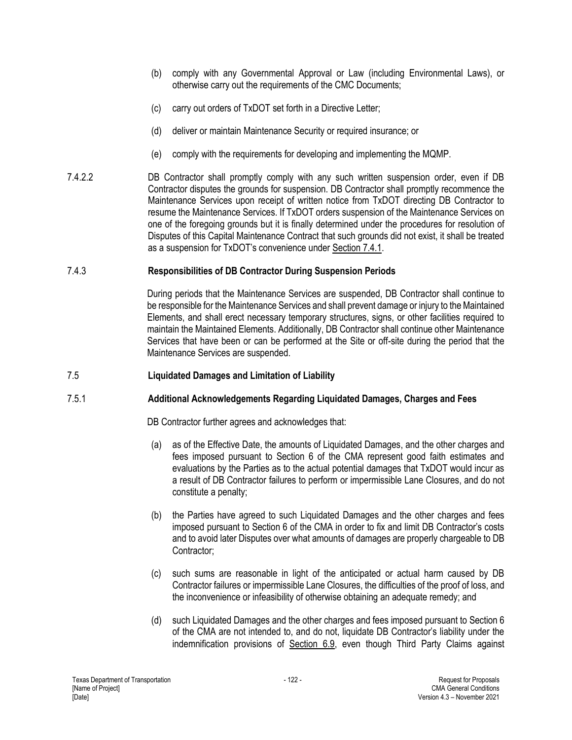- (b) comply with any Governmental Approval or Law (including Environmental Laws), or otherwise carry out the requirements of the CMC Documents;
- (c) carry out orders of TxDOT set forth in a Directive Letter;
- (d) deliver or maintain Maintenance Security or required insurance; or
- (e) comply with the requirements for developing and implementing the MQMP.
- 7.4.2.2 DB Contractor shall promptly comply with any such written suspension order, even if DB Contractor disputes the grounds for suspension. DB Contractor shall promptly recommence the Maintenance Services upon receipt of written notice from TxDOT directing DB Contractor to resume the Maintenance Services. If TxDOT orders suspension of the Maintenance Services on one of the foregoing grounds but it is finally determined under the procedures for resolution of Disputes of this Capital Maintenance Contract that such grounds did not exist, it shall be treated as a suspension for TxDOT's convenience under Section 7.4.1.

# 7.4.3 **Responsibilities of DB Contractor During Suspension Periods**

During periods that the Maintenance Services are suspended, DB Contractor shall continue to be responsible for the Maintenance Services and shall prevent damage or injury to the Maintained Elements, and shall erect necessary temporary structures, signs, or other facilities required to maintain the Maintained Elements. Additionally, DB Contractor shall continue other Maintenance Services that have been or can be performed at the Site or off-site during the period that the Maintenance Services are suspended.

# 7.5 **Liquidated Damages and Limitation of Liability**

# 7.5.1 **Additional Acknowledgements Regarding Liquidated Damages, Charges and Fees**

DB Contractor further agrees and acknowledges that:

- (a) as of the Effective Date, the amounts of Liquidated Damages, and the other charges and fees imposed pursuant to Section 6 of the CMA represent good faith estimates and evaluations by the Parties as to the actual potential damages that TxDOT would incur as a result of DB Contractor failures to perform or impermissible Lane Closures, and do not constitute a penalty;
- (b) the Parties have agreed to such Liquidated Damages and the other charges and fees imposed pursuant to Section 6 of the CMA in order to fix and limit DB Contractor's costs and to avoid later Disputes over what amounts of damages are properly chargeable to DB Contractor;
- (c) such sums are reasonable in light of the anticipated or actual harm caused by DB Contractor failures or impermissible Lane Closures, the difficulties of the proof of loss, and the inconvenience or infeasibility of otherwise obtaining an adequate remedy; and
- (d) such Liquidated Damages and the other charges and fees imposed pursuant to Section 6 of the CMA are not intended to, and do not, liquidate DB Contractor's liability under the indemnification provisions of Section 6.9, even though Third Party Claims against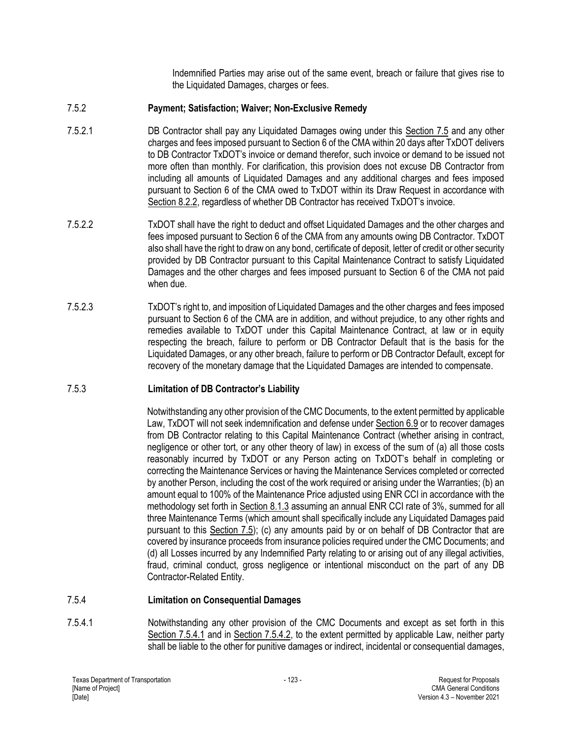Indemnified Parties may arise out of the same event, breach or failure that gives rise to the Liquidated Damages, charges or fees.

# 7.5.2 **Payment; Satisfaction; Waiver; Non-Exclusive Remedy**

- 7.5.2.1 DB Contractor shall pay any Liquidated Damages owing under this Section 7.5 and any other charges and fees imposed pursuant to Section 6 of the CMA within 20 days after TxDOT delivers to DB Contractor TxDOT's invoice or demand therefor, such invoice or demand to be issued not more often than monthly. For clarification, this provision does not excuse DB Contractor from including all amounts of Liquidated Damages and any additional charges and fees imposed pursuant to Section 6 of the CMA owed to TxDOT within its Draw Request in accordance with Section 8.2.2, regardless of whether DB Contractor has received TxDOT's invoice.
- 7.5.2.2 TxDOT shall have the right to deduct and offset Liquidated Damages and the other charges and fees imposed pursuant to Section 6 of the CMA from any amounts owing DB Contractor. TxDOT also shall have the right to draw on any bond, certificate of deposit, letter of credit or other security provided by DB Contractor pursuant to this Capital Maintenance Contract to satisfy Liquidated Damages and the other charges and fees imposed pursuant to Section 6 of the CMA not paid when due.
- 7.5.2.3 TxDOT's right to, and imposition of Liquidated Damages and the other charges and fees imposed pursuant to Section 6 of the CMA are in addition, and without prejudice, to any other rights and remedies available to TxDOT under this Capital Maintenance Contract, at law or in equity respecting the breach, failure to perform or DB Contractor Default that is the basis for the Liquidated Damages, or any other breach, failure to perform or DB Contractor Default, except for recovery of the monetary damage that the Liquidated Damages are intended to compensate.

# 7.5.3 **Limitation of DB Contractor's Liability**

Notwithstanding any other provision of the CMC Documents, to the extent permitted by applicable Law, TxDOT will not seek indemnification and defense under Section 6.9 or to recover damages from DB Contractor relating to this Capital Maintenance Contract (whether arising in contract, negligence or other tort, or any other theory of law) in excess of the sum of (a) all those costs reasonably incurred by TxDOT or any Person acting on TxDOT's behalf in completing or correcting the Maintenance Services or having the Maintenance Services completed or corrected by another Person, including the cost of the work required or arising under the Warranties; (b) an amount equal to 100% of the Maintenance Price adjusted using ENR CCI in accordance with the methodology set forth in Section 8.1.3 assuming an annual ENR CCI rate of 3%, summed for all three Maintenance Terms (which amount shall specifically include any Liquidated Damages paid pursuant to this Section 7.5); (c) any amounts paid by or on behalf of DB Contractor that are covered by insurance proceeds from insurance policies required under the CMC Documents; and (d) all Losses incurred by any Indemnified Party relating to or arising out of any illegal activities, fraud, criminal conduct, gross negligence or intentional misconduct on the part of any DB Contractor-Related Entity.

# 7.5.4 **Limitation on Consequential Damages**

7.5.4.1 Notwithstanding any other provision of the CMC Documents and except as set forth in this Section 7.5.4.1 and in Section 7.5.4.2, to the extent permitted by applicable Law, neither party shall be liable to the other for punitive damages or indirect, incidental or consequential damages,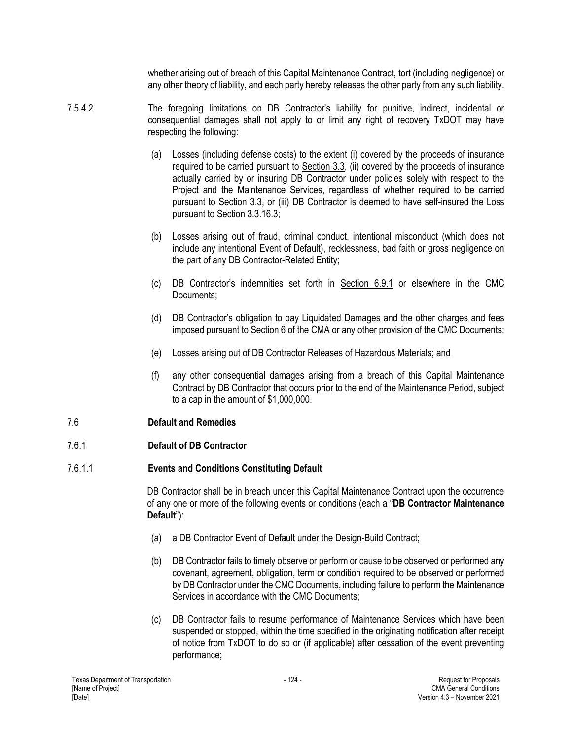whether arising out of breach of this Capital Maintenance Contract, tort (including negligence) or any other theory of liability, and each party hereby releases the other party from any such liability.

- 7.5.4.2 The foregoing limitations on DB Contractor's liability for punitive, indirect, incidental or consequential damages shall not apply to or limit any right of recovery TxDOT may have respecting the following:
	- (a) Losses (including defense costs) to the extent (i) covered by the proceeds of insurance required to be carried pursuant to Section 3.3, (ii) covered by the proceeds of insurance actually carried by or insuring DB Contractor under policies solely with respect to the Project and the Maintenance Services, regardless of whether required to be carried pursuant to Section 3.3, or (iii) DB Contractor is deemed to have self-insured the Loss pursuant to Section 3.3.16.3;
	- (b) Losses arising out of fraud, criminal conduct, intentional misconduct (which does not include any intentional Event of Default), recklessness, bad faith or gross negligence on the part of any DB Contractor-Related Entity;
	- (c) DB Contractor's indemnities set forth in Section 6.9.1 or elsewhere in the CMC Documents;
	- (d) DB Contractor's obligation to pay Liquidated Damages and the other charges and fees imposed pursuant to Section 6 of the CMA or any other provision of the CMC Documents;
	- (e) Losses arising out of DB Contractor Releases of Hazardous Materials; and
	- (f) any other consequential damages arising from a breach of this Capital Maintenance Contract by DB Contractor that occurs prior to the end of the Maintenance Period, subject to a cap in the amount of \$1,000,000.

# 7.6 **Default and Remedies**

# 7.6.1 **Default of DB Contractor**

# 7.6.1.1 **Events and Conditions Constituting Default**

DB Contractor shall be in breach under this Capital Maintenance Contract upon the occurrence of any one or more of the following events or conditions (each a "**DB Contractor Maintenance Default**"):

- (a) a DB Contractor Event of Default under the Design-Build Contract;
- (b) DB Contractor fails to timely observe or perform or cause to be observed or performed any covenant, agreement, obligation, term or condition required to be observed or performed by DB Contractor under the CMC Documents, including failure to perform the Maintenance Services in accordance with the CMC Documents;
- (c) DB Contractor fails to resume performance of Maintenance Services which have been suspended or stopped, within the time specified in the originating notification after receipt of notice from TxDOT to do so or (if applicable) after cessation of the event preventing performance;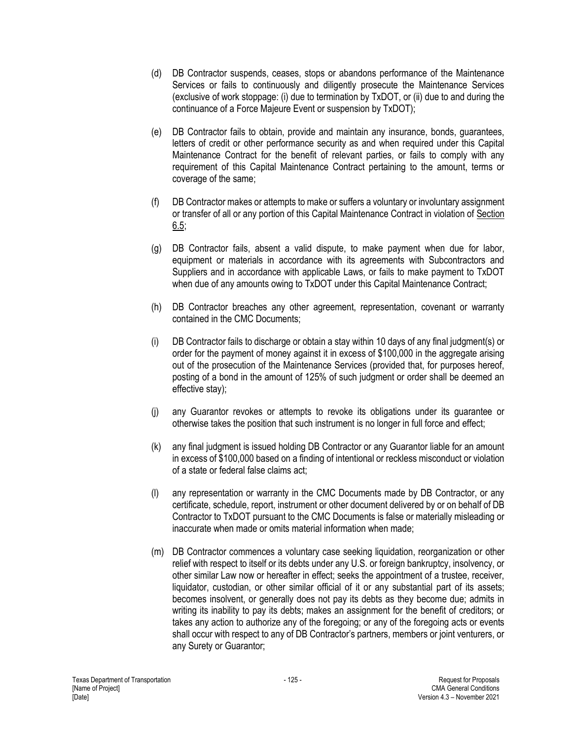- (d) DB Contractor suspends, ceases, stops or abandons performance of the Maintenance Services or fails to continuously and diligently prosecute the Maintenance Services (exclusive of work stoppage: (i) due to termination by TxDOT, or (ii) due to and during the continuance of a Force Majeure Event or suspension by TxDOT);
- (e) DB Contractor fails to obtain, provide and maintain any insurance, bonds, guarantees, letters of credit or other performance security as and when required under this Capital Maintenance Contract for the benefit of relevant parties, or fails to comply with any requirement of this Capital Maintenance Contract pertaining to the amount, terms or coverage of the same;
- (f) DB Contractor makes or attempts to make or suffers a voluntary or involuntary assignment or transfer of all or any portion of this Capital Maintenance Contract in violation of Section 6.5;
- (g) DB Contractor fails, absent a valid dispute, to make payment when due for labor, equipment or materials in accordance with its agreements with Subcontractors and Suppliers and in accordance with applicable Laws, or fails to make payment to TxDOT when due of any amounts owing to TxDOT under this Capital Maintenance Contract:
- (h) DB Contractor breaches any other agreement, representation, covenant or warranty contained in the CMC Documents;
- (i) DB Contractor fails to discharge or obtain a stay within 10 days of any final judgment(s) or order for the payment of money against it in excess of \$100,000 in the aggregate arising out of the prosecution of the Maintenance Services (provided that, for purposes hereof, posting of a bond in the amount of 125% of such judgment or order shall be deemed an effective stay);
- (j) any Guarantor revokes or attempts to revoke its obligations under its guarantee or otherwise takes the position that such instrument is no longer in full force and effect;
- (k) any final judgment is issued holding DB Contractor or any Guarantor liable for an amount in excess of \$100,000 based on a finding of intentional or reckless misconduct or violation of a state or federal false claims act;
- (l) any representation or warranty in the CMC Documents made by DB Contractor, or any certificate, schedule, report, instrument or other document delivered by or on behalf of DB Contractor to TxDOT pursuant to the CMC Documents is false or materially misleading or inaccurate when made or omits material information when made;
- (m) DB Contractor commences a voluntary case seeking liquidation, reorganization or other relief with respect to itself or its debts under any U.S. or foreign bankruptcy, insolvency, or other similar Law now or hereafter in effect; seeks the appointment of a trustee, receiver, liquidator, custodian, or other similar official of it or any substantial part of its assets; becomes insolvent, or generally does not pay its debts as they become due; admits in writing its inability to pay its debts; makes an assignment for the benefit of creditors; or takes any action to authorize any of the foregoing; or any of the foregoing acts or events shall occur with respect to any of DB Contractor's partners, members or joint venturers, or any Surety or Guarantor;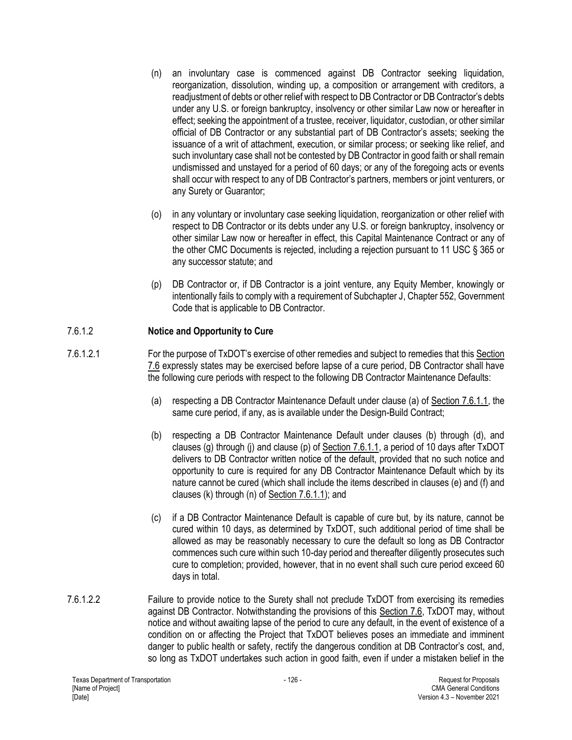- (n) an involuntary case is commenced against DB Contractor seeking liquidation, reorganization, dissolution, winding up, a composition or arrangement with creditors, a readjustment of debts or other relief with respect to DB Contractor or DB Contractor's debts under any U.S. or foreign bankruptcy, insolvency or other similar Law now or hereafter in effect; seeking the appointment of a trustee, receiver, liquidator, custodian, or other similar official of DB Contractor or any substantial part of DB Contractor's assets; seeking the issuance of a writ of attachment, execution, or similar process; or seeking like relief, and such involuntary case shall not be contested by DB Contractor in good faith or shall remain undismissed and unstayed for a period of 60 days; or any of the foregoing acts or events shall occur with respect to any of DB Contractor's partners, members or joint venturers, or any Surety or Guarantor;
- (o) in any voluntary or involuntary case seeking liquidation, reorganization or other relief with respect to DB Contractor or its debts under any U.S. or foreign bankruptcy, insolvency or other similar Law now or hereafter in effect, this Capital Maintenance Contract or any of the other CMC Documents is rejected, including a rejection pursuant to 11 USC § 365 or any successor statute; and
- (p) DB Contractor or, if DB Contractor is a joint venture, any Equity Member, knowingly or intentionally fails to comply with a requirement of Subchapter J, Chapter 552, Government Code that is applicable to DB Contractor.

## 7.6.1.2 **Notice and Opportunity to Cure**

- 7.6.1.2.1 For the purpose of TxDOT's exercise of other remedies and subject to remedies that this Section 7.6 expressly states may be exercised before lapse of a cure period, DB Contractor shall have the following cure periods with respect to the following DB Contractor Maintenance Defaults:
	- (a) respecting a DB Contractor Maintenance Default under clause (a) of Section 7.6.1.1, the same cure period, if any, as is available under the Design-Build Contract;
	- (b) respecting a DB Contractor Maintenance Default under clauses (b) through (d), and clauses (g) through (j) and clause (p) of  $Section 7.6.1.1$ , a period of 10 days after TxDOT delivers to DB Contractor written notice of the default, provided that no such notice and opportunity to cure is required for any DB Contractor Maintenance Default which by its nature cannot be cured (which shall include the items described in clauses (e) and (f) and clauses (k) through (n) of Section 7.6.1.1); and
	- (c) if a DB Contractor Maintenance Default is capable of cure but, by its nature, cannot be cured within 10 days, as determined by TxDOT, such additional period of time shall be allowed as may be reasonably necessary to cure the default so long as DB Contractor commences such cure within such 10-day period and thereafter diligently prosecutes such cure to completion; provided, however, that in no event shall such cure period exceed 60 days in total.
- 7.6.1.2.2 Failure to provide notice to the Surety shall not preclude TxDOT from exercising its remedies against DB Contractor. Notwithstanding the provisions of this Section 7.6, TxDOT may, without notice and without awaiting lapse of the period to cure any default, in the event of existence of a condition on or affecting the Project that TxDOT believes poses an immediate and imminent danger to public health or safety, rectify the dangerous condition at DB Contractor's cost, and, so long as TxDOT undertakes such action in good faith, even if under a mistaken belief in the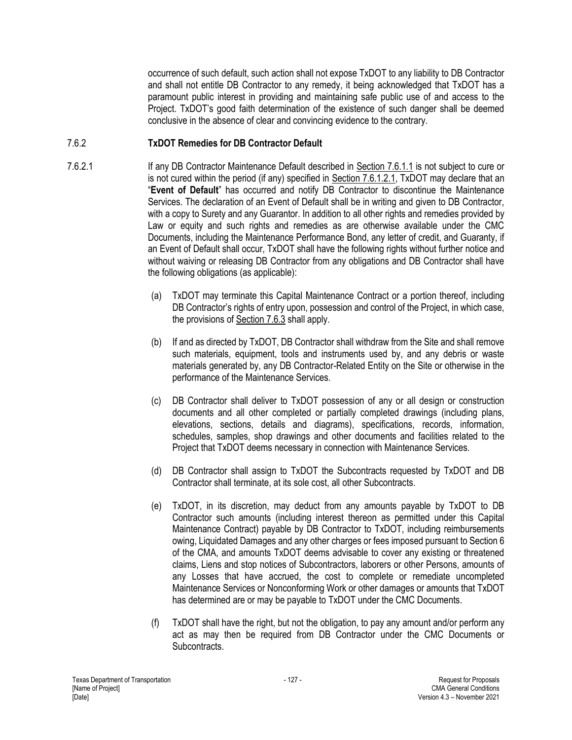occurrence of such default, such action shall not expose TxDOT to any liability to DB Contractor and shall not entitle DB Contractor to any remedy, it being acknowledged that TxDOT has a paramount public interest in providing and maintaining safe public use of and access to the Project. TxDOT's good faith determination of the existence of such danger shall be deemed conclusive in the absence of clear and convincing evidence to the contrary.

## 7.6.2 **TxDOT Remedies for DB Contractor Default**

- 7.6.2.1 If any DB Contractor Maintenance Default described in Section 7.6.1.1 is not subject to cure or is not cured within the period (if any) specified in Section 7.6.1.2.1, TxDOT may declare that an "**Event of Default**" has occurred and notify DB Contractor to discontinue the Maintenance Services. The declaration of an Event of Default shall be in writing and given to DB Contractor, with a copy to Surety and any Guarantor. In addition to all other rights and remedies provided by Law or equity and such rights and remedies as are otherwise available under the CMC Documents, including the Maintenance Performance Bond, any letter of credit, and Guaranty, if an Event of Default shall occur, TxDOT shall have the following rights without further notice and without waiving or releasing DB Contractor from any obligations and DB Contractor shall have the following obligations (as applicable):
	- (a) TxDOT may terminate this Capital Maintenance Contract or a portion thereof, including DB Contractor's rights of entry upon, possession and control of the Project, in which case, the provisions of Section 7.6.3 shall apply.
	- (b) If and as directed by TxDOT, DB Contractor shall withdraw from the Site and shall remove such materials, equipment, tools and instruments used by, and any debris or waste materials generated by, any DB Contractor-Related Entity on the Site or otherwise in the performance of the Maintenance Services.
	- (c) DB Contractor shall deliver to TxDOT possession of any or all design or construction documents and all other completed or partially completed drawings (including plans, elevations, sections, details and diagrams), specifications, records, information, schedules, samples, shop drawings and other documents and facilities related to the Project that TxDOT deems necessary in connection with Maintenance Services.
	- (d) DB Contractor shall assign to TxDOT the Subcontracts requested by TxDOT and DB Contractor shall terminate, at its sole cost, all other Subcontracts.
	- (e) TxDOT, in its discretion, may deduct from any amounts payable by TxDOT to DB Contractor such amounts (including interest thereon as permitted under this Capital Maintenance Contract) payable by DB Contractor to TxDOT, including reimbursements owing, Liquidated Damages and any other charges or fees imposed pursuant to Section 6 of the CMA, and amounts TxDOT deems advisable to cover any existing or threatened claims, Liens and stop notices of Subcontractors, laborers or other Persons, amounts of any Losses that have accrued, the cost to complete or remediate uncompleted Maintenance Services or Nonconforming Work or other damages or amounts that TxDOT has determined are or may be payable to TxDOT under the CMC Documents.
	- (f) TxDOT shall have the right, but not the obligation, to pay any amount and/or perform any act as may then be required from DB Contractor under the CMC Documents or Subcontracts.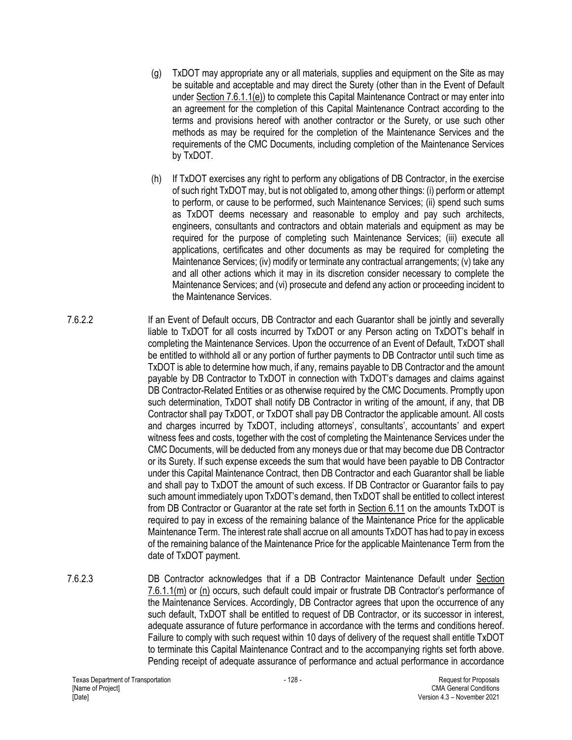- (g) TxDOT may appropriate any or all materials, supplies and equipment on the Site as may be suitable and acceptable and may direct the Surety (other than in the Event of Default under Section 7.6.1.1(e)) to complete this Capital Maintenance Contract or may enter into an agreement for the completion of this Capital Maintenance Contract according to the terms and provisions hereof with another contractor or the Surety, or use such other methods as may be required for the completion of the Maintenance Services and the requirements of the CMC Documents, including completion of the Maintenance Services by TxDOT.
- (h) If TxDOT exercises any right to perform any obligations of DB Contractor, in the exercise of such right TxDOT may, but is not obligated to, among other things: (i) perform or attempt to perform, or cause to be performed, such Maintenance Services; (ii) spend such sums as TxDOT deems necessary and reasonable to employ and pay such architects, engineers, consultants and contractors and obtain materials and equipment as may be required for the purpose of completing such Maintenance Services; (iii) execute all applications, certificates and other documents as may be required for completing the Maintenance Services; (iv) modify or terminate any contractual arrangements; (v) take any and all other actions which it may in its discretion consider necessary to complete the Maintenance Services; and (vi) prosecute and defend any action or proceeding incident to the Maintenance Services.
- 7.6.2.2 If an Event of Default occurs, DB Contractor and each Guarantor shall be jointly and severally liable to TxDOT for all costs incurred by TxDOT or any Person acting on TxDOT's behalf in completing the Maintenance Services. Upon the occurrence of an Event of Default, TxDOT shall be entitled to withhold all or any portion of further payments to DB Contractor until such time as TxDOT is able to determine how much, if any, remains payable to DB Contractor and the amount payable by DB Contractor to TxDOT in connection with TxDOT's damages and claims against DB Contractor-Related Entities or as otherwise required by the CMC Documents. Promptly upon such determination, TxDOT shall notify DB Contractor in writing of the amount, if any, that DB Contractor shall pay TxDOT, or TxDOT shall pay DB Contractor the applicable amount. All costs and charges incurred by TxDOT, including attorneys', consultants', accountants' and expert witness fees and costs, together with the cost of completing the Maintenance Services under the CMC Documents, will be deducted from any moneys due or that may become due DB Contractor or its Surety. If such expense exceeds the sum that would have been payable to DB Contractor under this Capital Maintenance Contract, then DB Contractor and each Guarantor shall be liable and shall pay to TxDOT the amount of such excess. If DB Contractor or Guarantor fails to pay such amount immediately upon TxDOT's demand, then TxDOT shall be entitled to collect interest from DB Contractor or Guarantor at the rate set forth in Section 6.11 on the amounts TxDOT is required to pay in excess of the remaining balance of the Maintenance Price for the applicable Maintenance Term. The interest rate shall accrue on all amounts TxDOT has had to pay in excess of the remaining balance of the Maintenance Price for the applicable Maintenance Term from the date of TxDOT payment.
- 7.6.2.3 DB Contractor acknowledges that if a DB Contractor Maintenance Default under Section 7.6.1.1(m) or (n) occurs, such default could impair or frustrate DB Contractor's performance of the Maintenance Services. Accordingly, DB Contractor agrees that upon the occurrence of any such default, TxDOT shall be entitled to request of DB Contractor, or its successor in interest, adequate assurance of future performance in accordance with the terms and conditions hereof. Failure to comply with such request within 10 days of delivery of the request shall entitle TxDOT to terminate this Capital Maintenance Contract and to the accompanying rights set forth above. Pending receipt of adequate assurance of performance and actual performance in accordance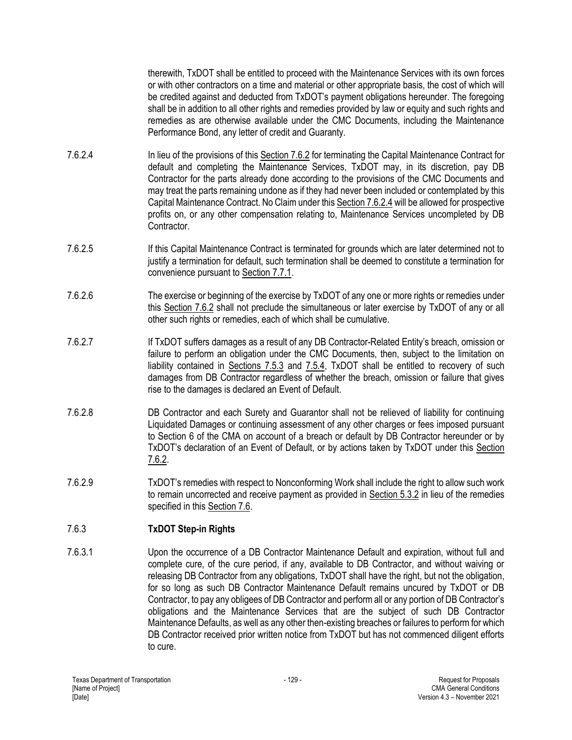therewith, TxDOT shall be entitled to proceed with the Maintenance Services with its own forces or with other contractors on a time and material or other appropriate basis, the cost of which will be credited against and deducted from TxDOT's payment obligations hereunder. The foregoing shall be in addition to all other rights and remedies provided by law or equity and such rights and remedies as are otherwise available under the CMC Documents, including the Maintenance Performance Bond, any letter of credit and Guaranty.

- 7.6.2.4 In lieu of the provisions of this Section 7.6.2 for terminating the Capital Maintenance Contract for default and completing the Maintenance Services, TxDOT may, in its discretion, pay DB Contractor for the parts already done according to the provisions of the CMC Documents and may treat the parts remaining undone as if they had never been included or contemplated by this Capital Maintenance Contract. No Claim under this Section 7.6.2.4 will be allowed for prospective profits on, or any other compensation relating to, Maintenance Services uncompleted by DB Contractor.
- 7.6.2.5 If this Capital Maintenance Contract is terminated for grounds which are later determined not to justify a termination for default, such termination shall be deemed to constitute a termination for convenience pursuant to Section 7.7.1.
- 7.6.2.6 The exercise or beginning of the exercise by TxDOT of any one or more rights or remedies under this Section 7.6.2 shall not preclude the simultaneous or later exercise by TxDOT of any or all other such rights or remedies, each of which shall be cumulative.
- 7.6.2.7 If TxDOT suffers damages as a result of any DB Contractor-Related Entity's breach, omission or failure to perform an obligation under the CMC Documents, then, subject to the limitation on liability contained in Sections 7.5.3 and 7.5.4, TxDOT shall be entitled to recovery of such damages from DB Contractor regardless of whether the breach, omission or failure that gives rise to the damages is declared an Event of Default.
- 7.6.2.8 DB Contractor and each Surety and Guarantor shall not be relieved of liability for continuing Liquidated Damages or continuing assessment of any other charges or fees imposed pursuant to Section 6 of the CMA on account of a breach or default by DB Contractor hereunder or by TxDOT's declaration of an Event of Default, or by actions taken by TxDOT under this Section 7.6.2.
- 7.6.2.9 TxDOT's remedies with respect to Nonconforming Work shall include the right to allow such work to remain uncorrected and receive payment as provided in Section 5.3.2 in lieu of the remedies specified in this Section 7.6.

# 7.6.3 **TxDOT Step-in Rights**

7.6.3.1 Upon the occurrence of a DB Contractor Maintenance Default and expiration, without full and complete cure, of the cure period, if any, available to DB Contractor, and without waiving or releasing DB Contractor from any obligations, TxDOT shall have the right, but not the obligation, for so long as such DB Contractor Maintenance Default remains uncured by TxDOT or DB Contractor, to pay any obligees of DB Contractor and perform all or any portion of DB Contractor's obligations and the Maintenance Services that are the subject of such DB Contractor Maintenance Defaults, as well as any other then-existing breaches or failures to perform for which DB Contractor received prior written notice from TxDOT but has not commenced diligent efforts to cure.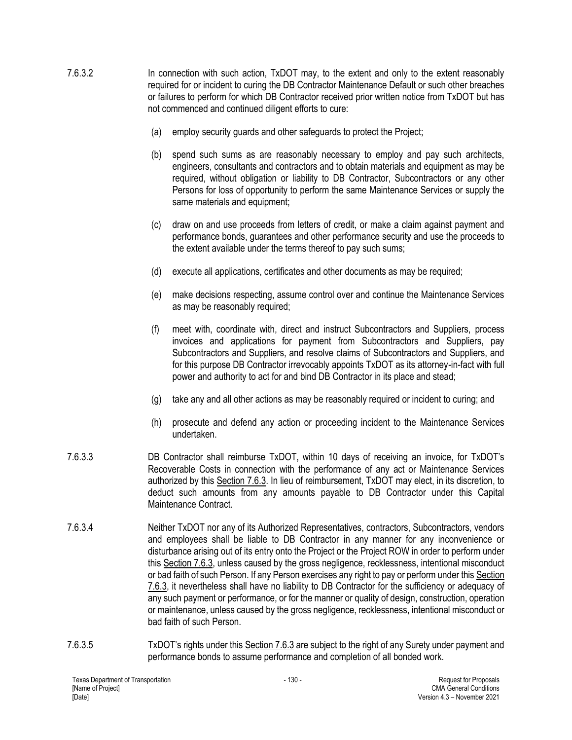- 7.6.3.2 In connection with such action, TxDOT may, to the extent and only to the extent reasonably required for or incident to curing the DB Contractor Maintenance Default or such other breaches or failures to perform for which DB Contractor received prior written notice from TxDOT but has not commenced and continued diligent efforts to cure:
	- (a) employ security guards and other safeguards to protect the Project;
	- (b) spend such sums as are reasonably necessary to employ and pay such architects, engineers, consultants and contractors and to obtain materials and equipment as may be required, without obligation or liability to DB Contractor, Subcontractors or any other Persons for loss of opportunity to perform the same Maintenance Services or supply the same materials and equipment;
	- (c) draw on and use proceeds from letters of credit, or make a claim against payment and performance bonds, guarantees and other performance security and use the proceeds to the extent available under the terms thereof to pay such sums;
	- (d) execute all applications, certificates and other documents as may be required;
	- (e) make decisions respecting, assume control over and continue the Maintenance Services as may be reasonably required;
	- (f) meet with, coordinate with, direct and instruct Subcontractors and Suppliers, process invoices and applications for payment from Subcontractors and Suppliers, pay Subcontractors and Suppliers, and resolve claims of Subcontractors and Suppliers, and for this purpose DB Contractor irrevocably appoints TxDOT as its attorney-in-fact with full power and authority to act for and bind DB Contractor in its place and stead;
	- (g) take any and all other actions as may be reasonably required or incident to curing; and
	- (h) prosecute and defend any action or proceeding incident to the Maintenance Services undertaken.
- 7.6.3.3 DB Contractor shall reimburse TxDOT, within 10 days of receiving an invoice, for TxDOT's Recoverable Costs in connection with the performance of any act or Maintenance Services authorized by this Section 7.6.3. In lieu of reimbursement, TxDOT may elect, in its discretion, to deduct such amounts from any amounts payable to DB Contractor under this Capital Maintenance Contract.
- 7.6.3.4 Neither TxDOT nor any of its Authorized Representatives, contractors, Subcontractors, vendors and employees shall be liable to DB Contractor in any manner for any inconvenience or disturbance arising out of its entry onto the Project or the Project ROW in order to perform under this Section 7.6.3, unless caused by the gross negligence, recklessness, intentional misconduct or bad faith of such Person. If any Person exercises any right to pay or perform under this Section 7.6.3, it nevertheless shall have no liability to DB Contractor for the sufficiency or adequacy of any such payment or performance, or for the manner or quality of design, construction, operation or maintenance, unless caused by the gross negligence, recklessness, intentional misconduct or bad faith of such Person.
- 7.6.3.5 TxDOT's rights under this Section 7.6.3 are subject to the right of any Surety under payment and performance bonds to assume performance and completion of all bonded work.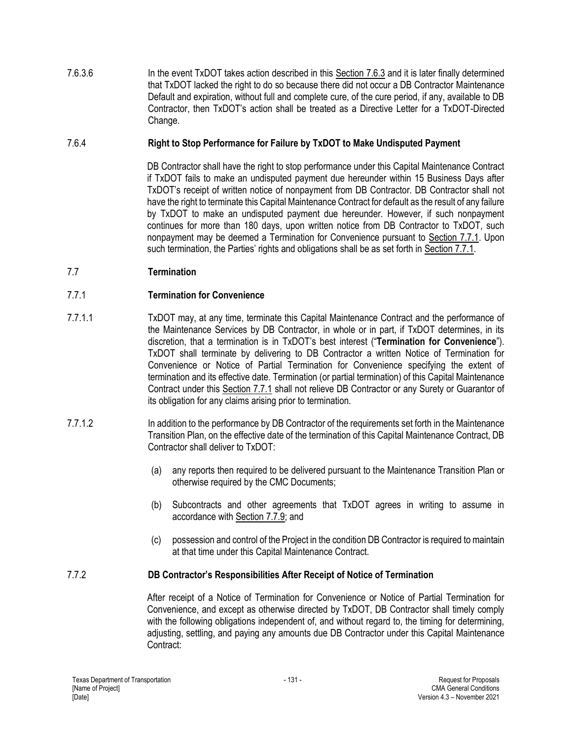7.6.3.6 In the event TxDOT takes action described in this Section 7.6.3 and it is later finally determined that TxDOT lacked the right to do so because there did not occur a DB Contractor Maintenance Default and expiration, without full and complete cure, of the cure period, if any, available to DB Contractor, then TxDOT's action shall be treated as a Directive Letter for a TxDOT-Directed Change.

## 7.6.4 **Right to Stop Performance for Failure by TxDOT to Make Undisputed Payment**

DB Contractor shall have the right to stop performance under this Capital Maintenance Contract if TxDOT fails to make an undisputed payment due hereunder within 15 Business Days after TxDOT's receipt of written notice of nonpayment from DB Contractor. DB Contractor shall not have the right to terminate this Capital Maintenance Contract for default as the result of any failure by TxDOT to make an undisputed payment due hereunder. However, if such nonpayment continues for more than 180 days, upon written notice from DB Contractor to TxDOT, such nonpayment may be deemed a Termination for Convenience pursuant to Section 7.7.1. Upon such termination, the Parties' rights and obligations shall be as set forth in Section 7.7.1.

# 7.7 **Termination**

## 7.7.1 **Termination for Convenience**

- 7.7.1.1 TxDOT may, at any time, terminate this Capital Maintenance Contract and the performance of the Maintenance Services by DB Contractor, in whole or in part, if TxDOT determines, in its discretion, that a termination is in TxDOT's best interest ("**Termination for Convenience**"). TxDOT shall terminate by delivering to DB Contractor a written Notice of Termination for Convenience or Notice of Partial Termination for Convenience specifying the extent of termination and its effective date. Termination (or partial termination) of this Capital Maintenance Contract under this Section 7.7.1 shall not relieve DB Contractor or any Surety or Guarantor of its obligation for any claims arising prior to termination.
- 7.7.1.2 In addition to the performance by DB Contractor of the requirements set forth in the Maintenance Transition Plan, on the effective date of the termination of this Capital Maintenance Contract, DB Contractor shall deliver to TxDOT:
	- (a) any reports then required to be delivered pursuant to the Maintenance Transition Plan or otherwise required by the CMC Documents;
	- (b) Subcontracts and other agreements that TxDOT agrees in writing to assume in accordance with Section 7.7.9; and
	- (c) possession and control of the Project in the condition DB Contractor is required to maintain at that time under this Capital Maintenance Contract.

## 7.7.2 **DB Contractor's Responsibilities After Receipt of Notice of Termination**

After receipt of a Notice of Termination for Convenience or Notice of Partial Termination for Convenience, and except as otherwise directed by TxDOT, DB Contractor shall timely comply with the following obligations independent of, and without regard to, the timing for determining, adjusting, settling, and paying any amounts due DB Contractor under this Capital Maintenance Contract: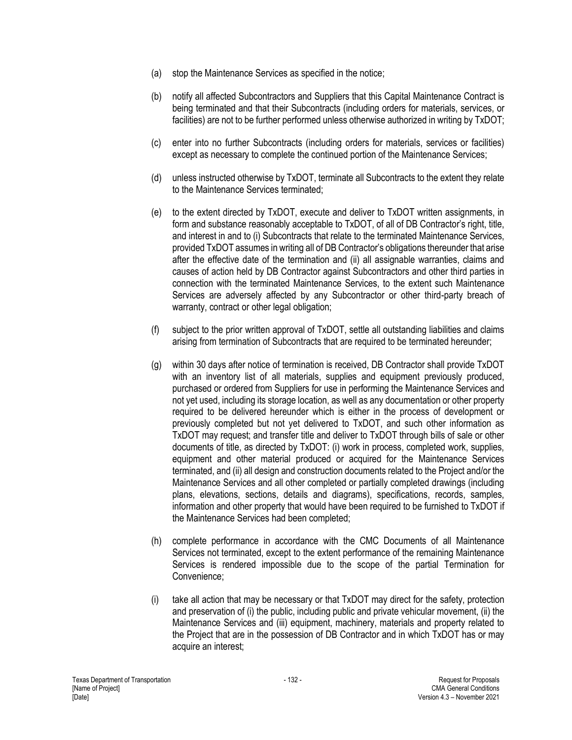- (a) stop the Maintenance Services as specified in the notice;
- (b) notify all affected Subcontractors and Suppliers that this Capital Maintenance Contract is being terminated and that their Subcontracts (including orders for materials, services, or facilities) are not to be further performed unless otherwise authorized in writing by TxDOT;
- (c) enter into no further Subcontracts (including orders for materials, services or facilities) except as necessary to complete the continued portion of the Maintenance Services;
- (d) unless instructed otherwise by TxDOT, terminate all Subcontracts to the extent they relate to the Maintenance Services terminated;
- (e) to the extent directed by TxDOT, execute and deliver to TxDOT written assignments, in form and substance reasonably acceptable to TxDOT, of all of DB Contractor's right, title, and interest in and to (i) Subcontracts that relate to the terminated Maintenance Services, provided TxDOT assumes in writing all of DB Contractor's obligations thereunder that arise after the effective date of the termination and (ii) all assignable warranties, claims and causes of action held by DB Contractor against Subcontractors and other third parties in connection with the terminated Maintenance Services, to the extent such Maintenance Services are adversely affected by any Subcontractor or other third-party breach of warranty, contract or other legal obligation;
- (f) subject to the prior written approval of TxDOT, settle all outstanding liabilities and claims arising from termination of Subcontracts that are required to be terminated hereunder;
- (g) within 30 days after notice of termination is received, DB Contractor shall provide TxDOT with an inventory list of all materials, supplies and equipment previously produced, purchased or ordered from Suppliers for use in performing the Maintenance Services and not yet used, including its storage location, as well as any documentation or other property required to be delivered hereunder which is either in the process of development or previously completed but not yet delivered to TxDOT, and such other information as TxDOT may request; and transfer title and deliver to TxDOT through bills of sale or other documents of title, as directed by TxDOT: (i) work in process, completed work, supplies, equipment and other material produced or acquired for the Maintenance Services terminated, and (ii) all design and construction documents related to the Project and/or the Maintenance Services and all other completed or partially completed drawings (including plans, elevations, sections, details and diagrams), specifications, records, samples, information and other property that would have been required to be furnished to TxDOT if the Maintenance Services had been completed;
- (h) complete performance in accordance with the CMC Documents of all Maintenance Services not terminated, except to the extent performance of the remaining Maintenance Services is rendered impossible due to the scope of the partial Termination for Convenience;
- (i) take all action that may be necessary or that TxDOT may direct for the safety, protection and preservation of (i) the public, including public and private vehicular movement, (ii) the Maintenance Services and (iii) equipment, machinery, materials and property related to the Project that are in the possession of DB Contractor and in which TxDOT has or may acquire an interest;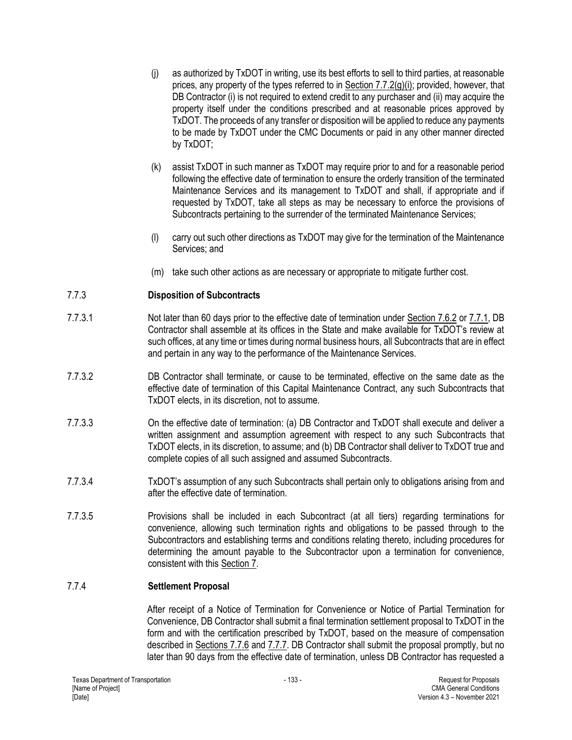- (j) as authorized by TxDOT in writing, use its best efforts to sell to third parties, at reasonable prices, any property of the types referred to in Section 7.7.2(g)(i); provided, however, that DB Contractor (i) is not required to extend credit to any purchaser and (ii) may acquire the property itself under the conditions prescribed and at reasonable prices approved by TxDOT. The proceeds of any transfer or disposition will be applied to reduce any payments to be made by TxDOT under the CMC Documents or paid in any other manner directed by TxDOT;
- (k) assist TxDOT in such manner as TxDOT may require prior to and for a reasonable period following the effective date of termination to ensure the orderly transition of the terminated Maintenance Services and its management to TxDOT and shall, if appropriate and if requested by TxDOT, take all steps as may be necessary to enforce the provisions of Subcontracts pertaining to the surrender of the terminated Maintenance Services;
- (l) carry out such other directions as TxDOT may give for the termination of the Maintenance Services; and
- (m) take such other actions as are necessary or appropriate to mitigate further cost.

# 7.7.3 **Disposition of Subcontracts**

- 7.7.3.1 Not later than 60 days prior to the effective date of termination under Section 7.6.2 or 7.7.1, DB Contractor shall assemble at its offices in the State and make available for TxDOT's review at such offices, at any time or times during normal business hours, all Subcontracts that are in effect and pertain in any way to the performance of the Maintenance Services.
- 7.7.3.2 DB Contractor shall terminate, or cause to be terminated, effective on the same date as the effective date of termination of this Capital Maintenance Contract, any such Subcontracts that TxDOT elects, in its discretion, not to assume.
- 7.7.3.3 On the effective date of termination: (a) DB Contractor and TxDOT shall execute and deliver a written assignment and assumption agreement with respect to any such Subcontracts that TxDOT elects, in its discretion, to assume; and (b) DB Contractor shall deliver to TxDOT true and complete copies of all such assigned and assumed Subcontracts.
- 7.7.3.4 TxDOT's assumption of any such Subcontracts shall pertain only to obligations arising from and after the effective date of termination.
- 7.7.3.5 Provisions shall be included in each Subcontract (at all tiers) regarding terminations for convenience, allowing such termination rights and obligations to be passed through to the Subcontractors and establishing terms and conditions relating thereto, including procedures for determining the amount payable to the Subcontractor upon a termination for convenience, consistent with this Section 7.

# 7.7.4 **Settlement Proposal**

After receipt of a Notice of Termination for Convenience or Notice of Partial Termination for Convenience, DB Contractor shall submit a final termination settlement proposal to TxDOT in the form and with the certification prescribed by TxDOT, based on the measure of compensation described in Sections 7.7.6 and 7.7.7. DB Contractor shall submit the proposal promptly, but no later than 90 days from the effective date of termination, unless DB Contractor has requested a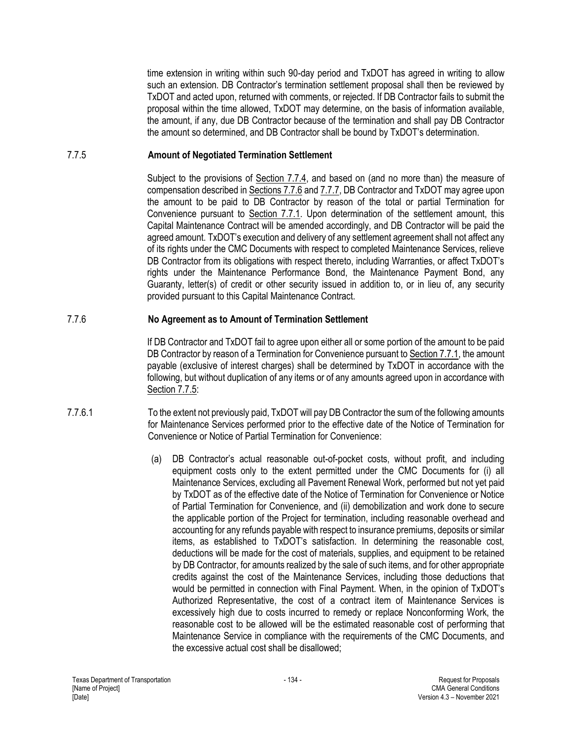time extension in writing within such 90-day period and TxDOT has agreed in writing to allow such an extension. DB Contractor's termination settlement proposal shall then be reviewed by TxDOT and acted upon, returned with comments, or rejected. If DB Contractor fails to submit the proposal within the time allowed, TxDOT may determine, on the basis of information available, the amount, if any, due DB Contractor because of the termination and shall pay DB Contractor the amount so determined, and DB Contractor shall be bound by TxDOT's determination.

#### 7.7.5 **Amount of Negotiated Termination Settlement**

Subject to the provisions of Section 7.7.4, and based on (and no more than) the measure of compensation described in Sections 7.7.6 and 7.7.7, DB Contractor and TxDOT may agree upon the amount to be paid to DB Contractor by reason of the total or partial Termination for Convenience pursuant to Section 7.7.1. Upon determination of the settlement amount, this Capital Maintenance Contract will be amended accordingly, and DB Contractor will be paid the agreed amount. TxDOT's execution and delivery of any settlement agreement shall not affect any of its rights under the CMC Documents with respect to completed Maintenance Services, relieve DB Contractor from its obligations with respect thereto, including Warranties, or affect TxDOT's rights under the Maintenance Performance Bond, the Maintenance Payment Bond, any Guaranty, letter(s) of credit or other security issued in addition to, or in lieu of, any security provided pursuant to this Capital Maintenance Contract.

#### 7.7.6 **No Agreement as to Amount of Termination Settlement**

If DB Contractor and TxDOT fail to agree upon either all or some portion of the amount to be paid DB Contractor by reason of a Termination for Convenience pursuant to Section 7.7.1, the amount payable (exclusive of interest charges) shall be determined by TxDOT in accordance with the following, but without duplication of any items or of any amounts agreed upon in accordance with Section 7.7.5:

- 7.7.6.1 To the extent not previously paid, TxDOT will pay DB Contractor the sum of the following amounts for Maintenance Services performed prior to the effective date of the Notice of Termination for Convenience or Notice of Partial Termination for Convenience:
	- (a) DB Contractor's actual reasonable out-of-pocket costs, without profit, and including equipment costs only to the extent permitted under the CMC Documents for (i) all Maintenance Services, excluding all Pavement Renewal Work, performed but not yet paid by TxDOT as of the effective date of the Notice of Termination for Convenience or Notice of Partial Termination for Convenience, and (ii) demobilization and work done to secure the applicable portion of the Project for termination, including reasonable overhead and accounting for any refunds payable with respect to insurance premiums, deposits or similar items, as established to TxDOT's satisfaction. In determining the reasonable cost, deductions will be made for the cost of materials, supplies, and equipment to be retained by DB Contractor, for amounts realized by the sale of such items, and for other appropriate credits against the cost of the Maintenance Services, including those deductions that would be permitted in connection with Final Payment. When, in the opinion of TxDOT's Authorized Representative, the cost of a contract item of Maintenance Services is excessively high due to costs incurred to remedy or replace Nonconforming Work, the reasonable cost to be allowed will be the estimated reasonable cost of performing that Maintenance Service in compliance with the requirements of the CMC Documents, and the excessive actual cost shall be disallowed;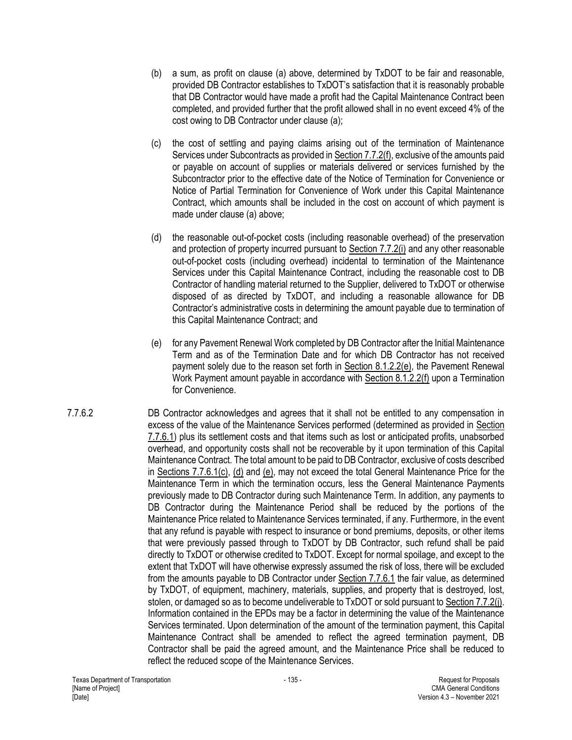- (b) a sum, as profit on clause (a) above, determined by TxDOT to be fair and reasonable, provided DB Contractor establishes to TxDOT's satisfaction that it is reasonably probable that DB Contractor would have made a profit had the Capital Maintenance Contract been completed, and provided further that the profit allowed shall in no event exceed 4% of the cost owing to DB Contractor under clause (a);
- (c) the cost of settling and paying claims arising out of the termination of Maintenance Services under Subcontracts as provided in Section 7.7.2(f), exclusive of the amounts paid or payable on account of supplies or materials delivered or services furnished by the Subcontractor prior to the effective date of the Notice of Termination for Convenience or Notice of Partial Termination for Convenience of Work under this Capital Maintenance Contract, which amounts shall be included in the cost on account of which payment is made under clause (a) above;
- (d) the reasonable out-of-pocket costs (including reasonable overhead) of the preservation and protection of property incurred pursuant to Section 7.7.2(i) and any other reasonable out-of-pocket costs (including overhead) incidental to termination of the Maintenance Services under this Capital Maintenance Contract, including the reasonable cost to DB Contractor of handling material returned to the Supplier, delivered to TxDOT or otherwise disposed of as directed by TxDOT, and including a reasonable allowance for DB Contractor's administrative costs in determining the amount payable due to termination of this Capital Maintenance Contract; and
- (e) for any Pavement Renewal Work completed by DB Contractor after the Initial Maintenance Term and as of the Termination Date and for which DB Contractor has not received payment solely due to the reason set forth in Section 8.1.2.2(e), the Pavement Renewal Work Payment amount payable in accordance with Section 8.1.2.2(f) upon a Termination for Convenience.
- 7.7.6.2 DB Contractor acknowledges and agrees that it shall not be entitled to any compensation in excess of the value of the Maintenance Services performed (determined as provided in Section 7.7.6.1) plus its settlement costs and that items such as lost or anticipated profits, unabsorbed overhead, and opportunity costs shall not be recoverable by it upon termination of this Capital Maintenance Contract. The total amount to be paid to DB Contractor, exclusive of costs described in Sections 7.7.6.1(c), (d) and (e), may not exceed the total General Maintenance Price for the Maintenance Term in which the termination occurs, less the General Maintenance Payments previously made to DB Contractor during such Maintenance Term. In addition, any payments to DB Contractor during the Maintenance Period shall be reduced by the portions of the Maintenance Price related to Maintenance Services terminated, if any. Furthermore, in the event that any refund is payable with respect to insurance or bond premiums, deposits, or other items that were previously passed through to TxDOT by DB Contractor, such refund shall be paid directly to TxDOT or otherwise credited to TxDOT. Except for normal spoilage, and except to the extent that TxDOT will have otherwise expressly assumed the risk of loss, there will be excluded from the amounts payable to DB Contractor under Section 7.7.6.1 the fair value, as determined by TxDOT, of equipment, machinery, materials, supplies, and property that is destroyed, lost, stolen, or damaged so as to become undeliverable to TxDOT or sold pursuant to Section 7.7.2(j). Information contained in the EPDs may be a factor in determining the value of the Maintenance Services terminated. Upon determination of the amount of the termination payment, this Capital Maintenance Contract shall be amended to reflect the agreed termination payment, DB Contractor shall be paid the agreed amount, and the Maintenance Price shall be reduced to reflect the reduced scope of the Maintenance Services.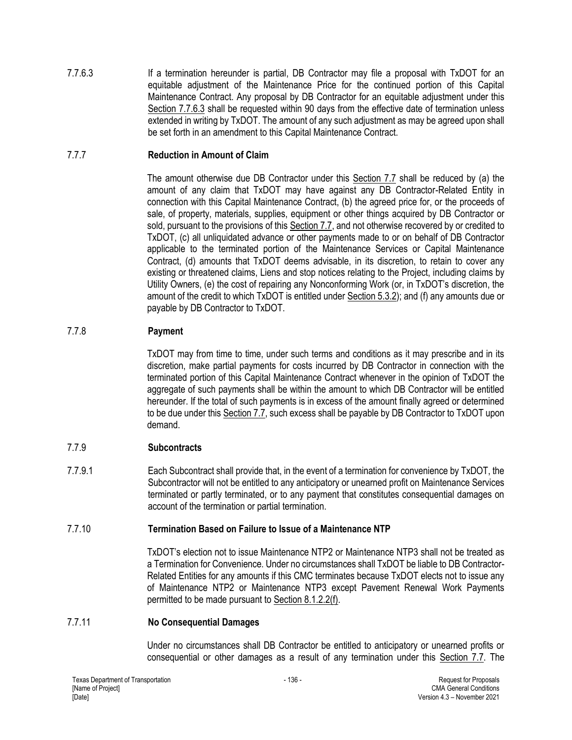7.7.6.3 If a termination hereunder is partial, DB Contractor may file a proposal with TxDOT for an equitable adjustment of the Maintenance Price for the continued portion of this Capital Maintenance Contract. Any proposal by DB Contractor for an equitable adjustment under this Section 7.7.6.3 shall be requested within 90 days from the effective date of termination unless extended in writing by TxDOT. The amount of any such adjustment as may be agreed upon shall be set forth in an amendment to this Capital Maintenance Contract.

## 7.7.7 **Reduction in Amount of Claim**

The amount otherwise due DB Contractor under this Section 7.7 shall be reduced by (a) the amount of any claim that TxDOT may have against any DB Contractor-Related Entity in connection with this Capital Maintenance Contract, (b) the agreed price for, or the proceeds of sale, of property, materials, supplies, equipment or other things acquired by DB Contractor or sold, pursuant to the provisions of this Section 7.7, and not otherwise recovered by or credited to TxDOT, (c) all unliquidated advance or other payments made to or on behalf of DB Contractor applicable to the terminated portion of the Maintenance Services or Capital Maintenance Contract, (d) amounts that TxDOT deems advisable, in its discretion, to retain to cover any existing or threatened claims, Liens and stop notices relating to the Project, including claims by Utility Owners, (e) the cost of repairing any Nonconforming Work (or, in TxDOT's discretion, the amount of the credit to which TxDOT is entitled under Section 5.3.2); and (f) any amounts due or payable by DB Contractor to TxDOT.

# 7.7.8 **Payment**

TxDOT may from time to time, under such terms and conditions as it may prescribe and in its discretion, make partial payments for costs incurred by DB Contractor in connection with the terminated portion of this Capital Maintenance Contract whenever in the opinion of TxDOT the aggregate of such payments shall be within the amount to which DB Contractor will be entitled hereunder. If the total of such payments is in excess of the amount finally agreed or determined to be due under this Section 7.7, such excess shall be payable by DB Contractor to TxDOT upon demand.

## 7.7.9 **Subcontracts**

7.7.9.1 Each Subcontract shall provide that, in the event of a termination for convenience by TxDOT, the Subcontractor will not be entitled to any anticipatory or unearned profit on Maintenance Services terminated or partly terminated, or to any payment that constitutes consequential damages on account of the termination or partial termination.

## 7.7.10 **Termination Based on Failure to Issue of a Maintenance NTP**

TxDOT's election not to issue Maintenance NTP2 or Maintenance NTP3 shall not be treated as a Termination for Convenience. Under no circumstances shall TxDOT be liable to DB Contractor-Related Entities for any amounts if this CMC terminates because TxDOT elects not to issue any of Maintenance NTP2 or Maintenance NTP3 except Pavement Renewal Work Payments permitted to be made pursuant to Section 8.1.2.2(f).

## 7.7.11 **No Consequential Damages**

Under no circumstances shall DB Contractor be entitled to anticipatory or unearned profits or consequential or other damages as a result of any termination under this Section 7.7. The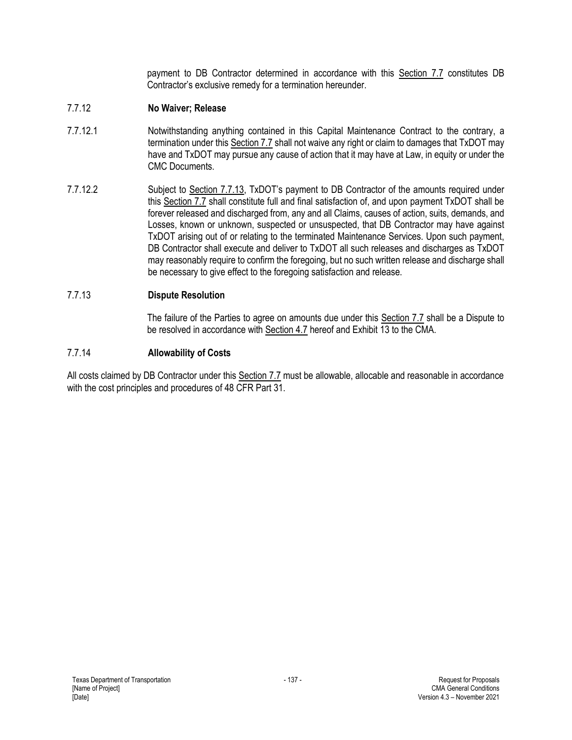payment to DB Contractor determined in accordance with this Section 7.7 constitutes DB Contractor's exclusive remedy for a termination hereunder.

## 7.7.12 **No Waiver; Release**

- 7.7.12.1 Notwithstanding anything contained in this Capital Maintenance Contract to the contrary, a termination under this Section 7.7 shall not waive any right or claim to damages that TxDOT may have and TxDOT may pursue any cause of action that it may have at Law, in equity or under the CMC Documents.
- 7.7.12.2 Subject to Section 7.7.13, TxDOT's payment to DB Contractor of the amounts required under this Section 7.7 shall constitute full and final satisfaction of, and upon payment TxDOT shall be forever released and discharged from, any and all Claims, causes of action, suits, demands, and Losses, known or unknown, suspected or unsuspected, that DB Contractor may have against TxDOT arising out of or relating to the terminated Maintenance Services. Upon such payment, DB Contractor shall execute and deliver to TxDOT all such releases and discharges as TxDOT may reasonably require to confirm the foregoing, but no such written release and discharge shall be necessary to give effect to the foregoing satisfaction and release.

## 7.7.13 **Dispute Resolution**

The failure of the Parties to agree on amounts due under this Section 7.7 shall be a Dispute to be resolved in accordance with Section 4.7 hereof and Exhibit 13 to the CMA.

## 7.7.14 **Allowability of Costs**

All costs claimed by DB Contractor under this Section 7.7 must be allowable, allocable and reasonable in accordance with the cost principles and procedures of 48 CFR Part 31.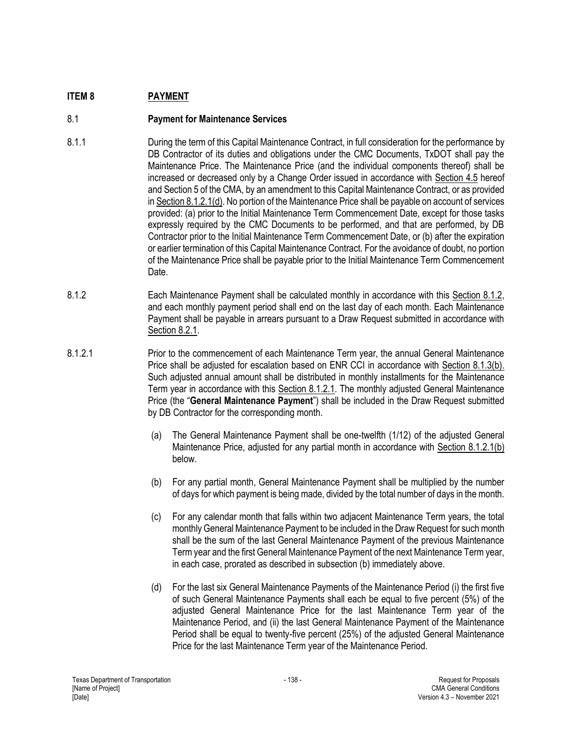# **ITEM 8 PAYMENT**

# 8.1 **Payment for Maintenance Services**

- 8.1.1 During the term of this Capital Maintenance Contract, in full consideration for the performance by DB Contractor of its duties and obligations under the CMC Documents, TxDOT shall pay the Maintenance Price. The Maintenance Price (and the individual components thereof) shall be increased or decreased only by a Change Order issued in accordance with Section 4.5 hereof and Section 5 of the CMA, by an amendment to this Capital Maintenance Contract, or as provided in Section 8.1.2.1(d). No portion of the Maintenance Price shall be payable on account of services provided: (a) prior to the Initial Maintenance Term Commencement Date, except for those tasks expressly required by the CMC Documents to be performed, and that are performed, by DB Contractor prior to the Initial Maintenance Term Commencement Date, or (b) after the expiration or earlier termination of this Capital Maintenance Contract. For the avoidance of doubt, no portion of the Maintenance Price shall be payable prior to the Initial Maintenance Term Commencement **Date**
- 8.1.2 Each Maintenance Payment shall be calculated monthly in accordance with this Section 8.1.2, and each monthly payment period shall end on the last day of each month. Each Maintenance Payment shall be payable in arrears pursuant to a Draw Request submitted in accordance with Section 8.2.1.
- 8.1.2.1 Prior to the commencement of each Maintenance Term year, the annual General Maintenance Price shall be adjusted for escalation based on ENR CCI in accordance with Section 8.1.3(b). Such adjusted annual amount shall be distributed in monthly installments for the Maintenance Term year in accordance with this Section 8.1.2.1. The monthly adjusted General Maintenance Price (the "**General Maintenance Payment**") shall be included in the Draw Request submitted by DB Contractor for the corresponding month.
	- (a) The General Maintenance Payment shall be one-twelfth (1/12) of the adjusted General Maintenance Price, adjusted for any partial month in accordance with Section 8.1.2.1(b) below.
	- (b) For any partial month, General Maintenance Payment shall be multiplied by the number of days for which payment is being made, divided by the total number of days in the month.
	- (c) For any calendar month that falls within two adjacent Maintenance Term years, the total monthly General Maintenance Payment to be included in the Draw Request for such month shall be the sum of the last General Maintenance Payment of the previous Maintenance Term year and the first General Maintenance Payment of the next Maintenance Term year, in each case, prorated as described in subsection (b) immediately above.
	- (d) For the last six General Maintenance Payments of the Maintenance Period (i) the first five of such General Maintenance Payments shall each be equal to five percent (5%) of the adjusted General Maintenance Price for the last Maintenance Term year of the Maintenance Period, and (ii) the last General Maintenance Payment of the Maintenance Period shall be equal to twenty-five percent (25%) of the adjusted General Maintenance Price for the last Maintenance Term year of the Maintenance Period.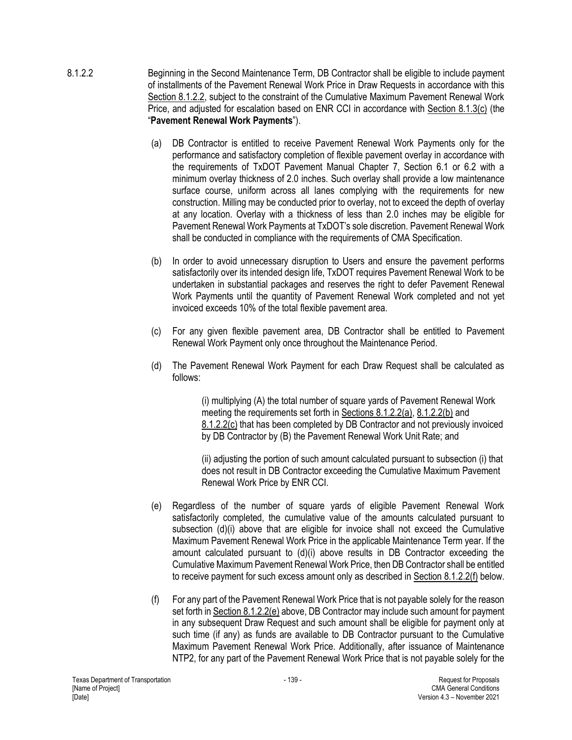- 8.1.2.2 Beginning in the Second Maintenance Term, DB Contractor shall be eligible to include payment of installments of the Pavement Renewal Work Price in Draw Requests in accordance with this Section 8.1.2.2, subject to the constraint of the Cumulative Maximum Pavement Renewal Work Price, and adjusted for escalation based on ENR CCI in accordance with Section 8.1.3(c) (the "**Pavement Renewal Work Payments**").
	- (a) DB Contractor is entitled to receive Pavement Renewal Work Payments only for the performance and satisfactory completion of flexible pavement overlay in accordance with the requirements of TxDOT Pavement Manual Chapter 7, Section 6.1 or 6.2 with a minimum overlay thickness of 2.0 inches. Such overlay shall provide a low maintenance surface course, uniform across all lanes complying with the requirements for new construction. Milling may be conducted prior to overlay, not to exceed the depth of overlay at any location. Overlay with a thickness of less than 2.0 inches may be eligible for Pavement Renewal Work Payments at TxDOT's sole discretion. Pavement Renewal Work shall be conducted in compliance with the requirements of CMA Specification.
	- (b) In order to avoid unnecessary disruption to Users and ensure the pavement performs satisfactorily over its intended design life, TxDOT requires Pavement Renewal Work to be undertaken in substantial packages and reserves the right to defer Pavement Renewal Work Payments until the quantity of Pavement Renewal Work completed and not yet invoiced exceeds 10% of the total flexible pavement area.
	- (c) For any given flexible pavement area, DB Contractor shall be entitled to Pavement Renewal Work Payment only once throughout the Maintenance Period.
	- (d) The Pavement Renewal Work Payment for each Draw Request shall be calculated as follows:

(i) multiplying (A) the total number of square yards of Pavement Renewal Work meeting the requirements set forth in Sections 8.1.2.2(a), 8.1.2.2(b) and 8.1.2.2(c) that has been completed by DB Contractor and not previously invoiced by DB Contractor by (B) the Pavement Renewal Work Unit Rate; and

(ii) adjusting the portion of such amount calculated pursuant to subsection (i) that does not result in DB Contractor exceeding the Cumulative Maximum Pavement Renewal Work Price by ENR CCI.

- (e) Regardless of the number of square yards of eligible Pavement Renewal Work satisfactorily completed, the cumulative value of the amounts calculated pursuant to subsection (d)(i) above that are eligible for invoice shall not exceed the Cumulative Maximum Pavement Renewal Work Price in the applicable Maintenance Term year. If the amount calculated pursuant to (d)(i) above results in DB Contractor exceeding the Cumulative Maximum Pavement Renewal Work Price, then DB Contractor shall be entitled to receive payment for such excess amount only as described in Section 8.1.2.2(f) below.
- (f) For any part of the Pavement Renewal Work Price that is not payable solely for the reason set forth in Section 8.1.2.2(e) above, DB Contractor may include such amount for payment in any subsequent Draw Request and such amount shall be eligible for payment only at such time (if any) as funds are available to DB Contractor pursuant to the Cumulative Maximum Pavement Renewal Work Price. Additionally, after issuance of Maintenance NTP2, for any part of the Pavement Renewal Work Price that is not payable solely for the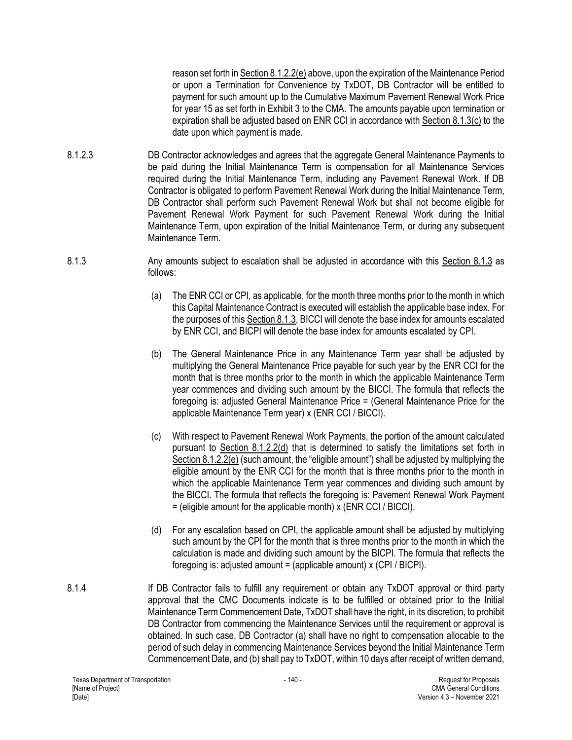reason set forth in Section 8.1.2.2(e) above, upon the expiration of the Maintenance Period or upon a Termination for Convenience by TxDOT, DB Contractor will be entitled to payment for such amount up to the Cumulative Maximum Pavement Renewal Work Price for year 15 as set forth in Exhibit 3 to the CMA. The amounts payable upon termination or expiration shall be adjusted based on ENR CCI in accordance with Section 8.1.3(c) to the date upon which payment is made.

- 8.1.2.3 DB Contractor acknowledges and agrees that the aggregate General Maintenance Payments to be paid during the Initial Maintenance Term is compensation for all Maintenance Services required during the Initial Maintenance Term, including any Pavement Renewal Work. If DB Contractor is obligated to perform Pavement Renewal Work during the Initial Maintenance Term, DB Contractor shall perform such Pavement Renewal Work but shall not become eligible for Pavement Renewal Work Payment for such Pavement Renewal Work during the Initial Maintenance Term, upon expiration of the Initial Maintenance Term, or during any subsequent Maintenance Term.
- 8.1.3 Any amounts subject to escalation shall be adjusted in accordance with this Section 8.1.3 as follows:
	- (a) The ENR CCI or CPI, as applicable, for the month three months prior to the month in which this Capital Maintenance Contract is executed will establish the applicable base index. For the purposes of this Section 8.1.3, BICCI will denote the base index for amounts escalated by ENR CCI, and BICPI will denote the base index for amounts escalated by CPI.
	- (b) The General Maintenance Price in any Maintenance Term year shall be adjusted by multiplying the General Maintenance Price payable for such year by the ENR CCI for the month that is three months prior to the month in which the applicable Maintenance Term year commences and dividing such amount by the BICCI. The formula that reflects the foregoing is: adjusted General Maintenance Price = (General Maintenance Price for the applicable Maintenance Term year) x (ENR CCI / BICCI).
	- (c) With respect to Pavement Renewal Work Payments, the portion of the amount calculated pursuant to Section 8.1.2.2(d) that is determined to satisfy the limitations set forth in Section 8.1.2.2(e) (such amount, the "eligible amount") shall be adjusted by multiplying the eligible amount by the ENR CCI for the month that is three months prior to the month in which the applicable Maintenance Term year commences and dividing such amount by the BICCI. The formula that reflects the foregoing is: Pavement Renewal Work Payment = (eligible amount for the applicable month) x (ENR CCI / BICCI).
	- (d) For any escalation based on CPI, the applicable amount shall be adjusted by multiplying such amount by the CPI for the month that is three months prior to the month in which the calculation is made and dividing such amount by the BICPI. The formula that reflects the foregoing is: adjusted amount = (applicable amount)  $x$  (CPI / BICPI).
- 8.1.4 If DB Contractor fails to fulfill any requirement or obtain any TxDOT approval or third party approval that the CMC Documents indicate is to be fulfilled or obtained prior to the Initial Maintenance Term Commencement Date, TxDOT shall have the right, in its discretion, to prohibit DB Contractor from commencing the Maintenance Services until the requirement or approval is obtained. In such case, DB Contractor (a) shall have no right to compensation allocable to the period of such delay in commencing Maintenance Services beyond the Initial Maintenance Term Commencement Date, and (b) shall pay to TxDOT, within 10 days after receipt of written demand,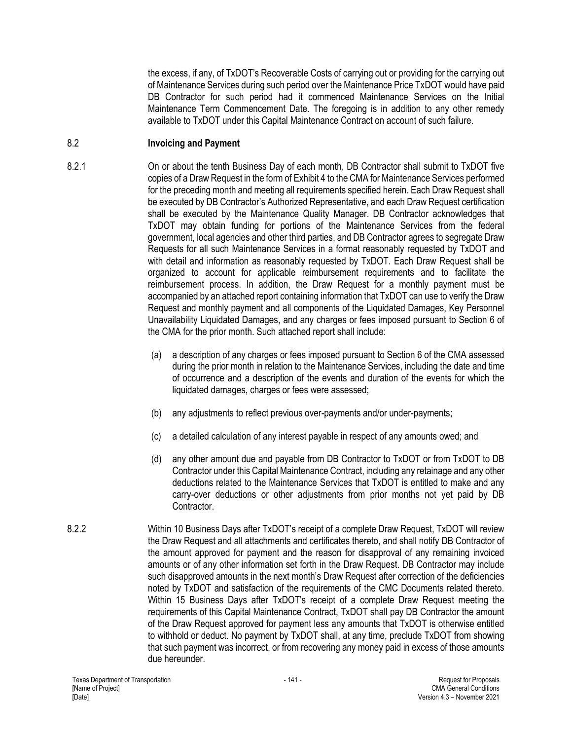the excess, if any, of TxDOT's Recoverable Costs of carrying out or providing for the carrying out of Maintenance Services during such period over the Maintenance Price TxDOT would have paid DB Contractor for such period had it commenced Maintenance Services on the Initial Maintenance Term Commencement Date. The foregoing is in addition to any other remedy available to TxDOT under this Capital Maintenance Contract on account of such failure.

## 8.2 **Invoicing and Payment**

- 8.2.1 On or about the tenth Business Day of each month, DB Contractor shall submit to TxDOT five copies of a Draw Request in the form of Exhibit 4 to the CMA for Maintenance Services performed for the preceding month and meeting all requirements specified herein. Each Draw Request shall be executed by DB Contractor's Authorized Representative, and each Draw Request certification shall be executed by the Maintenance Quality Manager. DB Contractor acknowledges that TxDOT may obtain funding for portions of the Maintenance Services from the federal government, local agencies and other third parties, and DB Contractor agrees to segregate Draw Requests for all such Maintenance Services in a format reasonably requested by TxDOT and with detail and information as reasonably requested by TxDOT. Each Draw Request shall be organized to account for applicable reimbursement requirements and to facilitate the reimbursement process. In addition, the Draw Request for a monthly payment must be accompanied by an attached report containing information that TxDOT can use to verify the Draw Request and monthly payment and all components of the Liquidated Damages, Key Personnel Unavailability Liquidated Damages, and any charges or fees imposed pursuant to Section 6 of the CMA for the prior month. Such attached report shall include:
	- (a) a description of any charges or fees imposed pursuant to Section 6 of the CMA assessed during the prior month in relation to the Maintenance Services, including the date and time of occurrence and a description of the events and duration of the events for which the liquidated damages, charges or fees were assessed;
	- (b) any adjustments to reflect previous over-payments and/or under-payments;
	- (c) a detailed calculation of any interest payable in respect of any amounts owed; and
	- (d) any other amount due and payable from DB Contractor to TxDOT or from TxDOT to DB Contractor under this Capital Maintenance Contract, including any retainage and any other deductions related to the Maintenance Services that TxDOT is entitled to make and any carry-over deductions or other adjustments from prior months not yet paid by DB **Contractor**
- 8.2.2 Within 10 Business Days after TxDOT's receipt of a complete Draw Request, TxDOT will review the Draw Request and all attachments and certificates thereto, and shall notify DB Contractor of the amount approved for payment and the reason for disapproval of any remaining invoiced amounts or of any other information set forth in the Draw Request. DB Contractor may include such disapproved amounts in the next month's Draw Request after correction of the deficiencies noted by TxDOT and satisfaction of the requirements of the CMC Documents related thereto. Within 15 Business Days after TxDOT's receipt of a complete Draw Request meeting the requirements of this Capital Maintenance Contract, TxDOT shall pay DB Contractor the amount of the Draw Request approved for payment less any amounts that TxDOT is otherwise entitled to withhold or deduct. No payment by TxDOT shall, at any time, preclude TxDOT from showing that such payment was incorrect, or from recovering any money paid in excess of those amounts due hereunder.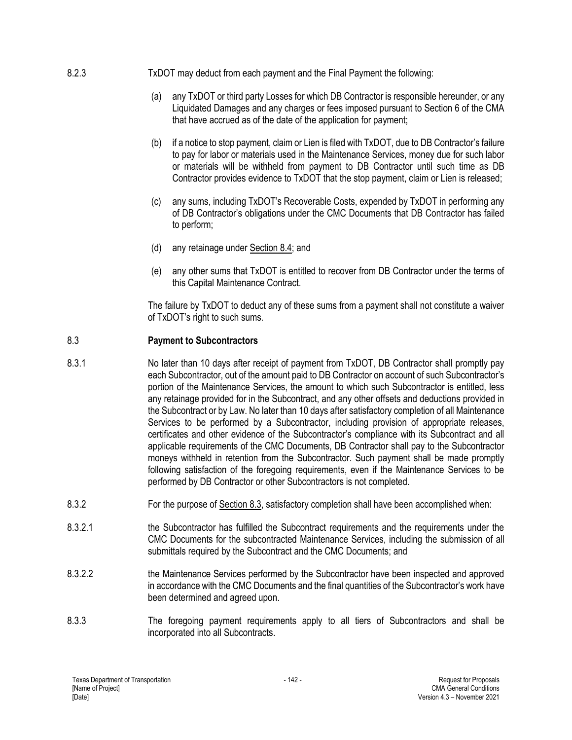- 8.2.3 TxDOT may deduct from each payment and the Final Payment the following:
	- (a) any TxDOT or third party Losses for which DB Contractor is responsible hereunder, or any Liquidated Damages and any charges or fees imposed pursuant to Section 6 of the CMA that have accrued as of the date of the application for payment;
	- (b) if a notice to stop payment, claim or Lien is filed with TxDOT, due to DB Contractor's failure to pay for labor or materials used in the Maintenance Services, money due for such labor or materials will be withheld from payment to DB Contractor until such time as DB Contractor provides evidence to TxDOT that the stop payment, claim or Lien is released;
	- (c) any sums, including TxDOT's Recoverable Costs, expended by TxDOT in performing any of DB Contractor's obligations under the CMC Documents that DB Contractor has failed to perform;
	- (d) any retainage under Section 8.4; and
	- (e) any other sums that TxDOT is entitled to recover from DB Contractor under the terms of this Capital Maintenance Contract.

The failure by TxDOT to deduct any of these sums from a payment shall not constitute a waiver of TxDOT's right to such sums.

## 8.3 **Payment to Subcontractors**

- 8.3.1 No later than 10 days after receipt of payment from TxDOT, DB Contractor shall promptly pay each Subcontractor, out of the amount paid to DB Contractor on account of such Subcontractor's portion of the Maintenance Services, the amount to which such Subcontractor is entitled, less any retainage provided for in the Subcontract, and any other offsets and deductions provided in the Subcontract or by Law. No later than 10 days after satisfactory completion of all Maintenance Services to be performed by a Subcontractor, including provision of appropriate releases, certificates and other evidence of the Subcontractor's compliance with its Subcontract and all applicable requirements of the CMC Documents, DB Contractor shall pay to the Subcontractor moneys withheld in retention from the Subcontractor. Such payment shall be made promptly following satisfaction of the foregoing requirements, even if the Maintenance Services to be performed by DB Contractor or other Subcontractors is not completed.
- 8.3.2 For the purpose of Section 8.3, satisfactory completion shall have been accomplished when:
- 8.3.2.1 the Subcontractor has fulfilled the Subcontract requirements and the requirements under the CMC Documents for the subcontracted Maintenance Services, including the submission of all submittals required by the Subcontract and the CMC Documents; and
- 8.3.2.2 the Maintenance Services performed by the Subcontractor have been inspected and approved in accordance with the CMC Documents and the final quantities of the Subcontractor's work have been determined and agreed upon.
- 8.3.3 The foregoing payment requirements apply to all tiers of Subcontractors and shall be incorporated into all Subcontracts.